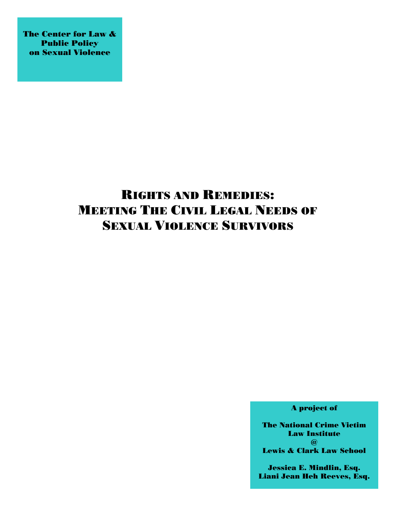The Center for Law & Public Policy on Sexual Violence

## RIGHTS AND REMEDIES: MEETING THE CIVIL LEGAL NEEDS OF SEXUAL VIOLENCE SURVIVORS

A project of

The National Crime Victim Law Institute  $\omega$ Lewis & Clark Law School

Jessica E. Mindlin, Esq. Liani Jean Heh Reeves, Esq.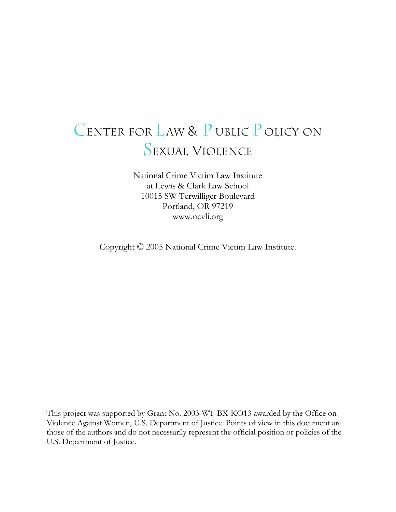# CENTER FOR LAW & P UBLIC POLICY ON SEXUAL VIOLENCE

National Crime Victim Law Institute at Lewis & Clark Law School 10015 SW Terwilliger Boulevard Portland, OR 97219 www.ncvli.org

Copyright © 2005 National Crime Victim Law Institute.

This project was supported by Grant No. 2003-WT-BX-KO13 awarded by the Office on Violence Against Women, U.S. Department of Justice. Points of view in this document are those of the authors and do not necessarily represent the official position or policies of the U.S. Department of Justice.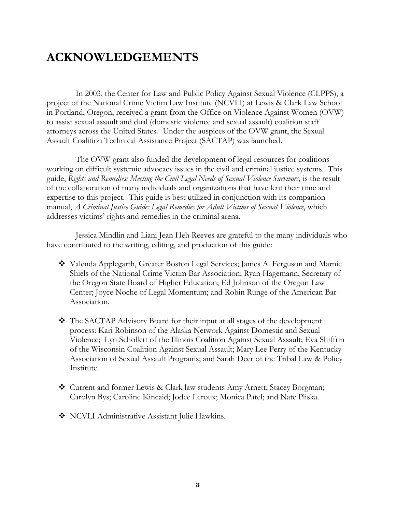## **ACKNOWLEDGEMENTS**

 In 2003, the Center for Law and Public Policy Against Sexual Violence (CLPPS), a project of the National Crime Victim Law Institute (NCVLI) at Lewis & Clark Law School in Portland, Oregon, received a grant from the Office on Violence Against Women (OVW) to assist sexual assault and dual (domestic violence and sexual assault) coalition staff attorneys across the United States. Under the auspices of the OVW grant, the Sexual Assault Coalition Technical Assistance Project (SACTAP) was launched.

 The OVW grant also funded the development of legal resources for coalitions working on difficult systemic advocacy issues in the civil and criminal justice systems. This guide, *Rights and Remedies: Meeting the Civil Legal Needs of Sexual Violence Survivors*, is the result of the collaboration of many individuals and organizations that have lent their time and expertise to this project. This guide is best utilized in conjunction with its companion manual, *A Criminal Justice Guide: Legal Remedies for Adult Victims of Sexual Violence*, which addresses victims' rights and remedies in the criminal arena.

 Jessica Mindlin and Liani Jean Heh Reeves are grateful to the many individuals who have contributed to the writing, editing, and production of this guide:

- Valenda Applegarth, Greater Boston Legal Services; James A. Ferguson and Marnie Shiels of the National Crime Victim Bar Association; Ryan Hagemann, Secretary of the Oregon State Board of Higher Education; Ed Johnson of the Oregon Law Center; Joyce Noche of Legal Momentum; and Robin Runge of the American Bar Association.
- The SACTAP Advisory Board for their input at all stages of the development process: Kari Robinson of the Alaska Network Against Domestic and Sexual Violence; Lyn Schollett of the Illinois Coalition Against Sexual Assault; Eva Shiffrin of the Wisconsin Coalition Against Sexual Assault; Mary Lee Perry of the Kentucky Association of Sexual Assault Programs; and Sarah Deer of the Tribal Law & Policy Institute.
- Current and former Lewis & Clark law students Amy Arnett; Stacey Borgman; Carolyn Bys; Caroline Kincaid; Jodee Leroux; Monica Patel; and Nate Pliska.
- NCVLI Administrative Assistant Julie Hawkins.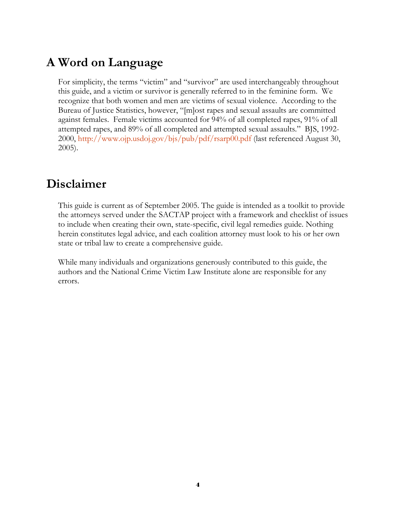## **A Word on Language**

For simplicity, the terms "victim" and "survivor" are used interchangeably throughout this guide, and a victim or survivor is generally referred to in the feminine form. We recognize that both women and men are victims of sexual violence. According to the Bureau of Justice Statistics, however, "[m]ost rapes and sexual assaults are committed against females. Female victims accounted for 94% of all completed rapes, 91% of all attempted rapes, and 89% of all completed and attempted sexual assaults." BJS, 1992- 2000, http://www.ojp.usdoj.gov/bjs/pub/pdf/rsarp00.pdf (last referenced August 30, 2005).

### **Disclaimer**

This guide is current as of September 2005. The guide is intended as a toolkit to provide the attorneys served under the SACTAP project with a framework and checklist of issues to include when creating their own, state-specific, civil legal remedies guide. Nothing herein constitutes legal advice, and each coalition attorney must look to his or her own state or tribal law to create a comprehensive guide.

While many individuals and organizations generously contributed to this guide, the authors and the National Crime Victim Law Institute alone are responsible for any errors.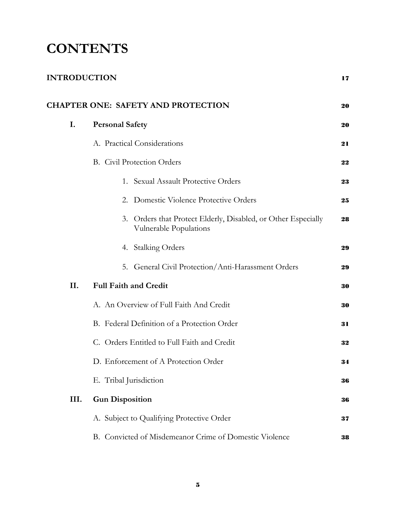# **CONTENTS**

| <b>INTRODUCTION</b> |                                                                                            | 17 |
|---------------------|--------------------------------------------------------------------------------------------|----|
|                     | <b>CHAPTER ONE: SAFETY AND PROTECTION</b>                                                  | 20 |
| I.                  | <b>Personal Safety</b>                                                                     | 20 |
|                     | A. Practical Considerations                                                                | 21 |
|                     | <b>B.</b> Civil Protection Orders                                                          | 22 |
|                     | 1. Sexual Assault Protective Orders                                                        | 23 |
|                     | 2. Domestic Violence Protective Orders                                                     | 25 |
|                     | 3.<br>Orders that Protect Elderly, Disabled, or Other Especially<br>Vulnerable Populations | 28 |
|                     | 4. Stalking Orders                                                                         | 29 |
|                     | 5. General Civil Protection/Anti-Harassment Orders                                         | 29 |
| II.                 | <b>Full Faith and Credit</b>                                                               | 30 |
|                     | A. An Overview of Full Faith And Credit                                                    | 30 |
|                     | B. Federal Definition of a Protection Order                                                | 31 |
|                     | C. Orders Entitled to Full Faith and Credit                                                | 32 |
|                     | D. Enforcement of A Protection Order                                                       | 34 |
|                     | E. Tribal Jurisdiction                                                                     | 36 |
| III.                | <b>Gun Disposition</b>                                                                     | 36 |
|                     | A. Subject to Qualifying Protective Order                                                  | 37 |
|                     | B. Convicted of Misdemeanor Crime of Domestic Violence                                     | 38 |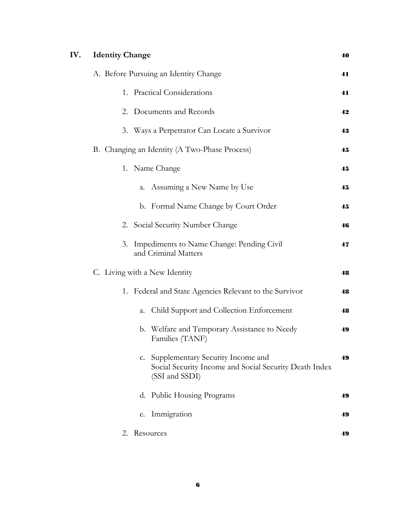|  | IV. | <b>Identity Change</b>                                                                                              | 40 |
|--|-----|---------------------------------------------------------------------------------------------------------------------|----|
|  |     | A. Before Pursuing an Identity Change                                                                               | 41 |
|  |     | 1. Practical Considerations                                                                                         | 41 |
|  |     | 2. Documents and Records                                                                                            | 42 |
|  |     | 3. Ways a Perpetrator Can Locate a Survivor                                                                         | 43 |
|  |     | B. Changing an Identity (A Two-Phase Process)                                                                       | 45 |
|  |     | 1. Name Change                                                                                                      | 45 |
|  |     | a. Assuming a New Name by Use                                                                                       | 45 |
|  |     | b. Formal Name Change by Court Order                                                                                | 45 |
|  |     | 2. Social Security Number Change                                                                                    | 46 |
|  |     | Impediments to Name Change: Pending Civil<br>3.<br>and Criminal Matters                                             | 47 |
|  |     | C. Living with a New Identity                                                                                       | 48 |
|  |     | 1. Federal and State Agencies Relevant to the Survivor                                                              | 48 |
|  |     | Child Support and Collection Enforcement<br>a.                                                                      | 48 |
|  |     | b. Welfare and Temporary Assistance to Needy<br>Families (TANF)                                                     | 49 |
|  |     | Supplementary Security Income and<br>C.<br>Social Security Income and Social Security Death Index<br>(SSI and SSDI) | 49 |
|  |     | d. Public Housing Programs                                                                                          | 49 |
|  |     | Immigration<br>e.                                                                                                   | 49 |
|  |     | Resources<br>2.                                                                                                     | 49 |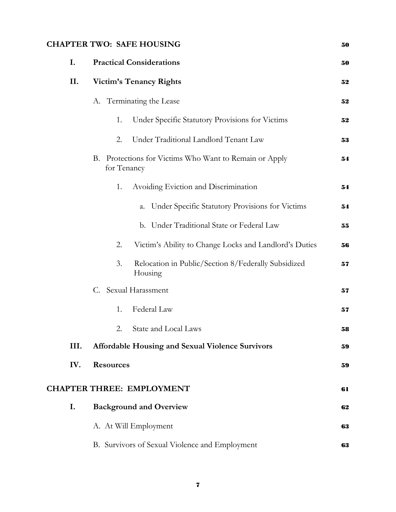### **CHAPTER TWO: SAFE HOUSING** <sup>50</sup>

| I.   | <b>Practical Considerations</b>                                          | 50 |
|------|--------------------------------------------------------------------------|----|
| II.  | <b>Victim's Tenancy Rights</b>                                           | 52 |
|      | A. Terminating the Lease                                                 | 52 |
|      | Under Specific Statutory Provisions for Victims<br>1.                    | 52 |
|      | Under Traditional Landlord Tenant Law<br>2.                              | 53 |
|      | Protections for Victims Who Want to Remain or Apply<br>В.<br>for Tenancy | 54 |
|      | Avoiding Eviction and Discrimination<br>1.                               | 54 |
|      | Under Specific Statutory Provisions for Victims<br>a.                    | 54 |
|      | b. Under Traditional State or Federal Law                                | 55 |
|      | Victim's Ability to Change Locks and Landlord's Duties<br>2.             | 56 |
|      | 3.<br>Relocation in Public/Section 8/Federally Subsidized<br>Housing     | 57 |
|      | C. Sexual Harassment                                                     | 57 |
|      | Federal Law<br>1.                                                        | 57 |
|      | <b>State and Local Laws</b><br>2.                                        | 58 |
| III. | <b>Affordable Housing and Sexual Violence Survivors</b>                  | 59 |
| IV.  | <b>Resources</b>                                                         | 59 |
|      | <b>CHAPTER THREE: EMPLOYMENT</b>                                         | 61 |
| I.   | <b>Background and Overview</b>                                           | 62 |
|      | A. At Will Employment                                                    | 63 |
|      | B. Survivors of Sexual Violence and Employment                           | 63 |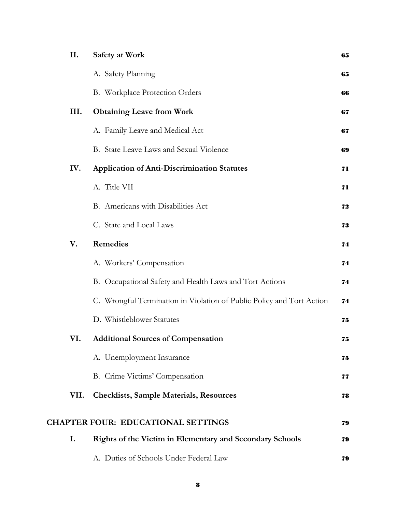| II.  | Safety at Work                                                        | 65 |
|------|-----------------------------------------------------------------------|----|
|      | A. Safety Planning                                                    | 65 |
|      | B. Workplace Protection Orders                                        | 66 |
| III. | <b>Obtaining Leave from Work</b>                                      | 67 |
|      | A. Family Leave and Medical Act                                       | 67 |
|      | B. State Leave Laws and Sexual Violence                               | 69 |
| IV.  | <b>Application of Anti-Discrimination Statutes</b>                    | 71 |
|      | A. Title VII                                                          | 71 |
|      | B. Americans with Disabilities Act                                    | 72 |
|      | C. State and Local Laws                                               | 73 |
| V.   | <b>Remedies</b>                                                       | 74 |
|      | A. Workers' Compensation                                              | 74 |
|      | B. Occupational Safety and Health Laws and Tort Actions               | 74 |
|      | C. Wrongful Termination in Violation of Public Policy and Tort Action | 74 |
|      | D. Whistleblower Statutes                                             | 75 |
| VI.  | <b>Additional Sources of Compensation</b>                             | 75 |
|      | A. Unemployment Insurance                                             | 75 |
|      | B. Crime Victims' Compensation                                        | 77 |
| VII. | <b>Checklists, Sample Materials, Resources</b>                        | 78 |
|      | <b>CHAPTER FOUR: EDUCATIONAL SETTINGS</b>                             | 79 |
| I.   | Rights of the Victim in Elementary and Secondary Schools              | 79 |
|      | A. Duties of Schools Under Federal Law                                | 79 |
|      |                                                                       |    |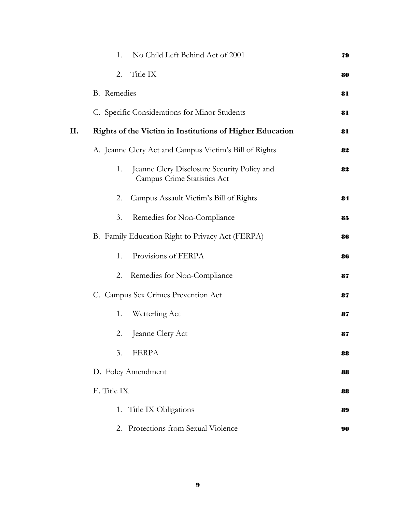|     | No Child Left Behind Act of 2001<br>1.                                           | 79 |
|-----|----------------------------------------------------------------------------------|----|
|     | Title IX<br>2.                                                                   | 80 |
|     | <b>B.</b> Remedies                                                               | 81 |
|     | C. Specific Considerations for Minor Students                                    | 81 |
| II. | Rights of the Victim in Institutions of Higher Education                         | 81 |
|     | A. Jeanne Clery Act and Campus Victim's Bill of Rights                           | 82 |
|     | Jeanne Clery Disclosure Security Policy and<br>1.<br>Campus Crime Statistics Act | 82 |
|     | Campus Assault Victim's Bill of Rights<br>2.                                     | 84 |
|     | 3.<br>Remedies for Non-Compliance                                                | 85 |
|     | B. Family Education Right to Privacy Act (FERPA)                                 | 86 |
|     | Provisions of FERPA<br>1.                                                        | 86 |
|     | Remedies for Non-Compliance<br>2.                                                | 87 |
|     | C. Campus Sex Crimes Prevention Act                                              | 87 |
|     | Wetterling Act<br>1.                                                             | 87 |
|     | Jeanne Clery Act<br>2.                                                           | 87 |
|     | 3.<br><b>FERPA</b>                                                               | 88 |
|     | D. Foley Amendment                                                               | 88 |
|     | E. Title IX                                                                      | 88 |
|     | 1. Title IX Obligations                                                          | 89 |
|     | Protections from Sexual Violence<br>2.                                           | 90 |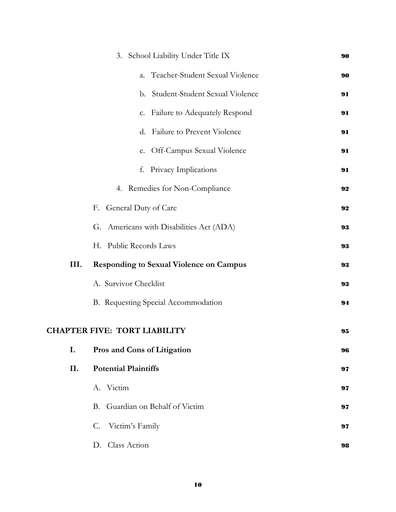|      | 3. School Liability Under Title IX             | 90 |
|------|------------------------------------------------|----|
|      | Teacher-Student Sexual Violence<br>a.          | 90 |
|      | b. Student-Student Sexual Violence             | 91 |
|      | c. Failure to Adequately Respond               | 91 |
|      | <b>Failure to Prevent Violence</b><br>d.       | 91 |
|      | Off-Campus Sexual Violence<br>e.               | 91 |
|      | Privacy Implications<br>f.                     | 91 |
|      | 4. Remedies for Non-Compliance                 | 92 |
|      | F. General Duty of Care                        | 92 |
|      | G. Americans with Disabilities Act (ADA)       | 93 |
|      | H. Public Records Laws                         | 93 |
| III. | <b>Responding to Sexual Violence on Campus</b> | 93 |
|      | A. Survivor Checklist                          | 93 |
|      | B. Requesting Special Accommodation            | 94 |
|      | <b>CHAPTER FIVE: TORT LIABILITY</b>            | 95 |
| I.   | Pros and Cons of Litigation                    | 96 |
| II.  | <b>Potential Plaintiffs</b>                    | 97 |
|      | A. Victim                                      | 97 |
|      | Guardian on Behalf of Victim<br>B.             | 97 |
|      | Victim's Family<br>C.                          | 97 |
|      | D. Class Action                                | 98 |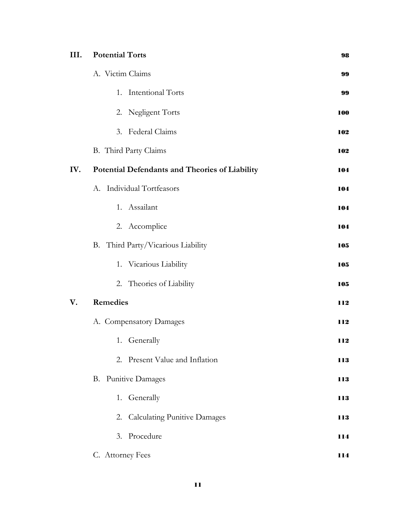| III. | <b>Potential Torts</b>                         | 98         |
|------|------------------------------------------------|------------|
|      | A. Victim Claims                               | 99         |
|      | 1. Intentional Torts                           | 99         |
|      | 2. Negligent Torts                             | 100        |
|      | 3. Federal Claims                              | 102        |
|      | B. Third Party Claims                          | 102        |
| IV.  | Potential Defendants and Theories of Liability | 104        |
|      | Individual Tortfeasors<br>А.                   | 104        |
|      | 1. Assailant                                   | 104        |
|      | 2. Accomplice                                  | 104        |
|      | B. Third Party/Vicarious Liability             | 105        |
|      | 1. Vicarious Liability                         | 105        |
|      | 2. Theories of Liability                       | 105        |
| V.   | <b>Remedies</b>                                | 112        |
|      | A. Compensatory Damages                        | 112        |
|      | 1. Generally                                   | 112        |
|      | 2. Present Value and Inflation                 | 113        |
|      | <b>B.</b> Punitive Damages                     | <b>113</b> |
|      | 1. Generally                                   | 113        |
|      | 2. Calculating Punitive Damages                | 113        |
|      | 3. Procedure                                   | 114        |
|      | C. Attorney Fees                               | 114        |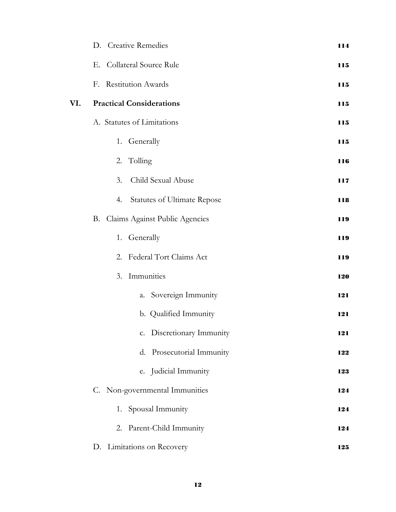|     | D. Creative Remedies                     | 114 |
|-----|------------------------------------------|-----|
|     | Collateral Source Rule<br>Е.             | 115 |
|     | F. Restitution Awards                    | 115 |
| VI. | <b>Practical Considerations</b>          | 115 |
|     | A. Statutes of Limitations               | 115 |
|     | 1. Generally                             | 115 |
|     | 2. Tolling                               | 116 |
|     | Child Sexual Abuse<br>3.                 | 117 |
|     | <b>Statutes of Ultimate Repose</b><br>4. | 118 |
|     | Claims Against Public Agencies<br>В.     | 119 |
|     | 1. Generally                             | 119 |
|     | 2. Federal Tort Claims Act               | 119 |
|     | 3. Immunities                            | 120 |
|     | a. Sovereign Immunity                    | 121 |
|     | b. Qualified Immunity                    | 121 |
|     | c. Discretionary Immunity                | 121 |
|     | d. Prosecutorial Immunity                | 122 |
|     | e. Judicial Immunity                     | 123 |
|     | C. Non-governmental Immunities           | 124 |
|     | 1. Spousal Immunity                      | 124 |
|     | 2. Parent-Child Immunity                 | 124 |
|     | D. Limitations on Recovery               | 125 |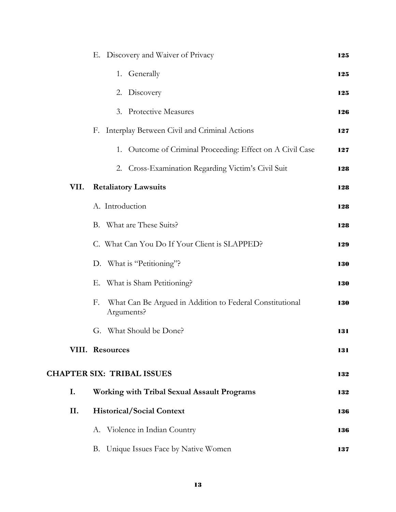|      | Discovery and Waiver of Privacy<br>Е.                                        | 125        |
|------|------------------------------------------------------------------------------|------------|
|      | 1. Generally                                                                 | 125        |
|      | 2. Discovery                                                                 | 125        |
|      | 3. Protective Measures                                                       | 126        |
|      | Interplay Between Civil and Criminal Actions<br>F.                           | 127        |
|      | 1. Outcome of Criminal Proceeding: Effect on A Civil Case                    | 127        |
|      | 2. Cross-Examination Regarding Victim's Civil Suit                           | 128        |
| VII. | <b>Retaliatory Lawsuits</b>                                                  | 128        |
|      | A. Introduction                                                              | 128        |
|      | B. What are These Suits?                                                     | 128        |
|      | C. What Can You Do If Your Client is SLAPPED?                                | 129        |
|      | D. What is "Petitioning"?                                                    | <b>130</b> |
|      | What is Sham Petitioning?<br>Е.                                              | 130        |
|      | What Can Be Argued in Addition to Federal Constitutional<br>F.<br>Arguments? | 130        |
|      | G. What Should be Done?                                                      | 131        |
|      | <b>VIII. Resources</b>                                                       | 131        |
|      | <b>CHAPTER SIX: TRIBAL ISSUES</b>                                            | 132        |
| I.   | Working with Tribal Sexual Assault Programs                                  | 132        |
| II.  | <b>Historical/Social Context</b>                                             | 136        |
|      | A. Violence in Indian Country                                                | 136        |
|      | B. Unique Issues Face by Native Women                                        | 137        |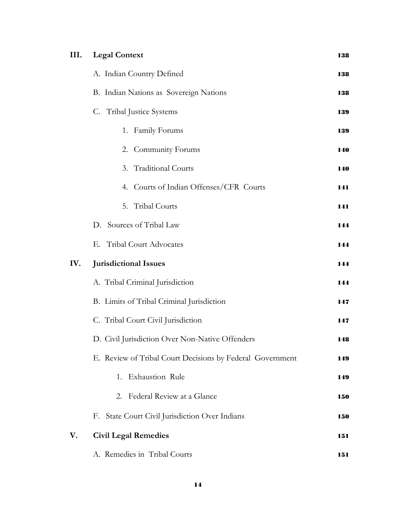| III. | <b>Legal Context</b>                                      | 138 |
|------|-----------------------------------------------------------|-----|
|      | A. Indian Country Defined                                 | 138 |
|      | B. Indian Nations as Sovereign Nations                    | 138 |
|      | C. Tribal Justice Systems                                 | 139 |
|      | 1. Family Forums                                          | 139 |
|      | 2. Community Forums                                       | 140 |
|      | 3. Traditional Courts                                     | 140 |
|      | 4. Courts of Indian Offenses/CFR Courts                   | 141 |
|      | 5. Tribal Courts                                          | 141 |
|      | D. Sources of Tribal Law                                  | 144 |
|      | E. Tribal Court Advocates                                 | 144 |
| IV.  | Jurisdictional Issues                                     | 144 |
|      | A. Tribal Criminal Jurisdiction                           | 144 |
|      | B. Limits of Tribal Criminal Jurisdiction                 | 147 |
|      | C. Tribal Court Civil Jurisdiction                        | 147 |
|      | D. Civil Jurisdiction Over Non-Native Offenders           | 148 |
|      | E. Review of Tribal Court Decisions by Federal Government | 149 |
|      | 1. Exhaustion Rule                                        | 149 |
|      | 2. Federal Review at a Glance                             | 150 |
|      | F. State Court Civil Jurisdiction Over Indians            | 150 |
| V.   | <b>Civil Legal Remedies</b>                               | 151 |
|      | A. Remedies in Tribal Courts                              | 151 |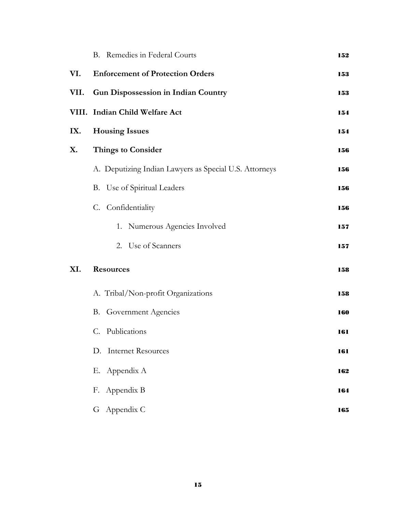|      | B. Remedies in Federal Courts                          | 152        |
|------|--------------------------------------------------------|------------|
| VI.  | <b>Enforcement of Protection Orders</b>                | 153        |
| VII. | <b>Gun Dispossession in Indian Country</b>             | 153        |
|      | VIII. Indian Child Welfare Act                         | 154        |
| IX.  | <b>Housing Issues</b>                                  | 154        |
| X.   | <b>Things to Consider</b>                              | 156        |
|      | A. Deputizing Indian Lawyers as Special U.S. Attorneys | 156        |
|      | B. Use of Spiritual Leaders                            | 156        |
|      | C. Confidentiality                                     | 156        |
|      | 1. Numerous Agencies Involved                          | 157        |
|      | 2. Use of Scanners                                     | 157        |
| XI.  | <b>Resources</b>                                       | 158        |
|      | A. Tribal/Non-profit Organizations                     | 158        |
|      | <b>B.</b> Government Agencies                          | <b>160</b> |
|      | C. Publications                                        | 161        |
|      | D. Internet Resources                                  | 161        |
|      | E. Appendix A                                          | 162        |
|      | F. Appendix B                                          | 164        |
|      | G Appendix C                                           | 165        |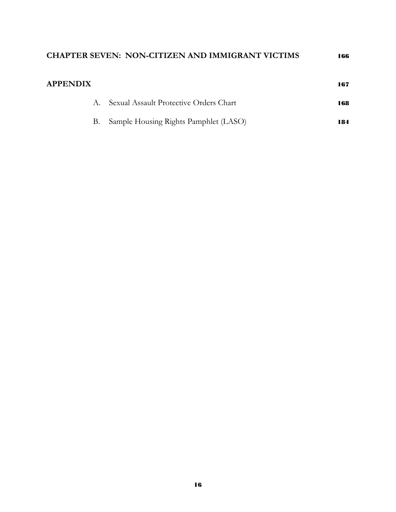| <b>APPENDIX</b> |                                        | 167 |
|-----------------|----------------------------------------|-----|
| A.              | Sexual Assault Protective Orders Chart | 168 |
| В.              | Sample Housing Rights Pamphlet (LASO)  | 184 |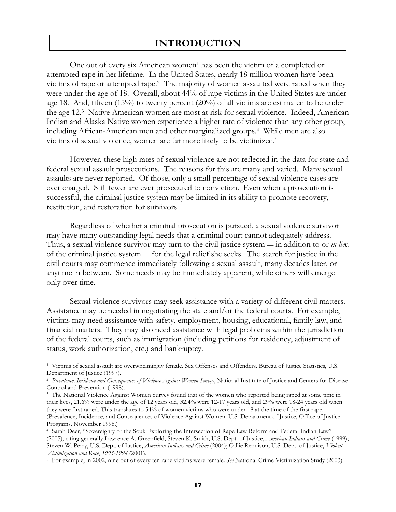### **INTRODUCTION**

One out of every six American women<sup>1</sup> has been the victim of a completed or attempted rape in her lifetime. In the United States, nearly 18 million women have been victims of rape or attempted rape.2 The majority of women assaulted were raped when they were under the age of 18. Overall, about 44% of rape victims in the United States are under age 18. And, fifteen (15%) to twenty percent (20%) of all victims are estimated to be under the age 12.3 Native American women are most at risk for sexual violence. Indeed, American Indian and Alaska Native women experience a higher rate of violence than any other group, including African-American men and other marginalized groups.4 While men are also victims of sexual violence, women are far more likely to be victimized.5

However, these high rates of sexual violence are not reflected in the data for state and federal sexual assault prosecutions. The reasons for this are many and varied. Many sexual assaults are never reported. Of those, only a small percentage of sexual violence cases are ever charged. Still fewer are ever prosecuted to conviction. Even when a prosecution is successful, the criminal justice system may be limited in its ability to promote recovery, restitution, and restoration for survivors.

 Regardless of whether a criminal prosecution is pursued, a sexual violence survivor may have many outstanding legal needs that a criminal court cannot adequately address. Thus, a sexual violence survivor may turn to the civil justice system — in addition to or *in lie*u of the criminal justice system — for the legal relief she seeks. The search for justice in the civil courts may commence immediately following a sexual assault, many decades later, or anytime in between. Some needs may be immediately apparent, while others will emerge only over time.

 Sexual violence survivors may seek assistance with a variety of different civil matters. Assistance may be needed in negotiating the state and/or the federal courts. For example, victims may need assistance with safety, employment, housing, educational, family law, and financial matters. They may also need assistance with legal problems within the jurisdiction of the federal courts, such as immigration (including petitions for residency, adjustment of status, work authorization, etc.) and bankruptcy.

 $\overline{a}$ 

<sup>1</sup> Victims of sexual assault are overwhelmingly female. Sex Offenses and Offenders. Bureau of Justice Statistics, U.S. Department of Justice (1997).

<sup>2</sup> *Prevalence, Incidence and Consequences of Violence Against Women Survey*, National Institute of Justice and Centers for Disease Control and Prevention (1998).

<sup>&</sup>lt;sup>3</sup> The National Violence Against Women Survey found that of the women who reported being raped at some time in their lives, 21.6% were under the age of 12 years old, 32.4% were 12-17 years old, and 29% were 18-24 years old when they were first raped. This translates to 54% of women victims who were under 18 at the time of the first rape. (Prevalence, Incidence, and Consequences of Violence Against Women. U.S. Department of Justice, Office of Justice Programs. November 1998.)

<sup>4</sup> Sarah Deer, "Sovereignty of the Soul: Exploring the Intersection of Rape Law Reform and Federal Indian Law" (2005), citing generally Lawrence A. Greenfield, Steven K. Smith, U.S. Dept. of Justice, *American Indians and Crime* (1999); Steven W. Perry, U.S. Dept. of Justice, *American Indians and Crime* (2004); Callie Rennison, U.S. Dept. of Justice, *Violent Victimization and Race*, 1993-1998 (2001).<br><sup>5</sup> For example, in 2002, nine out of every ten rape victims were female. *See* National Crime Victimization Study (2003).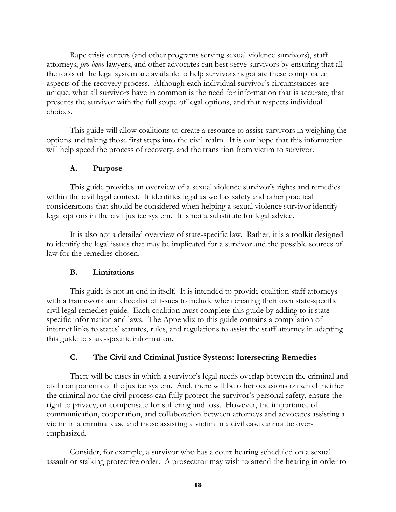Rape crisis centers (and other programs serving sexual violence survivors), staff attorneys, *pro bono* lawyers, and other advocates can best serve survivors by ensuring that all the tools of the legal system are available to help survivors negotiate these complicated aspects of the recovery process. Although each individual survivor's circumstances are unique, what all survivors have in common is the need for information that is accurate, that presents the survivor with the full scope of legal options, and that respects individual choices.

 This guide will allow coalitions to create a resource to assist survivors in weighing the options and taking those first steps into the civil realm. It is our hope that this information will help speed the process of recovery, and the transition from victim to survivor.

#### **A. Purpose**

 This guide provides an overview of a sexual violence survivor's rights and remedies within the civil legal context. It identifies legal as well as safety and other practical considerations that should be considered when helping a sexual violence survivor identify legal options in the civil justice system. It is not a substitute for legal advice.

 It is also not a detailed overview of state-specific law. Rather, it is a toolkit designed to identify the legal issues that may be implicated for a survivor and the possible sources of law for the remedies chosen.

#### **B. Limitations**

 This guide is not an end in itself. It is intended to provide coalition staff attorneys with a framework and checklist of issues to include when creating their own state-specific civil legal remedies guide. Each coalition must complete this guide by adding to it statespecific information and laws. The Appendix to this guide contains a compilation of internet links to states' statutes, rules, and regulations to assist the staff attorney in adapting this guide to state-specific information.

#### **C. The Civil and Criminal Justice Systems: Intersecting Remedies**

 There will be cases in which a survivor's legal needs overlap between the criminal and civil components of the justice system. And, there will be other occasions on which neither the criminal nor the civil process can fully protect the survivor's personal safety, ensure the right to privacy, or compensate for suffering and loss. However, the importance of communication, cooperation, and collaboration between attorneys and advocates assisting a victim in a criminal case and those assisting a victim in a civil case cannot be overemphasized.

 Consider, for example, a survivor who has a court hearing scheduled on a sexual assault or stalking protective order. A prosecutor may wish to attend the hearing in order to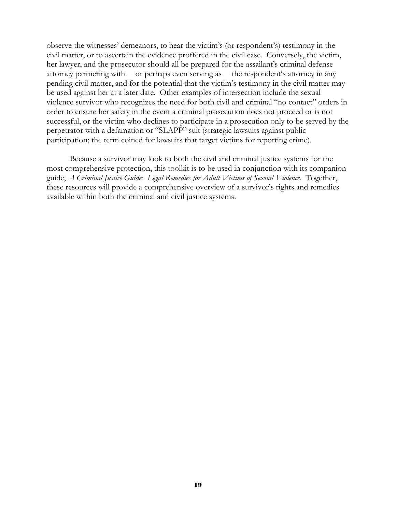observe the witnesses' demeanors, to hear the victim's (or respondent's) testimony in the civil matter, or to ascertain the evidence proffered in the civil case. Conversely, the victim, her lawyer, and the prosecutor should all be prepared for the assailant's criminal defense attorney partnering with — or perhaps even serving as — the respondent's attorney in any pending civil matter, and for the potential that the victim's testimony in the civil matter may be used against her at a later date. Other examples of intersection include the sexual violence survivor who recognizes the need for both civil and criminal "no contact" orders in order to ensure her safety in the event a criminal prosecution does not proceed or is not successful, or the victim who declines to participate in a prosecution only to be served by the perpetrator with a defamation or "SLAPP" suit (strategic lawsuits against public participation; the term coined for lawsuits that target victims for reporting crime).

 Because a survivor may look to both the civil and criminal justice systems for the most comprehensive protection, this toolkit is to be used in conjunction with its companion guide, *A Criminal Justice Guide: Legal Remedies for Adult Victims of Sexual Violence.* Together, these resources will provide a comprehensive overview of a survivor's rights and remedies available within both the criminal and civil justice systems.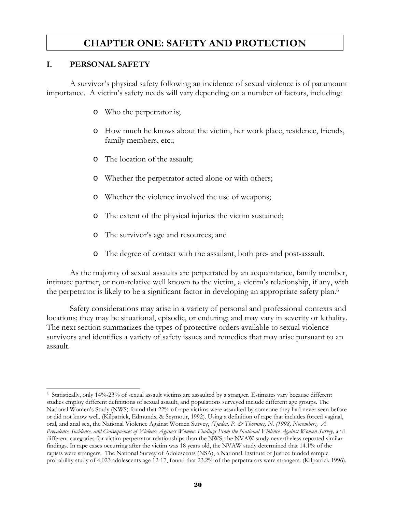### **CHAPTER ONE: SAFETY AND PROTECTION**

#### **I. PERSONAL SAFETY**

 A survivor's physical safety following an incidence of sexual violence is of paramount importance. A victim's safety needs will vary depending on a number of factors, including:

- o Who the perpetrator is;
- o How much he knows about the victim, her work place, residence, friends, family members, etc.;
- o The location of the assault;
- o Whether the perpetrator acted alone or with others;
- o Whether the violence involved the use of weapons;
- o The extent of the physical injuries the victim sustained;
- o The survivor's age and resources; and
- o The degree of contact with the assailant, both pre- and post-assault.

 As the majority of sexual assaults are perpetrated by an acquaintance, family member, intimate partner, or non-relative well known to the victim, a victim's relationship, if any, with the perpetrator is likely to be a significant factor in developing an appropriate safety plan.6

 Safety considerations may arise in a variety of personal and professional contexts and locations; they may be situational, episodic, or enduring; and may vary in severity or lethality. The next section summarizes the types of protective orders available to sexual violence survivors and identifies a variety of safety issues and remedies that may arise pursuant to an assault.

 $\overline{a}$ 6 Statistically, only 14%-23% of sexual assault victims are assaulted by a stranger. Estimates vary because different studies employ different definitions of sexual assault, and populations surveyed include different age groups. The National Women's Study (NWS) found that 22% of rape victims were assaulted by someone they had never seen before or did not know well. (Kilpatrick, Edmunds, & Seymour, 1992). Using a definition of rape that includes forced vaginal, oral, and anal sex, the National Violence Against Women Survey, *(Tjaden, P. & Thoennes, N. (1998, November), A Prevalence, Incidence, and Consequences of Violence Against Women: Findings From the National Violence Against Women Survey,* and different categories for victim-perpetrator relationships than the NWS, the NVAW study nevertheless reported similar findings. In rape cases occurring after the victim was 18 years old, the NVAW study determined that 14.1% of the rapists were strangers. The National Survey of Adolescents (NSA), a National Institute of Justice funded sample probability study of 4,023 adolescents age 12-17, found that 23.2% of the perpetrators were strangers. (Kilpatrick 1996).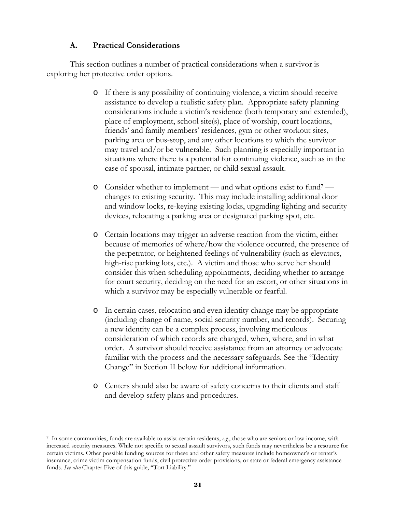#### **A. Practical Considerations**

This section outlines a number of practical considerations when a survivor is exploring her protective order options.

- o If there is any possibility of continuing violence, a victim should receive assistance to develop a realistic safety plan. Appropriate safety planning considerations include a victim's residence (both temporary and extended), place of employment, school site(s), place of worship, court locations, friends' and family members' residences, gym or other workout sites, parking area or bus-stop, and any other locations to which the survivor may travel and/or be vulnerable. Such planning is especially important in situations where there is a potential for continuing violence, such as in the case of spousal, intimate partner, or child sexual assault.
- o Consider whether to implement and what options exist to fund7 changes to existing security. This may include installing additional door and window locks, re-keying existing locks, upgrading lighting and security devices, relocating a parking area or designated parking spot, etc.
- o Certain locations may trigger an adverse reaction from the victim, either because of memories of where/how the violence occurred, the presence of the perpetrator, or heightened feelings of vulnerability (such as elevators, high-rise parking lots, etc.). A victim and those who serve her should consider this when scheduling appointments, deciding whether to arrange for court security, deciding on the need for an escort, or other situations in which a survivor may be especially vulnerable or fearful.
- o In certain cases, relocation and even identity change may be appropriate (including change of name, social security number, and records). Securing a new identity can be a complex process, involving meticulous consideration of which records are changed, when, where, and in what order. A survivor should receive assistance from an attorney or advocate familiar with the process and the necessary safeguards. See the "Identity Change" in Section II below for additional information.
- o Centers should also be aware of safety concerns to their clients and staff and develop safety plans and procedures.

 $\overline{a}$ 7 In some communities, funds are available to assist certain residents, *e.g.*, those who are seniors or low-income, with increased security measures. While not specific to sexual assault survivors, such funds may nevertheless be a resource for certain victims. Other possible funding sources for these and other safety measures include homeowner's or renter's insurance, crime victim compensation funds, civil protective order provisions, or state or federal emergency assistance funds. *See also* Chapter Five of this guide, "Tort Liability."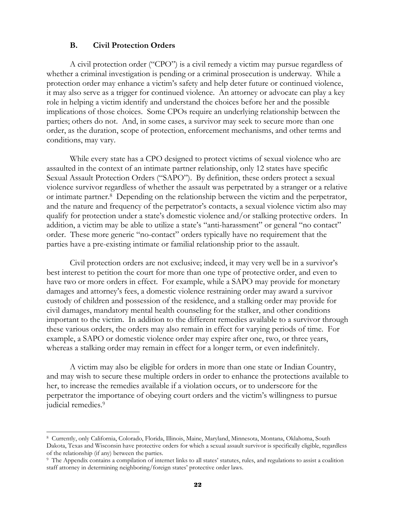#### **B. Civil Protection Orders**

 A civil protection order ("CPO") is a civil remedy a victim may pursue regardless of whether a criminal investigation is pending or a criminal prosecution is underway. While a protection order may enhance a victim's safety and help deter future or continued violence, it may also serve as a trigger for continued violence. An attorney or advocate can play a key role in helping a victim identify and understand the choices before her and the possible implications of those choices. Some CPOs require an underlying relationship between the parties; others do not. And, in some cases, a survivor may seek to secure more than one order, as the duration, scope of protection, enforcement mechanisms, and other terms and conditions, may vary.

While every state has a CPO designed to protect victims of sexual violence who are assaulted in the context of an intimate partner relationship, only 12 states have specific Sexual Assault Protection Orders ("SAPO"). By definition, these orders protect a sexual violence survivor regardless of whether the assault was perpetrated by a stranger or a relative or intimate partner.8 Depending on the relationship between the victim and the perpetrator, and the nature and frequency of the perpetrator's contacts, a sexual violence victim also may qualify for protection under a state's domestic violence and/or stalking protective orders. In addition, a victim may be able to utilize a state's "anti-harassment" or general "no contact" order. These more generic "no-contact" orders typically have no requirement that the parties have a pre-existing intimate or familial relationship prior to the assault.

 Civil protection orders are not exclusive; indeed, it may very well be in a survivor's best interest to petition the court for more than one type of protective order, and even to have two or more orders in effect. For example, while a SAPO may provide for monetary damages and attorney's fees, a domestic violence restraining order may award a survivor custody of children and possession of the residence, and a stalking order may provide for civil damages, mandatory mental health counseling for the stalker, and other conditions important to the victim. In addition to the different remedies available to a survivor through these various orders, the orders may also remain in effect for varying periods of time. For example, a SAPO or domestic violence order may expire after one, two, or three years, whereas a stalking order may remain in effect for a longer term, or even indefinitely.

 A victim may also be eligible for orders in more than one state or Indian Country, and may wish to secure these multiple orders in order to enhance the protections available to her, to increase the remedies available if a violation occurs, or to underscore for the perpetrator the importance of obeying court orders and the victim's willingness to pursue judicial remedies.<sup>9</sup>

 $\overline{a}$ 

<sup>8</sup> Currently, only California, Colorado, Florida, Illinois, Maine, Maryland, Minnesota, Montana, Oklahoma, South Dakota, Texas and Wisconsin have protective orders for which a sexual assault survivor is specifically eligible, regardless of the relationship (if any) between the parties.

<sup>9</sup> The Appendix contains a compilation of internet links to all states' statutes, rules, and regulations to assist a coalition staff attorney in determining neighboring/foreign states' protective order laws.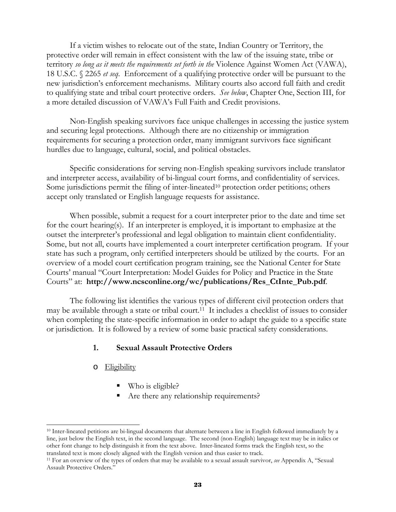If a victim wishes to relocate out of the state, Indian Country or Territory, the protective order will remain in effect consistent with the law of the issuing state, tribe or territory *so long as it meets the requirements set forth in the* Violence Against Women Act (VAWA), 18 U.S.C. § 2265 *et seq*. Enforcement of a qualifying protective order will be pursuant to the new jurisdiction's enforcement mechanisms. Military courts also accord full faith and credit to qualifying state and tribal court protective orders. *See below*, Chapter One, Section III, for a more detailed discussion of VAWA's Full Faith and Credit provisions.

 Non-English speaking survivors face unique challenges in accessing the justice system and securing legal protections. Although there are no citizenship or immigration requirements for securing a protection order, many immigrant survivors face significant hurdles due to language, cultural, social, and political obstacles.

 Specific considerations for serving non-English speaking survivors include translator and interpreter access, availability of bi-lingual court forms, and confidentiality of services. Some jurisdictions permit the filing of inter-lineated<sup>10</sup> protection order petitions; others accept only translated or English language requests for assistance.

 When possible, submit a request for a court interpreter prior to the date and time set for the court hearing(s). If an interpreter is employed, it is important to emphasize at the outset the interpreter's professional and legal obligation to maintain client confidentiality. Some, but not all, courts have implemented a court interpreter certification program. If your state has such a program, only certified interpreters should be utilized by the courts. For an overview of a model court certification program training, see the National Center for State Courts' manual "Court Interpretation: Model Guides for Policy and Practice in the State Courts" at: **http://www.ncsconline.org/wc/publications/Res\_CtInte\_Pub.pdf**.

 The following list identifies the various types of different civil protection orders that may be available through a state or tribal court.<sup>11</sup> It includes a checklist of issues to consider when completing the state-specific information in order to adapt the guide to a specific state or jurisdiction. It is followed by a review of some basic practical safety considerations.

#### **1. Sexual Assault Protective Orders**

o Eligibility

l

- Who is eligible?
- Are there any relationship requirements?

<sup>10</sup> Inter-lineated petitions are bi-lingual documents that alternate between a line in English followed immediately by a line, just below the English text, in the second language. The second (non-English) language text may be in italics or other font change to help distinguish it from the text above. Inter-lineated forms track the English text, so the translated text is more closely aligned with the English version and thus easier to track. 11 For an overview of the types of orders that may be available to a sexual assault survivor, *see* Appendix A, "Sexual

Assault Protective Orders."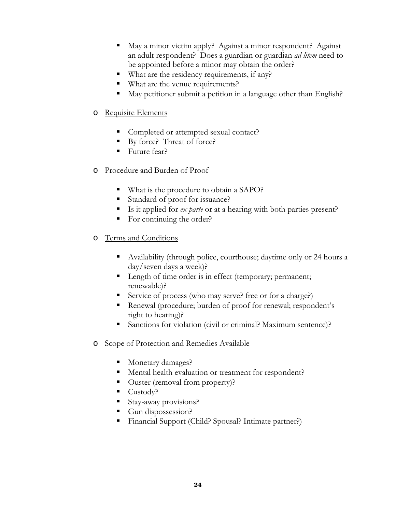- May a minor victim apply? Against a minor respondent? Against an adult respondent? Does a guardian or guardian *ad litem* need to be appointed before a minor may obtain the order?
- What are the residency requirements, if any?
- What are the venue requirements?
- May petitioner submit a petition in a language other than English?

#### o Requisite Elements

- Completed or attempted sexual contact?
- By force? Threat of force?
- Future fear?
- o Procedure and Burden of Proof
	- What is the procedure to obtain a SAPO?
	- Standard of proof for issuance?
	- Is it applied for *ex parte* or at a hearing with both parties present?
	- For continuing the order?
- o Terms and Conditions
	- Availability (through police, courthouse; daytime only or 24 hours a day/seven days a week)?
	- **Length of time order is in effect (temporary; permanent;** renewable)?
	- Service of process (who may serve? free or for a charge?)
	- Renewal (procedure; burden of proof for renewal; respondent's right to hearing)?
	- Sanctions for violation (civil or criminal? Maximum sentence)?
- o Scope of Protection and Remedies Available
	- Monetary damages?
	- Mental health evaluation or treatment for respondent?
	- Ouster (removal from property)?
	- Custody?
	- Stay-away provisions?
	- Gun dispossession?
	- Financial Support (Child? Spousal? Intimate partner?)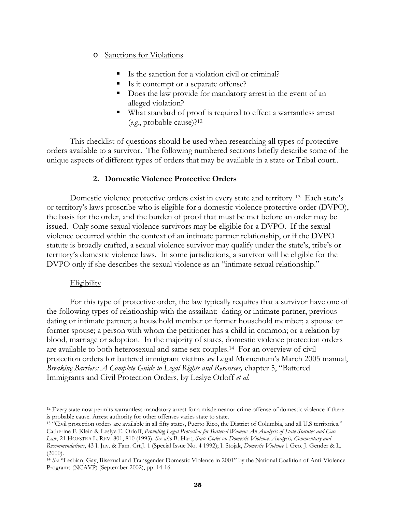#### o Sanctions for Violations

- Is the sanction for a violation civil or criminal?
- Is it contempt or a separate offense?
- Does the law provide for mandatory arrest in the event of an alleged violation?
- What standard of proof is required to effect a warrantless arrest (*e.g.*, probable cause)?12

 This checklist of questions should be used when researching all types of protective orders available to a survivor. The following numbered sections briefly describe some of the unique aspects of different types of orders that may be available in a state or Tribal court..

#### **2. Domestic Violence Protective Orders**

Domestic violence protective orders exist in every state and territory.<sup>13</sup> Each state's or territory's laws proscribe who is eligible for a domestic violence protective order (DVPO), the basis for the order, and the burden of proof that must be met before an order may be issued. Only some sexual violence survivors may be eligible for a DVPO. If the sexual violence occurred within the context of an intimate partner relationship, or if the DVPO statute is broadly crafted, a sexual violence survivor may qualify under the state's, tribe's or territory's domestic violence laws. In some jurisdictions, a survivor will be eligible for the DVPO only if she describes the sexual violence as an "intimate sexual relationship."

#### **Eligibility**

For this type of protective order, the law typically requires that a survivor have one of the following types of relationship with the assailant: dating or intimate partner, previous dating or intimate partner; a household member or former household member; a spouse or former spouse; a person with whom the petitioner has a child in common; or a relation by blood, marriage or adoption. In the majority of states, domestic violence protection orders are available to both heterosexual and same sex couples.14 For an overview of civil protection orders for battered immigrant victims *see* Legal Momentum's March 2005 manual, *Breaking Barriers: A Complete Guide to Legal Rights and Resources,* chapter 5, "Battered Immigrants and Civil Protection Orders, by Leslye Orloff *et al*.

 $\overline{a}$ <sup>12</sup> Every state now permits warrantless mandatory arrest for a misdemeanor crime offense of domestic violence if there is probable cause. Arrest authority for other offenses varies state to state. 13 "Civil protection orders are available in all fifty states, Puerto Rico, the District of Columbia, and all U.S territories."

Catherine F. Klein & Leslye E. Orloff, *Providing Legal Protection for Battered Women: An Analysis of State Statutes and Case* 

*Law*, 21 HOFSTRA L. REV. 801, 810 (1993). *See also* B. Hart, *State Codes on Domestic Violence: Analysis, Commentary and Recommendations*, 43 J. Juv. & Fam. Crt.J. 1 (Special Issue No. 4 1992); J. Stojak, *Domestic Violence* 1 Geo. J. Gender & L.  $(2000)$ .

<sup>14</sup> *See* "Lesbian, Gay, Bisexual and Transgender Domestic Violence in 2001" by the National Coalition of Anti-Violence Programs (NCAVP) (September 2002), pp. 14-16.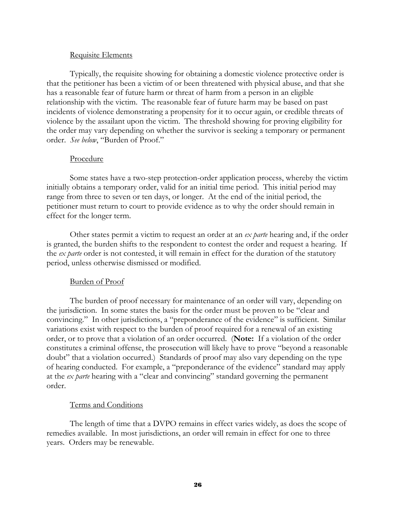#### Requisite Elements

 Typically, the requisite showing for obtaining a domestic violence protective order is that the petitioner has been a victim of or been threatened with physical abuse, and that she has a reasonable fear of future harm or threat of harm from a person in an eligible relationship with the victim. The reasonable fear of future harm may be based on past incidents of violence demonstrating a propensity for it to occur again, or credible threats of violence by the assailant upon the victim. The threshold showing for proving eligibility for the order may vary depending on whether the survivor is seeking a temporary or permanent order. *See below*, "Burden of Proof."

#### Procedure

 Some states have a two-step protection-order application process, whereby the victim initially obtains a temporary order, valid for an initial time period. This initial period may range from three to seven or ten days, or longer. At the end of the initial period, the petitioner must return to court to provide evidence as to why the order should remain in effect for the longer term.

 Other states permit a victim to request an order at an *ex parte* hearing and, if the order is granted, the burden shifts to the respondent to contest the order and request a hearing. If the *ex parte* order is not contested, it will remain in effect for the duration of the statutory period, unless otherwise dismissed or modified.

#### Burden of Proof

 The burden of proof necessary for maintenance of an order will vary, depending on the jurisdiction. In some states the basis for the order must be proven to be "clear and convincing." In other jurisdictions, a "preponderance of the evidence" is sufficient. Similar variations exist with respect to the burden of proof required for a renewal of an existing order, or to prove that a violation of an order occurred. (**Note:** If a violation of the order constitutes a criminal offense, the prosecution will likely have to prove "beyond a reasonable doubt" that a violation occurred.) Standards of proof may also vary depending on the type of hearing conducted. For example, a "preponderance of the evidence" standard may apply at the *ex parte* hearing with a "clear and convincing" standard governing the permanent order.

#### Terms and Conditions

 The length of time that a DVPO remains in effect varies widely, as does the scope of remedies available. In most jurisdictions, an order will remain in effect for one to three years. Orders may be renewable.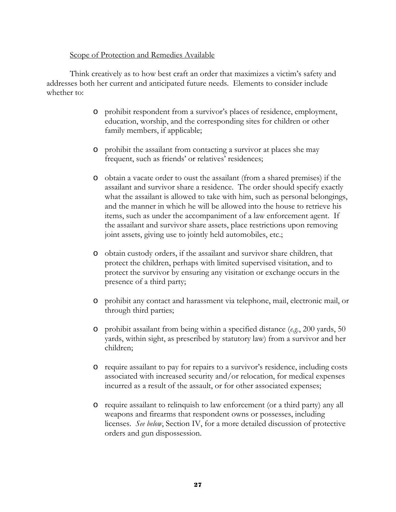#### Scope of Protection and Remedies Available

 Think creatively as to how best craft an order that maximizes a victim's safety and addresses both her current and anticipated future needs. Elements to consider include whether to:

- o prohibit respondent from a survivor's places of residence, employment, education, worship, and the corresponding sites for children or other family members, if applicable;
- o prohibit the assailant from contacting a survivor at places she may frequent, such as friends' or relatives' residences;
- o obtain a vacate order to oust the assailant (from a shared premises) if the assailant and survivor share a residence. The order should specify exactly what the assailant is allowed to take with him, such as personal belongings, and the manner in which he will be allowed into the house to retrieve his items, such as under the accompaniment of a law enforcement agent. If the assailant and survivor share assets, place restrictions upon removing joint assets, giving use to jointly held automobiles, etc.;
- o obtain custody orders, if the assailant and survivor share children, that protect the children, perhaps with limited supervised visitation, and to protect the survivor by ensuring any visitation or exchange occurs in the presence of a third party;
- o prohibit any contact and harassment via telephone, mail, electronic mail, or through third parties;
- o prohibit assailant from being within a specified distance (*e.g.*, 200 yards, 50 yards, within sight, as prescribed by statutory law) from a survivor and her children;
- o require assailant to pay for repairs to a survivor's residence, including costs associated with increased security and/or relocation, for medical expenses incurred as a result of the assault, or for other associated expenses;
- o require assailant to relinquish to law enforcement (or a third party) any all weapons and firearms that respondent owns or possesses, including licenses. *See below*, Section IV, for a more detailed discussion of protective orders and gun dispossession.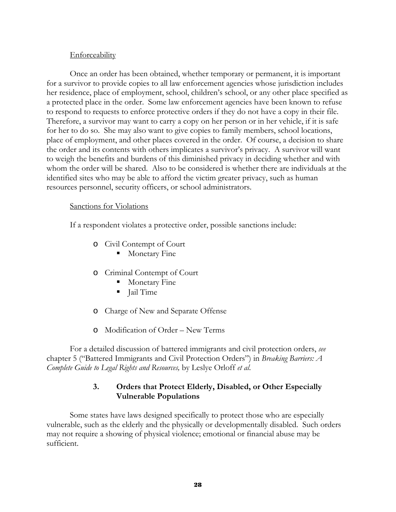#### **Enforceability**

 Once an order has been obtained, whether temporary or permanent, it is important for a survivor to provide copies to all law enforcement agencies whose jurisdiction includes her residence, place of employment, school, children's school, or any other place specified as a protected place in the order. Some law enforcement agencies have been known to refuse to respond to requests to enforce protective orders if they do not have a copy in their file. Therefore, a survivor may want to carry a copy on her person or in her vehicle, if it is safe for her to do so. She may also want to give copies to family members, school locations, place of employment, and other places covered in the order. Of course, a decision to share the order and its contents with others implicates a survivor's privacy. A survivor will want to weigh the benefits and burdens of this diminished privacy in deciding whether and with whom the order will be shared. Also to be considered is whether there are individuals at the identified sites who may be able to afford the victim greater privacy, such as human resources personnel, security officers, or school administrators.

#### Sanctions for Violations

If a respondent violates a protective order, possible sanctions include:

- o Civil Contempt of Court
	- **Monetary Fine**
- o Criminal Contempt of Court
	- **Monetary Fine**
	- I Jail Time
- o Charge of New and Separate Offense
- o Modification of Order New Terms

For a detailed discussion of battered immigrants and civil protection orders, *see*  chapter 5 ("Battered Immigrants and Civil Protection Orders") in *Breaking Barriers: A Complete Guide to Legal Rights and Resources,* by Leslye Orloff *et al*.

#### **3. Orders that Protect Elderly, Disabled, or Other Especially Vulnerable Populations**

 Some states have laws designed specifically to protect those who are especially vulnerable, such as the elderly and the physically or developmentally disabled. Such orders may not require a showing of physical violence; emotional or financial abuse may be sufficient.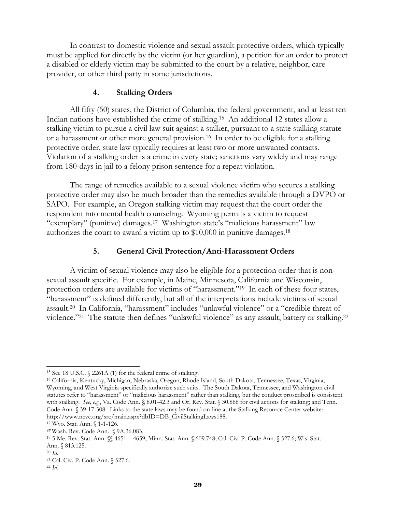In contrast to domestic violence and sexual assault protective orders, which typically must be applied for directly by the victim (or her guardian), a petition for an order to protect a disabled or elderly victim may be submitted to the court by a relative, neighbor, care provider, or other third party in some jurisdictions.

#### **4. Stalking Orders**

 All fifty (50) states, the District of Columbia, the federal government, and at least ten Indian nations have established the crime of stalking.15 An additional 12 states allow a stalking victim to pursue a civil law suit against a stalker, pursuant to a state stalking statute or a harassment or other more general provision.16 In order to be eligible for a stalking protective order, state law typically requires at least two or more unwanted contacts. Violation of a stalking order is a crime in every state; sanctions vary widely and may range from 180-days in jail to a felony prison sentence for a repeat violation.

 The range of remedies available to a sexual violence victim who secures a stalking protective order may also be much broader than the remedies available through a DVPO or SAPO. For example, an Oregon stalking victim may request that the court order the respondent into mental health counseling. Wyoming permits a victim to request "exemplary" (punitive) damages.<sup>17</sup> Washington state's "malicious harassment" law authorizes the court to award a victim up to \$10,000 in punitive damages.18

#### **5. General Civil Protection/Anti-Harassment Orders**

A victim of sexual violence may also be eligible for a protection order that is nonsexual assault specific. For example, in Maine, Minnesota, California and Wisconsin, protection orders are available for victims of "harassment."19 In each of these four states, "harassment" is defined differently, but all of the interpretations include victims of sexual assault.20 In California, "harassment" includes "unlawful violence" or a "credible threat of violence."21 The statute then defines "unlawful violence" as any assault, battery or stalking.22

l

<sup>15</sup> See 18 U.S.C. § 2261A (1) for the federal crime of stalking. 16 California, Kentucky, Michigan, Nebraska, Oregon, Rhode Island, South Dakota, Tennessee, Texas, Virginia, Wyoming, and West Virginia specifically authorize such suits. The South Dakota, Tennessee, and Washington civil statutes refer to "harassment" or "malicious harassment" rather than stalking, but the conduct proscribed is consistent with stalking. *See, e.g*., Va. Code Ann. **§** 8.01-42.3 and Or. Rev. Stat. § 30.866 for civil actions for stalking; and Tenn. Code Ann. § 39-17-308. Links to the state laws may be found on-line at the Stalking Resource Center website: http://www.ncvc.org/src/main.aspx?dbID=DB\_CivilStalkingLaws188.<br><sup>17</sup> Wyo. Stat. Ann. § 1-1-126.<br><sup>18</sup> Wash. Rev. Code Ann. § 9A.36.083.

<sup>19 5</sup> Me. Rev. Stat. Ann. §§ 4651 – 4659; Minn. Stat. Ann. § 609.748; Cal. Civ. P. Code Ann. § 527.6; Wis. Stat. Ann. § 813.125.

<sup>20</sup> *Id*. 21 Cal. Civ. P. Code Ann. § 527.6.

<sup>22</sup> *Id*.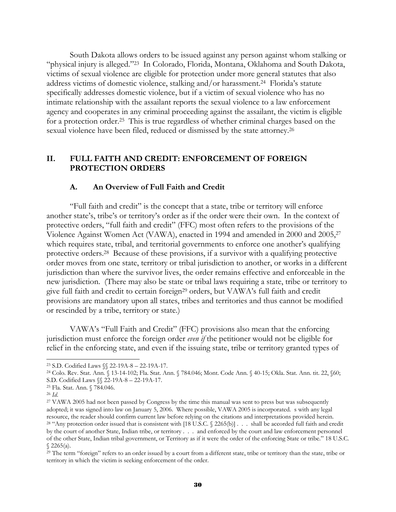South Dakota allows orders to be issued against any person against whom stalking or "physical injury is alleged."23 In Colorado, Florida, Montana, Oklahoma and South Dakota, victims of sexual violence are eligible for protection under more general statutes that also address victims of domestic violence, stalking and/or harassment.24 Florida's statute specifically addresses domestic violence, but if a victim of sexual violence who has no intimate relationship with the assailant reports the sexual violence to a law enforcement agency and cooperates in any criminal proceeding against the assailant, the victim is eligible for a protection order.25 This is true regardless of whether criminal charges based on the sexual violence have been filed, reduced or dismissed by the state attorney.26

#### **II. FULL FAITH AND CREDIT: ENFORCEMENT OF FOREIGN PROTECTION ORDERS**

#### **A. An Overview of Full Faith and Credit**

 "Full faith and credit" is the concept that a state, tribe or territory will enforce another state's, tribe's or territory's order as if the order were their own. In the context of protective orders, "full faith and credit" (FFC) most often refers to the provisions of the Violence Against Women Act (VAWA), enacted in 1994 and amended in 2000 and 2005,27 which requires state, tribal, and territorial governments to enforce one another's qualifying protective orders.28 Because of these provisions, if a survivor with a qualifying protective order moves from one state, territory or tribal jurisdiction to another, or works in a different jurisdiction than where the survivor lives, the order remains effective and enforceable in the new jurisdiction. (There may also be state or tribal laws requiring a state, tribe or territory to give full faith and credit to certain foreign<sup>29</sup> orders, but VAWA's full faith and credit provisions are mandatory upon all states, tribes and territories and thus cannot be modified or rescinded by a tribe, territory or state.)

 VAWA's "Full Faith and Credit" (FFC) provisions also mean that the enforcing jurisdiction must enforce the foreign order *even if* the petitioner would not be eligible for relief in the enforcing state, and even if the issuing state, tribe or territory granted types of

 $\overline{a}$ 

<sup>23</sup> S.D. Codified Laws §§ 22-19A-8 – 22-19A-17.

<sup>24</sup> Colo. Rev. Stat. Ann. § 13-14-102; Fla. Stat. Ann. § 784.046; Mont. Code Ann. § 40-15; Okla. Stat. Ann. tit. 22, §60; S.D. Codified Laws §§ 22-19A-8 – 22-19A-17.

<sup>25</sup> Fla. Stat. Ann. § 784.046.

<sup>&</sup>lt;sup>26</sup> *Id.* 27 VAWA 2005 had not been passed by Congress by the time this manual was sent to press but was subsequently adopted; it was signed into law on January 5, 2006. Where possible, VAWA 2005 is incorporated. s with any legal resource, the reader should confirm current law before relying on the citations and interpretations provided h <sup>28</sup> "Any protection order issued that is consistent with [18 U.S.C. § 2265(b)] . . . shall be accorded full faith and credit by the court of another State, Indian tribe, or territory . . . and enforced by the court and law enforcement personnel of the other State, Indian tribal government, or Territory as if it were the order of the enforcing State or tribe." 18 U.S.C.  $$2265(a).$ 

 $^{29}$  The term "foreign" refers to an order issued by a court from a different state, tribe or territory than the state, tribe or territory in which the victim is seeking enforcement of the order.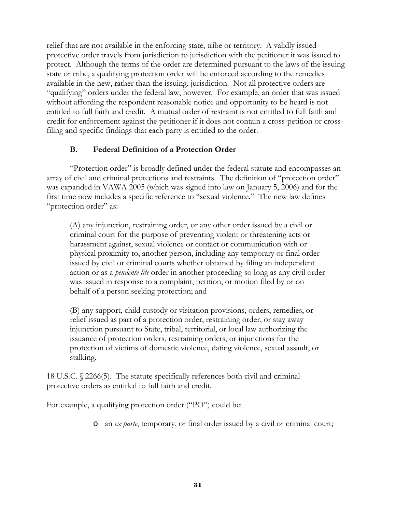relief that are not available in the enforcing state, tribe or territory. A validly issued protective order travels from jurisdiction to jurisdiction with the petitioner it was issued to protect. Although the terms of the order are determined pursuant to the laws of the issuing state or tribe, a qualifying protection order will be enforced according to the remedies available in the new, rather than the issuing, jurisdiction. Not all protective orders are "qualifying" orders under the federal law, however. For example, an order that was issued without affording the respondent reasonable notice and opportunity to be heard is not entitled to full faith and credit. A mutual order of restraint is not entitled to full faith and credit for enforcement against the petitioner if it does not contain a cross-petition or crossfiling and specific findings that each party is entitled to the order.

#### **B. Federal Definition of a Protection Order**

 "Protection order" is broadly defined under the federal statute and encompasses an array of civil and criminal protections and restraints. The definition of "protection order" was expanded in VAWA 2005 (which was signed into law on January 5, 2006) and for the first time now includes a specific reference to "sexual violence." The new law defines "protection order" as:

(A) any injunction, restraining order, or any other order issued by a civil or criminal court for the purpose of preventing violent or threatening acts or harassment against, sexual violence or contact or communication with or physical proximity to, another person, including any temporary or final order issued by civil or criminal courts whether obtained by filing an independent action or as a *pendente lite* order in another proceeding so long as any civil order was issued in response to a complaint, petition, or motion filed by or on behalf of a person seeking protection; and

(B) any support, child custody or visitation provisions, orders, remedies, or relief issued as part of a protection order, restraining order, or stay away injunction pursuant to State, tribal, territorial, or local law authorizing the issuance of protection orders, restraining orders, or injunctions for the protection of victims of domestic violence, dating violence, sexual assault, or stalking.

18 U.S.C. § 2266(5). The statute specifically references both civil and criminal protective orders as entitled to full faith and credit.

For example, a qualifying protection order ("PO") could be:

o an *ex parte*, temporary, or final order issued by a civil or criminal court;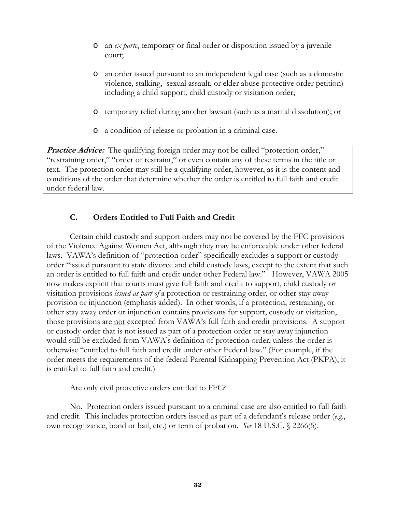- o an *ex parte*, temporary or final order or disposition issued by a juvenile court;
- o an order issued pursuant to an independent legal case (such as a domestic violence, stalking, sexual assault, or elder abuse protective order petition) including a child support, child custody or visitation order;
- o temporary relief during another lawsuit (such as a marital dissolution); or
- o a condition of release or probation in a criminal case.

**Practice Advice:** The qualifying foreign order may not be called "protection order," "restraining order," "order of restraint," or even contain any of these terms in the title or text. The protection order may still be a qualifying order, however, as it is the content and conditions of the order that determine whether the order is entitled to full faith and credit under federal law.

#### **C. Orders Entitled to Full Faith and Credit**

 Certain child custody and support orders may not be covered by the FFC provisions of the Violence Against Women Act, although they may be enforceable under other federal laws. VAWA's definition of "protection order" specifically excludes a support or custody order "issued pursuant to state divorce and child custody laws, except to the extent that such an order is entitled to full faith and credit under other Federal law." However, VAWA 2005 now makes explicit that courts must give full faith and credit to support, child custody or visitation provisions *issued as part of* a protection or restraining order, or other stay away provision or injunction (emphasis added). In other words, if a protection, restraining, or other stay away order or injunction contains provisions for support, custody or visitation, those provisions are not excepted from VAWA's full faith and credit provisions. A support or custody order that is not issued as part of a protection order or stay away injunction would still be excluded from VAWA's definition of protection order, unless the order is otherwise "entitled to full faith and credit under other Federal law." (For example, if the order meets the requirements of the federal Parental Kidnapping Prevention Act (PKPA), it is entitled to full faith and credit.)

#### Are only civil protective orders entitled to FFC?

 No. Protection orders issued pursuant to a criminal case are also entitled to full faith and credit. This includes protection orders issued as part of a defendant's release order (*e.g*., own recognizance, bond or bail, etc.) or term of probation. *See* 18 U.S.C. § 2266(5).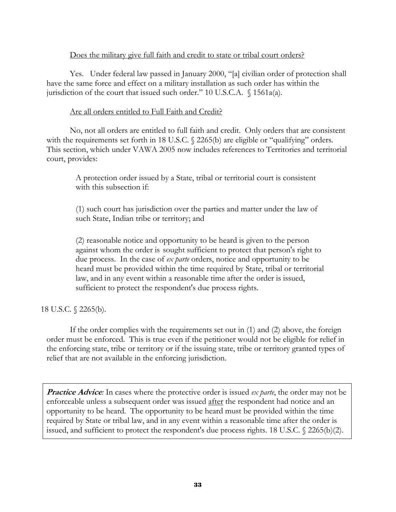#### Does the military give full faith and credit to state or tribal court orders?

 Yes. Under federal law passed in January 2000, "[a] civilian order of protection shall have the same force and effect on a military installation as such order has within the jurisdiction of the court that issued such order." 10 U.S.C.A. § 1561a(a).

#### Are all orders entitled to Full Faith and Credit?

 No, not all orders are entitled to full faith and credit. Only orders that are consistent with the requirements set forth in 18 U.S.C. § 2265(b) are eligible or "qualifying" orders. This section, which under VAWA 2005 now includes references to Territories and territorial court, provides:

 A protection order issued by a State, tribal or territorial court is consistent with this subsection if:

 (1) such court has jurisdiction over the parties and matter under the law of such State, Indian tribe or territory; and

(2) reasonable notice and opportunity to be heard is given to the person against whom the order is sought sufficient to protect that person's right to due process. In the case of *ex parte* orders, notice and opportunity to be heard must be provided within the time required by State, tribal or territorial law, and in any event within a reasonable time after the order is issued, sufficient to protect the respondent's due process rights.

#### 18 U.S.C. § 2265(b).

If the order complies with the requirements set out in (1) and (2) above, the foreign order must be enforced. This is true even if the petitioner would not be eligible for relief in the enforcing state, tribe or territory or if the issuing state, tribe or territory granted types of relief that are not available in the enforcing jurisdiction.

**Practice Advice**: In cases where the protective order is issued *ex parte*, the order may not be enforceable unless a subsequent order was issued after the respondent had notice and an opportunity to be heard. The opportunity to be heard must be provided within the time required by State or tribal law, and in any event within a reasonable time after the order is issued, and sufficient to protect the respondent's due process rights. 18 U.S.C. § 2265(b)(2).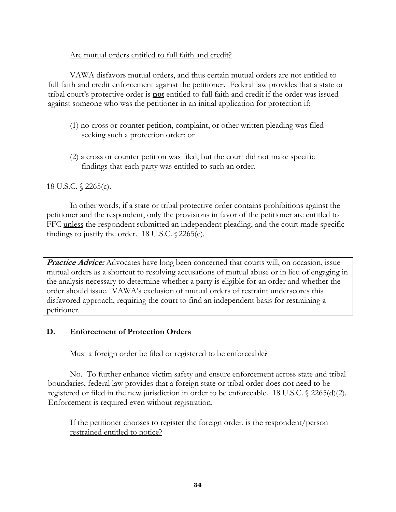#### Are mutual orders entitled to full faith and credit?

 VAWA disfavors mutual orders, and thus certain mutual orders are not entitled to full faith and credit enforcement against the petitioner. Federal law provides that a state or tribal court's protective order is **not** entitled to full faith and credit if the order was issued against someone who was the petitioner in an initial application for protection if:

- (1) no cross or counter petition, complaint, or other written pleading was filed seeking such a protection order; or
- (2) a cross or counter petition was filed, but the court did not make specific findings that each party was entitled to such an order.

#### 18 U.S.C. § 2265(c).

 In other words, if a state or tribal protective order contains prohibitions against the petitioner and the respondent, only the provisions in favor of the petitioner are entitled to FFC unless the respondent submitted an independent pleading, and the court made specific findings to justify the order. 18 U.S.C. § 2265(c).

**Practice Advice:** Advocates have long been concerned that courts will, on occasion, issue mutual orders as a shortcut to resolving accusations of mutual abuse or in lieu of engaging in the analysis necessary to determine whether a party is eligible for an order and whether the order should issue. VAWA's exclusion of mutual orders of restraint underscores this disfavored approach, requiring the court to find an independent basis for restraining a petitioner.

#### **D. Enforcement of Protection Orders**

Must a foreign order be filed or registered to be enforceable?

 No. To further enhance victim safety and ensure enforcement across state and tribal boundaries, federal law provides that a foreign state or tribal order does not need to be registered or filed in the new jurisdiction in order to be enforceable. 18 U.S.C. § 2265(d)(2). Enforcement is required even without registration.

If the petitioner chooses to register the foreign order, is the respondent/person restrained entitled to notice?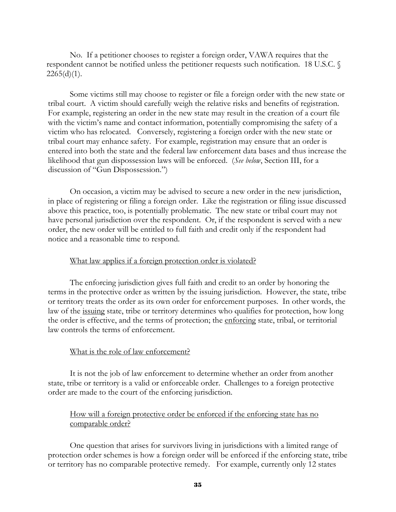No. If a petitioner chooses to register a foreign order, VAWA requires that the respondent cannot be notified unless the petitioner requests such notification. 18 U.S.C. §  $2265(d)(1)$ .

 Some victims still may choose to register or file a foreign order with the new state or tribal court. A victim should carefully weigh the relative risks and benefits of registration. For example, registering an order in the new state may result in the creation of a court file with the victim's name and contact information, potentially compromising the safety of a victim who has relocated. Conversely, registering a foreign order with the new state or tribal court may enhance safety. For example, registration may ensure that an order is entered into both the state and the federal law enforcement data bases and thus increase the likelihood that gun dispossession laws will be enforced. (*See below*, Section III, for a discussion of "Gun Dispossession.")

 On occasion, a victim may be advised to secure a new order in the new jurisdiction, in place of registering or filing a foreign order. Like the registration or filing issue discussed above this practice, too, is potentially problematic. The new state or tribal court may not have personal jurisdiction over the respondent. Or, if the respondent is served with a new order, the new order will be entitled to full faith and credit only if the respondent had notice and a reasonable time to respond.

#### What law applies if a foreign protection order is violated?

 The enforcing jurisdiction gives full faith and credit to an order by honoring the terms in the protective order as written by the issuing jurisdiction. However, the state, tribe or territory treats the order as its own order for enforcement purposes. In other words, the law of the issuing state, tribe or territory determines who qualifies for protection, how long the order is effective, and the terms of protection; the enforcing state, tribal, or territorial law controls the terms of enforcement.

#### What is the role of law enforcement?

 It is not the job of law enforcement to determine whether an order from another state, tribe or territory is a valid or enforceable order. Challenges to a foreign protective order are made to the court of the enforcing jurisdiction.

#### How will a foreign protective order be enforced if the enforcing state has no comparable order?

 One question that arises for survivors living in jurisdictions with a limited range of protection order schemes is how a foreign order will be enforced if the enforcing state, tribe or territory has no comparable protective remedy. For example, currently only 12 states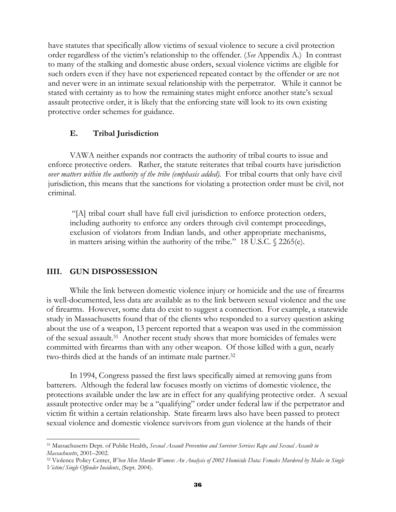have statutes that specifically allow victims of sexual violence to secure a civil protection order regardless of the victim's relationship to the offender. (*See* Appendix A.) In contrast to many of the stalking and domestic abuse orders, sexual violence victims are eligible for such orders even if they have not experienced repeated contact by the offender or are not and never were in an intimate sexual relationship with the perpetrator. While it cannot be stated with certainty as to how the remaining states might enforce another state's sexual assault protective order, it is likely that the enforcing state will look to its own existing protective order schemes for guidance.

#### **E. Tribal Jurisdiction**

 VAWA neither expands nor contracts the authority of tribal courts to issue and enforce protective orders. Rather, the statute reiterates that tribal courts have jurisdiction *over matters within the authority of the tribe (emphasis added).* For tribal courts that only have civil jurisdiction, this means that the sanctions for violating a protection order must be civil, not criminal.

 "[A] tribal court shall have full civil jurisdiction to enforce protection orders, including authority to enforce any orders through civil contempt proceedings, exclusion of violators from Indian lands, and other appropriate mechanisms, in matters arising within the authority of the tribe." 18 U.S.C. § 2265(e).

#### **IIII. GUN DISPOSSESSION**

l

While the link between domestic violence injury or homicide and the use of firearms is well-documented, less data are available as to the link between sexual violence and the use of firearms. However, some data do exist to suggest a connection. For example, a statewide study in Massachusetts found that of the clients who responded to a survey question asking about the use of a weapon, 13 percent reported that a weapon was used in the commission of the sexual assault.31 Another recent study shows that more homicides of females were committed with firearms than with any other weapon. Of those killed with a gun, nearly two-thirds died at the hands of an intimate male partner.32

In 1994, Congress passed the first laws specifically aimed at removing guns from batterers. Although the federal law focuses mostly on victims of domestic violence, the protections available under the law are in effect for any qualifying protective order. A sexual assault protective order may be a "qualifying" order under federal law if the perpetrator and victim fit within a certain relationship. State firearm laws also have been passed to protect sexual violence and domestic violence survivors from gun violence at the hands of their

<sup>31</sup> Massachusetts Dept. of Public Health, *Sexual Assault Prevention and Survivor Services Rape and Sexual Assault in* 

*Massachusetts, 2001–2002.*<br><sup>32</sup> Violence Policy Center, *When Men Murder Women: An Analysis of 2002 Homicide Data: Females Murdered by Males in Single Victim/Single Offender Incidents*, (Sept. 2004).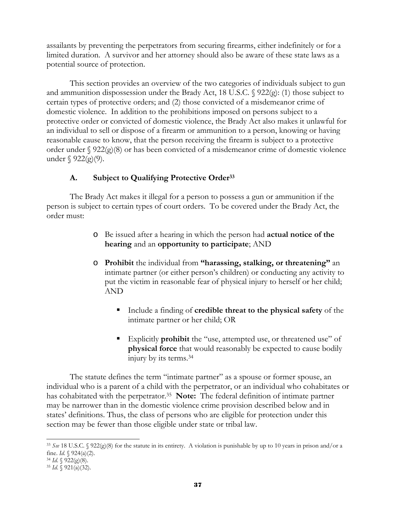assailants by preventing the perpetrators from securing firearms, either indefinitely or for a limited duration. A survivor and her attorney should also be aware of these state laws as a potential source of protection.

This section provides an overview of the two categories of individuals subject to gun and ammunition dispossession under the Brady Act, 18 U.S.C. § 922(g): (1) those subject to certain types of protective orders; and (2) those convicted of a misdemeanor crime of domestic violence. In addition to the prohibitions imposed on persons subject to a protective order or convicted of domestic violence, the Brady Act also makes it unlawful for an individual to sell or dispose of a firearm or ammunition to a person, knowing or having reasonable cause to know, that the person receiving the firearm is subject to a protective order under  $\S$  922(g)(8) or has been convicted of a misdemeanor crime of domestic violence under  $\S$  922(g)(9).

# **A. Subject to Qualifying Protective Order33**

 The Brady Act makes it illegal for a person to possess a gun or ammunition if the person is subject to certain types of court orders. To be covered under the Brady Act, the order must:

- o Be issued after a hearing in which the person had **actual notice of the hearing** and an **opportunity to participate**; AND
- o **Prohibit** the individual from **"harassing, stalking, or threatening"** an intimate partner (or either person's children) or conducting any activity to put the victim in reasonable fear of physical injury to herself or her child; AND
	- Include a finding of **credible threat to the physical safety** of the intimate partner or her child; OR
	- Explicitly **prohibit** the "use, attempted use, or threatened use" of **physical force** that would reasonably be expected to cause bodily injury by its terms.34

The statute defines the term "intimate partner" as a spouse or former spouse, an individual who is a parent of a child with the perpetrator, or an individual who cohabitates or has cohabitated with the perpetrator.<sup>35</sup> Note: The federal definition of intimate partner may be narrower than in the domestic violence crime provision described below and in states' definitions. Thus, the class of persons who are eligible for protection under this section may be fewer than those eligible under state or tribal law.

l <sup>33</sup> See 18 U.S.C. § 922(g)(8) for the statute in its entirety. A violation is punishable by up to 10 years in prison and/or a fine. *Id.* § 924(a)(2).

fine. *Id*. § 924(a)(2). 34 *Id*. § 922(g)(8). 35 *Id*. § 921(a)(32).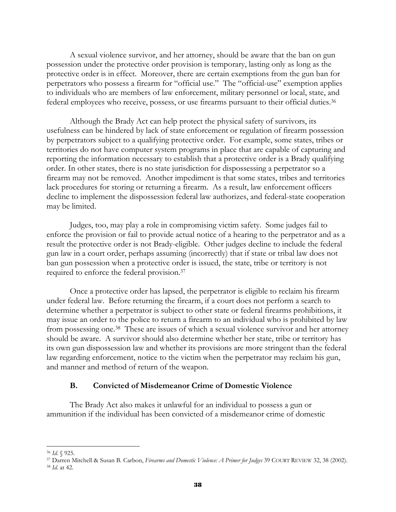A sexual violence survivor, and her attorney, should be aware that the ban on gun possession under the protective order provision is temporary, lasting only as long as the protective order is in effect. Moreover, there are certain exemptions from the gun ban for perpetrators who possess a firearm for "official use." The "official-use" exemption applies to individuals who are members of law enforcement, military personnel or local, state, and federal employees who receive, possess, or use firearms pursuant to their official duties.36

Although the Brady Act can help protect the physical safety of survivors, its usefulness can be hindered by lack of state enforcement or regulation of firearm possession by perpetrators subject to a qualifying protective order. For example, some states, tribes or territories do not have computer system programs in place that are capable of capturing and reporting the information necessary to establish that a protective order is a Brady qualifying order. In other states, there is no state jurisdiction for dispossessing a perpetrator so a firearm may not be removed. Another impediment is that some states, tribes and territories lack procedures for storing or returning a firearm. As a result, law enforcement officers decline to implement the dispossession federal law authorizes, and federal-state cooperation may be limited.

Judges, too, may play a role in compromising victim safety. Some judges fail to enforce the provision or fail to provide actual notice of a hearing to the perpetrator and as a result the protective order is not Brady-eligible. Other judges decline to include the federal gun law in a court order, perhaps assuming (incorrectly) that if state or tribal law does not ban gun possession when a protective order is issued, the state, tribe or territory is not required to enforce the federal provision.37

Once a protective order has lapsed, the perpetrator is eligible to reclaim his firearm under federal law. Before returning the firearm, if a court does not perform a search to determine whether a perpetrator is subject to other state or federal firearms prohibitions, it may issue an order to the police to return a firearm to an individual who is prohibited by law from possessing one.38 These are issues of which a sexual violence survivor and her attorney should be aware. A survivor should also determine whether her state, tribe or territory has its own gun dispossession law and whether its provisions are more stringent than the federal law regarding enforcement, notice to the victim when the perpetrator may reclaim his gun, and manner and method of return of the weapon.

#### **B. Convicted of Misdemeanor Crime of Domestic Violence**

 The Brady Act also makes it unlawful for an individual to possess a gun or ammunition if the individual has been convicted of a misdemeanor crime of domestic

 $\overline{a}$ 

<sup>36</sup> *Id*. § 925. 37 Darren Mitchell & Susan B. Carbon, *Firearms and Domestic Violence: A Primer for Judges* 39 COURT REVIEW 32, 38 (2002). 38 *Id*. at 42.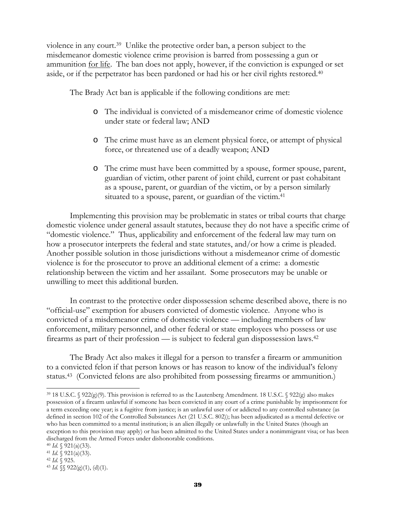violence in any court.39 Unlike the protective order ban, a person subject to the misdemeanor domestic violence crime provision is barred from possessing a gun or ammunition for life. The ban does not apply, however, if the conviction is expunged or set aside, or if the perpetrator has been pardoned or had his or her civil rights restored.40

The Brady Act ban is applicable if the following conditions are met:

- o The individual is convicted of a misdemeanor crime of domestic violence under state or federal law; AND
- o The crime must have as an element physical force, or attempt of physical force, or threatened use of a deadly weapon; AND
- o The crime must have been committed by a spouse, former spouse, parent, guardian of victim, other parent of joint child, current or past cohabitant as a spouse, parent, or guardian of the victim, or by a person similarly situated to a spouse, parent, or guardian of the victim.<sup>41</sup>

 Implementing this provision may be problematic in states or tribal courts that charge domestic violence under general assault statutes, because they do not have a specific crime of "domestic violence." Thus, applicability and enforcement of the federal law may turn on how a prosecutor interprets the federal and state statutes, and/or how a crime is pleaded. Another possible solution in those jurisdictions without a misdemeanor crime of domestic violence is for the prosecutor to prove an additional element of a crime: a domestic relationship between the victim and her assailant. Some prosecutors may be unable or unwilling to meet this additional burden.

 In contrast to the protective order dispossession scheme described above, there is no "official-use" exemption for abusers convicted of domestic violence. Anyone who is convicted of a misdemeanor crime of domestic violence — including members of law enforcement, military personnel, and other federal or state employees who possess or use firearms as part of their profession — is subject to federal gun dispossession laws.42

The Brady Act also makes it illegal for a person to transfer a firearm or ammunition to a convicted felon if that person knows or has reason to know of the individual's felony status.43 (Convicted felons are also prohibited from possessing firearms or ammunition.)

<sup>39 18</sup> U.S.C. § 922(g)(9). This provision is referred to as the Lautenberg Amendment. 18 U.S.C. § 922(g) also makes possession of a firearm unlawful if someone has been convicted in any court of a crime punishable by imprisonment for a term exceeding one year; is a fugitive from justice; is an unlawful user of or addicted to any controlled substance (as defined in section 102 of the Controlled Substances Act (21 U.S.C. 802)); has been adjudicated as a mental defective or who has been committed to a mental institution; is an alien illegally or unlawfully in the United States (though an exception to this provision may apply) or has been admitted to the United States under a nonimmigrant visa; or has been discharged from the Armed Forces under dishonorable conditions.<br><sup>40</sup> *Id*. § 921(a)(33).<br><sup>41</sup> *Id*. § 921(a)(33).<br><sup>42</sup> *Id.* §§ 922(g)(1), (d)(1).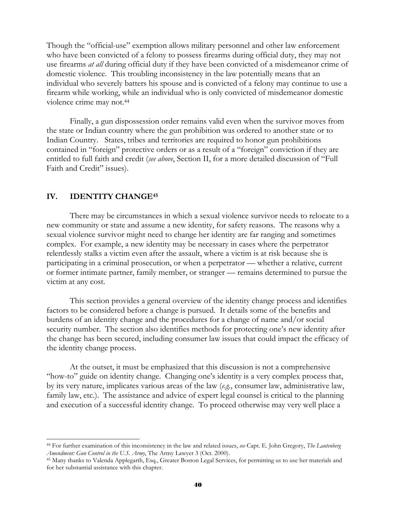Though the "official-use" exemption allows military personnel and other law enforcement who have been convicted of a felony to possess firearms during official duty, they may not use firearms *at all* during official duty if they have been convicted of a misdemeanor crime of domestic violence. This troubling inconsistency in the law potentially means that an individual who severely batters his spouse and is convicted of a felony may continue to use a firearm while working, while an individual who is only convicted of misdemeanor domestic violence crime may not.<sup>44</sup>

 Finally, a gun dispossession order remains valid even when the survivor moves from the state or Indian country where the gun prohibition was ordered to another state or to Indian Country. States, tribes and territories are required to honor gun prohibitions contained in "foreign" protective orders or as a result of a "foreign" conviction if they are entitled to full faith and credit (*see above*, Section II, for a more detailed discussion of "Full Faith and Credit" issues).

#### **IV. IDENTITY CHANGE45**

l

There may be circumstances in which a sexual violence survivor needs to relocate to a new community or state and assume a new identity, for safety reasons. The reasons why a sexual violence survivor might need to change her identity are far ranging and sometimes complex. For example, a new identity may be necessary in cases where the perpetrator relentlessly stalks a victim even after the assault, where a victim is at risk because she is participating in a criminal prosecution, or when a perpetrator — whether a relative, current or former intimate partner, family member, or stranger — remains determined to pursue the victim at any cost.

This section provides a general overview of the identity change process and identifies factors to be considered before a change is pursued. It details some of the benefits and burdens of an identity change and the procedures for a change of name and/or social security number. The section also identifies methods for protecting one's new identity after the change has been secured, including consumer law issues that could impact the efficacy of the identity change process.

At the outset, it must be emphasized that this discussion is not a comprehensive "how-to" guide on identity change. Changing one's identity is a very complex process that, by its very nature, implicates various areas of the law (*e.g.*, consumer law, administrative law, family law, etc.). The assistance and advice of expert legal counsel is critical to the planning and execution of a successful identity change. To proceed otherwise may very well place a

<sup>44</sup> For further examination of this inconsistency in the law and related issues, *see* Capt. E. John Gregory, *The Lautenberg Amendment: Gun Control in the U.S. Army*, The Army Lawyer 3 (Oct. 2000).<br><sup>45</sup> Many thanks to Valenda Applegarth, Esq., Greater Boston Legal Services, for permitting us to use her materials and

for her substantial assistance with this chapter.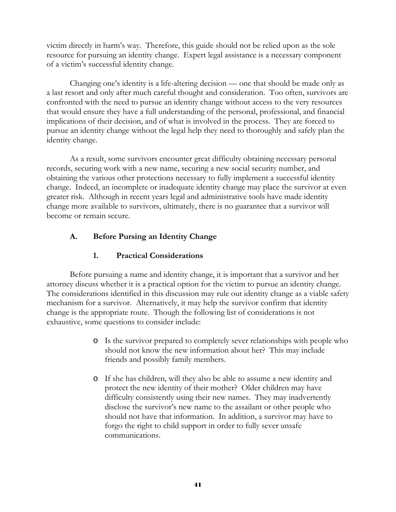victim directly in harm's way. Therefore, this guide should not be relied upon as the sole resource for pursuing an identity change. Expert legal assistance is a necessary component of a victim's successful identity change.

Changing one's identity is a life-altering decision — one that should be made only as a last resort and only after much careful thought and consideration. Too often, survivors are confronted with the need to pursue an identity change without access to the very resources that would ensure they have a full understanding of the personal, professional, and financial implications of their decision, and of what is involved in the process. They are forced to pursue an identity change without the legal help they need to thoroughly and safely plan the identity change.

As a result, some survivors encounter great difficulty obtaining necessary personal records, securing work with a new name, securing a new social security number, and obtaining the various other protections necessary to fully implement a successful identity change. Indeed, an incomplete or inadequate identity change may place the survivor at even greater risk. Although in recent years legal and administrative tools have made identity change more available to survivors, ultimately, there is no guarantee that a survivor will become or remain secure.

# **A. Before Pursing an Identity Change**

# **1. Practical Considerations**

 Before pursuing a name and identity change, it is important that a survivor and her attorney discuss whether it is a practical option for the victim to pursue an identity change. The considerations identified in this discussion may rule out identity change as a viable safety mechanism for a survivor. Alternatively, it may help the survivor confirm that identity change is the appropriate route. Though the following list of considerations is not exhaustive, some questions to consider include:

- o Is the survivor prepared to completely sever relationships with people who should not know the new information about her? This may include friends and possibly family members.
- o If she has children, will they also be able to assume a new identity and protect the new identity of their mother? Older children may have difficulty consistently using their new names. They may inadvertently disclose the survivor's new name to the assailant or other people who should not have that information. In addition, a survivor may have to forgo the right to child support in order to fully sever unsafe communications.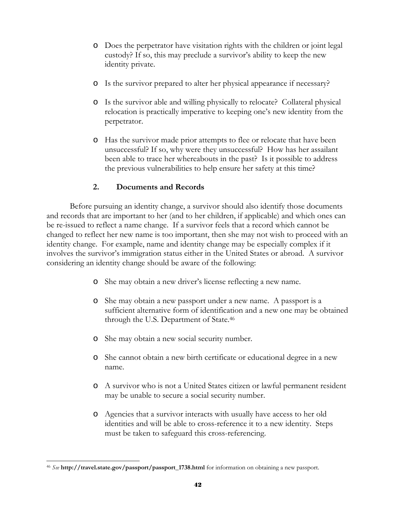- o Does the perpetrator have visitation rights with the children or joint legal custody? If so, this may preclude a survivor's ability to keep the new identity private.
- o Is the survivor prepared to alter her physical appearance if necessary?
- o Is the survivor able and willing physically to relocate? Collateral physical relocation is practically imperative to keeping one's new identity from the perpetrator.
- o Has the survivor made prior attempts to flee or relocate that have been unsuccessful? If so, why were they unsuccessful? How has her assailant been able to trace her whereabouts in the past? Is it possible to address the previous vulnerabilities to help ensure her safety at this time?

## **2. Documents and Records**

Before pursuing an identity change, a survivor should also identify those documents and records that are important to her (and to her children, if applicable) and which ones can be re-issued to reflect a name change. If a survivor feels that a record which cannot be changed to reflect her new name is too important, then she may not wish to proceed with an identity change. For example, name and identity change may be especially complex if it involves the survivor's immigration status either in the United States or abroad. A survivor considering an identity change should be aware of the following:

- o She may obtain a new driver's license reflecting a new name.
- o She may obtain a new passport under a new name. A passport is a sufficient alternative form of identification and a new one may be obtained through the U.S. Department of State.46
- o She may obtain a new social security number.
- o She cannot obtain a new birth certificate or educational degree in a new name.
- o A survivor who is not a United States citizen or lawful permanent resident may be unable to secure a social security number.
- o Agencies that a survivor interacts with usually have access to her old identities and will be able to cross-reference it to a new identity. Steps must be taken to safeguard this cross-referencing.

 $\overline{a}$ <sup>46</sup> *See* **http://travel.state.gov/passport/passport\_1738.html** for information on obtaining a new passport.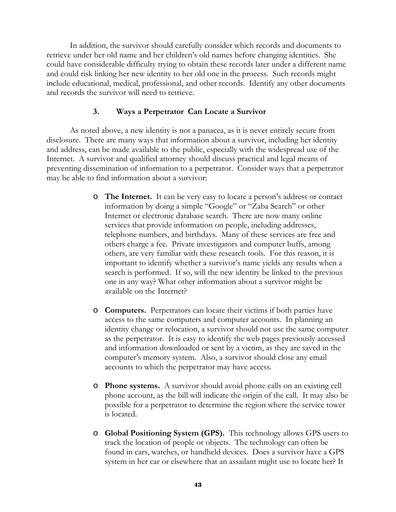In addition, the survivor should carefully consider which records and documents to retrieve under her old name and her children's old names before changing identities. She could have considerable difficulty trying to obtain these records later under a different name and could risk linking her new identity to her old one in the process. Such records might include educational, medical, professional, and other records. Identify any other documents and records the survivor will need to retrieve.

#### **3. Ways a Perpetrator Can Locate a Survivor**

 As noted above, a new identity is not a panacea, as it is never entirely secure from disclosure. There are many ways that information about a survivor, including her identity and address, can be made available to the public, especially with the widespread use of the Internet. A survivor and qualified attorney should discuss practical and legal means of preventing dissemination of information to a perpetrator. Consider ways that a perpetrator may be able to find information about a survivor:

- o **The Internet.** It can be very easy to locate a person's address or contact information by doing a simple "Google" or "Zaba Search" or other Internet or electronic database search. There are now many online services that provide information on people, including addresses, telephone numbers, and birthdays. Many of these services are free and others charge a fee. Private investigators and computer buffs, among others, are very familiar with these research tools. For this reason, it is important to identify whether a survivor's name yields any results when a search is performed. If so, will the new identity be linked to the previous one in any way? What other information about a survivor might be available on the Internet?
- o **Computers.** Perpetrators can locate their victims if both parties have access to the same computers and computer accounts. In planning an identity change or relocation, a survivor should not use the same computer as the perpetrator. It is easy to identify the web pages previously accessed and information downloaded or sent by a victim, as they are saved in the computer's memory system. Also, a survivor should close any email accounts to which the perpetrator may have access.
- o **Phone systems.** A survivor should avoid phone calls on an existing cell phone account, as the bill will indicate the origin of the call. It may also be possible for a perpetrator to determine the region where the service tower is located.
- o **Global Positioning System (GPS).** This technology allows GPS users to track the location of people or objects. The technology can often be found in cars, watches, or handheld devices. Does a survivor have a GPS system in her car or elsewhere that an assailant might use to locate her? It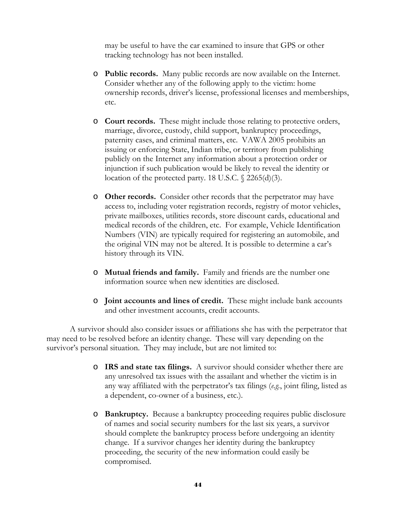may be useful to have the car examined to insure that GPS or other tracking technology has not been installed.

- o **Public records.** Many public records are now available on the Internet. Consider whether any of the following apply to the victim: home ownership records, driver's license, professional licenses and memberships, etc.
- o **Court records.** These might include those relating to protective orders, marriage, divorce, custody, child support, bankruptcy proceedings, paternity cases, and criminal matters, etc. VAWA 2005 prohibits an issuing or enforcing State, Indian tribe, or territory from publishing publicly on the Internet any information about a protection order or injunction if such publication would be likely to reveal the identity or location of the protected party. 18 U.S.C. § 2265(d)(3).
- o **Other records.** Consider other records that the perpetrator may have access to, including voter registration records, registry of motor vehicles, private mailboxes, utilities records, store discount cards, educational and medical records of the children, etc. For example, Vehicle Identification Numbers (VIN) are typically required for registering an automobile, and the original VIN may not be altered. It is possible to determine a car's history through its VIN.
- o **Mutual friends and family.** Family and friends are the number one information source when new identities are disclosed.
- o **Joint accounts and lines of credit.** These might include bank accounts and other investment accounts, credit accounts.

A survivor should also consider issues or affiliations she has with the perpetrator that may need to be resolved before an identity change. These will vary depending on the survivor's personal situation. They may include, but are not limited to:

- o **IRS and state tax filings.** A survivor should consider whether there are any unresolved tax issues with the assailant and whether the victim is in any way affiliated with the perpetrator's tax filings (*e.g.*, joint filing, listed as a dependent, co-owner of a business, etc.).
- o **Bankruptcy.** Because a bankruptcy proceeding requires public disclosure of names and social security numbers for the last six years, a survivor should complete the bankruptcy process before undergoing an identity change. If a survivor changes her identity during the bankruptcy proceeding, the security of the new information could easily be compromised.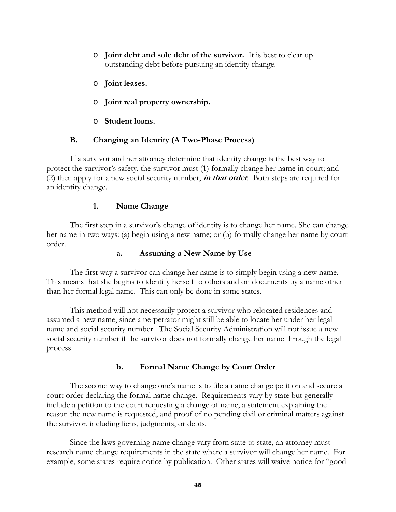- o **Joint debt and sole debt of the survivor.** It is best to clear up outstanding debt before pursuing an identity change.
- o **Joint leases.**
- o **Joint real property ownership.**
- o **Student loans.**

## **B. Changing an Identity (A Two-Phase Process)**

If a survivor and her attorney determine that identity change is the best way to protect the survivor's safety, the survivor must (1) formally change her name in court; and (2) then apply for a new social security number, **in that order**. Both steps are required for an identity change.

## **1. Name Change**

The first step in a survivor's change of identity is to change her name. She can change her name in two ways: (a) begin using a new name; or (b) formally change her name by court order.

#### **a. Assuming a New Name by Use**

The first way a survivor can change her name is to simply begin using a new name. This means that she begins to identify herself to others and on documents by a name other than her formal legal name. This can only be done in some states.

This method will not necessarily protect a survivor who relocated residences and assumed a new name, since a perpetrator might still be able to locate her under her legal name and social security number. The Social Security Administration will not issue a new social security number if the survivor does not formally change her name through the legal process.

## **b. Formal Name Change by Court Order**

The second way to change one's name is to file a name change petition and secure a court order declaring the formal name change. Requirements vary by state but generally include a petition to the court requesting a change of name, a statement explaining the reason the new name is requested, and proof of no pending civil or criminal matters against the survivor, including liens, judgments, or debts.

Since the laws governing name change vary from state to state, an attorney must research name change requirements in the state where a survivor will change her name. For example, some states require notice by publication. Other states will waive notice for "good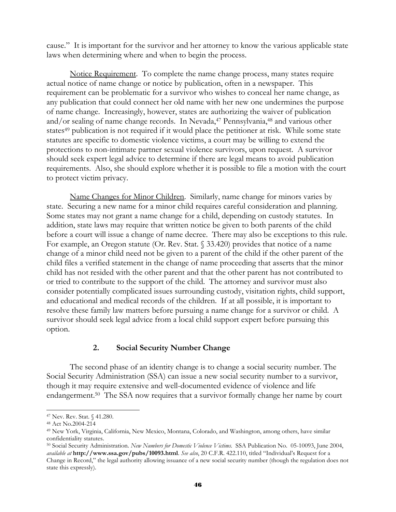cause." It is important for the survivor and her attorney to know the various applicable state laws when determining where and when to begin the process.

Notice Requirement. To complete the name change process, many states require actual notice of name change or notice by publication, often in a newspaper. This requirement can be problematic for a survivor who wishes to conceal her name change, as any publication that could connect her old name with her new one undermines the purpose of name change. Increasingly, however, states are authorizing the waiver of publication and/or sealing of name change records. In Nevada,<sup>47</sup> Pennsylvania,<sup>48</sup> and various other states<sup>49</sup> publication is not required if it would place the petitioner at risk. While some state statutes are specific to domestic violence victims, a court may be willing to extend the protections to non-intimate partner sexual violence survivors, upon request. A survivor should seek expert legal advice to determine if there are legal means to avoid publication requirements. Also, she should explore whether it is possible to file a motion with the court to protect victim privacy.

Name Changes for Minor Children. Similarly, name change for minors varies by state. Securing a new name for a minor child requires careful consideration and planning. Some states may not grant a name change for a child, depending on custody statutes. In addition, state laws may require that written notice be given to both parents of the child before a court will issue a change of name decree. There may also be exceptions to this rule. For example, an Oregon statute (Or. Rev. Stat. § 33.420) provides that notice of a name change of a minor child need not be given to a parent of the child if the other parent of the child files a verified statement in the change of name proceeding that asserts that the minor child has not resided with the other parent and that the other parent has not contributed to or tried to contribute to the support of the child.The attorney and survivor must also consider potentially complicated issues surrounding custody, visitation rights, child support, and educational and medical records of the children. If at all possible, it is important to resolve these family law matters before pursuing a name change for a survivor or child. A survivor should seek legal advice from a local child support expert before pursuing this option.

#### **2. Social Security Number Change**

 The second phase of an identity change is to change a social security number. The Social Security Administration (SSA) can issue a new social security number to a survivor, though it may require extensive and well-documented evidence of violence and life endangerment.50 The SSA now requires that a survivor formally change her name by court

l

<sup>47</sup> Nev. Rev. Stat. § 41.280.

<sup>48</sup> Act No.2004-214

<sup>49</sup> New York, Virginia, California, New Mexico, Montana, Colorado, and Washington, among others, have similar confidentiality statutes.

<sup>50</sup> Social Security Administration. *New Numbers for Domestic Violence Victims*. SSA Publication No. 05-10093, June 2004, *available at* **http://www.ssa.gov/pubs/10093.html**. *See also*, 20 C.F.R. 422.110, titled "Individual's Request for a Change in Record," the legal authority allowing issuance of a new social security number (though the regulation does not state this expressly).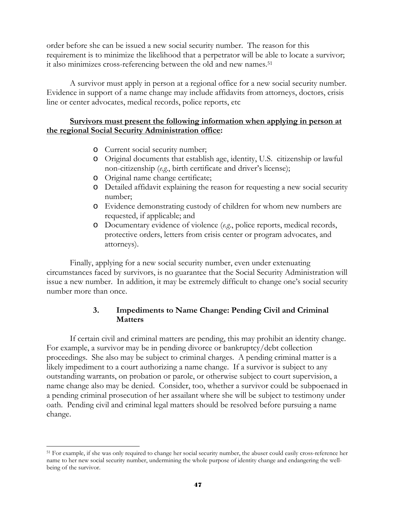order before she can be issued a new social security number. The reason for this requirement is to minimize the likelihood that a perpetrator will be able to locate a survivor; it also minimizes cross-referencing between the old and new names.<sup>51</sup>

 A survivor must apply in person at a regional office for a new social security number. Evidence in support of a name change may include affidavits from attorneys, doctors, crisis line or center advocates, medical records, police reports, etc

## **Survivors must present the following information when applying in person at the regional Social Security Administration office:**

- o Current social security number;
- o Original documents that establish age, identity, U.S. citizenship or lawful non-citizenship (*e.g*., birth certificate and driver's license);
- o Original name change certificate;
- o Detailed affidavit explaining the reason for requesting a new social security number;
- o Evidence demonstrating custody of children for whom new numbers are requested, if applicable; and
- o Documentary evidence of violence (*e.g*., police reports, medical records, protective orders, letters from crisis center or program advocates, and attorneys).

Finally, applying for a new social security number, even under extenuating circumstances faced by survivors, is no guarantee that the Social Security Administration will issue a new number. In addition, it may be extremely difficult to change one's social security number more than once.

## **3. Impediments to Name Change: Pending Civil and Criminal Matters**

If certain civil and criminal matters are pending, this may prohibit an identity change. For example, a survivor may be in pending divorce or bankruptcy/debt collection proceedings. She also may be subject to criminal charges. A pending criminal matter is a likely impediment to a court authorizing a name change. If a survivor is subject to any outstanding warrants, on probation or parole, or otherwise subject to court supervision, a name change also may be denied. Consider, too, whether a survivor could be subpoenaed in a pending criminal prosecution of her assailant where she will be subject to testimony under oath. Pending civil and criminal legal matters should be resolved before pursuing a name change.

 $\overline{a}$ 51 For example, if she was only required to change her social security number, the abuser could easily cross-reference her name to her new social security number, undermining the whole purpose of identity change and endangering the wellbeing of the survivor.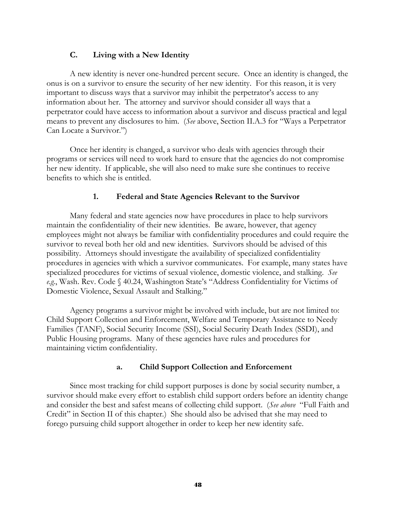## **C. Living with a New Identity**

A new identity is never one-hundred percent secure. Once an identity is changed, the onus is on a survivor to ensure the security of her new identity. For this reason, it is very important to discuss ways that a survivor may inhibit the perpetrator's access to any information about her. The attorney and survivor should consider all ways that a perpetrator could have access to information about a survivor and discuss practical and legal means to prevent any disclosures to him. (*See* above, Section II.A.3 for "Ways a Perpetrator Can Locate a Survivor.")

Once her identity is changed, a survivor who deals with agencies through their programs or services will need to work hard to ensure that the agencies do not compromise her new identity. If applicable, she will also need to make sure she continues to receive benefits to which she is entitled.

#### **1. Federal and State Agencies Relevant to the Survivor**

Many federal and state agencies now have procedures in place to help survivors maintain the confidentiality of their new identities. Be aware, however, that agency employees might not always be familiar with confidentiality procedures and could require the survivor to reveal both her old and new identities. Survivors should be advised of this possibility. Attorneys should investigate the availability of specialized confidentiality procedures in agencies with which a survivor communicates. For example, many states have specialized procedures for victims of sexual violence, domestic violence, and stalking. *See e.g.*, Wash. Rev. Code § 40.24, Washington State's "Address Confidentiality for Victims of Domestic Violence, Sexual Assault and Stalking."

Agency programs a survivor might be involved with include, but are not limited to: Child Support Collection and Enforcement, Welfare and Temporary Assistance to Needy Families (TANF), Social Security Income (SSI), Social Security Death Index (SSDI), and Public Housing programs. Many of these agencies have rules and procedures for maintaining victim confidentiality.

#### **a. Child Support Collection and Enforcement**

 Since most tracking for child support purposes is done by social security number, a survivor should make every effort to establish child support orders before an identity change and consider the best and safest means of collecting child support. (*See above* "Full Faith and Credit" in Section II of this chapter*.*) She should also be advised that she may need to forego pursuing child support altogether in order to keep her new identity safe.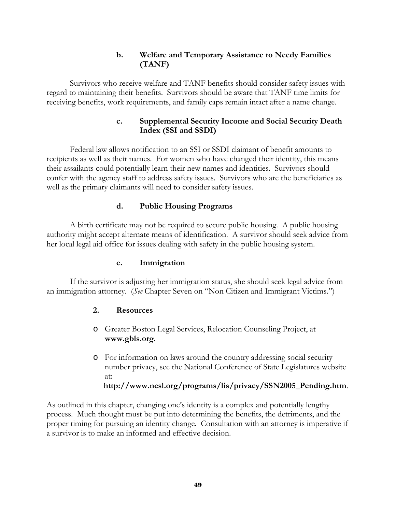## **b. Welfare and Temporary Assistance to Needy Families (TANF)**

Survivors who receive welfare and TANF benefits should consider safety issues with regard to maintaining their benefits. Survivors should be aware that TANF time limits for receiving benefits, work requirements, and family caps remain intact after a name change.

## **c. Supplemental Security Income and Social Security Death Index (SSI and SSDI)**

Federal law allows notification to an SSI or SSDI claimant of benefit amounts to recipients as well as their names. For women who have changed their identity, this means their assailants could potentially learn their new names and identities. Survivors should confer with the agency staff to address safety issues. Survivors who are the beneficiaries as well as the primary claimants will need to consider safety issues.

## **d. Public Housing Programs**

A birth certificate may not be required to secure public housing. A public housing authority might accept alternate means of identification. A survivor should seek advice from her local legal aid office for issues dealing with safety in the public housing system.

#### **e. Immigration**

If the survivor is adjusting her immigration status, she should seek legal advice from an immigration attorney. (*See* Chapter Seven on "Non Citizen and Immigrant Victims.")

#### **2. Resources**

- o Greater Boston Legal Services, Relocation Counseling Project, at **www.gbls.org**.
- o For information on laws around the country addressing social security number privacy, see the National Conference of State Legislatures website at:

**http://www.ncsl.org/programs/lis/privacy/SSN2005\_Pending.htm**.

As outlined in this chapter, changing one's identity is a complex and potentially lengthy process. Much thought must be put into determining the benefits, the detriments, and the proper timing for pursuing an identity change. Consultation with an attorney is imperative if a survivor is to make an informed and effective decision.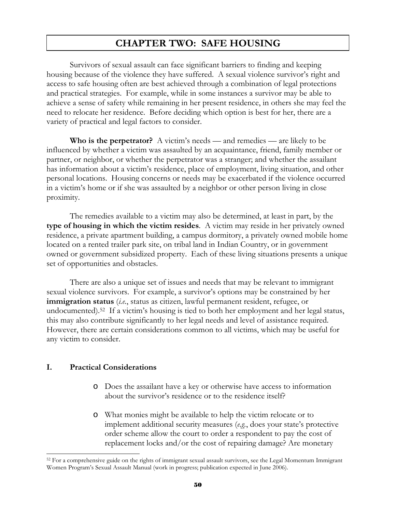# **CHAPTER TWO: SAFE HOUSING**

Survivors of sexual assault can face significant barriers to finding and keeping housing because of the violence they have suffered. A sexual violence survivor's right and access to safe housing often are best achieved through a combination of legal protections and practical strategies. For example, while in some instances a survivor may be able to achieve a sense of safety while remaining in her present residence, in others she may feel the need to relocate her residence. Before deciding which option is best for her, there are a variety of practical and legal factors to consider.

 **Who is the perpetrator?** A victim's needs — and remedies — are likely to be influenced by whether a victim was assaulted by an acquaintance, friend, family member or partner, or neighbor, or whether the perpetrator was a stranger; and whether the assailant has information about a victim's residence, place of employment, living situation, and other personal locations. Housing concerns or needs may be exacerbated if the violence occurred in a victim's home or if she was assaulted by a neighbor or other person living in close proximity.

The remedies available to a victim may also be determined, at least in part, by the **type of housing in which the victim resides**. A victim may reside in her privately owned residence, a private apartment building, a campus dormitory, a privately owned mobile home located on a rented trailer park site, on tribal land in Indian Country, or in government owned or government subsidized property. Each of these living situations presents a unique set of opportunities and obstacles.

There are also a unique set of issues and needs that may be relevant to immigrant sexual violence survivors. For example, a survivor's options may be constrained by her **immigration status** (*i.e.*, status as citizen, lawful permanent resident, refugee, or undocumented).52 If a victim's housing is tied to both her employment and her legal status, this may also contribute significantly to her legal needs and level of assistance required. However, there are certain considerations common to all victims, which may be useful for any victim to consider.

#### **I. Practical Considerations**

l

- o Does the assailant have a key or otherwise have access to information about the survivor's residence or to the residence itself?
- o What monies might be available to help the victim relocate or to implement additional security measures (*e.g.*, does your state's protective order scheme allow the court to order a respondent to pay the cost of replacement locks and/or the cost of repairing damage? Are monetary

<sup>&</sup>lt;sup>52</sup> For a comprehensive guide on the rights of immigrant sexual assault survivors, see the Legal Momentum Immigrant Women Program's Sexual Assault Manual (work in progress; publication expected in June 2006).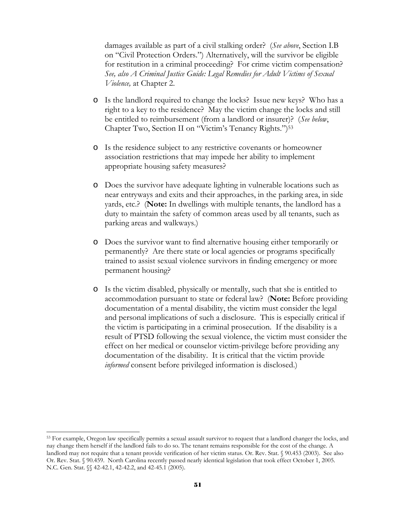damages available as part of a civil stalking order? (*See above*, Section I.B on "Civil Protection Orders.") Alternatively, will the survivor be eligible for restitution in a criminal proceeding? For crime victim compensation? *See, also A Criminal Justice Guide: Legal Remedies for Adult Victims of Sexual Violence,* at Chapter 2.

- o Is the landlord required to change the locks? Issue new keys? Who has a right to a key to the residence? May the victim change the locks and still be entitled to reimbursement (from a landlord or insurer)? (*See below*, Chapter Two, Section II on "Victim's Tenancy Rights.")<sup>53</sup>
- o Is the residence subject to any restrictive covenants or homeowner association restrictions that may impede her ability to implement appropriate housing safety measures?
- o Does the survivor have adequate lighting in vulnerable locations such as near entryways and exits and their approaches, in the parking area, in side yards, etc.? (**Note:** In dwellings with multiple tenants, the landlord has a duty to maintain the safety of common areas used by all tenants, such as parking areas and walkways.)
- o Does the survivor want to find alternative housing either temporarily or permanently? Are there state or local agencies or programs specifically trained to assist sexual violence survivors in finding emergency or more permanent housing?
- o Is the victim disabled, physically or mentally, such that she is entitled to accommodation pursuant to state or federal law? (**Note:** Before providing documentation of a mental disability, the victim must consider the legal and personal implications of such a disclosure. This is especially critical if the victim is participating in a criminal prosecution. If the disability is a result of PTSD following the sexual violence, the victim must consider the effect on her medical or counselor victim-privilege before providing any documentation of the disability. It is critical that the victim provide *informed* consent before privileged information is disclosed.)

<sup>53</sup> For example, Oregon law specifically permits a sexual assault survivor to request that a landlord changer the locks, and nay change them herself if the landlord fails to do so. The tenant remains responsible for the cost of the change. A landlord may not require that a tenant provide verification of her victim status. Or. Rev. Stat. § 90.453 (2003). See also Or. Rev. Stat. § 90.459. North Carolina recently passed nearly identical legislation that took effect October 1, 2005. N.C. Gen. Stat. §§ 42-42.1, 42-42.2, and 42-45.1 (2005).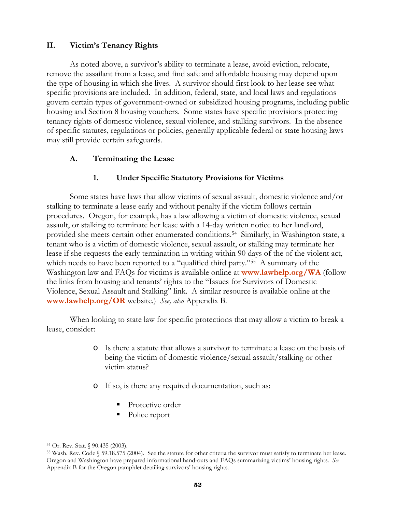## **II. Victim's Tenancy Rights**

 As noted above, a survivor's ability to terminate a lease, avoid eviction, relocate, remove the assailant from a lease, and find safe and affordable housing may depend upon the type of housing in which she lives. A survivor should first look to her lease see what specific provisions are included. In addition, federal, state, and local laws and regulations govern certain types of government-owned or subsidized housing programs, including public housing and Section 8 housing vouchers. Some states have specific provisions protecting tenancy rights of domestic violence, sexual violence, and stalking survivors. In the absence of specific statutes, regulations or policies, generally applicable federal or state housing laws may still provide certain safeguards.

## **A. Terminating the Lease**

## **1. Under Specific Statutory Provisions for Victims**

Some states have laws that allow victims of sexual assault, domestic violence and/or stalking to terminate a lease early and without penalty if the victim follows certain procedures. Oregon, for example, has a law allowing a victim of domestic violence, sexual assault, or stalking to terminate her lease with a 14-day written notice to her landlord, provided she meets certain other enumerated conditions.54 Similarly, in Washington state, a tenant who is a victim of domestic violence, sexual assault, or stalking may terminate her lease if she requests the early termination in writing within 90 days of the of the violent act, which needs to have been reported to a "qualified third party."<sup>55</sup> A summary of the Washington law and FAQs for victims is available online at **www.lawhelp.org/WA** (follow the links from housing and tenants' rights to the "Issues for Survivors of Domestic Violence, Sexual Assault and Stalking" link. A similar resource is available online at the **www.lawhelp.org/OR** website.) *See, also* Appendix B*.*

When looking to state law for specific protections that may allow a victim to break a lease, consider:

- o Is there a statute that allows a survivor to terminate a lease on the basis of being the victim of domestic violence/sexual assault/stalking or other victim status?
- o If so, is there any required documentation, such as:
	- Protective order
	- Police report

l 54 Or. Rev. Stat. § 90.435 (2003).

<sup>55</sup> Wash. Rev. Code § 59.18.575 (2004). See the statute for other criteria the survivor must satisfy to terminate her lease. Oregon and Washington have prepared informational hand-outs and FAQs summarizing victims' housing rights. *See* Appendix B for the Oregon pamphlet detailing survivors' housing rights.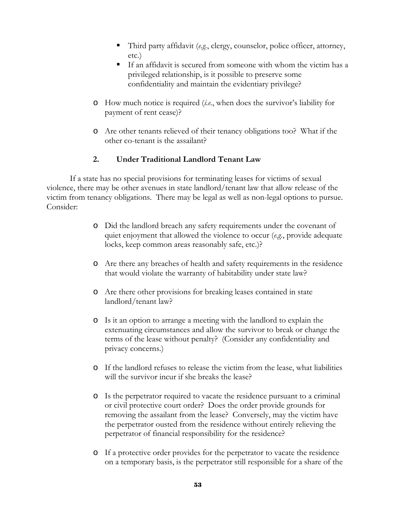- Third party affidavit (*e.g.*, clergy, counselor, police officer, attorney, etc.)
- If an affidavit is secured from someone with whom the victim has a privileged relationship, is it possible to preserve some confidentiality and maintain the evidentiary privilege?
- o How much notice is required (*i.e.*, when does the survivor's liability for payment of rent cease)?
- o Are other tenants relieved of their tenancy obligations too? What if the other co-tenant is the assailant?

# **2. Under Traditional Landlord Tenant Law**

 If a state has no special provisions for terminating leases for victims of sexual violence, there may be other avenues in state landlord/tenant law that allow release of the victim from tenancy obligations. There may be legal as well as non-legal options to pursue. Consider:

- o Did the landlord breach any safety requirements under the covenant of quiet enjoyment that allowed the violence to occur (*e.g.*, provide adequate locks, keep common areas reasonably safe, etc.)?
- o Are there any breaches of health and safety requirements in the residence that would violate the warranty of habitability under state law?
- o Are there other provisions for breaking leases contained in state landlord/tenant law?
- o Is it an option to arrange a meeting with the landlord to explain the extenuating circumstances and allow the survivor to break or change the terms of the lease without penalty? (Consider any confidentiality and privacy concerns.)
- o If the landlord refuses to release the victim from the lease, what liabilities will the survivor incur if she breaks the lease?
- o Is the perpetrator required to vacate the residence pursuant to a criminal or civil protective court order? Does the order provide grounds for removing the assailant from the lease? Conversely, may the victim have the perpetrator ousted from the residence without entirely relieving the perpetrator of financial responsibility for the residence?
- o If a protective order provides for the perpetrator to vacate the residence on a temporary basis, is the perpetrator still responsible for a share of the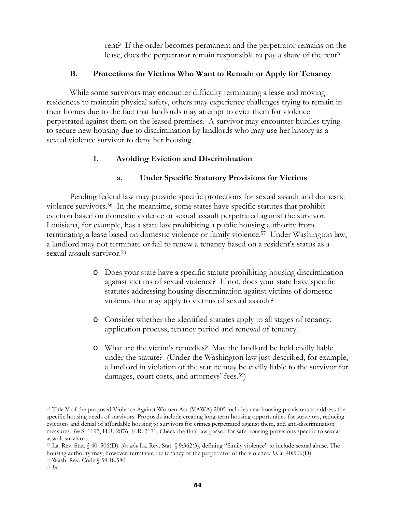rent? If the order becomes permanent and the perpetrator remains on the lease, does the perpetrator remain responsible to pay a share of the rent?

#### **B. Protections for Victims Who Want to Remain or Apply for Tenancy**

 While some survivors may encounter difficulty terminating a lease and moving residences to maintain physical safety, others may experience challenges trying to remain in their homes due to the fact that landlords may attempt to evict them for violence perpetrated against them on the leased premises. A survivor may encounter hurdles trying to secure new housing due to discrimination by landlords who may use her history as a sexual violence survivor to deny her housing.

## **1. Avoiding Eviction and Discrimination**

# **a. Under Specific Statutory Provisions for Victims**

Pending federal law may provide specific protections for sexual assault and domestic violence survivors.56 In the meantime, some states have specific statutes that prohibit eviction based on domestic violence or sexual assault perpetrated against the survivor. Louisiana, for example, has a state law prohibiting a public housing authority from terminating a lease based on domestic violence or family violence.57 Under Washington law, a landlord may not terminate or fail to renew a tenancy based on a resident's status as a sexual assault survivor.58

- o Does your state have a specific statute prohibiting housing discrimination against victims of sexual violence? If not, does your state have specific statutes addressing housing discrimination against victims of domestic violence that may apply to victims of sexual assault?
- o Consider whether the identified statutes apply to all stages of tenancy, application process, tenancy period and renewal of tenancy.
- o What are the victim's remedies? May the landlord be held civilly liable under the statute? (Under the Washington law just described, for example, a landlord in violation of the statute may be civilly liable to the survivor for damages, court costs, and attorneys' fees.59)

<sup>56</sup> Title V of the proposed Violence Against Women Act (VAWA) 2005 includes new housing provisions to address the specific housing needs of survivors. Proposals include creating long-term housing opportunities for survivors, reducing evictions and denial of affordable housing to survivors for crimes perpetrated against them, and anti-discrimination measures. *See* S. 1197, H.R. 2876, H.R. 3171. Check the final law passed for safe-housing provisions specific to sexual assault survivors.

<sup>57</sup> La. Rev. Stat. § 40: 506(D). *See also* La. Rev. Stat. § 9:362(3), defining "family violence" to include sexual abuse. The housing authority may, however, terminate the tenancy of the perpetrator of the violence. *Id*. at 40:506(D). 58 Wash. Rev. Code § 59.18.580.

<sup>59</sup> *Id*.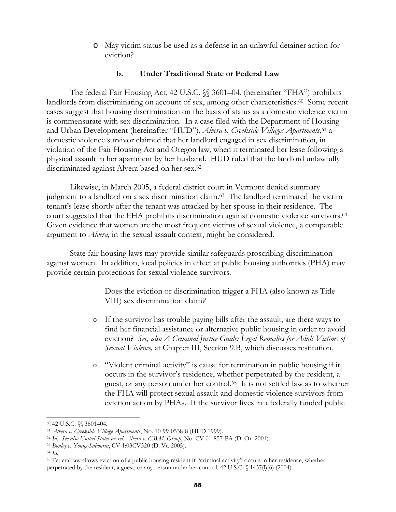o May victim status be used as a defense in an unlawful detainer action for eviction?

#### **b. Under Traditional State or Federal Law**

The federal Fair Housing Act, 42 U.S.C.  $\%$  3601–04, (hereinafter "FHA") prohibits landlords from discriminating on account of sex, among other characteristics.<sup>60</sup> Some recent cases suggest that housing discrimination on the basis of status as a domestic violence victim is commensurate with sex discrimination. In a case filed with the Department of Housing and Urban Development (hereinafter "HUD"), *Alvera v. Creekside Villages Apartments*, 61 a domestic violence survivor claimed that her landlord engaged in sex discrimination, in violation of the Fair Housing Act and Oregon law, when it terminated her lease following a physical assault in her apartment by her husband. HUD ruled that the landlord unlawfully discriminated against Alvera based on her sex.62

Likewise, in March 2005, a federal district court in Vermont denied summary judgment to a landlord on a sex discrimination claim.63 The landlord terminated the victim tenant's lease shortly after the tenant was attacked by her spouse in their residence. The court suggested that the FHA prohibits discrimination against domestic violence survivors.<sup>64</sup> Given evidence that women are the most frequent victims of sexual violence, a comparable argument to *Alvera,* in the sexual assault context, might be considered.

State fair housing laws may provide similar safeguards proscribing discrimination against women. In addition, local policies in effect at public housing authorities (PHA) may provide certain protections for sexual violence survivors.

> Does the eviction or discrimination trigger a FHA (also known as Title VIII) sex discrimination claim*?*

- o If the survivor has trouble paying bills after the assault, are there ways to find her financial assistance or alternative public housing in order to avoid eviction? *See, also A Criminal Justice Guide: Legal Remedies for Adult Victims of Sexual Violence,* at Chapter III, Section 9.B, which discusses restitution.
- o "Violent criminal activity" is cause for termination in public housing if it occurs in the survivor's residence, whether perpetrated by the resident, a guest, or any person under her control.65 It is not settled law as to whether the FHA will protect sexual assault and domestic violence survivors from eviction action by PHAs. If the survivor lives in a federally funded public

 $60$  42 U.S.C. §§ 3601–04.<br> $61$  Alvera v. Creekside Village Apartments, No. 10-99-0538-8 (HUD 1999).

<sup>&</sup>lt;sup>62</sup> Id. See also United States ex rel. Alvera v. C.B.M. Group, No. CV 01-857-PA (D. Or. 2001).<br><sup>63</sup> Bouley v. Young-Sabourin, CV 1:03CV320 (D. Vt. 2005).<br><sup>64</sup> Id.<br><sup>65</sup> Federal law allows eviction of a public housing resid perpetrated by the resident, a guest, or any person under her control. 42 U.S.C. § 1437(l)(6) (2004).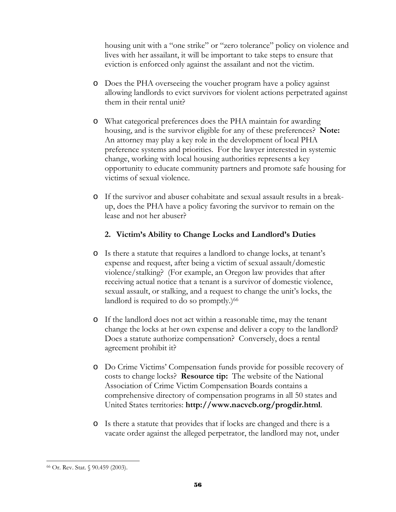housing unit with a "one strike" or "zero tolerance" policy on violence and lives with her assailant, it will be important to take steps to ensure that eviction is enforced only against the assailant and not the victim.

- o Does the PHA overseeing the voucher program have a policy against allowing landlords to evict survivors for violent actions perpetrated against them in their rental unit?
- o What categorical preferences does the PHA maintain for awarding housing, and is the survivor eligible for any of these preferences? **Note:** An attorney may play a key role in the development of local PHA preference systems and priorities. For the lawyer interested in systemic change, working with local housing authorities represents a key opportunity to educate community partners and promote safe housing for victims of sexual violence.
- o If the survivor and abuser cohabitate and sexual assault results in a breakup, does the PHA have a policy favoring the survivor to remain on the lease and not her abuser?

## **2. Victim's Ability to Change Locks and Landlord's Duties**

- o Is there a statute that requires a landlord to change locks, at tenant's expense and request, after being a victim of sexual assault/domestic violence/stalking? (For example, an Oregon law provides that after receiving actual notice that a tenant is a survivor of domestic violence, sexual assault, or stalking, and a request to change the unit's locks, the landlord is required to do so promptly.)<sup>66</sup>
- o If the landlord does not act within a reasonable time, may the tenant change the locks at her own expense and deliver a copy to the landlord? Does a statute authorize compensation? Conversely, does a rental agreement prohibit it?
- o Do Crime Victims' Compensation funds provide for possible recovery of costs to change locks? **Resource tip:** The website of the National Association of Crime Victim Compensation Boards contains a comprehensive directory of compensation programs in all 50 states and United States territories: **http://www.nacvcb.org/progdir.html**.
- o Is there a statute that provides that if locks are changed and there is a vacate order against the alleged perpetrator, the landlord may not, under

 $\overline{a}$ 66 Or. Rev. Stat. § 90.459 (2003).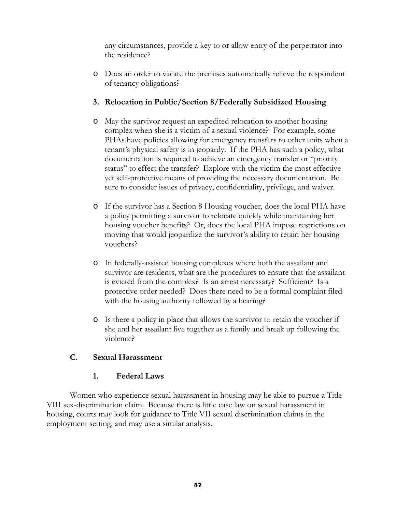any circumstances, provide a key to or allow entry of the perpetrator into the residence?

o Does an order to vacate the premises automatically relieve the respondent of tenancy obligations?

## **3. Relocation in Public/Section 8/Federally Subsidized Housing**

- o May the survivor request an expedited relocation to another housing complex when she is a victim of a sexual violence? For example, some PHAs have policies allowing for emergency transfers to other units when a tenant's physical safety is in jeopardy. If the PHA has such a policy, what documentation is required to achieve an emergency transfer or "priority status" to effect the transfer? Explore with the victim the most effective yet self-protective means of providing the necessary documentation. Be sure to consider issues of privacy, confidentiality, privilege, and waiver.
- o If the survivor has a Section 8 Housing voucher, does the local PHA have a policy permitting a survivor to relocate quickly while maintaining her housing voucher benefits? Or, does the local PHA impose restrictions on moving that would jeopardize the survivor's ability to retain her housing vouchers?
- o In federally-assisted housing complexes where both the assailant and survivor are residents, what are the procedures to ensure that the assailant is evicted from the complex? Is an arrest necessary? Sufficient? Is a protective order needed? Does there need to be a formal complaint filed with the housing authority followed by a hearing?
- o Is there a policy in place that allows the survivor to retain the voucher if she and her assailant live together as a family and break up following the violence?

## **C. Sexual Harassment**

#### **1. Federal Laws**

Women who experience sexual harassment in housing may be able to pursue a Title VIII sex-discrimination claim. Because there is little case law on sexual harassment in housing, courts may look for guidance to Title VII sexual discrimination claims in the employment setting, and may use a similar analysis.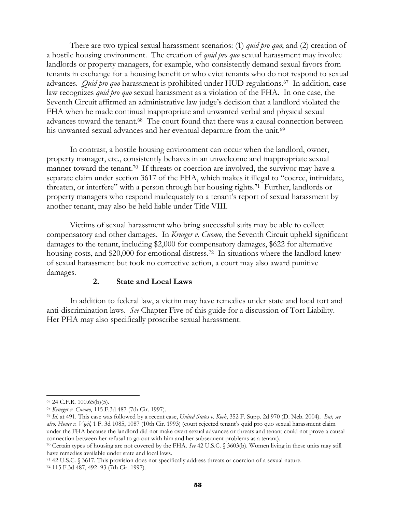There are two typical sexual harassment scenarios: (1) *quid pro quo*; and (2) creation of a hostile housing environment. The creation of *quid pro quo* sexual harassment may involve landlords or property managers, for example, who consistently demand sexual favors from tenants in exchange for a housing benefit or who evict tenants who do not respond to sexual advances. *Quid pro quo* harassment is prohibited under HUD regulations.67 In addition, case law recognizes *quid pro quo* sexual harassment as a violation of the FHA. In one case, the Seventh Circuit affirmed an administrative law judge's decision that a landlord violated the FHA when he made continual inappropriate and unwanted verbal and physical sexual advances toward the tenant.68 The court found that there was a causal connection between his unwanted sexual advances and her eventual departure from the unit.<sup>69</sup>

In contrast, a hostile housing environment can occur when the landlord, owner, property manager, etc., consistently behaves in an unwelcome and inappropriate sexual manner toward the tenant.<sup>70</sup> If threats or coercion are involved, the survivor may have a separate claim under section 3617 of the FHA, which makes it illegal to "coerce, intimidate, threaten, or interfere" with a person through her housing rights.71 Further, landlords or property managers who respond inadequately to a tenant's report of sexual harassment by another tenant, may also be held liable under Title VIII.

Victims of sexual harassment who bring successful suits may be able to collect compensatory and other damages. In *Krueger v. Cuomo*, the Seventh Circuit upheld significant damages to the tenant, including \$2,000 for compensatory damages, \$622 for alternative housing costs, and \$20,000 for emotional distress.<sup>72</sup> In situations where the landlord knew of sexual harassment but took no corrective action, a court may also award punitive damages.

#### **2. State and Local Laws**

In addition to federal law, a victim may have remedies under state and local tort and anti-discrimination laws. *See* Chapter Five of this guide for a discussion of Tort Liability. Her PHA may also specifically proscribe sexual harassment.

71 42 U.S.C. § 3617. This provision does not specifically address threats or coercion of a sexual nature. 72 115 F.3d 487, 492–93 (7th Cir. 1997).

l

<sup>&</sup>lt;sup>67</sup> 24 C.F.R. 100.65(b)(5).<br><sup>68</sup> Krueger v. Cuomo, 115 F.3d 487 (7th Cir. 1997).

<sup>&</sup>lt;sup>69</sup> Id. at 491. This case was followed by a recent case, *United States v. Koch*, 352 F. Supp. 2d 970 (D. Neb. 2004). *But, see also, Honce v. Vigil*, 1 F. 3d 1085, 1087 (10th Cir. 1993) (court rejected tenant's quid pro quo sexual harassment claim under the FHA because the landlord did not make overt sexual advances or threats and tenant could not prove a causal connection between her refusal to go out with him and her subsequent problems as a tenant). 70 Certain types of housing are not covered by the FHA. *See* 42 U.S.C. § 3603(b). Women living in these units may still

have remedies available under state and local laws.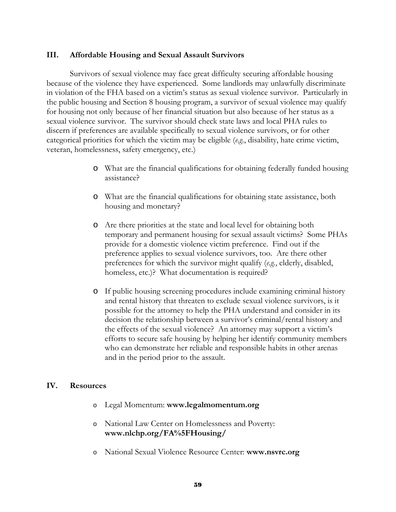#### **III. Affordable Housing and Sexual Assault Survivors**

Survivors of sexual violence may face great difficulty securing affordable housing because of the violence they have experienced. Some landlords may unlawfully discriminate in violation of the FHA based on a victim's status as sexual violence survivor. Particularly in the public housing and Section 8 housing program, a survivor of sexual violence may qualify for housing not only because of her financial situation but also because of her status as a sexual violence survivor. The survivor should check state laws and local PHA rules to discern if preferences are available specifically to sexual violence survivors, or for other categorical priorities for which the victim may be eligible (*e.g*., disability, hate crime victim, veteran, homelessness, safety emergency, etc.)

- o What are the financial qualifications for obtaining federally funded housing assistance?
- o What are the financial qualifications for obtaining state assistance, both housing and monetary?
- o Are there priorities at the state and local level for obtaining both temporary and permanent housing for sexual assault victims? Some PHAs provide for a domestic violence victim preference. Find out if the preference applies to sexual violence survivors, too. Are there other preferences for which the survivor might qualify (*e.g.*, elderly, disabled, homeless, etc.)? What documentation is required?
- o If public housing screening procedures include examining criminal history and rental history that threaten to exclude sexual violence survivors, is it possible for the attorney to help the PHA understand and consider in its decision the relationship between a survivor's criminal/rental history and the effects of the sexual violence? An attorney may support a victim's efforts to secure safe housing by helping her identify community members who can demonstrate her reliable and responsible habits in other arenas and in the period prior to the assault.

#### **IV. Resources**

- o Legal Momentum: **www.legalmomentum.org**
- o National Law Center on Homelessness and Poverty: **www.nlchp.org/FA%5FHousing/**
- o National Sexual Violence Resource Center: **www.nsvrc.org**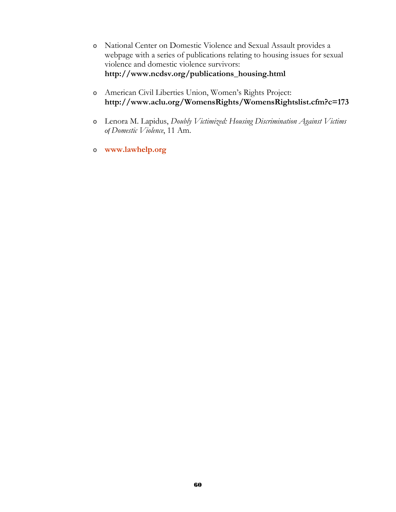- o National Center on Domestic Violence and Sexual Assault provides a webpage with a series of publications relating to housing issues for sexual violence and domestic violence survivors: **http://www.ncdsv.org/publications\_housing.html**
- o American Civil Liberties Union, Women's Rights Project: **http://www.aclu.org/WomensRights/WomensRightslist.cfm?c=173**
- o Lenora M. Lapidus, *Doubly Victimized: Housing Discrimination Against Victims of Domestic Violence*, 11 Am.
- o **www.lawhelp.org**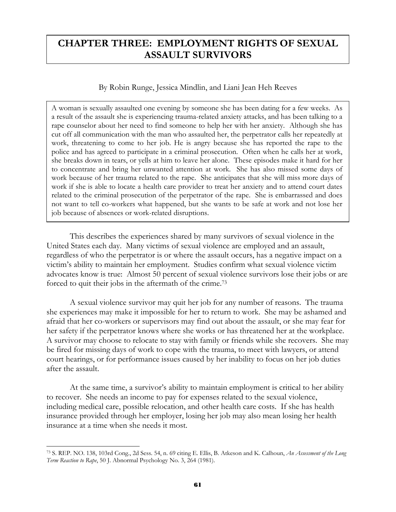# **CHAPTER THREE: EMPLOYMENT RIGHTS OF SEXUAL ASSAULT SURVIVORS**

## By Robin Runge, Jessica Mindlin, and Liani Jean Heh Reeves

A woman is sexually assaulted one evening by someone she has been dating for a few weeks. As a result of the assault she is experiencing trauma-related anxiety attacks, and has been talking to a rape counselor about her need to find someone to help her with her anxiety. Although she has cut off all communication with the man who assaulted her, the perpetrator calls her repeatedly at work, threatening to come to her job. He is angry because she has reported the rape to the police and has agreed to participate in a criminal prosecution. Often when he calls her at work, she breaks down in tears, or yells at him to leave her alone. These episodes make it hard for her to concentrate and bring her unwanted attention at work. She has also missed some days of work because of her trauma related to the rape. She anticipates that she will miss more days of work if she is able to locate a health care provider to treat her anxiety and to attend court dates related to the criminal prosecution of the perpetrator of the rape. She is embarrassed and does not want to tell co-workers what happened, but she wants to be safe at work and not lose her job because of absences or work-related disruptions.

This describes the experiences shared by many survivors of sexual violence in the United States each day. Many victims of sexual violence are employed and an assault, regardless of who the perpetrator is or where the assault occurs, has a negative impact on a victim's ability to maintain her employment. Studies confirm what sexual violence victim advocates know is true: Almost 50 percent of sexual violence survivors lose their jobs or are forced to quit their jobs in the aftermath of the crime.73

A sexual violence survivor may quit her job for any number of reasons. The trauma she experiences may make it impossible for her to return to work. She may be ashamed and afraid that her co-workers or supervisors may find out about the assault, or she may fear for her safety if the perpetrator knows where she works or has threatened her at the workplace. A survivor may choose to relocate to stay with family or friends while she recovers. She may be fired for missing days of work to cope with the trauma, to meet with lawyers, or attend court hearings, or for performance issues caused by her inability to focus on her job duties after the assault.

At the same time, a survivor's ability to maintain employment is critical to her ability to recover. She needs an income to pay for expenses related to the sexual violence, including medical care, possible relocation, and other health care costs. If she has health insurance provided through her employer, losing her job may also mean losing her health insurance at a time when she needs it most.

<sup>73</sup> S. REP. NO. 138, 103rd Cong., 2d Sess. 54, n. 69 citing E. Ellis, B. Atkeson and K. Calhoun, *An Assessment of the Long Term Reaction to Rape*, 50 J. Abnormal Psychology No. 3, 264 (1981).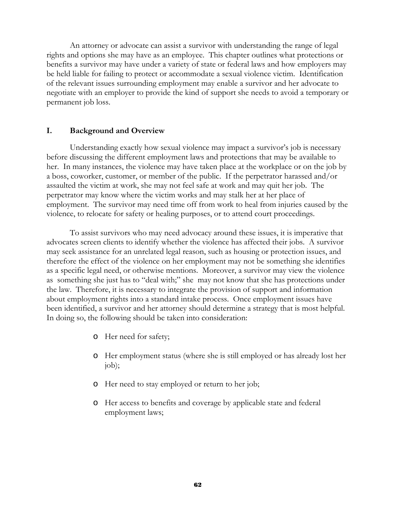An attorney or advocate can assist a survivor with understanding the range of legal rights and options she may have as an employee. This chapter outlines what protections or benefits a survivor may have under a variety of state or federal laws and how employers may be held liable for failing to protect or accommodate a sexual violence victim. Identification of the relevant issues surrounding employment may enable a survivor and her advocate to negotiate with an employer to provide the kind of support she needs to avoid a temporary or permanent job loss.

#### **I. Background and Overview**

Understanding exactly how sexual violence may impact a survivor's job is necessary before discussing the different employment laws and protections that may be available to her. In many instances, the violence may have taken place at the workplace or on the job by a boss, coworker, customer, or member of the public. If the perpetrator harassed and/or assaulted the victim at work, she may not feel safe at work and may quit her job. The perpetrator may know where the victim works and may stalk her at her place of employment. The survivor may need time off from work to heal from injuries caused by the violence, to relocate for safety or healing purposes, or to attend court proceedings.

 To assist survivors who may need advocacy around these issues, it is imperative that advocates screen clients to identify whether the violence has affected their jobs. A survivor may seek assistance for an unrelated legal reason, such as housing or protection issues, and therefore the effect of the violence on her employment may not be something she identifies as a specific legal need, or otherwise mentions. Moreover, a survivor may view the violence as something she just has to "deal with;" she may not know that she has protections under the law. Therefore, it is necessary to integrate the provision of support and information about employment rights into a standard intake process. Once employment issues have been identified, a survivor and her attorney should determine a strategy that is most helpful. In doing so, the following should be taken into consideration:

- o Her need for safety;
- o Her employment status (where she is still employed or has already lost her job);
- o Her need to stay employed or return to her job;
- o Her access to benefits and coverage by applicable state and federal employment laws;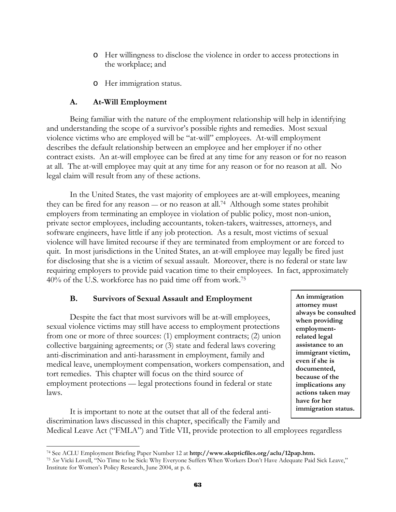- o Her willingness to disclose the violence in order to access protections in the workplace; and
- o Her immigration status.

## **A. At-Will Employment**

Being familiar with the nature of the employment relationship will help in identifying and understanding the scope of a survivor's possible rights and remedies. Most sexual violence victims who are employed will be "at-will" employees. At-will employment describes the default relationship between an employee and her employer if no other contract exists. An at-will employee can be fired at any time for any reason or for no reason at all. The at-will employee may quit at any time for any reason or for no reason at all. No legal claim will result from any of these actions.

In the United States, the vast majority of employees are at-will employees, meaning they can be fired for any reason — or no reason at all.74 Although some states prohibit employers from terminating an employee in violation of public policy, most non-union, private sector employees, including accountants, token-takers, waitresses, attorneys, and software engineers, have little if any job protection. As a result, most victims of sexual violence will have limited recourse if they are terminated from employment or are forced to quit. In most jurisdictions in the United States, an at-will employee may legally be fired just for disclosing that she is a victim of sexual assault. Moreover, there is no federal or state law requiring employers to provide paid vacation time to their employees. In fact, approximately 40% of the U.S. workforce has no paid time off from work.75

## **B. Survivors of Sexual Assault and Employment**

Despite the fact that most survivors will be at-will employees, sexual violence victims may still have access to employment protections from one or more of three sources: (1) employment contracts; (2) union collective bargaining agreements; or (3) state and federal laws covering anti-discrimination and anti-harassment in employment, family and medical leave, unemployment compensation, workers compensation, and tort remedies. This chapter will focus on the third source of employment protections — legal protections found in federal or state laws.

**An immigration attorney must always be consulted when providing employmentrelated legal assistance to an immigrant victim, even if she is documented, because of the implications any actions taken may have for her immigration status.**

It is important to note at the outset that all of the federal antidiscrimination laws discussed in this chapter, specifically the Family and Medical Leave Act ("FMLA") and Title VII, provide protection to all employees regardless

 $\overline{a}$ 74 See ACLU Employment Briefing Paper Number 12 at **http://www.skepticfiles.org/aclu/12pap.htm.**

<sup>75</sup> *See* Vicki Lovell, "No Time to be Sick: Why Everyone Suffers When Workers Don't Have Adequate Paid Sick Leave," Institute for Women's Policy Research, June 2004, at p. 6.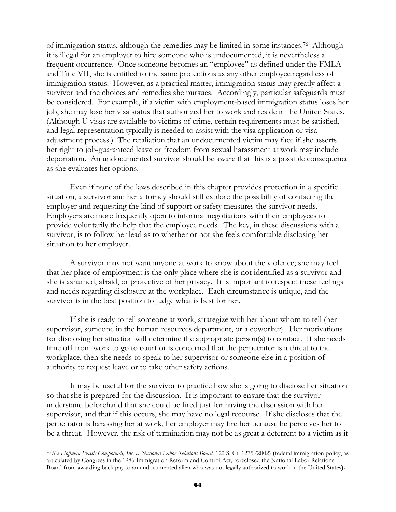of immigration status, although the remedies may be limited in some instances.76 Although it is illegal for an employer to hire someone who is undocumented, it is nevertheless a frequent occurrence. Once someone becomes an "employee" as defined under the FMLA and Title VII, she is entitled to the same protections as any other employee regardless of immigration status. However, as a practical matter, immigration status may greatly affect a survivor and the choices and remedies she pursues. Accordingly, particular safeguards must be considered. For example, if a victim with employment-based immigration status loses her job, she may lose her visa status that authorized her to work and reside in the United States. (Although U visas are available to victims of crime, certain requirements must be satisfied, and legal representation typically is needed to assist with the visa application or visa adjustment process.) The retaliation that an undocumented victim may face if she asserts her right to job-guaranteed leave or freedom from sexual harassment at work may include deportation. An undocumented survivor should be aware that this is a possible consequence as she evaluates her options.

Even if none of the laws described in this chapter provides protection in a specific situation, a survivor and her attorney should still explore the possibility of contacting the employer and requesting the kind of support or safety measures the survivor needs. Employers are more frequently open to informal negotiations with their employees to provide voluntarily the help that the employee needs. The key, in these discussions with a survivor, is to follow her lead as to whether or not she feels comfortable disclosing her situation to her employer.

A survivor may not want anyone at work to know about the violence; she may feel that her place of employment is the only place where she is not identified as a survivor and she is ashamed, afraid, or protective of her privacy. It is important to respect these feelings and needs regarding disclosure at the workplace. Each circumstance is unique, and the survivor is in the best position to judge what is best for her.

If she is ready to tell someone at work, strategize with her about whom to tell (her supervisor, someone in the human resources department, or a coworker). Her motivations for disclosing her situation will determine the appropriate person(s) to contact. If she needs time off from work to go to court or is concerned that the perpetrator is a threat to the workplace, then she needs to speak to her supervisor or someone else in a position of authority to request leave or to take other safety actions.

It may be useful for the survivor to practice how she is going to disclose her situation so that she is prepared for the discussion. It is important to ensure that the survivor understand beforehand that she could be fired just for having the discussion with her supervisor, and that if this occurs, she may have no legal recourse. If she discloses that the perpetrator is harassing her at work, her employer may fire her because he perceives her to be a threat. However, the risk of termination may not be as great a deterrent to a victim as it

<sup>76</sup> *See Hoffman Plastic Compounds, Inc. v. National Labor Relations Board,* 122 S. Ct. 1275 (2002) **(**federal immigration policy, as articulated by Congress in the 1986 Immigration Reform and Control Act, foreclosed the National Labor Relations Board from awarding back pay to an undocumented alien who was not legally authorized to work in the United States**).**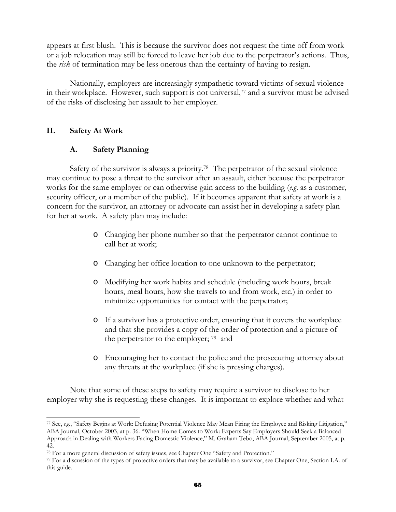appears at first blush. This is because the survivor does not request the time off from work or a job relocation may still be forced to leave her job due to the perpetrator's actions. Thus, the *risk* of termination may be less onerous than the certainty of having to resign.

 Nationally, employers are increasingly sympathetic toward victims of sexual violence in their workplace. However, such support is not universal,77 and a survivor must be advised of the risks of disclosing her assault to her employer.

## **II. Safety At Work**

 $\overline{a}$ 

## **A. Safety Planning**

Safety of the survivor is always a priority.<sup>78</sup> The perpetrator of the sexual violence may continue to pose a threat to the survivor after an assault, either because the perpetrator works for the same employer or can otherwise gain access to the building (*e.g*. as a customer, security officer, or a member of the public). If it becomes apparent that safety at work is a concern for the survivor, an attorney or advocate can assist her in developing a safety plan for her at work. A safety plan may include:

- o Changing her phone number so that the perpetrator cannot continue to call her at work;
- o Changing her office location to one unknown to the perpetrator;
- o Modifying her work habits and schedule (including work hours, break hours, meal hours, how she travels to and from work, etc.) in order to minimize opportunities for contact with the perpetrator;
- o If a survivor has a protective order, ensuring that it covers the workplace and that she provides a copy of the order of protection and a picture of the perpetrator to the employer; 79 and
- o Encouraging her to contact the police and the prosecuting attorney about any threats at the workplace (if she is pressing charges).

 Note that some of these steps to safety may require a survivor to disclose to her employer why she is requesting these changes. It is important to explore whether and what

<sup>77</sup> See, *e.g.*, "Safety Begins at Work: Defusing Potential Violence May Mean Firing the Employee and Risking Litigation," ABA Journal, October 2003, at p. 36. "When Home Comes to Work: Experts Say Employers Should Seek a Balanced Approach in Dealing with Workers Facing Domestic Violence," M. Graham Tebo, ABA Journal, September 2005, at p.

<sup>42.&</sup>lt;br><sup>78</sup> For a more general discussion of safety issues, see Chapter One "Safety and Protection."

 $79$  For a discussion of the types of protective orders that may be available to a survivor, see Chapter One, Section I.A. of this guide.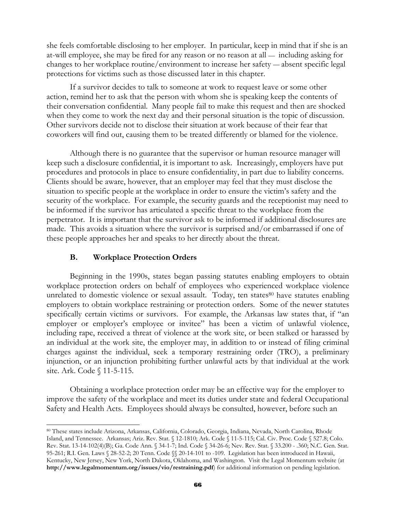she feels comfortable disclosing to her employer. In particular, keep in mind that if she is an at-will employee, she may be fired for any reason or no reason at all — including asking for changes to her workplace routine/environment to increase her safety — absent specific legal protections for victims such as those discussed later in this chapter.

 If a survivor decides to talk to someone at work to request leave or some other action, remind her to ask that the person with whom she is speaking keep the contents of their conversation confidential. Many people fail to make this request and then are shocked when they come to work the next day and their personal situation is the topic of discussion. Other survivors decide not to disclose their situation at work because of their fear that coworkers will find out, causing them to be treated differently or blamed for the violence.

 Although there is no guarantee that the supervisor or human resource manager will keep such a disclosure confidential, it is important to ask. Increasingly, employers have put procedures and protocols in place to ensure confidentiality, in part due to liability concerns. Clients should be aware, however, that an employer may feel that they must disclose the situation to specific people at the workplace in order to ensure the victim's safety and the security of the workplace. For example, the security guards and the receptionist may need to be informed if the survivor has articulated a specific threat to the workplace from the perpetrator. It is important that the survivor ask to be informed if additional disclosures are made. This avoids a situation where the survivor is surprised and/or embarrassed if one of these people approaches her and speaks to her directly about the threat.

#### **B. Workplace Protection Orders**

l

Beginning in the 1990s, states began passing statutes enabling employers to obtain workplace protection orders on behalf of employees who experienced workplace violence unrelated to domestic violence or sexual assault. Today, ten states<sup>80</sup> have statutes enabling employers to obtain workplace restraining or protection orders. Some of the newer statutes specifically certain victims or survivors. For example, the Arkansas law states that, if "an employer or employer's employee or invitee" has been a victim of unlawful violence, including rape, received a threat of violence at the work site, or been stalked or harassed by an individual at the work site, the employer may, in addition to or instead of filing criminal charges against the individual, seek a temporary restraining order (TRO), a preliminary injunction, or an injunction prohibiting further unlawful acts by that individual at the work site. Ark. Code § 11-5-115.

Obtaining a workplace protection order may be an effective way for the employer to improve the safety of the workplace and meet its duties under state and federal Occupational Safety and Health Acts. Employees should always be consulted, however, before such an

<sup>80</sup> These states include Arizona, Arkansas, California, Colorado, Georgia, Indiana, Nevada, North Carolina, Rhode Island, and Tennessee. Arkansas; Ariz. Rev. Stat. § 12-1810; Ark. Code § 11-5-115; Cal. Civ. Proc. Code § 527.8; Colo. Rev. Stat. 13-14-102(4)(B); Ga. Code Ann. § 34-1-7; Ind. Code § 34-26-6; Nev. Rev. Stat. § 33.200 - .360; N.C. Gen. Stat. 95-261; R.I. Gen. Laws § 28-52-2; 20 Tenn. Code §§ 20-14-101 to -109. Legislation has been introduced in Hawaii, Kentucky, New Jersey, New York, North Dakota, Oklahoma, and Washington. Visit the Legal Momentum website (at **http://www.legalmomentum.org/issues/vio/restraining.pdf**) for additional information on pending legislation.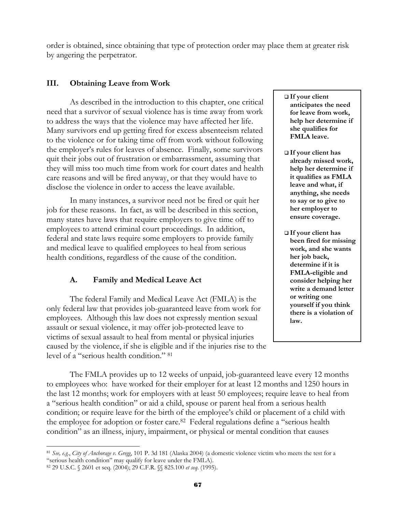order is obtained, since obtaining that type of protection order may place them at greater risk by angering the perpetrator.

## **III. Obtaining Leave from Work**

 As described in the introduction to this chapter, one critical need that a survivor of sexual violence has is time away from work to address the ways that the violence may have affected her life. Many survivors end up getting fired for excess absenteeism related to the violence or for taking time off from work without following the employer's rules for leaves of absence. Finally, some survivors quit their jobs out of frustration or embarrassment, assuming that they will miss too much time from work for court dates and health care reasons and will be fired anyway, or that they would have to disclose the violence in order to access the leave available.

 In many instances, a survivor need not be fired or quit her job for these reasons. In fact, as will be described in this section, many states have laws that require employers to give time off to employees to attend criminal court proceedings. In addition, federal and state laws require some employers to provide family and medical leave to qualified employees to heal from serious health conditions, regardless of the cause of the condition.

## **A. Family and Medical Leave Act**

The federal Family and Medical Leave Act (FMLA) is the only federal law that provides job-guaranteed leave from work for employees. Although this law does not expressly mention sexual assault or sexual violence, it may offer job-protected leave to victims of sexual assault to heal from mental or physical injuries caused by the violence, if she is eligible and if the injuries rise to the level of a "serious health condition." 81

- **If your client anticipates the need for leave from work, help her determine if she qualifies for FMLA leave.**
- **If your client has already missed work, help her determine if it qualifies as FMLA leave and what, if anything, she needs to say or to give to her employer to ensure coverage.**
- **If your client has been fired for missing work, and she wants her job back, determine if it is FMLA-eligible and consider helping her write a demand letter or writing one yourself if you think there is a violation of law.**

The FMLA provides up to 12 weeks of unpaid, job-guaranteed leave every 12 months to employees who: have worked for their employer for at least 12 months and 1250 hours in the last 12 months; work for employers with at least 50 employees; require leave to heal from a "serious health condition" or aid a child, spouse or parent heal from a serious health condition; or require leave for the birth of the employee's child or placement of a child with the employee for adoption or foster care.82 Federal regulations define a "serious health condition" as an illness, injury, impairment, or physical or mental condition that causes

 $\overline{a}$ <sup>81</sup> *See, e.g.*, *City of Anchorage v. Gregg*, 101 P. 3d 181 (Alaska 2004) (a domestic violence victim who meets the test for a "serious health condition" may qualify for leave under the FMLA).

<sup>82 29</sup> U.S.C. § 2601 et seq. (2004); 29 C.F.R. §§ 825.100 *et seq*. (1995).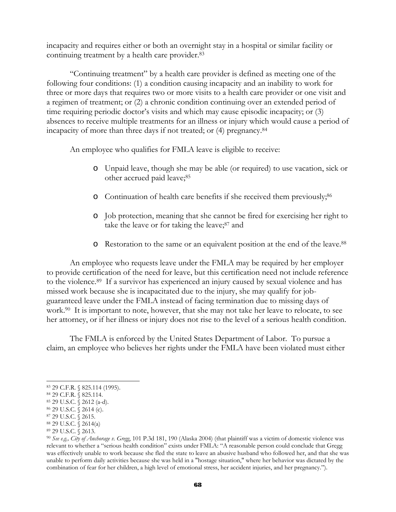incapacity and requires either or both an overnight stay in a hospital or similar facility or continuing treatment by a health care provider.83

"Continuing treatment" by a health care provider is defined as meeting one of the following four conditions: (1) a condition causing incapacity and an inability to work for three or more days that requires two or more visits to a health care provider or one visit and a regimen of treatment; or (2) a chronic condition continuing over an extended period of time requiring periodic doctor's visits and which may cause episodic incapacity; or (3) absences to receive multiple treatments for an illness or injury which would cause a period of incapacity of more than three days if not treated; or (4) pregnancy.84

An employee who qualifies for FMLA leave is eligible to receive:

- o Unpaid leave, though she may be able (or required) to use vacation, sick or other accrued paid leave;<sup>85</sup>
- o Continuation of health care benefits if she received them previously;86
- o Job protection, meaning that she cannot be fired for exercising her right to take the leave or for taking the leave;<sup>87</sup> and
- o Restoration to the same or an equivalent position at the end of the leave.88

An employee who requests leave under the FMLA may be required by her employer to provide certification of the need for leave, but this certification need not include reference to the violence.89 If a survivor has experienced an injury caused by sexual violence and has missed work because she is incapacitated due to the injury, she may qualify for jobguaranteed leave under the FMLA instead of facing termination due to missing days of work.<sup>90</sup> It is important to note, however, that she may not take her leave to relocate, to see her attorney, or if her illness or injury does not rise to the level of a serious health condition.

The FMLA is enforced by the United States Department of Labor. To pursue a claim, an employee who believes her rights under the FMLA have been violated must either

l 83 29 C.F.R. § 825.114 (1995).

<sup>84 29</sup> C.F.R. § 825.114.

<sup>85 29</sup> U.S.C. § 2612 (a-d).

<sup>86 29</sup> U.S.C. § 2614 (c).

<sup>87 29</sup> U.S.C. § 2615.

<sup>88 29</sup> U.S.C. § 2614(a)

<sup>89 29</sup> U.S.C. § 2613.

<sup>90</sup> *See e.g., City of Anchorage v. Gregg*, 101 P.3d 181, 190 (Alaska 2004) (that plaintiff was a victim of domestic violence was relevant to whether a "serious health condition" exists under FMLA: "A reasonable person could conclude that Gregg was effectively unable to work because she fled the state to leave an abusive husband who followed her, and that she was unable to perform daily activities because she was held in a "hostage situation," where her behavior was dictated by the combination of fear for her children, a high level of emotional stress, her accident injuries, and her pregnancy.").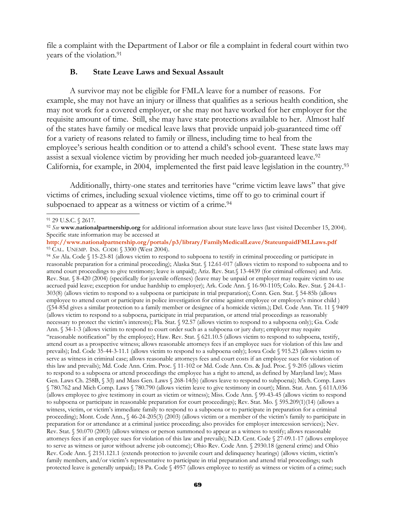file a complaint with the Department of Labor or file a complaint in federal court within two years of the violation.91

#### **B. State Leave Laws and Sexual Assault**

A survivor may not be eligible for FMLA leave for a number of reasons. For example, she may not have an injury or illness that qualifies as a serious health condition, she may not work for a covered employer, or she may not have worked for her employer for the requisite amount of time. Still, she may have state protections available to her. Almost half of the states have family or medical leave laws that provide unpaid job-guaranteed time off for a variety of reasons related to family or illness, including time to heal from the employee's serious health condition or to attend a child's school event. These state laws may assist a sexual violence victim by providing her much needed job-guaranteed leave.<sup>92</sup> California, for example, in 2004, implemented the first paid leave legislation in the country.93

Additionally, thirty-one states and territories have "crime victim leave laws" that give victims of crimes, including sexual violence victims, time off to go to criminal court if subpoenaed to appear as a witness or victim of a crime.<sup>94</sup>

reasonable preparation for a criminal proceeding); Alaska Stat. § 12.61-017 (allows victim to respond to subpoena and to attend court proceedings to give testimony; leave is unpaid); Ariz. Rev. Stat.§ 13-4439 (for criminal offenses) and Ariz. Rev. Stat. § 8-420 (2004) (specifically for juvenile offenses) (leave may be unpaid or employer may require victim to use accrued paid leave; exception for undue hardship to employer); Ark. Code Ann. § 16-90-1105; Colo. Rev. Stat. § 24-4.1- 303(8) (allows victim to respond to a subpoena or participate in trial preparation); Conn. Gen. Stat. § 54-85b (allows employee to attend court or participate in police investigation for crime against employee or employee's minor child ) (§54-85d gives a similar protection to a family member or designee of a homicide victim.); Del. Code Ann. Tit. 11 § 9409 (allows victim to respond to a subpoena, participate in trial preparation, or attend trial proceedings as reasonably necessary to protect the victim's interests); Fla. Stat. § 92.57 (allows victim to respond to a subpoena only); Ga. Code Ann. § 34-1-3 (allows victim to respond to court order such as a subpoena or jury duty; employer may require "reasonable notification" by the employee); Haw. Rev. Stat. § 621.10.5 (allows victim to respond to subpoena, testify, attend court as a prospective witness; allows reasonable attorneys fees if an employee sues for violation of this law and prevails); Ind. Code 35-44-3-11.1 (allows victim to respond to a subpoena only); Iowa Code § 915.23 (allows victim to serve as witness in criminal case; allows reasonable attorneys fees and court costs if an employee sues for violation of this law and prevails); Md. Code Ann. Crim. Proc. § 11-102 or Md. Code Ann. Cts. & Jud. Proc. § 9-205 (allows victim to respond to a subpoena or attend proceedings the employee has a right to attend, as defined by Maryland law); Mass Gen. Laws Ch. 258B, § 3(l) and Mass Gen. Laws § 268-14(b) (allows leave to respond to subpoena); Mich. Comp. Laws § 780.762 and Mich Comp. Laws § 780.790 (allows victim leave to give testimony in court); Minn. Stat. Ann. § 611A.036 (allows employee to give testimony in court as victim or witness); Miss. Code Ann. § 99-43-45 (allows victim to respond to subpoena or participate in reasonable preparation for court proceedings); Rev. Stat. Mo. § 595.209(1)(14) (allows a witness, victim, or victim's immediate family to respond to a subpoena or to participate in preparation for a criminal proceeding); Mont. Code Ann., § 46-24-205(3) (2003) (allows victim or a member of the victim's family to participate in preparation for or attendance at a criminal justice proceeding; also provides for employer intercession services); Nev. Rev. Stat. § 50.070 (2003) (allows witness or person summoned to appear as a witness to testify; allows reasonable attorneys fees if an employee sues for violation of this law and prevails); N.D. Cent. Code § 27-09.1-17 (allows employee to serve as witness or juror without adverse job outcome); Ohio Rev. Code Ann. § 2930.18 (general crime) and Ohio Rev. Code Ann. § 2151.121.1 (extends protection to juvenile court and delinquency hearings) (allows victim, victim's family members, and/or victim's representative to participate in trial preparation and attend trial proceedings; such protected leave is generally unpaid); 18 Pa. Code § 4957 (allows employee to testify as witness or victim of a crime; such

<sup>91 29</sup> U.S.C. § 2617.

<sup>92</sup> *See* **www.nationalpartnership.org** for additional information about state leave laws (last visited December 15, 2004). Specific state information may be accessed at

**http://www.nationalpartnership.org/portals/p3/library/FamilyMedicalLeave/StateunpaidFMLLaws.pdf** 93 CAL. UNEMP. INS. CODE § 3300 (West 2004). 94 *See* Ala. Code § 15-23-81 (allows victim to respond to subpoena to testify in criminal proceeding or participate in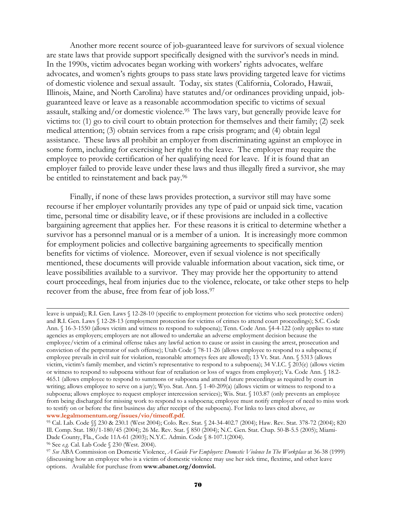Another more recent source of job-guaranteed leave for survivors of sexual violence are state laws that provide support specifically designed with the survivor's needs in mind. In the 1990s, victim advocates began working with workers' rights advocates, welfare advocates, and women's rights groups to pass state laws providing targeted leave for victims of domestic violence and sexual assault. Today, six states (California, Colorado, Hawaii, Illinois, Maine, and North Carolina) have statutes and/or ordinances providing unpaid, jobguaranteed leave or leave as a reasonable accommodation specific to victims of sexual assault, stalking and/or domestic violence.95 The laws vary, but generally provide leave for victims to: (1) go to civil court to obtain protection for themselves and their family; (2) seek medical attention; (3) obtain services from a rape crisis program; and (4) obtain legal assistance. These laws all prohibit an employer from discriminating against an employee in some form, including for exercising her right to the leave. The employer may require the employee to provide certification of her qualifying need for leave. If it is found that an employer failed to provide leave under these laws and thus illegally fired a survivor, she may be entitled to reinstatement and back pay.96

Finally, if none of these laws provides protection, a survivor still may have some recourse if her employer voluntarily provides any type of paid or unpaid sick time, vacation time, personal time or disability leave, or if these provisions are included in a collective bargaining agreement that applies her. For these reasons it is critical to determine whether a survivor has a personnel manual or is a member of a union. It is increasingly more common for employment policies and collective bargaining agreements to specifically mention benefits for victims of violence. Moreover, even if sexual violence is not specifically mentioned, these documents will provide valuable information about vacation, sick time, or leave possibilities available to a survivor. They may provide her the opportunity to attend court proceedings, heal from injuries due to the violence, relocate, or take other steps to help recover from the abuse, free from fear of job loss.97

leave is unpaid); R.I. Gen. Laws § 12-28-10 (specific to employment protection for victims who seek protective orders) and R.I. Gen. Laws § 12-28-13 (employment protection for victims of crimes to attend court proceedings); S.C. Code Ann. § 16-3-1550 (allows victim and witness to respond to subpoena); Tenn. Code Ann. §4-4-122 (only applies to state agencies as employers; employers are not allowed to undertake an adverse employment decision because the employee/victim of a criminal offense takes any lawful action to cause or assist in causing the arrest, prosecution and conviction of the perpetrator of such offense); Utah Code § 78-11-26 (allows employee to respond to a subpoena; if employee prevails in civil suit for violation, reasonable attorneys fees are allowed); 13 Vt. Stat. Ann. § 5313 (allows victim, victim's family member, and victim's representative to respond to a subpoena); 34 V.I.C. § 203(e) (allows victim or witness to respond to subpoena without fear of retaliation or loss of wages from employer); Va. Code Ann. § 18.2- 465.1 (allows employee to respond to summons or subpoena and attend future proceedings as required by court in writing; allows employee to serve on a jury); Wyo. Stat. Ann. § 1-40-209(a) (allows victim or witness to respond to a subpoena; allows employee to request employer intercession services); Wis. Stat. § 103.87 (only prevents an employee from being discharged for missing work to respond to a subpoena; employee must notify employer of need to miss work to testify on or before the first business day after receipt of the subpoena). For links to laws cited above, *see*

<sup>&</sup>lt;sup>95</sup> Cal. Lab. Code §§ 230 & 230.1 (West 2004); Colo. Rev. Stat. § 24-34-402.7 (2004); Haw. Rev. Stat. 378-72 (2004); 820 Ill. Comp. Stat. 180/1-180/45 (2004); 26 Me. Rev. Stat. § 850 (2004); N.C. Gen. Stat. Chap. 50-B-5.5 (2005); Miami-Dade County, Fla., Code 11A-61 (2003); N.Y.C. Admin. Code § 8-107.1(2004).<br><sup>96</sup> See *e.g.* Cal. Lab Code § 230 (West. 2004).

<sup>&</sup>lt;sup>97</sup> See ABA Commission on Domestic Violence, *A Guide For Employers: Domestic Violence In The Workplace* at 36-38 (1999) (discussing how an employee who is a victim of domestic violence may use her sick time, flextime, and other leave options. Available for purchase from **www.abanet.org/domviol.**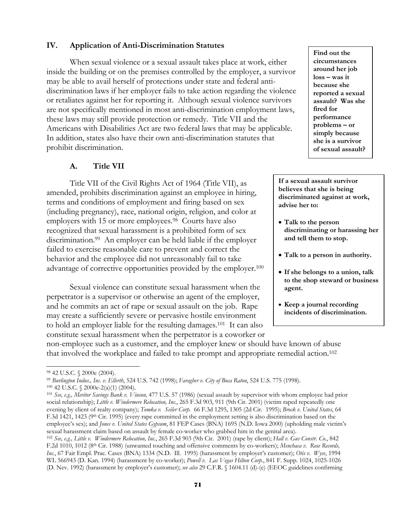#### **IV. Application of Anti-Discrimination Statutes**

When sexual violence or a sexual assault takes place at work, either inside the building or on the premises controlled by the employer, a survivor may be able to avail herself of protections under state and federal antidiscrimination laws if her employer fails to take action regarding the violence or retaliates against her for reporting it. Although sexual violence survivors are not specifically mentioned in most anti-discrimination employment laws, these laws may still provide protection or remedy. Title VII and the Americans with Disabilities Act are two federal laws that may be applicable. In addition, states also have their own anti-discrimination statutes that prohibit discrimination.

#### **A. Title VII**

 Title VII of the Civil Rights Act of 1964 (Title VII), as amended, prohibits discrimination against an employee in hiring, terms and conditions of employment and firing based on sex (including pregnancy), race, national origin, religion, and color at employers with 15 or more employees.<sup>98</sup> Courts have also recognized that sexual harassment is a prohibited form of sex discrimination.99 An employer can be held liable if the employer failed to exercise reasonable care to prevent and correct the behavior and the employee did not unreasonably fail to take advantage of corrective opportunities provided by the employer.100

Sexual violence can constitute sexual harassment when the perpetrator is a supervisor or otherwise an agent of the employer, and he commits an act of rape or sexual assault on the job. Rape may create a sufficiently severe or pervasive hostile environment to hold an employer liable for the resulting damages.101 It can also constitute sexual harassment when the perpetrator is a coworker or **Find out the circumstances around her job loss – was it because she reported a sexual assault? Was she fired for performance problems – or simply because she is a survivor of sexual assault?**

**If a sexual assault survivor believes that she is being discriminated against at work, advise her to:** 

- **Talk to the person discriminating or harassing her and tell them to stop.**
- **Talk to a person in authority.**
- **If she belongs to a union, talk to the shop steward or business agent.**
- **Keep a journal recording incidents of discrimination.**

non-employee such as a customer, and the employer knew or should have known of abuse that involved the workplace and failed to take prompt and appropriate remedial action.102

l

<sup>98 42</sup> U.S.C. § 2000e (2004).<br><sup>99</sup> Burlington Indus., Inc. v. Ellerth, 524 U.S. 742 (1998); Faragher v. City of Boca Raton, 524 U.S. 775 (1998).

<sup>&</sup>lt;sup>100</sup> 42 U.S.C. § 2000e-2(a)(1) (2004).<br><sup>101</sup> See, e.g., Meritor Savings Bank v. Vinson, 477 U.S. 57 (1986) (sexual assault by supervisor with whom employee had prior social relationship); *Little v. Windermere Relocation, Inc.*, 265 F.3d 903, 911 (9th Cir. 2001) (victim raped repeatedly one evening by client of realty company); *Tomka v. Seiler Corp.* 66 F.3d 1295, 1305 (2d Cir. 1995); *Brock v. United States*, 64 F.3d 1421, 1423 (9<sup>th</sup> Cir. 1995) (every rape committed in the employment setting is also discrimination based on the employee's sex); and *Jones v. United States Gypsum*, 81 FEP Cases (BNA) 1695 (N.D. Iowa 2000) (upholding male victim's sexual harassment claim based on assault by female co-worker who grabbed him in the genital area).

<sup>102</sup> *See, e.g., Little v. Windermere Relocation, Inc.*, 265 F.3d 903 (9th Cir. 2001) (rape by client); *Hall v. Gus Constr. Co.*, 842 F.2d 1010, 1012 (8th Cir. 1988) (unwanted touching and offensive comments by co-workers); *Menchaca v. Rose Records, Inc.*, 67 Fair Empl. Prac. Cases (BNA) 1334 (N.D. Ill. 1995) (harassment by employer's customer); *Otis v. Wyse*, 1994 WL 566943 (D. Kan. 1994) (harassment by co-worker); *Powell v. Las Vegas Hilton Corp.*, 841 F. Supp. 1024, 1025-1026 (D. Nev. 1992) (harassment by employer's customer); *see also* 29 C.F.R. § 1604.11 (d)-(e) (EEOC guidelines confirming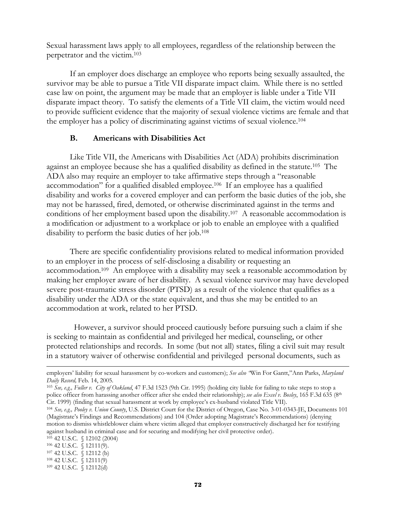Sexual harassment laws apply to all employees, regardless of the relationship between the perpetrator and the victim.103

If an employer does discharge an employee who reports being sexually assaulted, the survivor may be able to pursue a Title VII disparate impact claim. While there is no settled case law on point, the argument may be made that an employer is liable under a Title VII disparate impact theory. To satisfy the elements of a Title VII claim, the victim would need to provide sufficient evidence that the majority of sexual violence victims are female and that the employer has a policy of discriminating against victims of sexual violence.104

#### **B. Americans with Disabilities Act**

Like Title VII, the Americans with Disabilities Act (ADA) prohibits discrimination against an employee because she has a qualified disability as defined in the statute.105 The ADA also may require an employer to take affirmative steps through a "reasonable accommodation" for a qualified disabled employee.106 If an employee has a qualified disability and works for a covered employer and can perform the basic duties of the job, she may not be harassed, fired, demoted, or otherwise discriminated against in the terms and conditions of her employment based upon the disability.107 A reasonable accommodation is a modification or adjustment to a workplace or job to enable an employee with a qualified disability to perform the basic duties of her job.108

There are specific confidentiality provisions related to medical information provided to an employer in the process of self-disclosing a disability or requesting an accommodation.109 An employee with a disability may seek a reasonable accommodation by making her employer aware of her disability. A sexual violence survivor may have developed severe post-traumatic stress disorder (PTSD) as a result of the violence that qualifies as a disability under the ADA or the state equivalent, and thus she may be entitled to an accommodation at work, related to her PTSD.

 However, a survivor should proceed cautiously before pursuing such a claim if she is seeking to maintain as confidential and privileged her medical, counseling, or other protected relationships and records. In some (but not all) states, filing a civil suit may result in a statutory waiver of otherwise confidential and privileged personal documents, such as

l employers' liability for sexual harassment by co-workers and customers); *See also "*Win For Gantt,"Ann Parks, *Maryland Daily Record, Feb.* 14, 2005.<br><sup>103</sup> *See, e.g., Fuller v. City of Oakland*, 47 F.3d 1523 (9th Cir. 1995) (holding city liable for failing to take steps to stop a

police officer from harassing another officer after she ended their relationship); *see also Excel v. Bosley*, 165 F.3d 635 (8<sup>th</sup> Cir. 1999) (finding that sexual harassment at work by employee's ex-husband violated Title

<sup>104</sup> See, e.g., Pooley v. Union County, U.S. District Court for the District of Oregon, Case No. 3-01-0343-JE, Documents 101 (Magistrate's Findings and Recommendations) and 104 (Order adopting Magistrate's Recommendations) (denying motion to dismiss whistleblower claim where victim alleged that employer constructively discharged her for testifying against husband in criminal case and for securing and modifying her civil protective order). <sup>105</sup> 42 U.S.C. § 12111(9). <sup>107</sup> 42 U.S.C. § 12111(9) <sup>108</sup> 42 U.S.C. § 12111(9) <sup>109</sup> 42 U.S.C. § 12112(d)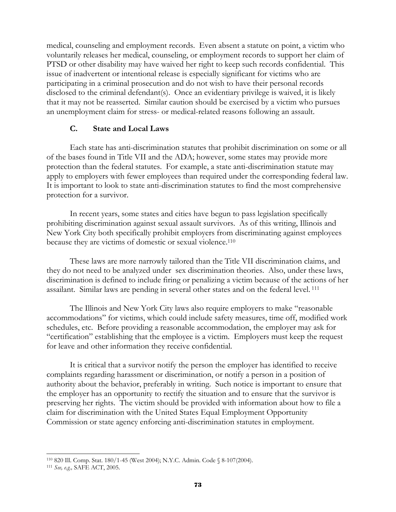medical, counseling and employment records. Even absent a statute on point, a victim who voluntarily releases her medical, counseling, or employment records to support her claim of PTSD or other disability may have waived her right to keep such records confidential. This issue of inadvertent or intentional release is especially significant for victims who are participating in a criminal prosecution and do not wish to have their personal records disclosed to the criminal defendant(s). Once an evidentiary privilege is waived, it is likely that it may not be reasserted. Similar caution should be exercised by a victim who pursues an unemployment claim for stress- or medical-related reasons following an assault.

### **C. State and Local Laws**

Each state has anti-discrimination statutes that prohibit discrimination on some or all of the bases found in Title VII and the ADA; however, some states may provide more protection than the federal statutes. For example, a state anti-discrimination statute may apply to employers with fewer employees than required under the corresponding federal law. It is important to look to state anti-discrimination statutes to find the most comprehensive protection for a survivor.

In recent years, some states and cities have begun to pass legislation specifically prohibiting discrimination against sexual assault survivors. As of this writing, Illinois and New York City both specifically prohibit employers from discriminating against employees because they are victims of domestic or sexual violence.110

These laws are more narrowly tailored than the Title VII discrimination claims, and they do not need to be analyzed under sex discrimination theories. Also, under these laws, discrimination is defined to include firing or penalizing a victim because of the actions of her assailant. Similar laws are pending in several other states and on the federal level. 111

The Illinois and New York City laws also require employers to make "reasonable accommodations" for victims, which could include safety measures, time off, modified work schedules, etc. Before providing a reasonable accommodation, the employer may ask for "certification" establishing that the employee is a victim. Employers must keep the request for leave and other information they receive confidential.

It is critical that a survivor notify the person the employer has identified to receive complaints regarding harassment or discrimination, or notify a person in a position of authority about the behavior, preferably in writing. Such notice is important to ensure that the employer has an opportunity to rectify the situation and to ensure that the survivor is preserving her rights. The victim should be provided with information about how to file a claim for discrimination with the United States Equal Employment Opportunity Commission or state agency enforcing anti-discrimination statutes in employment.

l 110 820 Ill. Comp. Stat. 180/1-45 (West 2004); N.Y.C. Admin. Code § 8-107(2004). 111 *See, e.g.,* SAFE ACT, 2005.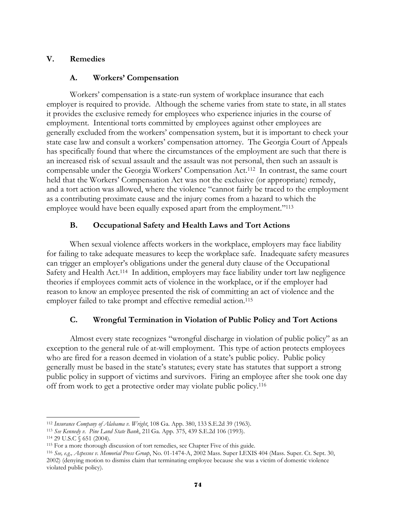## **V. Remedies**

### **A. Workers' Compensation**

Workers' compensation is a state-run system of workplace insurance that each employer is required to provide. Although the scheme varies from state to state, in all states it provides the exclusive remedy for employees who experience injuries in the course of employment. Intentional torts committed by employees against other employees are generally excluded from the workers' compensation system, but it is important to check your state case law and consult a workers' compensation attorney. The Georgia Court of Appeals has specifically found that where the circumstances of the employment are such that there is an increased risk of sexual assault and the assault was not personal, then such an assault is compensable under the Georgia Workers' Compensation Act.112 In contrast, the same court held that the Workers' Compensation Act was not the exclusive (or appropriate) remedy, and a tort action was allowed, where the violence "cannot fairly be traced to the employment as a contributing proximate cause and the injury comes from a hazard to which the employee would have been equally exposed apart from the employment."<sup>113</sup>

# **B. Occupational Safety and Health Laws and Tort Actions**

When sexual violence affects workers in the workplace, employers may face liability for failing to take adequate measures to keep the workplace safe. Inadequate safety measures can trigger an employer's obligations under the general duty clause of the Occupational Safety and Health Act.<sup>114</sup> In addition, employers may face liability under tort law negligence theories if employees commit acts of violence in the workplace, or if the employer had reason to know an employee presented the risk of committing an act of violence and the employer failed to take prompt and effective remedial action.<sup>115</sup>

# **C. Wrongful Termination in Violation of Public Policy and Tort Actions**

Almost every state recognizes "wrongful discharge in violation of public policy" as an exception to the general rule of at-will employment. This type of action protects employees who are fired for a reason deemed in violation of a state's public policy. Public policy generally must be based in the state's statutes; every state has statutes that support a strong public policy in support of victims and survivors. Firing an employee after she took one day off from work to get a protective order may violate public policy.116

 $\overline{a}$ 

<sup>&</sup>lt;sup>112</sup> Insurance Company of Alabama v. Wright, 108 Ga. App. 380, 133 S.E.2d 39 (1963).<br><sup>113</sup> See Kennedy v. Pine Land State Bank, 211 Ga. App. 375, 439 S.E.2d 106 (1993).<br><sup>114</sup> 29 U.S.C § 651 (2004).<br><sup>115</sup> For a more thorou 2002) (denying motion to dismiss claim that terminating employee because she was a victim of domestic violence violated public policy).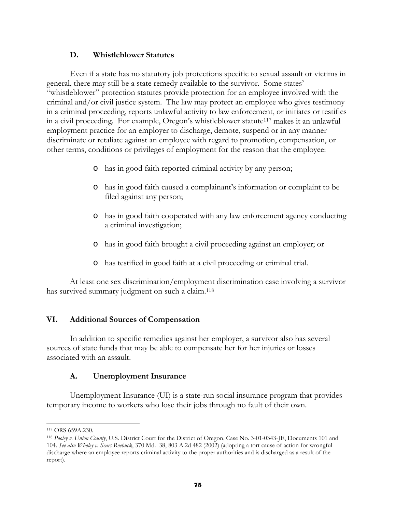### **D. Whistleblower Statutes**

 Even if a state has no statutory job protections specific to sexual assault or victims in general, there may still be a state remedy available to the survivor. Some states' "whistleblower" protection statutes provide protection for an employee involved with the criminal and/or civil justice system. The law may protect an employee who gives testimony in a criminal proceeding, reports unlawful activity to law enforcement, or initiates or testifies in a civil proceeding. For example, Oregon's whistleblower statute117 makes it an unlawful employment practice for an employer to discharge, demote, suspend or in any manner discriminate or retaliate against an employee with regard to promotion, compensation, or other terms, conditions or privileges of employment for the reason that the employee:

- o has in good faith reported criminal activity by any person;
- o has in good faith caused a complainant's information or complaint to be filed against any person;
- o has in good faith cooperated with any law enforcement agency conducting a criminal investigation;
- o has in good faith brought a civil proceeding against an employer; or
- o has testified in good faith at a civil proceeding or criminal trial.

 At least one sex discrimination/employment discrimination case involving a survivor has survived summary judgment on such a claim.<sup>118</sup>

# **VI. Additional Sources of Compensation**

In addition to specific remedies against her employer, a survivor also has several sources of state funds that may be able to compensate her for her injuries or losses associated with an assault.

### **A. Unemployment Insurance**

Unemployment Insurance (UI) is a state-run social insurance program that provides temporary income to workers who lose their jobs through no fault of their own.

l

<sup>117</sup> ORS 659A.230.

<sup>118</sup> *Pooley v. Union County*, U.S. District Court for the District of Oregon, Case No. 3-01-0343-JE, Documents 101 and 104. *See also Wholey v. Sears Roebuck*, 370 Md. 38, 803 A.2d 482 (2002) (adopting a tort cause of action for wrongful discharge where an employee reports criminal activity to the proper authorities and is discharged as a result of the report).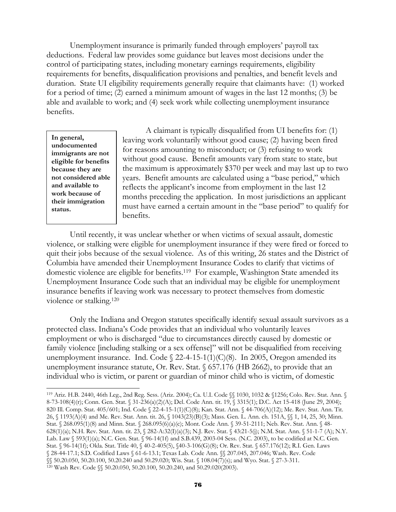Unemployment insurance is primarily funded through employers' payroll tax deductions. Federal law provides some guidance but leaves most decisions under the control of participating states, including monetary earnings requirements, eligibility requirements for benefits, disqualification provisions and penalties, and benefit levels and duration. State UI eligibility requirements generally require that claimants have: (1) worked for a period of time; (2) earned a minimum amount of wages in the last 12 months; (3) be able and available to work; and (4) seek work while collecting unemployment insurance benefits.

**In general, undocumented immigrants are not eligible for benefits because they are not considered able and available to work because of their immigration status.**

A claimant is typically disqualified from UI benefits for: (1) leaving work voluntarily without good cause; (2) having been fired for reasons amounting to misconduct; or (3) refusing to work without good cause. Benefit amounts vary from state to state, but the maximum is approximately \$370 per week and may last up to two years. Benefit amounts are calculated using a "base period," which reflects the applicant's income from employment in the last 12 months preceding the application. In most jurisdictions an applicant must have earned a certain amount in the "base period" to qualify for benefits.

Until recently, it was unclear whether or when victims of sexual assault, domestic violence, or stalking were eligible for unemployment insurance if they were fired or forced to quit their jobs because of the sexual violence. As of this writing, 26 states and the District of Columbia have amended their Unemployment Insurance Codes to clarify that victims of domestic violence are eligible for benefits.119 For example, Washington State amended its Unemployment Insurance Code such that an individual may be eligible for unemployment insurance benefits if leaving work was necessary to protect themselves from domestic violence or stalking.120

Only the Indiana and Oregon statutes specifically identify sexual assault survivors as a protected class. Indiana's Code provides that an individual who voluntarily leaves employment or who is discharged "due to circumstances directly caused by domestic or family violence [including stalking or a sex offense]" will not be disqualified from receiving unemployment insurance. Ind. Code  $\S$  22-4-15-1(1)(C)(8). In 2005, Oregon amended its unemployment insurance statute, Or. Rev. Stat. § 657.176 (HB 2662), to provide that an individual who is victim, or parent or guardian of minor child who is victim, of domestic

 $\overline{a}$ 119 Ariz. H.B. 2440, 46th Leg., 2nd Reg. Sess. (Ariz. 2004); Ca. U.I. Code §§ 1030, 1032 & §1256; Colo. Rev. Stat. Ann. § 8-73-108(4)(r); Conn. Gen. Stat. § 31-236(a)(2)(A); Del. Code Ann. tit. 19, § 3315(1); D.C. Act 15-418 (June 29, 2004); 820 Ill. Comp. Stat. 405/601; Ind. Code § 22-4-15-1(1)(C)(8); Kan. Stat. Ann. § 44-706(A)(12); Me. Rev. Stat. Ann. Tit. 26, § 1193(A)(4) and Me. Rev. Stat. Ann. tit. 26, § 1043(23)(B)(3); Mass. Gen. L. Ann. ch. 151A, §§ 1, 14, 25, 30; Minn. Stat. § 268.095(1)(8) and Minn. Stat. § 268.095(6)(a)(c); Mont. Code Ann. § 39-51-2111; Neb. Rev. Stat. Ann. § 48- 628(1)(a); N.H. Rev. Stat. Ann. tit. 23, § 282-A:32(I)(a)(3); N.J. Rev. Stat. § 43:21-5(j); N.M. Stat. Ann. § 51-1-7 (A); N.Y. Lab. Law § 593(1)(a); N.C. Gen. Stat. § 96-14(1f) and S.B.439, 2003-04 Sess. (N.C. 2003), to be codified at N.C. Gen. Stat. § 96-14(1f); Okla. Stat. Title 40, § 40-2-405(5), §40-3-106(G)(8); Or. Rev. Stat. § 657.176(12); R.I. Gen. Laws § 28-44-17.1; S.D. Codified Laws § 61-6-13.1; Texas Lab. Code Ann. §§ 207.045, 207.046; Wash. Rev. Code  $\widetilde{\S}$ § 50.20.050, 50.20.100, 50.20.240 and 50.29.020; Wis. Stat. § 108.04(7)(s); and Wyo. Stat. § 27-3-311. 120 Wash Rev. Code  $\S$  50.20.050, 50.20.100, 50.20.240, and 50.29.020(2003).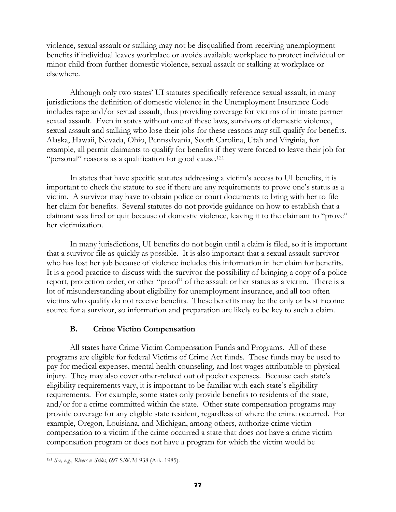violence, sexual assault or stalking may not be disqualified from receiving unemployment benefits if individual leaves workplace or avoids available workplace to protect individual or minor child from further domestic violence, sexual assault or stalking at workplace or elsewhere.

Although only two states' UI statutes specifically reference sexual assault, in many jurisdictions the definition of domestic violence in the Unemployment Insurance Code includes rape and/or sexual assault, thus providing coverage for victims of intimate partner sexual assault. Even in states without one of these laws, survivors of domestic violence, sexual assault and stalking who lose their jobs for these reasons may still qualify for benefits. Alaska, Hawaii, Nevada, Ohio, Pennsylvania, South Carolina, Utah and Virginia, for example, all permit claimants to qualify for benefits if they were forced to leave their job for "personal" reasons as a qualification for good cause.<sup>121</sup>

In states that have specific statutes addressing a victim's access to UI benefits, it is important to check the statute to see if there are any requirements to prove one's status as a victim. A survivor may have to obtain police or court documents to bring with her to file her claim for benefits. Several statutes do not provide guidance on how to establish that a claimant was fired or quit because of domestic violence, leaving it to the claimant to "prove" her victimization.

In many jurisdictions, UI benefits do not begin until a claim is filed, so it is important that a survivor file as quickly as possible. It is also important that a sexual assault survivor who has lost her job because of violence includes this information in her claim for benefits. It is a good practice to discuss with the survivor the possibility of bringing a copy of a police report, protection order, or other "proof" of the assault or her status as a victim. There is a lot of misunderstanding about eligibility for unemployment insurance, and all too often victims who qualify do not receive benefits. These benefits may be the only or best income source for a survivor, so information and preparation are likely to be key to such a claim.

# **B. Crime Victim Compensation**

All states have Crime Victim Compensation Funds and Programs. All of these programs are eligible for federal Victims of Crime Act funds. These funds may be used to pay for medical expenses, mental health counseling, and lost wages attributable to physical injury. They may also cover other-related out of pocket expenses. Because each state's eligibility requirements vary, it is important to be familiar with each state's eligibility requirements. For example, some states only provide benefits to residents of the state, and/or for a crime committed within the state. Other state compensation programs may provide coverage for any eligible state resident, regardless of where the crime occurred. For example, Oregon, Louisiana, and Michigan, among others, authorize crime victim compensation to a victim if the crime occurred a state that does not have a crime victim compensation program or does not have a program for which the victim would be

l <sup>121</sup> *See, e.g*., *Rivers v. Stiles*, 697 S.W.2d 938 (Ark. 1985).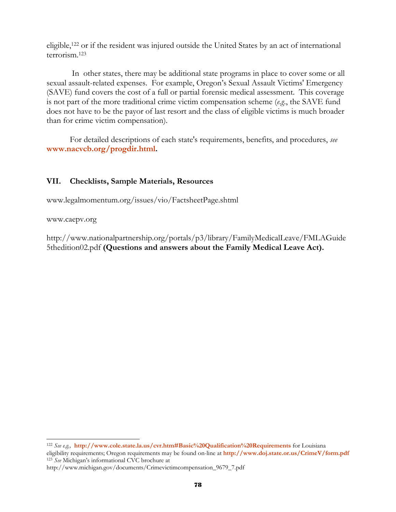eligible,122 or if the resident was injured outside the United States by an act of international terrorism.123

 In other states, there may be additional state programs in place to cover some or all sexual assault-related expenses. For example, Oregon's Sexual Assault Victims' Emergency (SAVE) fund covers the cost of a full or partial forensic medical assessment. This coverage is not part of the more traditional crime victim compensation scheme (*e.g*., the SAVE fund does not have to be the payor of last resort and the class of eligible victims is much broader than for crime victim compensation).

For detailed descriptions of each state's requirements, benefits, and procedures, *see* **www.nacvcb.org/progdir.html.** 

## **VII. Checklists, Sample Materials, Resources**

www.legalmomentum.org/issues/vio/FactsheetPage.shtml

www.caepv.org

http://www.nationalpartnership.org/portals/p3/library/FamilyMedicalLeave/FMLAGuide 5thedition02.pdf **(Questions and answers about the Family Medical Leave Act).** 

l <sup>122</sup> *See e.g.,* **http://www.cole.state.la.us/cvr.htm#Basic%20Qualification%20Requirements** for Louisiana eligibility requirements; Oregon requirements may be found on-line at **http://www.doj.state.or.us/CrimeV/form.pdf** <sup>123</sup> *See* Michigan's informational CVC brochure at

http://www.michigan.gov/documents/Crimevictimcompensation\_9679\_7.pdf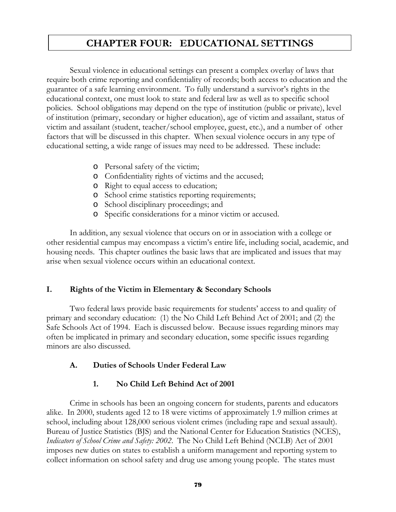# **CHAPTER FOUR: EDUCATIONAL SETTINGS**

 Sexual violence in educational settings can present a complex overlay of laws that require both crime reporting and confidentiality of records; both access to education and the guarantee of a safe learning environment. To fully understand a survivor's rights in the educational context, one must look to state and federal law as well as to specific school policies. School obligations may depend on the type of institution (public or private), level of institution (primary, secondary or higher education), age of victim and assailant, status of victim and assailant (student, teacher/school employee, guest, etc.), and a number of other factors that will be discussed in this chapter. When sexual violence occurs in any type of educational setting, a wide range of issues may need to be addressed. These include:

- o Personal safety of the victim;
- o Confidentiality rights of victims and the accused;
- o Right to equal access to education;
- o School crime statistics reporting requirements;
- o School disciplinary proceedings; and
- o Specific considerations for a minor victim or accused.

In addition, any sexual violence that occurs on or in association with a college or other residential campus may encompass a victim's entire life, including social, academic, and housing needs. This chapter outlines the basic laws that are implicated and issues that may arise when sexual violence occurs within an educational context.

### **I. Rights of the Victim in Elementary & Secondary Schools**

Two federal laws provide basic requirements for students' access to and quality of primary and secondary education: (1) the No Child Left Behind Act of 2001; and (2) the Safe Schools Act of 1994. Each is discussed below. Because issues regarding minors may often be implicated in primary and secondary education, some specific issues regarding minors are also discussed.

### **A. Duties of Schools Under Federal Law**

### **1. No Child Left Behind Act of 2001**

Crime in schools has been an ongoing concern for students, parents and educators alike. In 2000, students aged 12 to 18 were victims of approximately 1.9 million crimes at school, including about 128,000 serious violent crimes (including rape and sexual assault). Bureau of Justice Statistics (BJS) and the National Center for Education Statistics (NCES), *Indicators of School Crime and Safety: 2002*. The No Child Left Behind (NCLB) Act of 2001 imposes new duties on states to establish a uniform management and reporting system to collect information on school safety and drug use among young people. The states must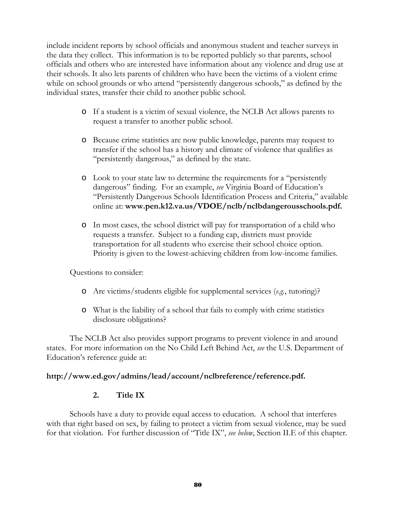include incident reports by school officials and anonymous student and teacher surveys in the data they collect. This information is to be reported publicly so that parents, school officials and others who are interested have information about any violence and drug use at their schools. It also lets parents of children who have been the victims of a violent crime while on school grounds or who attend "persistently dangerous schools," as defined by the individual states, transfer their child to another public school.

- o If a student is a victim of sexual violence, the NCLB Act allows parents to request a transfer to another public school.
- o Because crime statistics are now public knowledge, parents may request to transfer if the school has a history and climate of violence that qualifies as "persistently dangerous," as defined by the state.
- o Look to your state law to determine the requirements for a "persistently dangerous" finding. For an example, *see* Virginia Board of Education's "Persistently Dangerous Schools Identification Process and Criteria," available online at: **www.pen.k12.va.us/VDOE/nclb/nclbdangerousschools.pdf.**
- o In most cases, the school district will pay for transportation of a child who requests a transfer. Subject to a funding cap, districts must provide transportation for all students who exercise their school choice option. Priority is given to the lowest-achieving children from low-income families.

Questions to consider:

- o Are victims/students eligible for supplemental services (*e.g.*, tutoring)?
- o What is the liability of a school that fails to comply with crime statistics disclosure obligations?

The NCLB Act also provides support programs to prevent violence in and around states. For more information on the No Child Left Behind Act, *see* the U.S. Department of Education's reference guide at:

### **http://www.ed.gov/admins/lead/account/nclbreference/reference.pdf.**

### **2. Title IX**

Schools have a duty to provide equal access to education. A school that interferes with that right based on sex, by failing to protect a victim from sexual violence, may be sued for that violation. For further discussion of "Title IX", *see below*, Section II.E of this chapter.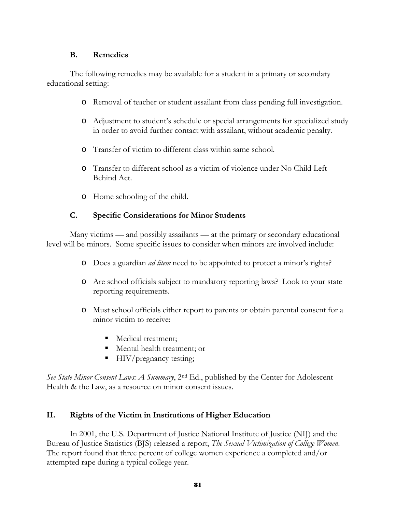### **B. Remedies**

The following remedies may be available for a student in a primary or secondary educational setting:

- o Removal of teacher or student assailant from class pending full investigation.
- o Adjustment to student's schedule or special arrangements for specialized study in order to avoid further contact with assailant, without academic penalty.
- o Transfer of victim to different class within same school.
- o Transfer to different school as a victim of violence under No Child Left Behind Act.
- o Home schooling of the child.

# **C. Specific Considerations for Minor Students**

 Many victims — and possibly assailants — at the primary or secondary educational level will be minors. Some specific issues to consider when minors are involved include:

- o Does a guardian *ad litem* need to be appointed to protect a minor's rights?
- o Are school officials subject to mandatory reporting laws? Look to your state reporting requirements.
- o Must school officials either report to parents or obtain parental consent for a minor victim to receive:
	- Medical treatment:
	- Mental health treatment; or
	- **HIV/pregnancy testing;**

*See State Minor Consent Laws: A Summary*, 2nd Ed., published by the Center for Adolescent Health & the Law, as a resource on minor consent issues.

# **II. Rights of the Victim in Institutions of Higher Education**

In 2001, the U.S. Department of Justice National Institute of Justice (NIJ) and the Bureau of Justice Statistics (BJS) released a report, *The Sexual Victimization of College Women*. The report found that three percent of college women experience a completed and/or attempted rape during a typical college year.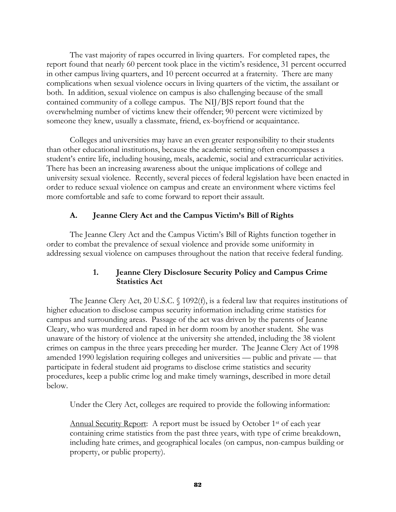The vast majority of rapes occurred in living quarters. For completed rapes, the report found that nearly 60 percent took place in the victim's residence, 31 percent occurred in other campus living quarters, and 10 percent occurred at a fraternity. There are many complications when sexual violence occurs in living quarters of the victim, the assailant or both. In addition, sexual violence on campus is also challenging because of the small contained community of a college campus. The NIJ/BJS report found that the overwhelming number of victims knew their offender; 90 percent were victimized by someone they knew, usually a classmate, friend, ex-boyfriend or acquaintance.

Colleges and universities may have an even greater responsibility to their students than other educational institutions, because the academic setting often encompasses a student's entire life, including housing, meals, academic, social and extracurricular activities. There has been an increasing awareness about the unique implications of college and university sexual violence. Recently, several pieces of federal legislation have been enacted in order to reduce sexual violence on campus and create an environment where victims feel more comfortable and safe to come forward to report their assault.

## **A. Jeanne Clery Act and the Campus Victim's Bill of Rights**

The Jeanne Clery Act and the Campus Victim's Bill of Rights function together in order to combat the prevalence of sexual violence and provide some uniformity in addressing sexual violence on campuses throughout the nation that receive federal funding.

## **1. Jeanne Clery Disclosure Security Policy and Campus Crime Statistics Act**

The Jeanne Clery Act, 20 U.S.C. § 1092(f), is a federal law that requires institutions of higher education to disclose campus security information including crime statistics for campus and surrounding areas. Passage of the act was driven by the parents of Jeanne Cleary, who was murdered and raped in her dorm room by another student. She was unaware of the history of violence at the university she attended, including the 38 violent crimes on campus in the three years preceding her murder. The Jeanne Clery Act of 1998 amended 1990 legislation requiring colleges and universities — public and private — that participate in federal student aid programs to disclose crime statistics and security procedures, keep a public crime log and make timely warnings, described in more detail below.

Under the Clery Act, colleges are required to provide the following information:

Annual Security Report: A report must be issued by October 1<sup>st</sup> of each year containing crime statistics from the past three years, with type of crime breakdown, including hate crimes, and geographical locales (on campus, non-campus building or property, or public property).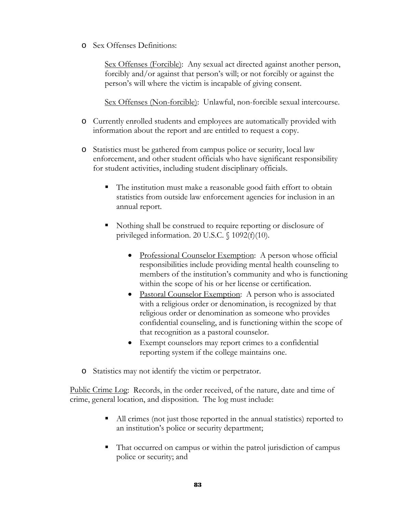o Sex Offenses Definitions:

Sex Offenses (Forcible): Any sexual act directed against another person, forcibly and/or against that person's will; or not forcibly or against the person's will where the victim is incapable of giving consent.

Sex Offenses (Non-forcible): Unlawful, non-forcible sexual intercourse.

- o Currently enrolled students and employees are automatically provided with information about the report and are entitled to request a copy.
- o Statistics must be gathered from campus police or security, local law enforcement, and other student officials who have significant responsibility for student activities, including student disciplinary officials.
	- The institution must make a reasonable good faith effort to obtain statistics from outside law enforcement agencies for inclusion in an annual report.
	- Nothing shall be construed to require reporting or disclosure of privileged information. 20 U.S.C. § 1092(f)(10).
		- Professional Counselor Exemption: A person whose official responsibilities include providing mental health counseling to members of the institution's community and who is functioning within the scope of his or her license or certification.
		- Pastoral Counselor Exemption: A person who is associated with a religious order or denomination, is recognized by that religious order or denomination as someone who provides confidential counseling, and is functioning within the scope of that recognition as a pastoral counselor.
		- Exempt counselors may report crimes to a confidential reporting system if the college maintains one.
- o Statistics may not identify the victim or perpetrator.

Public Crime Log: Records, in the order received, of the nature, date and time of crime, general location, and disposition. The log must include:

- All crimes (not just those reported in the annual statistics) reported to an institution's police or security department;
- That occurred on campus or within the patrol jurisdiction of campus police or security; and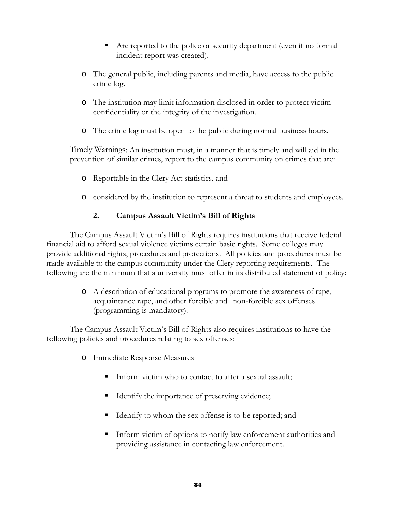- Are reported to the police or security department (even if no formal incident report was created).
- o The general public, including parents and media, have access to the public crime log.
- o The institution may limit information disclosed in order to protect victim confidentiality or the integrity of the investigation.
- o The crime log must be open to the public during normal business hours.

Timely Warnings: An institution must, in a manner that is timely and will aid in the prevention of similar crimes, report to the campus community on crimes that are:

- o Reportable in the Clery Act statistics, and
- o considered by the institution to represent a threat to students and employees.

# **2. Campus Assault Victim's Bill of Rights**

 The Campus Assault Victim's Bill of Rights requires institutions that receive federal financial aid to afford sexual violence victims certain basic rights. Some colleges may provide additional rights, procedures and protections. All policies and procedures must be made available to the campus community under the Clery reporting requirements. The following are the minimum that a university must offer in its distributed statement of policy:

> o A description of educational programs to promote the awareness of rape, acquaintance rape, and other forcible and non-forcible sex offenses (programming is mandatory).

 The Campus Assault Victim's Bill of Rights also requires institutions to have the following policies and procedures relating to sex offenses:

- o Immediate Response Measures
	- Inform victim who to contact to after a sexual assault;
	- Identify the importance of preserving evidence;
	- Identify to whom the sex offense is to be reported; and
	- Inform victim of options to notify law enforcement authorities and providing assistance in contacting law enforcement.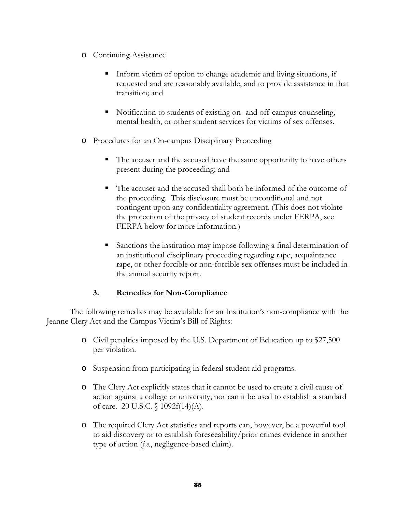- o Continuing Assistance
	- Inform victim of option to change academic and living situations, if requested and are reasonably available, and to provide assistance in that transition; and
	- Notification to students of existing on- and off-campus counseling, mental health, or other student services for victims of sex offenses.
- o Procedures for an On-campus Disciplinary Proceeding
	- The accuser and the accused have the same opportunity to have others present during the proceeding; and
	- The accuser and the accused shall both be informed of the outcome of the proceeding. This disclosure must be unconditional and not contingent upon any confidentiality agreement. (This does not violate the protection of the privacy of student records under FERPA, see FERPA below for more information.)
	- Sanctions the institution may impose following a final determination of an institutional disciplinary proceeding regarding rape, acquaintance rape, or other forcible or non-forcible sex offenses must be included in the annual security report.

# **3. Remedies for Non-Compliance**

The following remedies may be available for an Institution's non-compliance with the Jeanne Clery Act and the Campus Victim's Bill of Rights:

- o Civil penalties imposed by the U.S. Department of Education up to \$27,500 per violation.
- o Suspension from participating in federal student aid programs.
- o The Clery Act explicitly states that it cannot be used to create a civil cause of action against a college or university; nor can it be used to establish a standard of care. 20 U.S.C. § 1092f(14)(A).
- o The required Clery Act statistics and reports can, however, be a powerful tool to aid discovery or to establish foreseeability/prior crimes evidence in another type of action (*i.e*., negligence-based claim).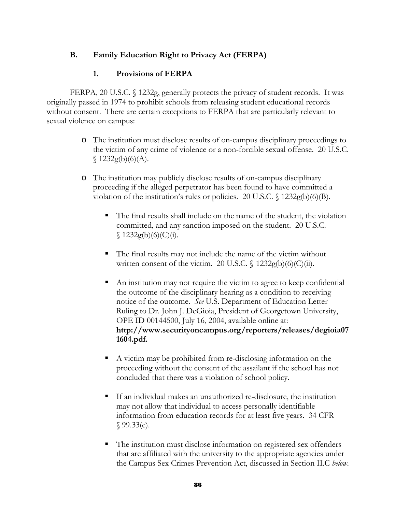# **B. Family Education Right to Privacy Act (FERPA)**

# **1. Provisions of FERPA**

FERPA, 20 U.S.C. § 1232g, generally protects the privacy of student records. It was originally passed in 1974 to prohibit schools from releasing student educational records without consent. There are certain exceptions to FERPA that are particularly relevant to sexual violence on campus:

- o The institution must disclose results of on-campus disciplinary proceedings to the victim of any crime of violence or a non-forcible sexual offense. 20 U.S.C.  $$1232g(b)(6)(A).$
- o The institution may publicly disclose results of on-campus disciplinary proceeding if the alleged perpetrator has been found to have committed a violation of the institution's rules or policies. 20 U.S.C.  $\frac{1232g(b)(6)}{B}$ .
	- The final results shall include on the name of the student, the violation committed, and any sanction imposed on the student. 20 U.S.C.  $$1232g(b)(6)(C)(i).$
	- The final results may not include the name of the victim without written consent of the victim. 20 U.S.C.  $\int$  1232g(b)(6)(C)(ii).
	- An institution may not require the victim to agree to keep confidential the outcome of the disciplinary hearing as a condition to receiving notice of the outcome. *See* U.S. Department of Education Letter Ruling to Dr. John J. DeGioia, President of Georgetown University, OPE ID 00144500, July 16, 2004, available online at: **http://www.securityoncampus.org/reporters/releases/degioia07 1604.pdf.**
	- A victim may be prohibited from re-disclosing information on the proceeding without the consent of the assailant if the school has not concluded that there was a violation of school policy.
	- If an individual makes an unauthorized re-disclosure, the institution may not allow that individual to access personally identifiable information from education records for at least five years. 34 CFR  $$99.33(e).$
	- The institution must disclose information on registered sex offenders that are affiliated with the university to the appropriate agencies under the Campus Sex Crimes Prevention Act, discussed in Section II.C *below*.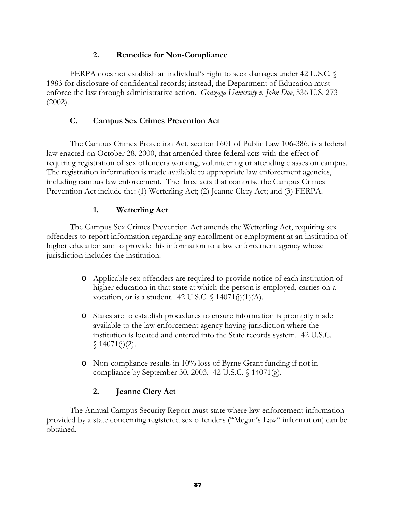# **2. Remedies for Non-Compliance**

 FERPA does not establish an individual's right to seek damages under 42 U.S.C. § 1983 for disclosure of confidential records; instead, the Department of Education must enforce the law through administrative action. *Gonzaga University v. John Doe*, 536 U.S. 273 (2002).

# **C. Campus Sex Crimes Prevention Act**

The Campus Crimes Protection Act, section 1601 of Public Law 106-386, is a federal law enacted on October 28, 2000, that amended three federal acts with the effect of requiring registration of sex offenders working, volunteering or attending classes on campus. The registration information is made available to appropriate law enforcement agencies, including campus law enforcement. The three acts that comprise the Campus Crimes Prevention Act include the: (1) Wetterling Act; (2) Jeanne Clery Act; and (3) FERPA.

# **1. Wetterling Act**

The Campus Sex Crimes Prevention Act amends the Wetterling Act, requiring sex offenders to report information regarding any enrollment or employment at an institution of higher education and to provide this information to a law enforcement agency whose jurisdiction includes the institution.

- o Applicable sex offenders are required to provide notice of each institution of higher education in that state at which the person is employed, carries on a vocation, or is a student. 42 U.S.C.  $\int 14071(j)(1)(A)$ .
- o States are to establish procedures to ensure information is promptly made available to the law enforcement agency having jurisdiction where the institution is located and entered into the State records system. 42 U.S.C.  $$14071(j)(2).$
- o Non-compliance results in 10% loss of Byrne Grant funding if not in compliance by September 30, 2003. 42 U.S.C. § 14071(g).

# **2. Jeanne Clery Act**

The Annual Campus Security Report must state where law enforcement information provided by a state concerning registered sex offenders ("Megan's Law" information) can be obtained.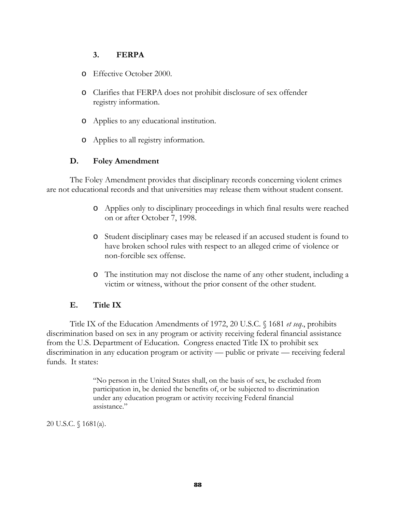# **3. FERPA**

- o Effective October 2000.
- o Clarifies that FERPA does not prohibit disclosure of sex offender registry information.
- o Applies to any educational institution.
- o Applies to all registry information.

## **D. Foley Amendment**

The Foley Amendment provides that disciplinary records concerning violent crimes are not educational records and that universities may release them without student consent.

- o Applies only to disciplinary proceedings in which final results were reached on or after October 7, 1998.
- o Student disciplinary cases may be released if an accused student is found to have broken school rules with respect to an alleged crime of violence or non-forcible sex offense.
- o The institution may not disclose the name of any other student, including a victim or witness, without the prior consent of the other student.

# **E. Title IX**

Title IX of the Education Amendments of 1972, 20 U.S.C. § 1681 *et seq*., prohibits discrimination based on sex in any program or activity receiving federal financial assistance from the U.S. Department of Education. Congress enacted Title IX to prohibit sex discrimination in any education program or activity — public or private — receiving federal funds. It states:

> "No person in the United States shall, on the basis of sex, be excluded from participation in, be denied the benefits of, or be subjected to discrimination under any education program or activity receiving Federal financial assistance."

20 U.S.C. § 1681(a).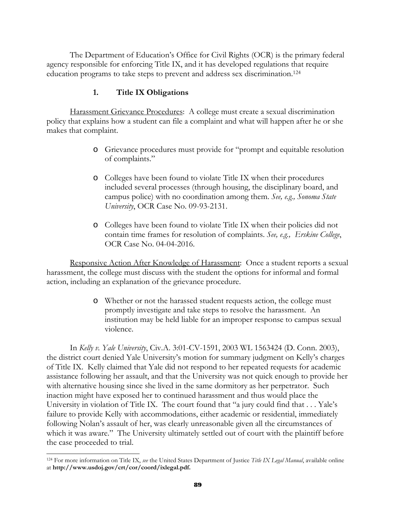The Department of Education's Office for Civil Rights (OCR) is the primary federal agency responsible for enforcing Title IX, and it has developed regulations that require education programs to take steps to prevent and address sex discrimination.124

#### **1. Title IX Obligations**

 Harassment Grievance Procedures: A college must create a sexual discrimination policy that explains how a student can file a complaint and what will happen after he or she makes that complaint.

- o Grievance procedures must provide for "prompt and equitable resolution of complaints."
- o Colleges have been found to violate Title IX when their procedures included several processes (through housing, the disciplinary board, and campus police) with no coordination among them. *See, e.g., Sonoma State University*, OCR Case No. 09-93-2131.
- o Colleges have been found to violate Title IX when their policies did not contain time frames for resolution of complaints. *See, e.g., Erskine College*, OCR Case No. 04-04-2016.

 Responsive Action After Knowledge of Harassment: Once a student reports a sexual harassment, the college must discuss with the student the options for informal and formal action, including an explanation of the grievance procedure.

> o Whether or not the harassed student requests action, the college must promptly investigate and take steps to resolve the harassment. An institution may be held liable for an improper response to campus sexual violence.

In *Kelly v. Yale University*, Civ.A. 3:01-CV-1591, 2003 WL 1563424 (D. Conn. 2003), the district court denied Yale University's motion for summary judgment on Kelly's charges of Title IX. Kelly claimed that Yale did not respond to her repeated requests for academic assistance following her assault, and that the University was not quick enough to provide her with alternative housing since she lived in the same dormitory as her perpetrator. Such inaction might have exposed her to continued harassment and thus would place the University in violation of Title IX. The court found that "a jury could find that . . . Yale's failure to provide Kelly with accommodations, either academic or residential, immediately following Nolan's assault of her, was clearly unreasonable given all the circumstances of which it was aware." The University ultimately settled out of court with the plaintiff before the case proceeded to trial.

l 124 For more information on Title IX, *see* the United States Department of Justice *Title IX Legal Manual*, available online at **http://www.usdoj.gov/crt/cor/coord/ixlegal.pdf.**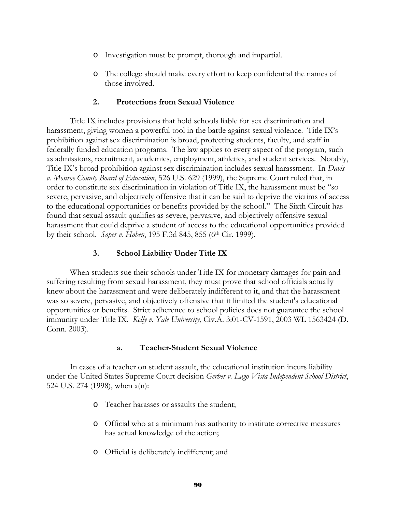- o Investigation must be prompt, thorough and impartial.
- o The college should make every effort to keep confidential the names of those involved.

#### **2. Protections from Sexual Violence**

Title IX includes provisions that hold schools liable for sex discrimination and harassment, giving women a powerful tool in the battle against sexual violence. Title IX's prohibition against sex discrimination is broad, protecting students, faculty, and staff in federally funded education programs. The law applies to every aspect of the program, such as admissions, recruitment, academics, employment, athletics, and student services. Notably, Title IX's broad prohibition against sex discrimination includes sexual harassment. In *Davis v. Monroe County Board of Education*, 526 U.S. 629 (1999), the Supreme Court ruled that, in order to constitute sex discrimination in violation of Title IX, the harassment must be "so severe, pervasive, and objectively offensive that it can be said to deprive the victims of access to the educational opportunities or benefits provided by the school." The Sixth Circuit has found that sexual assault qualifies as severe, pervasive, and objectively offensive sexual harassment that could deprive a student of access to the educational opportunities provided by their school. *Soper v. Hoben*, 195 F.3d 845, 855 (6th Cir. 1999).

#### **3. School Liability Under Title IX**

When students sue their schools under Title IX for monetary damages for pain and suffering resulting from sexual harassment, they must prove that school officials actually knew about the harassment and were deliberately indifferent to it, and that the harassment was so severe, pervasive, and objectively offensive that it limited the student's educational opportunities or benefits. Strict adherence to school policies does not guarantee the school immunity under Title IX. *Kelly v. Yale University*, Civ.A. 3:01-CV-1591, 2003 WL 1563424 (D. Conn. 2003).

#### **a. Teacher-Student Sexual Violence**

In cases of a teacher on student assault, the educational institution incurs liability under the United States Supreme Court decision *Gerber v. Lago Vista Independent School District*, 524 U.S. 274 (1998), when a(n):

- o Teacher harasses or assaults the student;
- o Official who at a minimum has authority to institute corrective measures has actual knowledge of the action;
- o Official is deliberately indifferent; and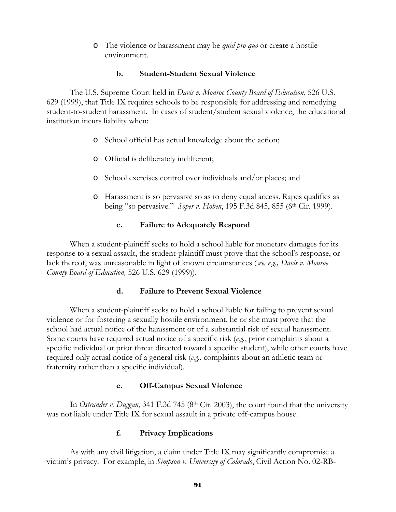o The violence or harassment may be *quid pro quo* or create a hostile environment.

### **b. Student-Student Sexual Violence**

The U.S. Supreme Court held in *Davis v. Monroe County Board of Education*, 526 U.S. 629 (1999), that Title IX requires schools to be responsible for addressing and remedying student-to-student harassment. In cases of student/student sexual violence, the educational institution incurs liability when:

- o School official has actual knowledge about the action;
- o Official is deliberately indifferent;
- o School exercises control over individuals and/or places; and
- o Harassment is so pervasive so as to deny equal access. Rapes qualifies as being "so pervasive." *Soper v. Hoben*, 195 F.3d 845, 855 (6<sup>th</sup> Cir. 1999).

### **c. Failure to Adequately Respond**

When a student-plaintiff seeks to hold a school liable for monetary damages for its response to a sexual assault, the student-plaintiff must prove that the school's response, or lack thereof, was unreasonable in light of known circumstances (*see, e.g., Davis v. Monroe County Board of Education,* 526 U.S. 629 (1999)).

# **d. Failure to Prevent Sexual Violence**

When a student-plaintiff seeks to hold a school liable for failing to prevent sexual violence or for fostering a sexually hostile environment, he or she must prove that the school had actual notice of the harassment or of a substantial risk of sexual harassment. Some courts have required actual notice of a specific risk (*e.g.*, prior complaints about a specific individual or prior threat directed toward a specific student), while other courts have required only actual notice of a general risk (*e.g.*, complaints about an athletic team or fraternity rather than a specific individual).

# **e. Off-Campus Sexual Violence**

In *Ostrander v. Duggan*, 341 F.3d 745 (8<sup>th</sup> Cir. 2003), the court found that the university was not liable under Title IX for sexual assault in a private off-campus house.

# **f. Privacy Implications**

As with any civil litigation, a claim under Title IX may significantly compromise a victim's privacy. For example, in *Simpson v. University of Colorado*, Civil Action No. 02-RB-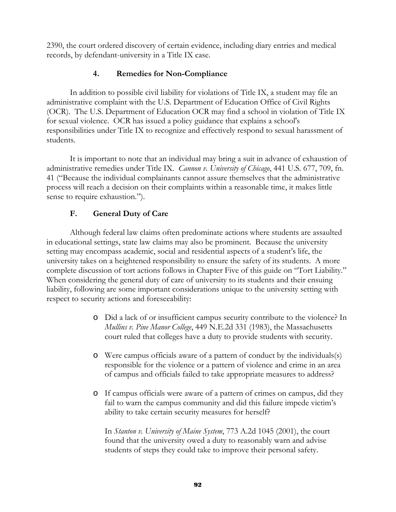2390, the court ordered discovery of certain evidence, including diary entries and medical records, by defendant-university in a Title IX case.

# **4. Remedies for Non-Compliance**

In addition to possible civil liability for violations of Title IX, a student may file an administrative complaint with the U.S. Department of Education Office of Civil Rights (OCR). The U.S. Department of Education OCR may find a school in violation of Title IX for sexual violence. OCR has issued a policy guidance that explains a school's responsibilities under Title IX to recognize and effectively respond to sexual harassment of students.

It is important to note that an individual may bring a suit in advance of exhaustion of administrative remedies under Title IX. *Cannon v. University of Chicago*, 441 U.S. 677, 709, fn. 41 ("Because the individual complainants cannot assure themselves that the administrative process will reach a decision on their complaints within a reasonable time, it makes little sense to require exhaustion.").

# **F. General Duty of Care**

Although federal law claims often predominate actions where students are assaulted in educational settings, state law claims may also be prominent. Because the university setting may encompass academic, social and residential aspects of a student's life, the university takes on a heightened responsibility to ensure the safety of its students. A more complete discussion of tort actions follows in Chapter Five of this guide on "Tort Liability." When considering the general duty of care of university to its students and their ensuing liability, following are some important considerations unique to the university setting with respect to security actions and foreseeability:

- o Did a lack of or insufficient campus security contribute to the violence? In *Mullins v. Pine Manor College*, 449 N.E.2d 331 (1983), the Massachusetts court ruled that colleges have a duty to provide students with security.
- o Were campus officials aware of a pattern of conduct by the individuals(s) responsible for the violence or a pattern of violence and crime in an area of campus and officials failed to take appropriate measures to address?
- o If campus officials were aware of a pattern of crimes on campus, did they fail to warn the campus community and did this failure impede victim's ability to take certain security measures for herself?

In *Stanton v. University of Maine System*, 773 A.2d 1045 (2001), the court found that the university owed a duty to reasonably warn and advise students of steps they could take to improve their personal safety.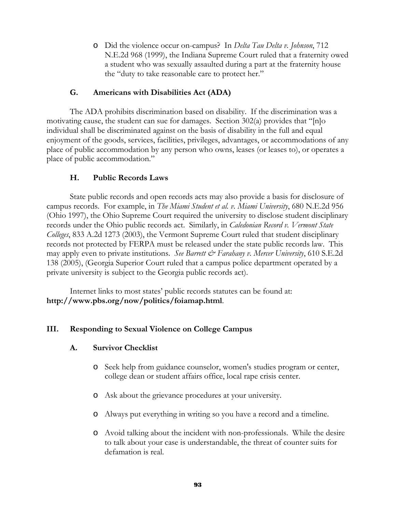o Did the violence occur on-campus? In *Delta Tau Delta v. Johnson*, 712 N.E.2d 968 (1999), the Indiana Supreme Court ruled that a fraternity owed a student who was sexually assaulted during a part at the fraternity house the "duty to take reasonable care to protect her."

# **G. Americans with Disabilities Act (ADA)**

The ADA prohibits discrimination based on disability. If the discrimination was a motivating cause, the student can sue for damages. Section 302(a) provides that "[n]o individual shall be discriminated against on the basis of disability in the full and equal enjoyment of the goods, services, facilities, privileges, advantages, or accommodations of any place of public accommodation by any person who owns, leases (or leases to), or operates a place of public accommodation."

# **H. Public Records Laws**

State public records and open records acts may also provide a basis for disclosure of campus records. For example, in *The Miami Student et al. v. Miami University*, 680 N.E.2d 956 (Ohio 1997), the Ohio Supreme Court required the university to disclose student disciplinary records under the Ohio public records act. Similarly, in *Caledonian Record v. Vermont State Colleges*, 833 A.2d 1273 (2003), the Vermont Supreme Court ruled that student disciplinary records not protected by FERPA must be released under the state public records law. This may apply even to private institutions. *See Barrett & Farahany v. Mercer University*, 610 S.E.2d 138 (2005), (Georgia Superior Court ruled that a campus police department operated by a private university is subject to the Georgia public records act).

Internet links to most states' public records statutes can be found at: **http://www.pbs.org/now/politics/foiamap.html**.

# **III. Responding to Sexual Violence on College Campus**

# **A. Survivor Checklist**

- o Seek help from guidance counselor, women's studies program or center, college dean or student affairs office, local rape crisis center.
- o Ask about the grievance procedures at your university.
- o Always put everything in writing so you have a record and a timeline.
- o Avoid talking about the incident with non-professionals. While the desire to talk about your case is understandable, the threat of counter suits for defamation is real.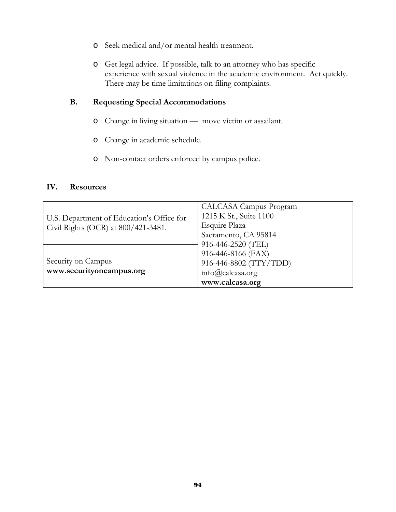- o Seek medical and/or mental health treatment.
- o Get legal advice. If possible, talk to an attorney who has specific experience with sexual violence in the academic environment. Act quickly. There may be time limitations on filing complaints.

## **B. Requesting Special Accommodations**

- o Change in living situation move victim or assailant.
- o Change in academic schedule.
- o Non-contact orders enforced by campus police.

#### **IV. Resources**

|                                                                                  | CALCASA Campus Program |  |
|----------------------------------------------------------------------------------|------------------------|--|
| U.S. Department of Education's Office for<br>Civil Rights (OCR) at 800/421-3481. | 1215 K St., Suite 1100 |  |
|                                                                                  | Esquire Plaza          |  |
|                                                                                  | Sacramento, CA 95814   |  |
|                                                                                  | 916-446-2520 (TEL)     |  |
|                                                                                  | 916-446-8166 (FAX)     |  |
| Security on Campus<br>www.securityoncampus.org                                   | 916-446-8802 (TTY/TDD) |  |
|                                                                                  | $info@cal$ calcasa.org |  |
|                                                                                  | www.calcasa.org        |  |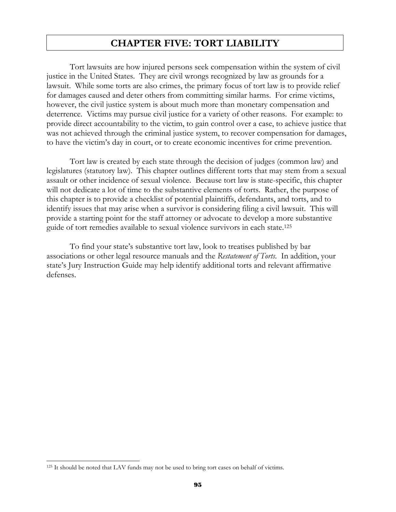# **CHAPTER FIVE: TORT LIABILITY**

 Tort lawsuits are how injured persons seek compensation within the system of civil justice in the United States. They are civil wrongs recognized by law as grounds for a lawsuit. While some torts are also crimes, the primary focus of tort law is to provide relief for damages caused and deter others from committing similar harms. For crime victims, however, the civil justice system is about much more than monetary compensation and deterrence. Victims may pursue civil justice for a variety of other reasons. For example: to provide direct accountability to the victim, to gain control over a case, to achieve justice that was not achieved through the criminal justice system, to recover compensation for damages, to have the victim's day in court, or to create economic incentives for crime prevention.

Tort law is created by each state through the decision of judges (common law) and legislatures (statutory law). This chapter outlines different torts that may stem from a sexual assault or other incidence of sexual violence. Because tort law is state-specific, this chapter will not dedicate a lot of time to the substantive elements of torts. Rather, the purpose of this chapter is to provide a checklist of potential plaintiffs, defendants, and torts, and to identify issues that may arise when a survivor is considering filing a civil lawsuit. This will provide a starting point for the staff attorney or advocate to develop a more substantive guide of tort remedies available to sexual violence survivors in each state.125

To find your state's substantive tort law, look to treatises published by bar associations or other legal resource manuals and the *Restatement of Torts*. In addition, your state's Jury Instruction Guide may help identify additional torts and relevant affirmative defenses.

 $\overline{a}$ 

<sup>&</sup>lt;sup>125</sup> It should be noted that LAV funds may not be used to bring tort cases on behalf of victims.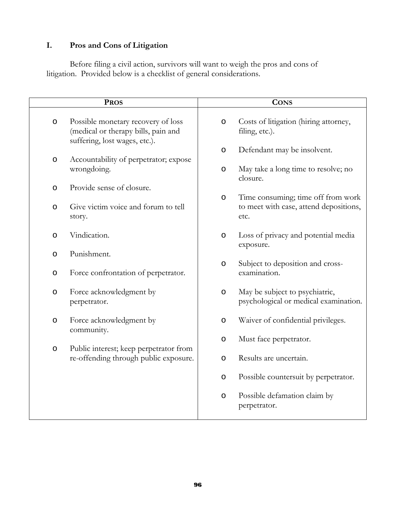# **I. Pros and Cons of Litigation**

Before filing a civil action, survivors will want to weigh the pros and cons of litigation. Provided below is a checklist of general considerations.

| <b>PROS</b> |                                                                                                            | <b>CONS</b> |                                                                         |
|-------------|------------------------------------------------------------------------------------------------------------|-------------|-------------------------------------------------------------------------|
| $\circ$     | Possible monetary recovery of loss<br>(medical or therapy bills, pain and<br>suffering, lost wages, etc.). | $\circ$     | Costs of litigation (hiring attorney,<br>filing, etc.).                 |
| O           | Accountability of perpetrator; expose                                                                      | O           | Defendant may be insolvent.                                             |
|             | wrongdoing.                                                                                                | O           | May take a long time to resolve; no<br>closure.                         |
| O           | Provide sense of closure.                                                                                  | O           | Time consuming; time off from work                                      |
| O           | Give victim voice and forum to tell<br>story.                                                              |             | to meet with case, attend depositions,<br>etc.                          |
| $\circ$     | Vindication.                                                                                               | $\circ$     | Loss of privacy and potential media<br>exposure.                        |
| O           | Punishment.                                                                                                | $\circ$     | Subject to deposition and cross-                                        |
| O           | Force confrontation of perpetrator.                                                                        |             | examination.                                                            |
| O           | Force acknowledgment by<br>perpetrator.                                                                    | O           | May be subject to psychiatric,<br>psychological or medical examination. |
| O           | Force acknowledgment by<br>community.                                                                      | O           | Waiver of confidential privileges.                                      |
| $\circ$     | Public interest; keep perpetrator from                                                                     | O           | Must face perpetrator.                                                  |
|             | re-offending through public exposure.                                                                      | $\circ$     | Results are uncertain.                                                  |
|             |                                                                                                            | $\circ$     | Possible countersuit by perpetrator.                                    |
|             |                                                                                                            | O           | Possible defamation claim by<br>perpetrator.                            |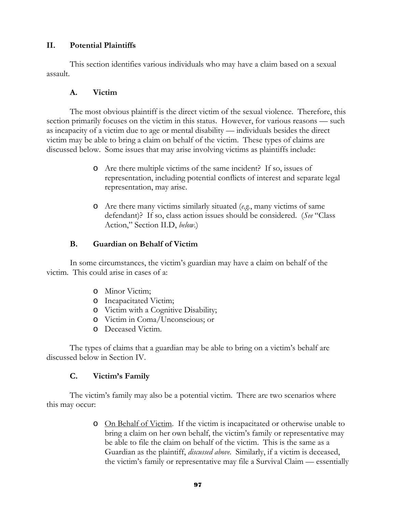### **II. Potential Plaintiffs**

 This section identifies various individuals who may have a claim based on a sexual assault.

### **A. Victim**

The most obvious plaintiff is the direct victim of the sexual violence. Therefore, this section primarily focuses on the victim in this status. However, for various reasons — such as incapacity of a victim due to age or mental disability — individuals besides the direct victim may be able to bring a claim on behalf of the victim. These types of claims are discussed below. Some issues that may arise involving victims as plaintiffs include:

- o Are there multiple victims of the same incident? If so, issues of representation, including potential conflicts of interest and separate legal representation, may arise.
- o Are there many victims similarly situated (*e.g.*, many victims of same defendant)? If so, class action issues should be considered. (*See* "Class Action," Section II.D, *below*.)

# **B. Guardian on Behalf of Victim**

In some circumstances, the victim's guardian may have a claim on behalf of the victim. This could arise in cases of a:

- o Minor Victim;
- o Incapacitated Victim;
- o Victim with a Cognitive Disability;
- o Victim in Coma/Unconscious; or
- o Deceased Victim.

The types of claims that a guardian may be able to bring on a victim's behalf are discussed below in Section IV.

# **C. Victim's Family**

The victim's family may also be a potential victim. There are two scenarios where this may occur:

> o On Behalf of Victim. If the victim is incapacitated or otherwise unable to bring a claim on her own behalf, the victim's family or representative may be able to file the claim on behalf of the victim. This is the same as a Guardian as the plaintiff, *discussed above*. Similarly, if a victim is deceased, the victim's family or representative may file a Survival Claim — essentially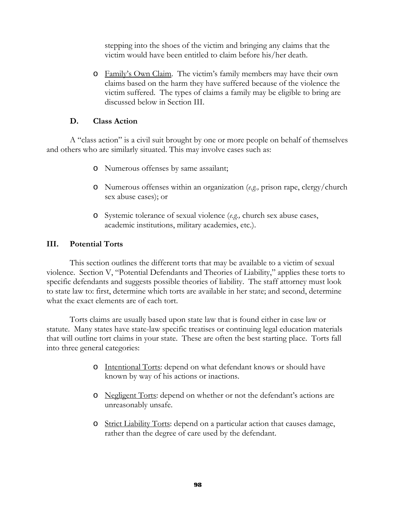stepping into the shoes of the victim and bringing any claims that the victim would have been entitled to claim before his/her death.

o Family's Own Claim. The victim's family members may have their own claims based on the harm they have suffered because of the violence the victim suffered. The types of claims a family may be eligible to bring are discussed below in Section III.

# **D. Class Action**

A "class action" is a civil suit brought by one or more people on behalf of themselves and others who are similarly situated. This may involve cases such as:

- o Numerous offenses by same assailant;
- o Numerous offenses within an organization (*e.g.,* prison rape, clergy/church sex abuse cases); or
- o Systemic tolerance of sexual violence (*e.g.,* church sex abuse cases, academic institutions, military academies, etc.).

## **III. Potential Torts**

 This section outlines the different torts that may be available to a victim of sexual violence. Section V, "Potential Defendants and Theories of Liability," applies these torts to specific defendants and suggests possible theories of liability. The staff attorney must look to state law to: first, determine which torts are available in her state; and second, determine what the exact elements are of each tort.

Torts claims are usually based upon state law that is found either in case law or statute. Many states have state-law specific treatises or continuing legal education materials that will outline tort claims in your state. These are often the best starting place. Torts fall into three general categories:

- o Intentional Torts: depend on what defendant knows or should have known by way of his actions or inactions.
- o Negligent Torts: depend on whether or not the defendant's actions are unreasonably unsafe.
- o Strict Liability Torts: depend on a particular action that causes damage, rather than the degree of care used by the defendant.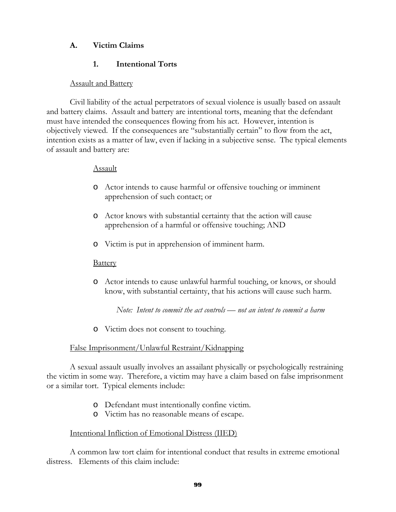# **A. Victim Claims**

# **1. Intentional Torts**

# **Assault and Battery**

Civil liability of the actual perpetrators of sexual violence is usually based on assault and battery claims. Assault and battery are intentional torts, meaning that the defendant must have intended the consequences flowing from his act. However, intention is objectively viewed. If the consequences are "substantially certain" to flow from the act, intention exists as a matter of law, even if lacking in a subjective sense. The typical elements of assault and battery are:

### Assault

- o Actor intends to cause harmful or offensive touching or imminent apprehension of such contact; or
- o Actor knows with substantial certainty that the action will cause apprehension of a harmful or offensive touching; AND
- o Victim is put in apprehension of imminent harm.

# **Battery**

o Actor intends to cause unlawful harmful touching, or knows, or should know, with substantial certainty, that his actions will cause such harm.

*Note: Intent to commit the act controls — not an intent to commit a harm*

o Victim does not consent to touching.

### False Imprisonment/Unlawful Restraint/Kidnapping

A sexual assault usually involves an assailant physically or psychologically restraining the victim in some way. Therefore, a victim may have a claim based on false imprisonment or a similar tort. Typical elements include:

- o Defendant must intentionally confine victim.
- o Victim has no reasonable means of escape.

### Intentional Infliction of Emotional Distress (IIED)

A common law tort claim for intentional conduct that results in extreme emotional distress. Elements of this claim include: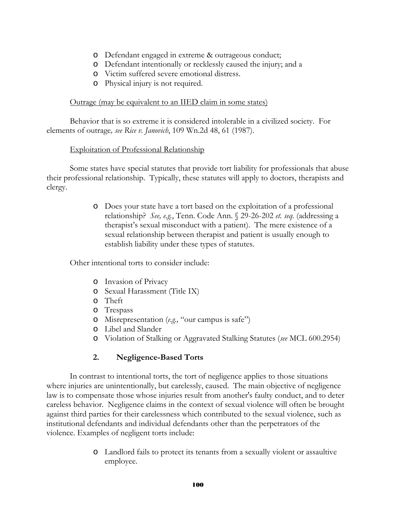- o Defendant engaged in extreme & outrageous conduct;
- o Defendant intentionally or recklessly caused the injury; and a
- o Victim suffered severe emotional distress.
- o Physical injury is not required.

### Outrage (may be equivalent to an IIED claim in some states)

Behavior that is so extreme it is considered intolerable in a civilized society. For elements of outrage*, see Rice v. Janovich*, 109 Wn.2d 48, 61 (1987).

## Exploitation of Professional Relationship

 Some states have special statutes that provide tort liability for professionals that abuse their professional relationship. Typically, these statutes will apply to doctors, therapists and clergy.

> o Does your state have a tort based on the exploitation of a professional relationship? *See, e.g.*, Tenn. Code Ann. § 29-26-202 *et. seq.* (addressing a therapist's sexual misconduct with a patient). The mere existence of a sexual relationship between therapist and patient is usually enough to establish liability under these types of statutes.

Other intentional torts to consider include:

- o Invasion of Privacy
- o Sexual Harassment (Title IX)
- o Theft
- o Trespass
- o Misrepresentation (*e.g.,* "our campus is safe")
- o Libel and Slander
- o Violation of Stalking or Aggravated Stalking Statutes (*see* MCL 600.2954)

# **2. Negligence-Based Torts**

In contrast to intentional torts, the tort of negligence applies to those situations where injuries are unintentionally, but carelessly, caused. The main objective of negligence law is to compensate those whose injuries result from another's faulty conduct, and to deter careless behavior. Negligence claims in the context of sexual violence will often be brought against third parties for their carelessness which contributed to the sexual violence, such as institutional defendants and individual defendants other than the perpetrators of the violence. Examples of negligent torts include:

> o Landlord fails to protect its tenants from a sexually violent or assaultive employee.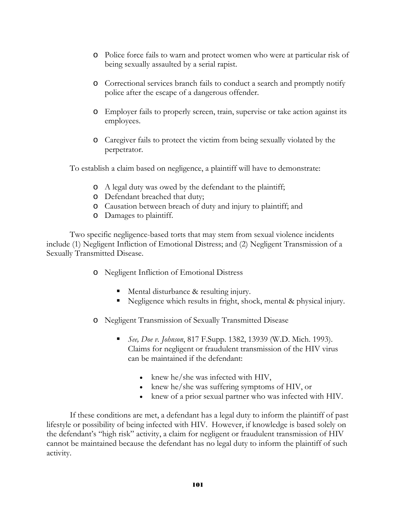- o Police force fails to warn and protect women who were at particular risk of being sexually assaulted by a serial rapist.
- o Correctional services branch fails to conduct a search and promptly notify police after the escape of a dangerous offender.
- o Employer fails to properly screen, train, supervise or take action against its employees.
- o Caregiver fails to protect the victim from being sexually violated by the perpetrator.

To establish a claim based on negligence, a plaintiff will have to demonstrate:

- o A legal duty was owed by the defendant to the plaintiff;
- o Defendant breached that duty;
- o Causation between breach of duty and injury to plaintiff; and
- o Damages to plaintiff.

Two specific negligence-based torts that may stem from sexual violence incidents include (1) Negligent Infliction of Emotional Distress; and (2) Negligent Transmission of a Sexually Transmitted Disease.

- o Negligent Infliction of Emotional Distress
	- **Mental disturbance & resulting injury.**
	- Negligence which results in fright, shock, mental & physical injury.
- o Negligent Transmission of Sexually Transmitted Disease
	- *See, Doe v. Johnson*, 817 F.Supp. 1382, 13939 (W.D. Mich. 1993). Claims for negligent or fraudulent transmission of the HIV virus can be maintained if the defendant:
		- knew he/she was infected with HIV,
		- knew he/she was suffering symptoms of HIV, or
		- knew of a prior sexual partner who was infected with HIV.

If these conditions are met, a defendant has a legal duty to inform the plaintiff of past lifestyle or possibility of being infected with HIV. However, if knowledge is based solely on the defendant's "high risk" activity, a claim for negligent or fraudulent transmission of HIV cannot be maintained because the defendant has no legal duty to inform the plaintiff of such activity.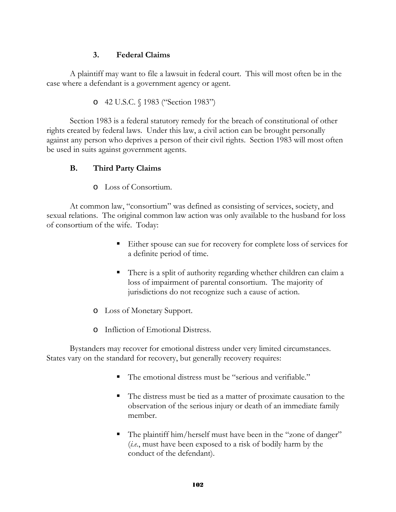# **3. Federal Claims**

A plaintiff may want to file a lawsuit in federal court. This will most often be in the case where a defendant is a government agency or agent.

o 42 U.S.C. § 1983 ("Section 1983")

Section 1983 is a federal statutory remedy for the breach of constitutional of other rights created by federal laws. Under this law, a civil action can be brought personally against any person who deprives a person of their civil rights. Section 1983 will most often be used in suits against government agents.

# **B. Third Party Claims**

o Loss of Consortium.

At common law, "consortium" was defined as consisting of services, society, and sexual relations. The original common law action was only available to the husband for loss of consortium of the wife. Today:

- Either spouse can sue for recovery for complete loss of services for a definite period of time.
- There is a split of authority regarding whether children can claim a loss of impairment of parental consortium. The majority of jurisdictions do not recognize such a cause of action.
- o Loss of Monetary Support.
- o Infliction of Emotional Distress.

Bystanders may recover for emotional distress under very limited circumstances. States vary on the standard for recovery, but generally recovery requires:

- The emotional distress must be "serious and verifiable."
- The distress must be tied as a matter of proximate causation to the observation of the serious injury or death of an immediate family member.
- The plaintiff him/herself must have been in the "zone of danger" (*i.e.*, must have been exposed to a risk of bodily harm by the conduct of the defendant).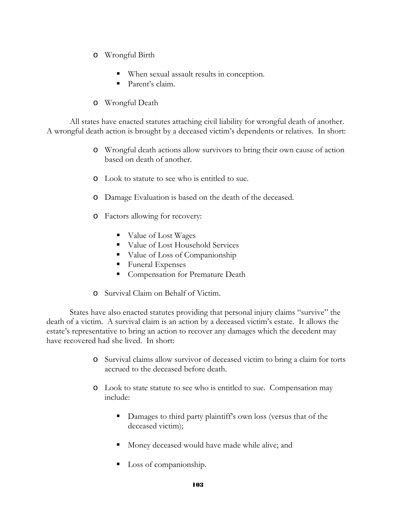- o Wrongful Birth
	- When sexual assault results in conception.
	- Parent's claim.
- o Wrongful Death

All states have enacted statutes attaching civil liability for wrongful death of another. A wrongful death action is brought by a deceased victim's dependents or relatives. In short:

- o Wrongful death actions allow survivors to bring their own cause of action based on death of another.
- o Look to statute to see who is entitled to sue.
- o Damage Evaluation is based on the death of the deceased.
- o Factors allowing for recovery:
	- Value of Lost Wages
	- Value of Lost Household Services
	- Value of Loss of Companionship
	- Funeral Expenses
	- Compensation for Premature Death
- o Survival Claim on Behalf of Victim.

States have also enacted statutes providing that personal injury claims "survive" the death of a victim. A survival claim is an action by a deceased victim's estate. It allows the estate's representative to bring an action to recover any damages which the decedent may have recovered had she lived. In short:

- o Survival claims allow survivor of deceased victim to bring a claim for torts accrued to the deceased before death.
- o Look to state statute to see who is entitled to sue. Compensation may include:
	- Damages to third party plaintiff's own loss (versus that of the deceased victim);
	- Money deceased would have made while alive; and
	- Loss of companionship.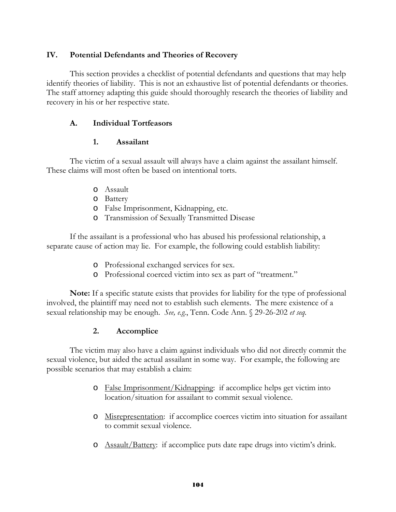# **IV. Potential Defendants and Theories of Recovery**

This section provides a checklist of potential defendants and questions that may help identify theories of liability. This is not an exhaustive list of potential defendants or theories. The staff attorney adapting this guide should thoroughly research the theories of liability and recovery in his or her respective state.

## **A. Individual Tortfeasors**

## **1. Assailant**

The victim of a sexual assault will always have a claim against the assailant himself. These claims will most often be based on intentional torts.

- o Assault
- o Battery
- o False Imprisonment, Kidnapping, etc.
- o Transmission of Sexually Transmitted Disease

If the assailant is a professional who has abused his professional relationship, a separate cause of action may lie. For example, the following could establish liability:

- o Professional exchanged services for sex.
- o Professional coerced victim into sex as part of "treatment."

**Note:** If a specific statute exists that provides for liability for the type of professional involved, the plaintiff may need not to establish such elements. The mere existence of a sexual relationship may be enough. *See, e.g.*, Tenn. Code Ann. § 29-26-202 *et seq.* 

### **2. Accomplice**

The victim may also have a claim against individuals who did not directly commit the sexual violence, but aided the actual assailant in some way. For example, the following are possible scenarios that may establish a claim:

- o False Imprisonment/Kidnapping: if accomplice helps get victim into location/situation for assailant to commit sexual violence.
- o Misrepresentation: if accomplice coerces victim into situation for assailant to commit sexual violence.
- o Assault/Battery: if accomplice puts date rape drugs into victim's drink.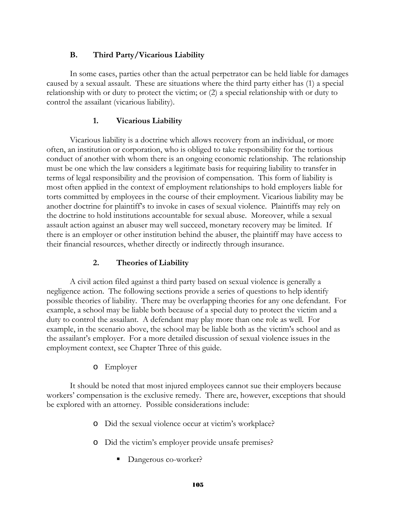# **B. Third Party/Vicarious Liability**

In some cases, parties other than the actual perpetrator can be held liable for damages caused by a sexual assault. These are situations where the third party either has (1) a special relationship with or duty to protect the victim; or (2) a special relationship with or duty to control the assailant (vicarious liability).

# **1. Vicarious Liability**

Vicarious liability is a doctrine which allows recovery from an individual, or more often, an institution or corporation, who is obliged to take responsibility for the tortious conduct of another with whom there is an ongoing economic relationship. The relationship must be one which the law considers a legitimate basis for requiring liability to transfer in terms of legal responsibility and the provision of compensation. This form of liability is most often applied in the context of employment relationships to hold employers liable for torts committed by employees in the course of their employment. Vicarious liability may be another doctrine for plaintiff's to invoke in cases of sexual violence. Plaintiffs may rely on the doctrine to hold institutions accountable for sexual abuse. Moreover, while a sexual assault action against an abuser may well succeed, monetary recovery may be limited. If there is an employer or other institution behind the abuser, the plaintiff may have access to their financial resources, whether directly or indirectly through insurance.

# **2. Theories of Liability**

A civil action filed against a third party based on sexual violence is generally a negligence action. The following sections provide a series of questions to help identify possible theories of liability. There may be overlapping theories for any one defendant. For example, a school may be liable both because of a special duty to protect the victim and a duty to control the assailant. A defendant may play more than one role as well. For example, in the scenario above, the school may be liable both as the victim's school and as the assailant's employer. For a more detailed discussion of sexual violence issues in the employment context, see Chapter Three of this guide.

### o Employer

It should be noted that most injured employees cannot sue their employers because workers' compensation is the exclusive remedy. There are, however, exceptions that should be explored with an attorney. Possible considerations include:

- o Did the sexual violence occur at victim's workplace?
- o Did the victim's employer provide unsafe premises?
	- Dangerous co-worker?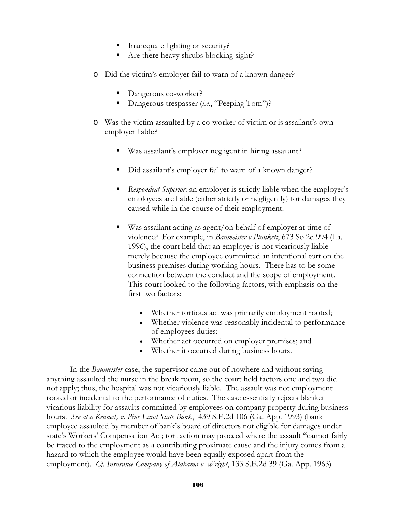- Inadequate lighting or security?
- Are there heavy shrubs blocking sight?
- o Did the victim's employer fail to warn of a known danger?
	- Dangerous co-worker?
	- Dangerous trespasser (*i.e.*, "Peeping Tom")?
- o Was the victim assaulted by a co-worker of victim or is assailant's own employer liable?
	- Was assailant's employer negligent in hiring assailant?
	- Did assailant's employer fail to warn of a known danger?
	- *Respondeat Superior*: an employer is strictly liable when the employer's employees are liable (either strictly or negligently) for damages they caused while in the course of their employment.
	- Was assailant acting as agent/on behalf of employer at time of violence? For example, in *Baumeister v Plunkett*, 673 So.2d 994 (La. 1996), the court held that an employer is not vicariously liable merely because the employee committed an intentional tort on the business premises during working hours. There has to be some connection between the conduct and the scope of employment. This court looked to the following factors, with emphasis on the first two factors:
		- Whether tortious act was primarily employment rooted;
		- Whether violence was reasonably incidental to performance of employees duties;
		- Whether act occurred on employer premises; and
		- Whether it occurred during business hours.

 In the *Baumeister* case, the supervisor came out of nowhere and without saying anything assaulted the nurse in the break room, so the court held factors one and two did not apply; thus, the hospital was not vicariously liable. The assault was not employment rooted or incidental to the performance of duties. The case essentially rejects blanket vicarious liability for assaults committed by employees on company property during business hours. *See also Kennedy v. Pine Land State Bank*, 439 S.E.2d 106 (Ga. App. 1993) (bank employee assaulted by member of bank's board of directors not eligible for damages under state's Workers' Compensation Act; tort action may proceed where the assault "cannot fairly be traced to the employment as a contributing proximate cause and the injury comes from a hazard to which the employee would have been equally exposed apart from the employment). *Cf. Insurance Company of Alabama v. Wright*, 133 S.E.2d 39 (Ga. App. 1963)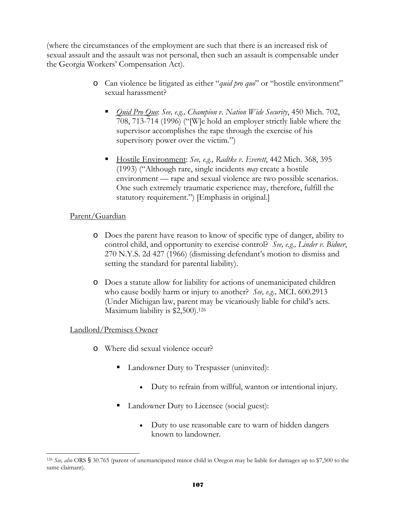(where the circumstances of the employment are such that there is an increased risk of sexual assault and the assault was not personal, then such an assault is compensable under the Georgia Workers' Compensation Act).

- o Can violence be litigated as either "*quid pro quo*" or "hostile environment" sexual harassment?
	- *Quid Pro Quo*: *See, e.g., Champion v. Nation Wide Security*, 450 Mich. 702, 708, 713-714 (1996) ("[W]e hold an employer strictly liable where the supervisor accomplishes the rape through the exercise of his supervisory power over the victim.")
	- Hostile Environment: *See, e.g., Radtke v. Everett*, 442 Mich. 368, 395 (1993) ("Although rare, single incidents *may* create a hostile environment — rape and sexual violence are two possible scenarios. One such extremely traumatic experience may, therefore, fulfill the statutory requirement.") [Emphasis in original.]

## Parent/Guardian

- o Does the parent have reason to know of specific type of danger, ability to control child, and opportunity to exercise control? *See, e.g., Linder v. Bidner*, 270 N.Y.S. 2d 427 (1966) (dismissing defendant's motion to dismiss and setting the standard for parental liability).
- o Does a statute allow for liability for actions of unemanicipated children who cause bodily harm or injury to another? *See, e.g.,* MCL 600.2913 (Under Michigan law, parent may be vicariously liable for child's acts. Maximum liability is \$2,500).<sup>126</sup>

# Landlord/Premises Owner

- o Where did sexual violence occur?
	- **Landowner Duty to Trespasser (uninvited):** 
		- Duty to refrain from willful, wanton or intentional injury.
	- Landowner Duty to Licensee (social guest):
		- Duty to use reasonable care to warn of hidden dangers known to landowner.

 $\overline{a}$ <sup>126</sup> *See, also* ORS § 30.765 (parent of unemancipated minor child in Oregon may be liable for damages up to \$7,500 to the same claimant).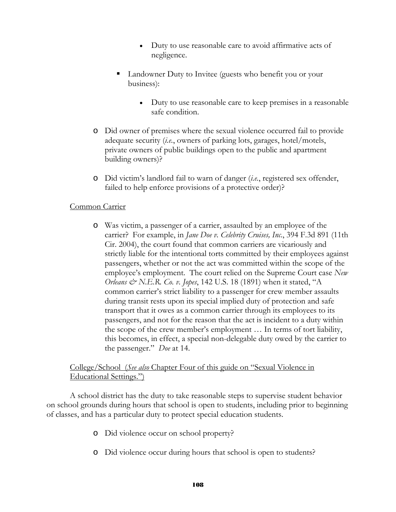- Duty to use reasonable care to avoid affirmative acts of negligence.
- Landowner Duty to Invitee (guests who benefit you or your business):
	- Duty to use reasonable care to keep premises in a reasonable safe condition.
- o Did owner of premises where the sexual violence occurred fail to provide adequate security (*i.e.*, owners of parking lots, garages, hotel/motels, private owners of public buildings open to the public and apartment building owners)?
- o Did victim's landlord fail to warn of danger (*i.e.*, registered sex offender, failed to help enforce provisions of a protective order)?

## Common Carrier

o Was victim, a passenger of a carrier, assaulted by an employee of the carrier? For example, in *Jane Doe v. Celebrity Cruises, Inc.*, 394 F.3d 891 (11th Cir. 2004), the court found that common carriers are vicariously and strictly liable for the intentional torts committed by their employees against passengers, whether or not the act was committed within the scope of the employee's employment. The court relied on the Supreme Court case *New Orleans & N.E.R. Co. v. Jopes*, 142 U.S. 18 (1891) when it stated, "A common carrier's strict liability to a passenger for crew member assaults during transit rests upon its special implied duty of protection and safe transport that it owes as a common carrier through its employees to its passengers, and not for the reason that the act is incident to a duty within the scope of the crew member's employment … In terms of tort liability, this becomes, in effect, a special non-delegable duty owed by the carrier to the passenger." *Doe* at 14.

## College/School (*See also* Chapter Four of this guide on "Sexual Violence in Educational Settings.")

A school district has the duty to take reasonable steps to supervise student behavior on school grounds during hours that school is open to students, including prior to beginning of classes, and has a particular duty to protect special education students.

- o Did violence occur on school property?
- o Did violence occur during hours that school is open to students?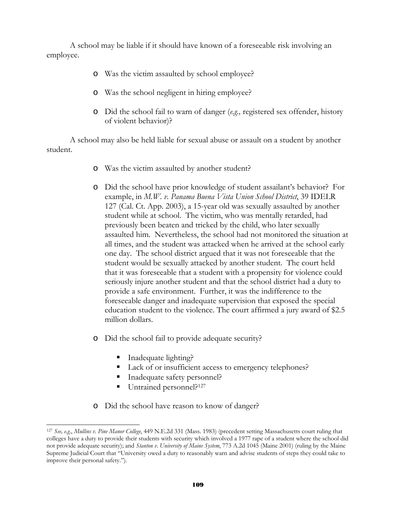A school may be liable if it should have known of a foreseeable risk involving an employee.

- o Was the victim assaulted by school employee?
- o Was the school negligent in hiring employee?
- o Did the school fail to warn of danger (*e.g.,* registered sex offender, history of violent behavior)?

A school may also be held liable for sexual abuse or assault on a student by another student.

- o Was the victim assaulted by another student?
- o Did the school have prior knowledge of student assailant's behavior? For example, in *M.W. v. Panama Buena Vista Union School District*, 39 IDELR 127 (Cal. Ct. App. 2003), a 15-year old was sexually assaulted by another student while at school. The victim, who was mentally retarded, had previously been beaten and tricked by the child, who later sexually assaulted him. Nevertheless, the school had not monitored the situation at all times, and the student was attacked when he arrived at the school early one day. The school district argued that it was not foreseeable that the student would be sexually attacked by another student. The court held that it was foreseeable that a student with a propensity for violence could seriously injure another student and that the school district had a duty to provide a safe environment. Further, it was the indifference to the foreseeable danger and inadequate supervision that exposed the special education student to the violence. The court affirmed a jury award of \$2.5 million dollars.
- o Did the school fail to provide adequate security?
	- Inadequate lighting?

l

- Lack of or insufficient access to emergency telephones?
- Inadequate safety personnel?
- Untrained personnel?<sup>127</sup>
- o Did the school have reason to know of danger?

<sup>127</sup> *See, e.g*., *Mullins v. Pine Manor College*, 449 N.E.2d 331 (Mass. 1983) (precedent setting Massachusetts court ruling that colleges have a duty to provide their students with security which involved a 1977 rape of a student where the school did not provide adequate security); and *Stanton v. University of Maine System*, 773 A.2d 1045 (Maine 2001) (ruling by the Maine Supreme Judicial Court that "University owed a duty to reasonably warn and advise students of steps they could take to improve their personal safety.").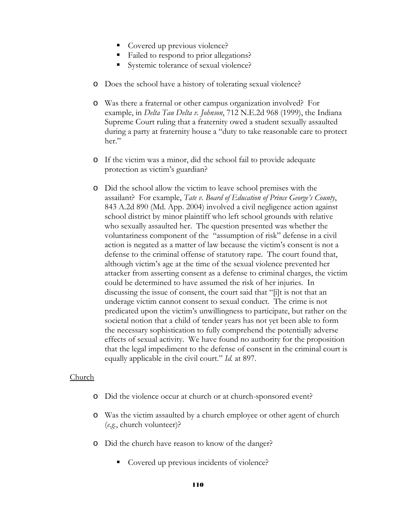- Covered up previous violence?
- Failed to respond to prior allegations?
- Systemic tolerance of sexual violence?
- o Does the school have a history of tolerating sexual violence?
- o Was there a fraternal or other campus organization involved? For example, in *Delta Tau Delta v. Johnson*, 712 N.E.2d 968 (1999), the Indiana Supreme Court ruling that a fraternity owed a student sexually assaulted during a party at fraternity house a "duty to take reasonable care to protect her."
- o If the victim was a minor, did the school fail to provide adequate protection as victim's guardian?
- o Did the school allow the victim to leave school premises with the assailant? For example, *Tate v. Board of Education of Prince George's County*, 843 A.2d 890 (Md. App. 2004) involved a civil negligence action against school district by minor plaintiff who left school grounds with relative who sexually assaulted her. The question presented was whether the voluntariness component of the "assumption of risk" defense in a civil action is negated as a matter of law because the victim's consent is not a defense to the criminal offense of statutory rape. The court found that, although victim's age at the time of the sexual violence prevented her attacker from asserting consent as a defense to criminal charges, the victim could be determined to have assumed the risk of her injuries. In discussing the issue of consent, the court said that "[i]t is not that an underage victim cannot consent to sexual conduct. The crime is not predicated upon the victim's unwillingness to participate, but rather on the societal notion that a child of tender years has not yet been able to form the necessary sophistication to fully comprehend the potentially adverse effects of sexual activity. We have found no authority for the proposition that the legal impediment to the defense of consent in the criminal court is equally applicable in the civil court." *Id.* at 897.

#### Church

- o Did the violence occur at church or at church-sponsored event?
- o Was the victim assaulted by a church employee or other agent of church (*e.g.*, church volunteer)?
- o Did the church have reason to know of the danger?
	- Covered up previous incidents of violence?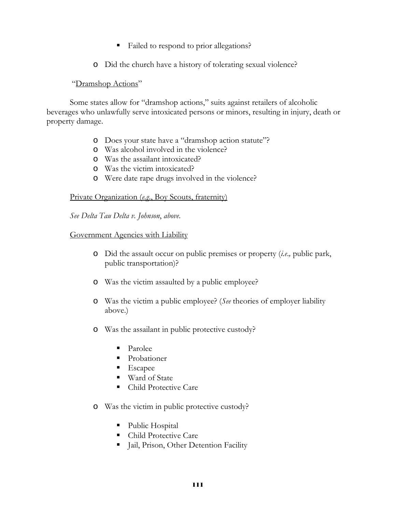- Failed to respond to prior allegations?
- o Did the church have a history of tolerating sexual violence?

#### "Dramshop Actions"

Some states allow for "dramshop actions," suits against retailers of alcoholic beverages who unlawfully serve intoxicated persons or minors, resulting in injury, death or property damage.

- o Does your state have a "dramshop action statute"?
- o Was alcohol involved in the violence?
- o Was the assailant intoxicated?
- o Was the victim intoxicated?
- o Were date rape drugs involved in the violence?

#### Private Organization (*e.g*., Boy Scouts, fraternity)

*See Delta Tau Delta v. Johnson*, *above*.

#### Government Agencies with Liability

- o Did the assault occur on public premises or property (*i.e*.*,* public park, public transportation)?
- o Was the victim assaulted by a public employee?
- o Was the victim a public employee? (*See* theories of employer liability above.)
- o Was the assailant in public protective custody?
	- Parolee
	- **Probationer**
	- **Escapee**
	- Ward of State
	- Child Protective Care
- o Was the victim in public protective custody?
	- Public Hospital
	- Child Protective Care
	- **Jail, Prison, Other Detention Facility**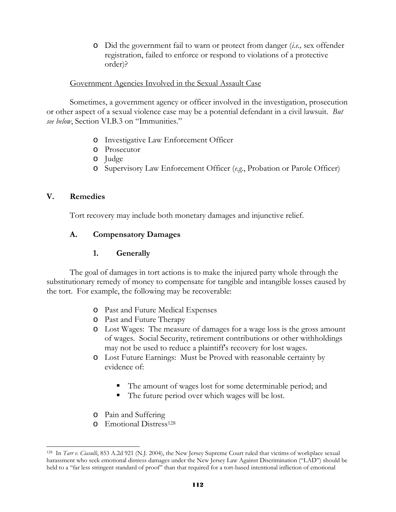o Did the government fail to warn or protect from danger (*i.e.,* sex offender registration, failed to enforce or respond to violations of a protective order)?

#### Government Agencies Involved in the Sexual Assault Case

 Sometimes, a government agency or officer involved in the investigation, prosecution or other aspect of a sexual violence case may be a potential defendant in a civil lawsuit. *But see below*, Section VI.B.3 on "Immunities."

- o Investigative Law Enforcement Officer
- o Prosecutor
- o Judge
- o Supervisory Law Enforcement Officer (*e.g.*, Probation or Parole Officer)

#### **V. Remedies**

 $\overline{a}$ 

Tort recovery may include both monetary damages and injunctive relief.

## **A. Compensatory Damages**

## **1. Generally**

 The goal of damages in tort actions is to make the injured party whole through the substitutionary remedy of money to compensate for tangible and intangible losses caused by the tort. For example, the following may be recoverable:

- o Past and Future Medical Expenses
- o Past and Future Therapy
- o Lost Wages: The measure of damages for a wage loss is the gross amount of wages. Social Security, retirement contributions or other withholdings may not be used to reduce a plaintiff's recovery for lost wages.
- o Lost Future Earnings: Must be Proved with reasonable certainty by evidence of:
	- The amount of wages lost for some determinable period; and
	- The future period over which wages will be lost.
- o Pain and Suffering
- o Emotional Distress128

<sup>128</sup> In *Tarr v. Ciasulli*, 853 A.2d 921 (N.J. 2004), the New Jersey Supreme Court ruled that victims of workplace sexual harassment who seek emotional distress damages under the New Jersey Law Against Discrimination ("LAD") should be held to a "far less stringent standard of proof" than that required for a tort-based intentional infliction of emotional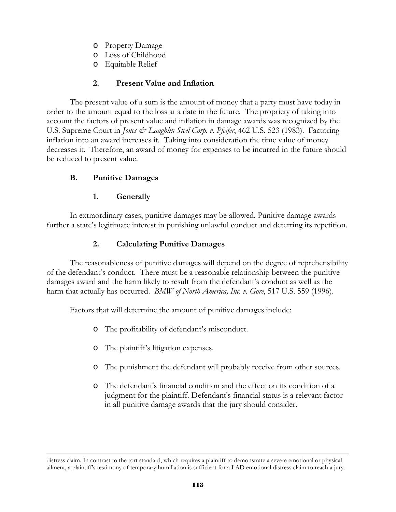- o Property Damage
- o Loss of Childhood
- o Equitable Relief

# **2. Present Value and Inflation**

The present value of a sum is the amount of money that a party must have today in order to the amount equal to the loss at a date in the future. The propriety of taking into account the factors of present value and inflation in damage awards was recognized by the U.S. Supreme Court in *Jones & Laughlin Steel Corp. v. Pfeifer*, 462 U.S. 523 (1983). Factoring inflation into an award increases it. Taking into consideration the time value of money decreases it. Therefore, an award of money for expenses to be incurred in the future should be reduced to present value.

# **B. Punitive Damages**

l

## **1. Generally**

In extraordinary cases, punitive damages may be allowed. Punitive damage awards further a state's legitimate interest in punishing unlawful conduct and deterring its repetition.

# **2. Calculating Punitive Damages**

The reasonableness of punitive damages will depend on the degree of reprehensibility of the defendant's conduct. There must be a reasonable relationship between the punitive damages award and the harm likely to result from the defendant's conduct as well as the harm that actually has occurred. *BMW of North America, Inc. v. Gore*, 517 U.S. 559 (1996).

Factors that will determine the amount of punitive damages include:

- o The profitability of defendant's misconduct.
- o The plaintiff's litigation expenses.
- o The punishment the defendant will probably receive from other sources.
- o The defendant's financial condition and the effect on its condition of a judgment for the plaintiff. Defendant's financial status is a relevant factor in all punitive damage awards that the jury should consider.

distress claim. In contrast to the tort standard, which requires a plaintiff to demonstrate a severe emotional or physical ailment, a plaintiff's testimony of temporary humiliation is sufficient for a LAD emotional distress claim to reach a jury.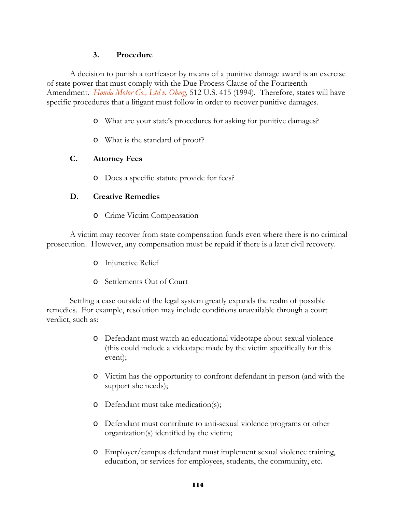## **3. Procedure**

A decision to punish a tortfeasor by means of a punitive damage award is an exercise of state power that must comply with the Due Process Clause of the Fourteenth Amendment. *Honda Motor Co., Ltd v. Oberg*, 512 U.S. 415 (1994). Therefore, states will have specific procedures that a litigant must follow in order to recover punitive damages.

- o What are your state's procedures for asking for punitive damages?
- o What is the standard of proof?

#### **C. Attorney Fees**

o Does a specific statute provide for fees?

#### **D. Creative Remedies**

o Crime Victim Compensation

A victim may recover from state compensation funds even where there is no criminal prosecution. However, any compensation must be repaid if there is a later civil recovery.

- o Injunctive Relief
- o Settlements Out of Court

Settling a case outside of the legal system greatly expands the realm of possible remedies. For example, resolution may include conditions unavailable through a court verdict, such as:

- o Defendant must watch an educational videotape about sexual violence (this could include a videotape made by the victim specifically for this event);
- o Victim has the opportunity to confront defendant in person (and with the support she needs);
- o Defendant must take medication(s);
- o Defendant must contribute to anti-sexual violence programs or other organization(s) identified by the victim;
- o Employer/campus defendant must implement sexual violence training, education, or services for employees, students, the community, etc.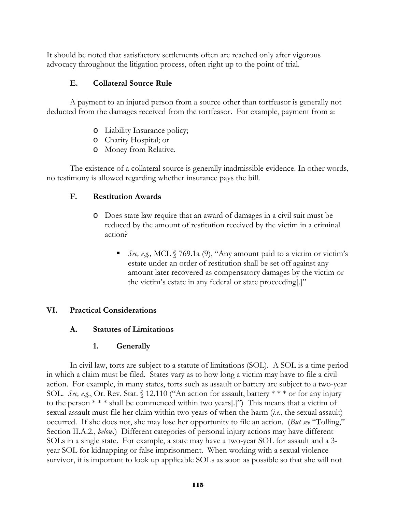It should be noted that satisfactory settlements often are reached only after vigorous advocacy throughout the litigation process, often right up to the point of trial.

## **E. Collateral Source Rule**

A payment to an injured person from a source other than tortfeasor is generally not deducted from the damages received from the tortfeasor. For example, payment from a:

- o Liability Insurance policy;
- o Charity Hospital; or
- o Money from Relative.

The existence of a collateral source is generally inadmissible evidence. In other words, no testimony is allowed regarding whether insurance pays the bill.

#### **F. Restitution Awards**

- o Does state law require that an award of damages in a civil suit must be reduced by the amount of restitution received by the victim in a criminal action?
	- *See, e.g.,* MCL § 769.1a (9), "Any amount paid to a victim or victim's estate under an order of restitution shall be set off against any amount later recovered as compensatory damages by the victim or the victim's estate in any federal or state proceeding[.]"

#### **VI. Practical Considerations**

## **A. Statutes of Limitations**

#### **1. Generally**

In civil law, torts are subject to a statute of limitations (SOL). A SOL is a time period in which a claim must be filed. States vary as to how long a victim may have to file a civil action. For example, in many states, torts such as assault or battery are subject to a two-year SOL. *See, e.g.*, Or. Rev. Stat. § 12.110 ("An action for assault, battery \* \* \* or for any injury to the person  $***$  shall be commenced within two years[.]") This means that a victim of sexual assault must file her claim within two years of when the harm (*i.e*., the sexual assault) occurred. If she does not, she may lose her opportunity to file an action. (*But see* "Tolling," Section II.A.2., *below*.) Different categories of personal injury actions may have different SOLs in a single state. For example, a state may have a two-year SOL for assault and a 3 year SOL for kidnapping or false imprisonment. When working with a sexual violence survivor, it is important to look up applicable SOLs as soon as possible so that she will not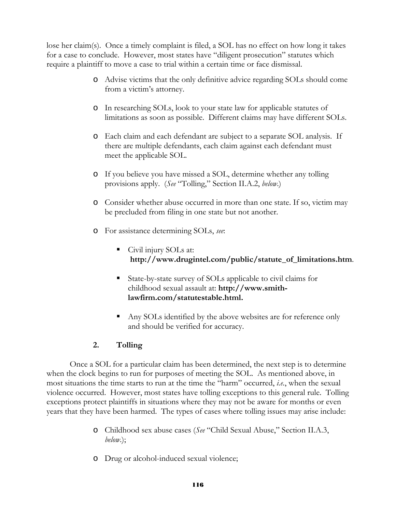lose her claim(s). Once a timely complaint is filed, a SOL has no effect on how long it takes for a case to conclude. However, most states have "diligent prosecution" statutes which require a plaintiff to move a case to trial within a certain time or face dismissal.

- o Advise victims that the only definitive advice regarding SOLs should come from a victim's attorney.
- o In researching SOLs, look to your state law for applicable statutes of limitations as soon as possible. Different claims may have different SOLs.
- o Each claim and each defendant are subject to a separate SOL analysis. If there are multiple defendants, each claim against each defendant must meet the applicable SOL.
- o If you believe you have missed a SOL, determine whether any tolling provisions apply. (*See* "Tolling," Section II.A.2, *below*.)
- o Consider whether abuse occurred in more than one state. If so, victim may be precluded from filing in one state but not another.
- o For assistance determining SOLs, *see*:
	- Civil injury SOLs at: **http://www.drugintel.com/public/statute\_of\_limitations.htm**.
	- State-by-state survey of SOLs applicable to civil claims for childhood sexual assault at: **http://www.smithlawfirm.com/statutestable.html.**
	- Any SOLs identified by the above websites are for reference only and should be verified for accuracy.

## **2. Tolling**

Once a SOL for a particular claim has been determined, the next step is to determine when the clock begins to run for purposes of meeting the SOL. As mentioned above, in most situations the time starts to run at the time the "harm" occurred, *i.e.*, when the sexual violence occurred. However, most states have tolling exceptions to this general rule. Tolling exceptions protect plaintiffs in situations where they may not be aware for months or even years that they have been harmed. The types of cases where tolling issues may arise include:

- o Childhood sex abuse cases (*See* "Child Sexual Abuse," Section II.A.3, *below*.);
- o Drug or alcohol-induced sexual violence;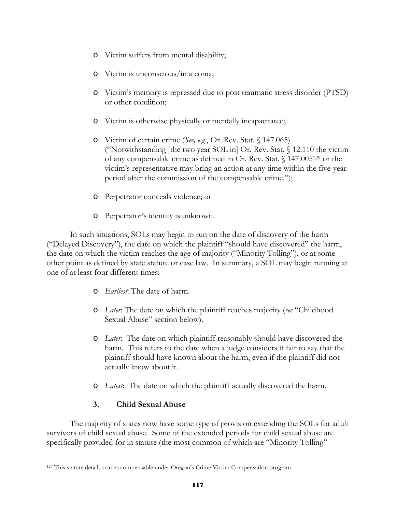- o Victim suffers from mental disability;
- o Victim is unconscious/in a coma;
- o Victim's memory is repressed due to post traumatic stress disorder (PTSD) or other condition;
- o Victim is otherwise physically or mentally incapacitated;
- o Victim of certain crime (*See, e.g*., Or. Rev. Stat. § 147.065) ("Notwithstanding [the two year SOL in] Or. Rev. Stat. § 12.110 the victim of any compensable crime as defined in Or. Rev. Stat. § 147.005129 or the victim's representative may bring an action at any time within the five-year period after the commission of the compensable crime.");
- o Perpetrator conceals violence; or
- o Perpetrator's identity is unknown.

In such situations, SOLs may begin to run on the date of discovery of the harm ("Delayed Discovery"), the date on which the plaintiff "should have discovered" the harm, the date on which the victim reaches the age of majority ("Minority Tolling"), or at some other point as defined by state statute or case law. In summary, a SOL may begin running at one of at least four different times:

- o *Earliest*: The date of harm.
- o *Later*: The date on which the plaintiff reaches majority (*see* "Childhood Sexual Abuse" section below).
- o *Later*: The date on which plaintiff reasonably should have discovered the harm. This refers to the date when a judge considers it fair to say that the plaintiff should have known about the harm, even if the plaintiff did not actually know about it.
- o *Latest*: The date on which the plaintiff actually discovered the harm.

## **3. Child Sexual Abuse**

The majority of states now have some type of provision extending the SOLs for adult survivors of child sexual abuse. Some of the extended periods for child sexual abuse are specifically provided for in statute (the most common of which are "Minority Tolling"

 $\overline{a}$ 129 This statute details crimes compensable under Oregon's Crime Victim Compensation program.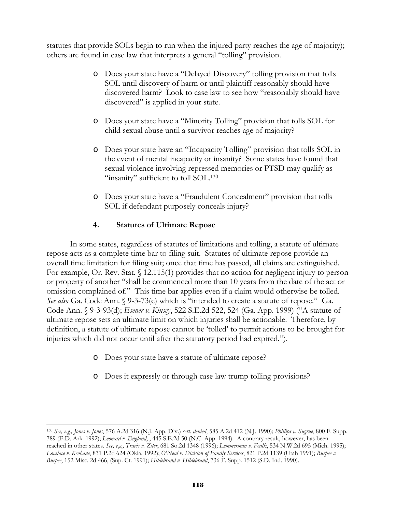statutes that provide SOLs begin to run when the injured party reaches the age of majority); others are found in case law that interprets a general "tolling" provision.

- o Does your state have a "Delayed Discovery" tolling provision that tolls SOL until discovery of harm or until plaintiff reasonably should have discovered harm? Look to case law to see how "reasonably should have discovered" is applied in your state.
- o Does your state have a "Minority Tolling" provision that tolls SOL for child sexual abuse until a survivor reaches age of majority?
- o Does your state have an "Incapacity Tolling" provision that tolls SOL in the event of mental incapacity or insanity? Some states have found that sexual violence involving repressed memories or PTSD may qualify as "insanity" sufficient to toll SOL.<sup>130</sup>
- o Does your state have a "Fraudulent Concealment" provision that tolls SOL if defendant purposely conceals injury?

# **4. Statutes of Ultimate Repose**

In some states, regardless of statutes of limitations and tolling, a statute of ultimate repose acts as a complete time bar to filing suit. Statutes of ultimate repose provide an overall time limitation for filing suit; once that time has passed, all claims are extinguished. For example, Or. Rev. Stat. § 12.115(1) provides that no action for negligent injury to person or property of another "shall be commenced more than 10 years from the date of the act or omission complained of." This time bar applies even if a claim would otherwise be tolled. *See also* Ga. Code Ann. § 9-3-73(c) which is "intended to create a statute of repose." Ga. Code Ann. § 9-3-93(d); *Esener v. Kinsey*, 522 S.E.2d 522, 524 (Ga. App. 1999) ("A statute of ultimate repose sets an ultimate limit on which injuries shall be actionable. Therefore, by definition, a statute of ultimate repose cannot be 'tolled' to permit actions to be brought for injuries which did not occur until after the statutory period had expired.").

o Does your state have a statute of ultimate repose?

l

o Does it expressly or through case law trump tolling provisions?

<sup>130</sup> *See, e.g., Jones v. Jones*, 576 A.2d 316 (N.J. App. Div.) *cert*. *denied*, 585 A.2d 412 (N.J. 1990); *Phillips v. Sugrue*, 800 F. Supp. 789 (E.D. Ark. 1992); *Leonard v. England*, , 445 S.E.2d 50 (N.C. App. 1994). A contrary result, however, has been reached in other states. *See, e.g., Travis v. Ziter*, 681 So.2d 1348 (1996); *Lemmerman v. Fealk*, 534 N.W.2d 695 (Mich. 1995); *Lovelace v. Keohane*, 831 P.2d 624 (Okla. 1992); *O'Neal v. Division of Family Services*, 821 P.2d 1139 (Utah 1991); *Burpee v. Burpee*, 152 Misc. 2d 466, (Sup. Ct. 1991); *Hildebrand v. Hildebrand*, 736 F. Supp. 1512 (S.D. Ind. 1990).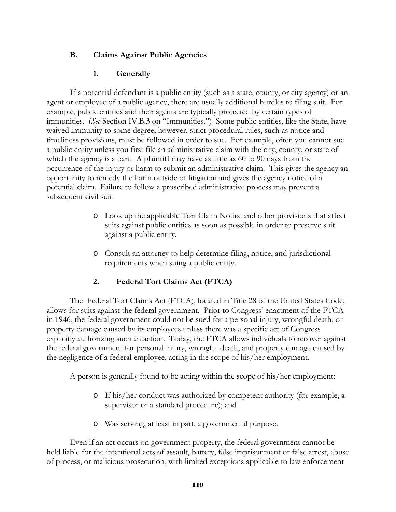## **B. Claims Against Public Agencies**

## **1. Generally**

If a potential defendant is a public entity (such as a state, county, or city agency) or an agent or employee of a public agency, there are usually additional hurdles to filing suit. For example, public entities and their agents are typically protected by certain types of immunities. (*See* Section IV.B.3 on "Immunities.") Some public entitles, like the State, have waived immunity to some degree; however, strict procedural rules, such as notice and timeliness provisions, must be followed in order to sue. For example, often you cannot sue a public entity unless you first file an administrative claim with the city, county, or state of which the agency is a part. A plaintiff may have as little as 60 to 90 days from the occurrence of the injury or harm to submit an administrative claim. This gives the agency an opportunity to remedy the harm outside of litigation and gives the agency notice of a potential claim. Failure to follow a proscribed administrative process may prevent a subsequent civil suit.

- o Look up the applicable Tort Claim Notice and other provisions that affect suits against public entities as soon as possible in order to preserve suit against a public entity.
- o Consult an attorney to help determine filing, notice, and jurisdictional requirements when suing a public entity.

# **2. Federal Tort Claims Act (FTCA)**

The Federal Tort Claims Act (FTCA), located in Title 28 of the United States Code, allows for suits against the federal government. Prior to Congress' enactment of the FTCA in 1946, the federal government could not be sued for a personal injury, wrongful death, or property damage caused by its employees unless there was a specific act of Congress explicitly authorizing such an action. Today, the FTCA allows individuals to recover against the federal government for personal injury, wrongful death, and property damage caused by the negligence of a federal employee, acting in the scope of his/her employment.

A person is generally found to be acting within the scope of his/her employment:

- o If his/her conduct was authorized by competent authority (for example, a supervisor or a standard procedure); and
- o Was serving, at least in part, a governmental purpose.

Even if an act occurs on government property, the federal government cannot be held liable for the intentional acts of assault, battery, false imprisonment or false arrest, abuse of process, or malicious prosecution, with limited exceptions applicable to law enforcement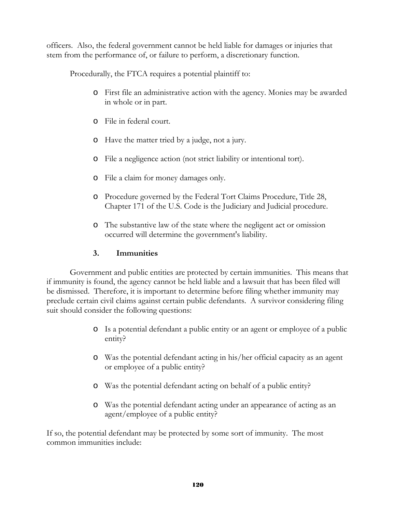officers. Also, the federal government cannot be held liable for damages or injuries that stem from the performance of, or failure to perform, a discretionary function.

Procedurally, the FTCA requires a potential plaintiff to:

- o First file an administrative action with the agency. Monies may be awarded in whole or in part.
- o File in federal court.
- o Have the matter tried by a judge, not a jury.
- o File a negligence action (not strict liability or intentional tort).
- o File a claim for money damages only.
- o Procedure governed by the Federal Tort Claims Procedure, Title 28, Chapter 171 of the U.S. Code is the Judiciary and Judicial procedure.
- o The substantive law of the state where the negligent act or omission occurred will determine the government's liability.

## **3. Immunities**

Government and public entities are protected by certain immunities. This means that if immunity is found, the agency cannot be held liable and a lawsuit that has been filed will be dismissed. Therefore, it is important to determine before filing whether immunity may preclude certain civil claims against certain public defendants. A survivor considering filing suit should consider the following questions:

- o Is a potential defendant a public entity or an agent or employee of a public entity?
- o Was the potential defendant acting in his/her official capacity as an agent or employee of a public entity?
- o Was the potential defendant acting on behalf of a public entity?
- o Was the potential defendant acting under an appearance of acting as an agent/employee of a public entity?

If so, the potential defendant may be protected by some sort of immunity. The most common immunities include: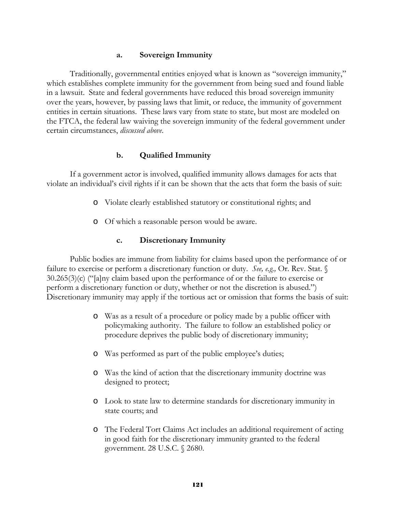#### **a. Sovereign Immunity**

Traditionally, governmental entities enjoyed what is known as "sovereign immunity," which establishes complete immunity for the government from being sued and found liable in a lawsuit. State and federal governments have reduced this broad sovereign immunity over the years, however, by passing laws that limit, or reduce, the immunity of government entities in certain situations. These laws vary from state to state, but most are modeled on the FTCA, the federal law waiving the sovereign immunity of the federal government under certain circumstances, *discussed above*.

#### **b. Qualified Immunity**

If a government actor is involved, qualified immunity allows damages for acts that violate an individual's civil rights if it can be shown that the acts that form the basis of suit:

- o Violate clearly established statutory or constitutional rights; and
- o Of which a reasonable person would be aware.

#### **c. Discretionary Immunity**

Public bodies are immune from liability for claims based upon the performance of or failure to exercise or perform a discretionary function or duty. *See, e.g.,* Or. Rev. Stat. § 30.265(3)(c) ("[a]ny claim based upon the performance of or the failure to exercise or perform a discretionary function or duty, whether or not the discretion is abused.") Discretionary immunity may apply if the tortious act or omission that forms the basis of suit:

- o Was as a result of a procedure or policy made by a public officer with policymaking authority. The failure to follow an established policy or procedure deprives the public body of discretionary immunity;
- o Was performed as part of the public employee's duties;
- o Was the kind of action that the discretionary immunity doctrine was designed to protect;
- o Look to state law to determine standards for discretionary immunity in state courts; and
- o The Federal Tort Claims Act includes an additional requirement of acting in good faith for the discretionary immunity granted to the federal government. 28 U.S.C. § 2680.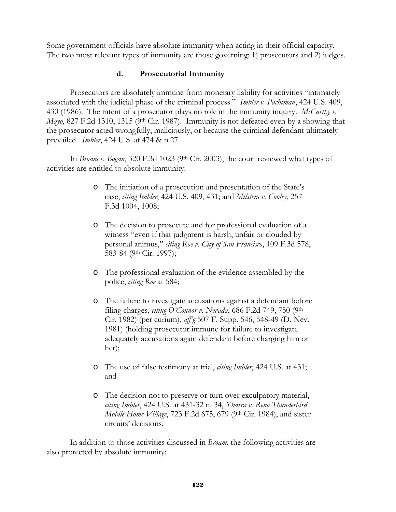Some government officials have absolute immunity when acting in their official capacity. The two most relevant types of immunity are those governing: 1) prosecutors and 2) judges.

#### **d. Prosecutorial Immunity**

Prosecutors are absolutely immune from monetary liability for activities "intimately associated with the judicial phase of the criminal process." *Imbler v. Pachtman*, 424 U.S. 409, 430 (1986). The intent of a prosecutor plays no role in the immunity inquiry. *McCarthy v. Mayo*, 827 F.2d 1310, 1315 (9<sup>th</sup> Cir. 1987). Immunity is not defeated even by a showing that the prosecutor acted wrongfully, maliciously, or because the criminal defendant ultimately prevailed. *Imbler*, 424 U.S. at 474 & n.27.

In *Broam v. Bogan*, 320 F.3d 1023 (9<sup>th</sup> Cir. 2003), the court reviewed what types of activities are entitled to absolute immunity:

- o The initiation of a prosecution and presentation of the State's case, *citing Imbler*, 424 U.S. 409, 431; and *Milstein v. Cooley*, 257 F.3d 1004, 1008;
- o The decision to prosecute and for professional evaluation of a witness "even if that judgment is harsh, unfair or clouded by personal animus," *citing Roe v. City of San Francisco*, 109 F.3d 578, 583-84 (9th Cir. 1997);
- o The professional evaluation of the evidence assembled by the police, *citing Roe* at 584;
- o The failure to investigate accusations against a defendant before filing charges, *citing O'Connor v. Nevada*, 686 F.2d 749, 750 (9th Cir. 1982) (per curium), *aff'g* 507 F. Supp. 546, 548-49 (D. Nev. 1981) (holding prosecutor immune for failure to investigate adequately accusations again defendant before charging him or her);
- o The use of false testimony at trial, *citing Imbler*, 424 U.S. at 431; and
- o The decision not to preserve or turn over exculpatory material, *citing Imbler*, 424 U.S. at 431-32 n. 34, *Ybarra v. Reno Thunderbird Mobile Home Village*, 723 F.2d 675, 679 (9th Cir. 1984), and sister circuits' decisions.

 In addition to those activities discussed in *Broam*, the following activities are also protected by absolute immunity: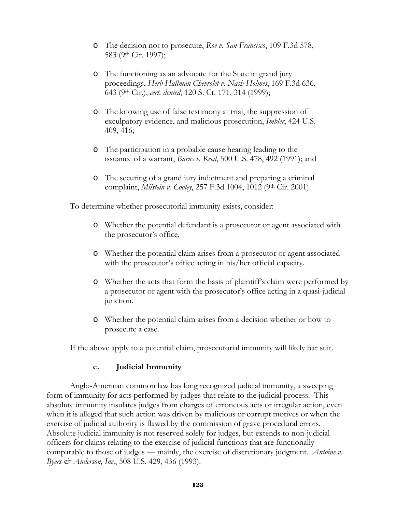- o The decision not to prosecute, *Roe v. San Francisco*, 109 F.3d 578, 583 (9th Cir. 1997);
- o The functioning as an advocate for the State in grand jury proceedings, *Herb Hallman Chevrolet v. Nash-Holmes*, 169 F.3d 636, 643 (9th Cir.), *cert. denied*, 120 S. Ct. 171, 314 (1999);
- o The knowing use of false testimony at trial, the suppression of exculpatory evidence, and malicious prosecution, *Imbler*, 424 U.S. 409, 416;
- o The participation in a probable cause hearing leading to the issuance of a warrant, *Burns v. Reed*, 500 U.S. 478, 492 (1991); and
- o The securing of a grand jury indictment and preparing a criminal complaint, *Milstein v. Cooley*, 257 F.3d 1004, 1012 (9th Cir. 2001).

To determine whether prosecutorial immunity exists, consider:

- o Whether the potential defendant is a prosecutor or agent associated with the prosecutor's office.
- o Whether the potential claim arises from a prosecutor or agent associated with the prosecutor's office acting in his/her official capacity.
- o Whether the acts that form the basis of plaintiff's claim were performed by a prosecutor or agent with the prosecutor's office acting in a quasi-judicial junction.
- o Whether the potential claim arises from a decision whether or how to prosecute a case.

If the above apply to a potential claim, prosecutorial immunity will likely bar suit.

#### **e. Judicial Immunity**

Anglo-American common law has long recognized judicial immunity, a sweeping form of immunity for acts performed by judges that relate to the judicial process. This absolute immunity insulates judges from charges of erroneous acts or irregular action, even when it is alleged that such action was driven by malicious or corrupt motives or when the exercise of judicial authority is flawed by the commission of grave procedural errors. Absolute judicial immunity is not reserved solely for judges, but extends to non-judicial officers for claims relating to the exercise of judicial functions that are functionally comparable to those of judges — mainly, the exercise of discretionary judgment. *Antoine v. Byers & Anderson, Inc*., 508 U.S. 429, 436 (1993).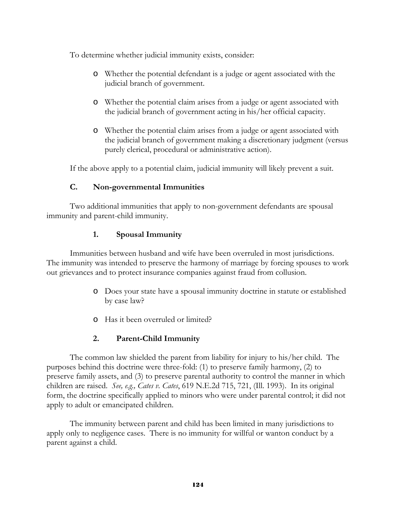To determine whether judicial immunity exists, consider:

- o Whether the potential defendant is a judge or agent associated with the judicial branch of government.
- o Whether the potential claim arises from a judge or agent associated with the judicial branch of government acting in his/her official capacity.
- o Whether the potential claim arises from a judge or agent associated with the judicial branch of government making a discretionary judgment (versus purely clerical, procedural or administrative action).

If the above apply to a potential claim, judicial immunity will likely prevent a suit.

## **C. Non-governmental Immunities**

Two additional immunities that apply to non-government defendants are spousal immunity and parent-child immunity.

#### **1. Spousal Immunity**

Immunities between husband and wife have been overruled in most jurisdictions. The immunity was intended to preserve the harmony of marriage by forcing spouses to work out grievances and to protect insurance companies against fraud from collusion.

- o Does your state have a spousal immunity doctrine in statute or established by case law?
- o Has it been overruled or limited?

## **2. Parent-Child Immunity**

The common law shielded the parent from liability for injury to his/her child. The purposes behind this doctrine were three-fold: (1) to preserve family harmony, (2) to preserve family assets, and (3) to preserve parental authority to control the manner in which children are raised. *See, e.g., Cates v. Cates*, 619 N.E.2d 715, 721, (Ill. 1993). In its original form, the doctrine specifically applied to minors who were under parental control; it did not apply to adult or emancipated children.

The immunity between parent and child has been limited in many jurisdictions to apply only to negligence cases. There is no immunity for willful or wanton conduct by a parent against a child.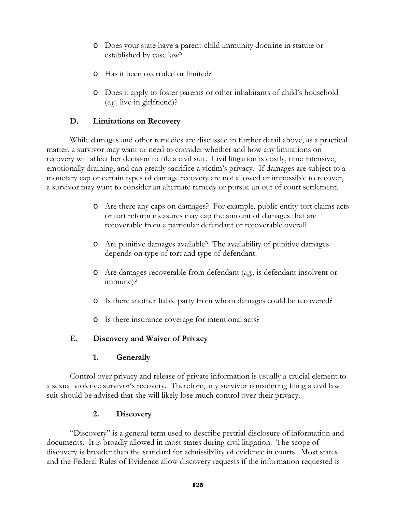- o Does your state have a parent-child immunity doctrine in statute or established by case law?
- o Has it been overruled or limited?
- o Does it apply to foster parents or other inhabitants of child's household (*e.g.,* live-in girlfriend)?

# **D. Limitations on Recovery**

While damages and other remedies are discussed in further detail above, as a practical matter, a survivor may want or need to consider whether and how any limitations on recovery will affect her decision to file a civil suit. Civil litigation is costly, time intensive, emotionally draining, and can greatly sacrifice a victim's privacy. If damages are subject to a monetary cap or certain types of damage recovery are not allowed or impossible to recover, a survivor may want to consider an alternate remedy or pursue an out of court settlement.

- o Are there any caps on damages? For example, public entity tort claims acts or tort reform measures may cap the amount of damages that are recoverable from a particular defendant or recoverable overall.
- o Are punitive damages available? The availability of punitive damages depends on type of tort and type of defendant.
- o Are damages recoverable from defendant (*e.g*.*,* is defendant insolvent or immune)?
- o Is there another liable party from whom damages could be recovered?
- o Is there insurance coverage for intentional acts?

## **E. Discovery and Waiver of Privacy**

## **1. Generally**

Control over privacy and release of private information is usually a crucial element to a sexual violence survivor's recovery. Therefore, any survivor considering filing a civil law suit should be advised that she will likely lose much control over their privacy.

## **2. Discovery**

"Discovery" is a general term used to describe pretrial disclosure of information and documents. It is broadly allowed in most states during civil litigation. The scope of discovery is broader than the standard for admissibility of evidence in courts. Most states and the Federal Rules of Evidence allow discovery requests if the information requested is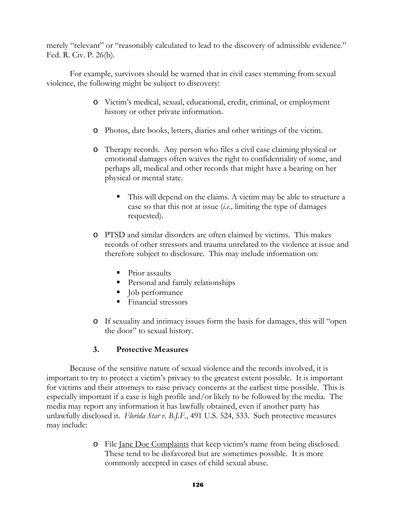merely "relevant" or "reasonably calculated to lead to the discovery of admissible evidence." Fed. R. Civ. P. 26(b).

For example, survivors should be warned that in civil cases stemming from sexual violence, the following might be subject to discovery:

- o Victim's medical, sexual, educational, credit, criminal, or employment history or other private information.
- o Photos, date books, letters, diaries and other writings of the victim.
- o Therapy records. Any person who files a civil case claiming physical or emotional damages often waives the right to confidentiality of some, and perhaps all, medical and other records that might have a bearing on her physical or mental state.
	- This will depend on the claims. A victim may be able to structure a case so that this not at issue (*i.e.,* limiting the type of damages requested).
- o PTSD and similar disorders are often claimed by victims. This makes records of other stressors and trauma unrelated to the violence at issue and therefore subject to disclosure. This may include information on:
	- Prior assaults
	- Personal and family relationships
	- lequal Job performance
	- **Financial stressors**
- o If sexuality and intimacy issues form the basis for damages, this will "open the door" to sexual history.

# **3. Protective Measures**

Because of the sensitive nature of sexual violence and the records involved, it is important to try to protect a victim's privacy to the greatest extent possible. It is important for victims and their attorneys to raise privacy concerns at the earliest time possible. This is especially important if a case is high profile and/or likely to be followed by the media. The media may report any information it has lawfully obtained, even if another party has unlawfully disclosed it. *Florida Star v. B.J.F.*, 491 U.S. 524, 533. Such protective measures may include:

> o File Jane Doe Complaints that keep victim's name from being disclosed. These tend to be disfavored but are sometimes possible. It is more commonly accepted in cases of child sexual abuse.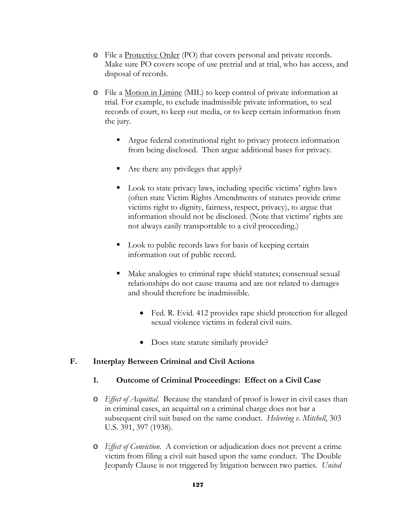- o File a Protective Order (PO) that covers personal and private records. Make sure PO covers scope of use pretrial and at trial, who has access, and disposal of records.
- o File a Motion in Limine (MIL) to keep control of private information at trial. For example, to exclude inadmissible private information, to seal records of court, to keep out media, or to keep certain information from the jury.
	- Argue federal constitutional right to privacy protects information from being disclosed. Then argue additional bases for privacy.
	- Are there any privileges that apply?
	- Look to state privacy laws, including specific victims' rights laws (often state Victim Rights Amendments of statutes provide crime victims right to dignity, fairness, respect, privacy), to argue that information should not be disclosed. (Note that victims' rights are not always easily transportable to a civil proceeding.)
	- Look to public records laws for basis of keeping certain information out of public record.
	- Make analogies to criminal rape shield statutes; consensual sexual relationships do not cause trauma and are not related to damages and should therefore be inadmissible.
		- Fed. R. Evid. 412 provides rape shield protection for alleged sexual violence victims in federal civil suits.
		- Does state statute similarly provide?

## **F. Interplay Between Criminal and Civil Actions**

## **1. Outcome of Criminal Proceedings: Effect on a Civil Case**

- o *Effect of Acquittal*. Because the standard of proof is lower in civil cases than in criminal cases, an acquittal on a criminal charge does not bar a subsequent civil suit based on the same conduct. *Helvering v. Mitchell*, 303 U.S. 391, 397 (1938).
- o *Effect of Conviction*. A conviction or adjudication does not prevent a crime victim from filing a civil suit based upon the same conduct. The Double Jeopardy Clause is not triggered by litigation between two parties. *United*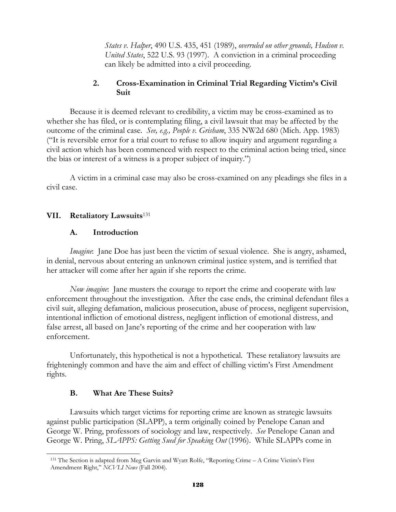*States v. Halper*, 490 U.S. 435, 451 (1989), *overruled on other grounds, Hudson v. United States*, 522 U.S. 93 (1997). A conviction in a criminal proceeding can likely be admitted into a civil proceeding.

#### **2. Cross-Examination in Criminal Trial Regarding Victim's Civil Suit**

Because it is deemed relevant to credibility, a victim may be cross-examined as to whether she has filed, or is contemplating filing, a civil lawsuit that may be affected by the outcome of the criminal case. *See, e.g., People v. Grisham*, 335 NW2d 680 (Mich. App. 1983) ("It is reversible error for a trial court to refuse to allow inquiry and argument regarding a civil action which has been commenced with respect to the criminal action being tried, since the bias or interest of a witness is a proper subject of inquiry.")

A victim in a criminal case may also be cross-examined on any pleadings she files in a civil case.

#### **VII. Retaliatory Lawsuits**<sup>131</sup>

#### **A. Introduction**

*Imagine*: Jane Doe has just been the victim of sexual violence. She is angry, ashamed, in denial, nervous about entering an unknown criminal justice system, and is terrified that her attacker will come after her again if she reports the crime.

*Now imagine*: Jane musters the courage to report the crime and cooperate with law enforcement throughout the investigation. After the case ends, the criminal defendant files a civil suit, alleging defamation, malicious prosecution, abuse of process, negligent supervision, intentional infliction of emotional distress, negligent infliction of emotional distress, and false arrest, all based on Jane's reporting of the crime and her cooperation with law enforcement.

 Unfortunately, this hypothetical is not a hypothetical. These retaliatory lawsuits are frighteningly common and have the aim and effect of chilling victim's First Amendment rights.

#### **B. What Are These Suits?**

l

 Lawsuits which target victims for reporting crime are known as strategic lawsuits against public participation (SLAPP), a term originally coined by Penelope Canan and George W. Pring, professors of sociology and law, respectively. *See* Penelope Canan and George W. Pring, *SLAPPS: Getting Sued for Speaking Out* (1996). While SLAPPs come in

<sup>131</sup> The Section is adapted from Meg Garvin and Wyatt Rolfe, "Reporting Crime – A Crime Victim's First Amendment Right," *NCVLI News* (Fall 2004).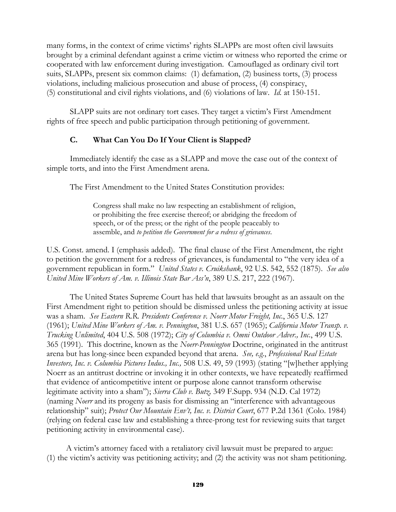many forms, in the context of crime victims' rights SLAPPs are most often civil lawsuits brought by a criminal defendant against a crime victim or witness who reported the crime or cooperated with law enforcement during investigation. Camouflaged as ordinary civil tort suits, SLAPPs, present six common claims: (1) defamation, (2) business torts, (3) process violations, including malicious prosecution and abuse of process, (4) conspiracy, (5) constitutional and civil rights violations, and (6) violations of law. *Id.* at 150-151.

 SLAPP suits are not ordinary tort cases. They target a victim's First Amendment rights of free speech and public participation through petitioning of government.

#### **C. What Can You Do If Your Client is Slapped?**

 Immediately identify the case as a SLAPP and move the case out of the context of simple torts, and into the First Amendment arena.

The First Amendment to the United States Constitution provides:

Congress shall make no law respecting an establishment of religion, or prohibiting the free exercise thereof; or abridging the freedom of speech, or of the press; or the right of the people peaceably to assemble, and *to petition the Government for a redress of grievances*.

U.S. Const. amend. I (emphasis added). The final clause of the First Amendment, the right to petition the government for a redress of grievances, is fundamental to "the very idea of a government republican in form." *United States v. Cruikshank*, 92 U.S. 542, 552 (1875). *See also United Mine Workers of Am. v. Illinois State Bar Ass'n*, 389 U.S. 217, 222 (1967).

The United States Supreme Court has held that lawsuits brought as an assault on the First Amendment right to petition should be dismissed unless the petitioning activity at issue was a sham. *See Eastern R.R. Presidents Conference v. Noerr Motor Freight, Inc.*, 365 U.S. 127 (1961); *United Mine Workers of Am. v. Pennington*, 381 U.S. 657 (1965); *California Motor Transp. v. Trucking Unlimited*, 404 U.S. 508 (1972); *City of Columbia v. Omni Outdoor Adver., Inc.*, 499 U.S. 365 (1991). This doctrine, known as the *Noerr-Pennington* Doctrine, originated in the antitrust arena but has long-since been expanded beyond that arena. *See, e.g.*, *Professional Real Estate Investors, Inc. v. Columbia Pictures Indus., Inc.,* 508 U.S. 49, 59 (1993) (stating "[w]hether applying Noerr as an antitrust doctrine or invoking it in other contexts, we have repeatedly reaffirmed that evidence of anticompetitive intent or purpose alone cannot transform otherwise legitimate activity into a sham"); *Sierra Club v. Butz,* 349 F.Supp. 934 (N.D. Cal 1972) (naming *Noerr* and its progeny as basis for dismissing an "interference with advantageous relationship" suit); *Protect Our Mountain Env't, Inc. v. District Court*, 677 P.2d 1361 (Colo. 1984) (relying on federal case law and establishing a three-prong test for reviewing suits that target petitioning activity in environmental case).

A victim's attorney faced with a retaliatory civil lawsuit must be prepared to argue: (1) the victim's activity was petitioning activity; and (2) the activity was not sham petitioning.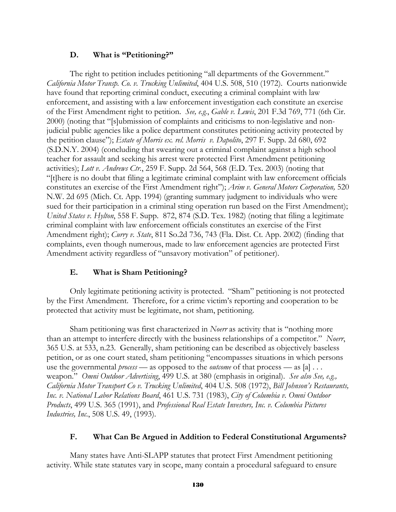#### **D. What is "Petitioning?"**

The right to petition includes petitioning "all departments of the Government." *California Motor Transp. Co. v. Trucking Unlimited*, 404 U.S. 508, 510 (1972). Courts nationwide have found that reporting criminal conduct, executing a criminal complaint with law enforcement, and assisting with a law enforcement investigation each constitute an exercise of the First Amendment right to petition. *See, e.g.*, *Gable v. Lewis*, 201 F.3d 769, 771 (6th Cir. 2000) (noting that "[s]ubmission of complaints and criticisms to non-legislative and nonjudicial public agencies like a police department constitutes petitioning activity protected by the petition clause"); *Estate of Morris ex. rel. Morris v. Dapolito*, 297 F. Supp. 2d 680, 692 (S.D.N.Y. 2004) (concluding that swearing out a criminal complaint against a high school teacher for assault and seeking his arrest were protected First Amendment petitioning activities); *Lott v. Andrews Ctr.*, 259 F. Supp. 2d 564, 568 (E.D. Tex. 2003) (noting that "[t]here is no doubt that filing a legitimate criminal complaint with law enforcement officials constitutes an exercise of the First Amendment right"); *Arim v. General Motors Corporation,* 520 N.W. 2d 695 (Mich. Ct. App. 1994) (granting summary judgment to individuals who were sued for their participation in a criminal sting operation run based on the First Amendment); *United States v. Hylton*, 558 F. Supp. 872, 874 (S.D. Tex. 1982) (noting that filing a legitimate criminal complaint with law enforcement officials constitutes an exercise of the First Amendment right); *Curry v. State*, 811 So.2d 736, 743 (Fla. Dist. Ct. App. 2002) (finding that complaints, even though numerous, made to law enforcement agencies are protected First Amendment activity regardless of "unsavory motivation" of petitioner).

## **E. What is Sham Petitioning?**

Only legitimate petitioning activity is protected. "Sham" petitioning is not protected by the First Amendment. Therefore, for a crime victim's reporting and cooperation to be protected that activity must be legitimate, not sham, petitioning.

Sham petitioning was first characterized in *Noerr* as activity that is "nothing more than an attempt to interfere directly with the business relationships of a competitor." *Noerr*, 365 U.S. at 533, n.23. Generally, sham petitioning can be described as objectively baseless petition, or as one court stated, sham petitioning "encompasses situations in which persons use the governmental *process* — as opposed to the *outcome* of that process — as [a] . . . weapon." *Omni Outdoor Advertising*, 499 U.S. at 380 (emphasis in original). *See also See, e.g., California Motor Transport Co v. Trucking Unlimited*, 404 U.S. 508 (1972), *Bill Johnson's Restaurants, Inc. v. National Labor Relations Board*, 461 U.S. 731 (1983), *City of Columbia v. Omni Outdoor Products*, 499 U.S. 365 (1991), and *Professional Real Estate Investors, Inc. v. Columbia Pictures Industries, Inc.*, 508 U.S. 49, (1993).

## **F. What Can Be Argued in Addition to Federal Constitutional Arguments?**

Many states have Anti-SLAPP statutes that protect First Amendment petitioning activity. While state statutes vary in scope, many contain a procedural safeguard to ensure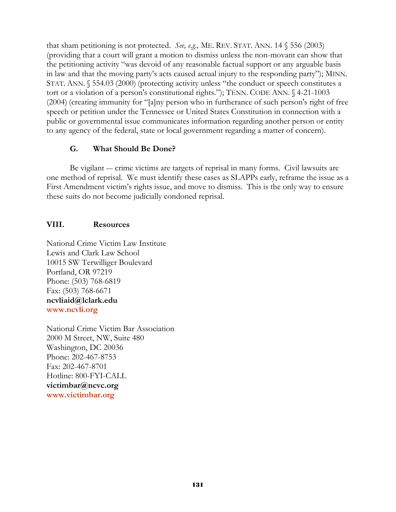that sham petitioning is not protected. *See, e.g.,* ME. REV. STAT. ANN. 14 § 556 (2003) (providing that a court will grant a motion to dismiss unless the non-movant can show that the petitioning activity "was devoid of any reasonable factual support or any arguable basis in law and that the moving party's acts caused actual injury to the responding party"); MINN. STAT. ANN. § 554.03 (2000) (protecting activity unless "the conduct or speech constitutes a tort or a violation of a person's constitutional rights."); TENN. CODE ANN. § 4-21-1003 (2004) (creating immunity for "[a]ny person who in furtherance of such person's right of free speech or petition under the Tennessee or United States Constitution in connection with a public or governmental issue communicates information regarding another person or entity to any agency of the federal, state or local government regarding a matter of concern).

# **G. What Should Be Done?**

Be vigilant — crime victims are targets of reprisal in many forms. Civil lawsuits are one method of reprisal. We must identify these cases as SLAPPs early, reframe the issue as a First Amendment victim's rights issue, and move to dismiss. This is the only way to ensure these suits do not become judicially condoned reprisal.

# **VIII. Resources**

National Crime Victim Law Institute Lewis and Clark Law School 10015 SW Terwilliger Boulevard Portland, OR 97219 Phone: (503) 768-6819 Fax: (503) 768-6671 **ncvliaid@lclark.edu www.ncvli.org**

National Crime Victim Bar Association 2000 M Street, NW, Suite 480 Washington, DC 20036 Phone: 202-467-8753 Fax: 202-467-8701 Hotline: 800-FYI-CALL **victimbar@ncvc.org www.victimbar.org**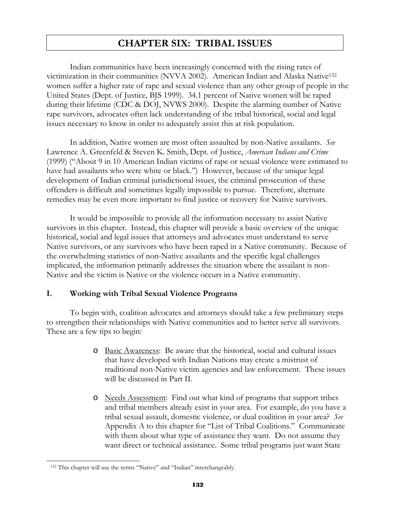# **CHAPTER SIX: TRIBAL ISSUES**

 Indian communities have been increasingly concerned with the rising rates of victimization in their communities (NVVA 2002). American Indian and Alaska Native132 women suffer a higher rate of rape and sexual violence than any other group of people in the United States (Dept. of Justice, BJS 1999). 34.1 percent of Native women will be raped during their lifetime (CDC & DOJ, NVWS 2000). Despite the alarming number of Native rape survivors, advocates often lack understanding of the tribal historical, social and legal issues necessary to know in order to adequately assist this at risk population.

 In addition, Native women are most often assaulted by non-Native assailants. *See* Lawrence A. Greenfeld & Steven K. Smith, Dept. of Justice, *American Indians and Crime* (1999) ("About 9 in 10 American Indian victims of rape or sexual violence were estimated to have had assailants who were white or black.") However, because of the unique legal development of Indian criminal jurisdictional issues, the criminal prosecution of these offenders is difficult and sometimes legally impossible to pursue. Therefore, alternate remedies may be even more important to find justice or recovery for Native survivors.

It would be impossible to provide all the information necessary to assist Native survivors in this chapter. Instead, this chapter will provide a basic overview of the unique historical, social and legal issues that attorneys and advocates must understand to serve Native survivors, or any survivors who have been raped in a Native community. Because of the overwhelming statistics of non-Native assailants and the specific legal challenges implicated, the information primarily addresses the situation where the assailant is non-Native and the victim is Native or the violence occurs in a Native community.

#### **I. Working with Tribal Sexual Violence Programs**

 To begin with, coalition advocates and attorneys should take a few preliminary steps to strengthen their relationships with Native communities and to better serve all survivors. These are a few tips to begin:

- o Basic Awareness: Be aware that the historical, social and cultural issues that have developed with Indian Nations may create a mistrust of traditional non-Native victim agencies and law enforcement. These issues will be discussed in Part II.
- o Needs Assessment: Find out what kind of programs that support tribes and tribal members already exist in your area. For example, do you have a tribal sexual assault, domestic violence, or dual coalition in your area? *See* Appendix A to this chapter for "List of Tribal Coalitions." Communicate with them about what type of assistance they want. Do not assume they want direct or technical assistance. Some tribal programs just want State

 $\overline{a}$ 

<sup>132</sup> This chapter will use the terms "Native" and "Indian" interchangeably.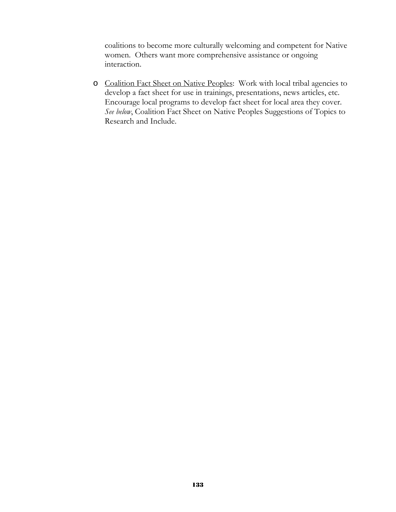coalitions to become more culturally welcoming and competent for Native women. Others want more comprehensive assistance or ongoing interaction.

o Coalition Fact Sheet on Native Peoples: Work with local tribal agencies to develop a fact sheet for use in trainings, presentations, news articles, etc. Encourage local programs to develop fact sheet for local area they cover. *See below*, Coalition Fact Sheet on Native Peoples Suggestions of Topics to Research and Include.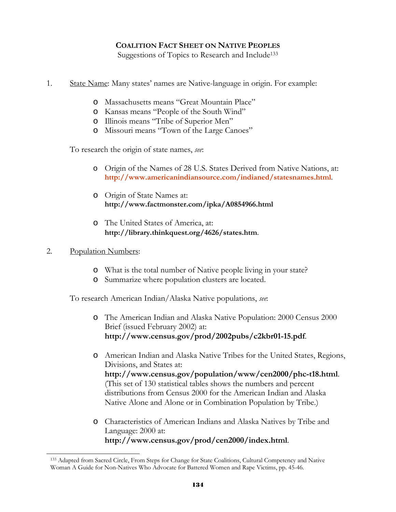#### **COALITION FACT SHEET ON NATIVE PEOPLES**

Suggestions of Topics to Research and Include<sup>133</sup>

- 1. State Name: Many states' names are Native-language in origin. For example:
	- o Massachusetts means "Great Mountain Place"
	- o Kansas means "People of the South Wind"
	- o Illinois means "Tribe of Superior Men"
	- o Missouri means "Town of the Large Canoes"

To research the origin of state names, *see*:

- o Origin of the Names of 28 U.S. States Derived from Native Nations, at: **http://www.americanindiansource.com/indianed/statesnames.html**.
- o Origin of State Names at: **http://www.factmonster.com/ipka/A0854966.html**
- o The United States of America, at: **http://library.thinkquest.org/4626/states.htm**.

#### 2. Population Numbers:

l

- o What is the total number of Native people living in your state?
- o Summarize where population clusters are located.

To research American Indian/Alaska Native populations, *see*:

- o The American Indian and Alaska Native Population: 2000 Census 2000 Brief (issued February 2002) at: **http://www.census.gov/prod/2002pubs/c2kbr01-15.pdf**.
- o American Indian and Alaska Native Tribes for the United States, Regions, Divisions, and States at: **http://www.census.gov/population/www/cen2000/phc-t18.html**. (This set of 130 statistical tables shows the numbers and percent distributions from Census 2000 for the American Indian and Alaska Native Alone and Alone or in Combination Population by Tribe.)
- o Characteristics of American Indians and Alaska Natives by Tribe and Language: 2000 at: **http://www.census.gov/prod/cen2000/index.html**.

<sup>133</sup> Adapted from Sacred Circle, From Steps for Change for State Coalitions, Cultural Competency and Native Woman A Guide for Non-Natives Who Advocate for Battered Women and Rape Victims, pp. 45-46.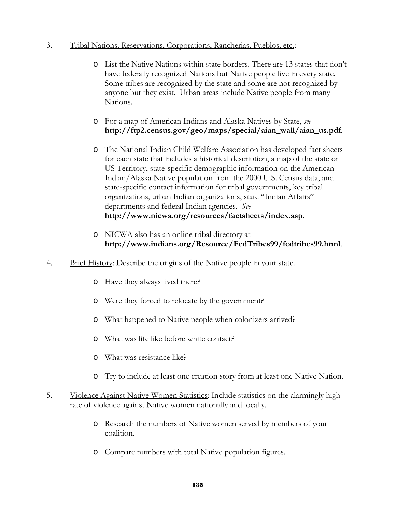#### 3. Tribal Nations, Reservations, Corporations, Rancherias, Pueblos, etc.:

- o List the Native Nations within state borders. There are 13 states that don't have federally recognized Nations but Native people live in every state. Some tribes are recognized by the state and some are not recognized by anyone but they exist. Urban areas include Native people from many Nations.
- o For a map of American Indians and Alaska Natives by State, *see* **http://ftp2.census.gov/geo/maps/special/aian\_wall/aian\_us.pdf**.
- o The National Indian Child Welfare Association has developed fact sheets for each state that includes a historical description, a map of the state or US Territory, state-specific demographic information on the American Indian/Alaska Native population from the 2000 U.S. Census data, and state-specific contact information for tribal governments, key tribal organizations, urban Indian organizations, state "Indian Affairs" departments and federal Indian agencies. *See* **http://www.nicwa.org/resources/factsheets/index.asp**.
- o NICWA also has an online tribal directory at **http://www.indians.org/Resource/FedTribes99/fedtribes99.html**.
- 4. Brief History: Describe the origins of the Native people in your state.
	- o Have they always lived there?
	- o Were they forced to relocate by the government?
	- o What happened to Native people when colonizers arrived?
	- o What was life like before white contact?
	- o What was resistance like?
	- o Try to include at least one creation story from at least one Native Nation.
- 5. Violence Against Native Women Statistics: Include statistics on the alarmingly high rate of violence against Native women nationally and locally.
	- o Research the numbers of Native women served by members of your coalition.
	- o Compare numbers with total Native population figures.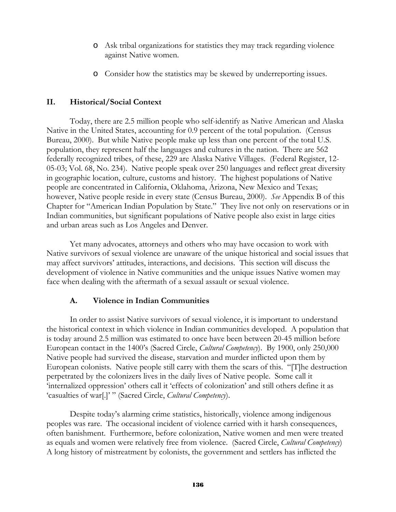- o Ask tribal organizations for statistics they may track regarding violence against Native women.
- o Consider how the statistics may be skewed by underreporting issues.

#### **II. Historical/Social Context**

Today, there are 2.5 million people who self-identify as Native American and Alaska Native in the United States, accounting for 0.9 percent of the total population. (Census Bureau, 2000). But while Native people make up less than one percent of the total U.S. population, they represent half the languages and cultures in the nation. There are 562 federally recognized tribes, of these, 229 are Alaska Native Villages. (Federal Register, 12- 05-03; Vol. 68, No. 234). Native people speak over 250 languages and reflect great diversity in geographic location, culture, customs and history. The highest populations of Native people are concentrated in California, Oklahoma, Arizona, New Mexico and Texas; however, Native people reside in every state (Census Bureau, 2000). *See* Appendix B of this Chapter for "American Indian Population by State." They live not only on reservations or in Indian communities, but significant populations of Native people also exist in large cities and urban areas such as Los Angeles and Denver.

Yet many advocates, attorneys and others who may have occasion to work with Native survivors of sexual violence are unaware of the unique historical and social issues that may affect survivors' attitudes, interactions, and decisions. This section will discuss the development of violence in Native communities and the unique issues Native women may face when dealing with the aftermath of a sexual assault or sexual violence.

#### **A. Violence in Indian Communities**

 In order to assist Native survivors of sexual violence, it is important to understand the historical context in which violence in Indian communities developed. A population that is today around 2.5 million was estimated to once have been between 20-45 million before European contact in the 1400's (Sacred Circle, *Cultural Competency*). By 1900, only 250,000 Native people had survived the disease, starvation and murder inflicted upon them by European colonists. Native people still carry with them the scars of this. "[T]he destruction perpetrated by the colonizers lives in the daily lives of Native people. Some call it 'internalized oppression' others call it 'effects of colonization' and still others define it as 'casualties of war[.]' " (Sacred Circle, *Cultural Competency*).

Despite today's alarming crime statistics, historically, violence among indigenous peoples was rare. The occasional incident of violence carried with it harsh consequences, often banishment. Furthermore, before colonization, Native women and men were treated as equals and women were relatively free from violence. (Sacred Circle, *Cultural Competency*) A long history of mistreatment by colonists, the government and settlers has inflicted the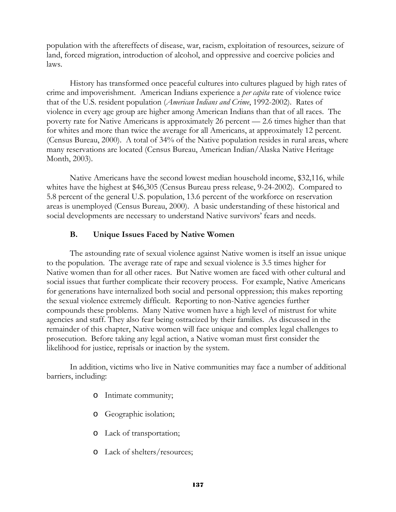population with the aftereffects of disease, war, racism, exploitation of resources, seizure of land, forced migration, introduction of alcohol, and oppressive and coercive policies and laws.

History has transformed once peaceful cultures into cultures plagued by high rates of crime and impoverishment. American Indians experience a *per capita* rate of violence twice that of the U.S. resident population (*American Indians and Crime*, 1992-2002). Rates of violence in every age group are higher among American Indians than that of all races. The poverty rate for Native Americans is approximately 26 percent — 2.6 times higher than that for whites and more than twice the average for all Americans, at approximately 12 percent. (Census Bureau, 2000). A total of 34% of the Native population resides in rural areas, where many reservations are located (Census Bureau, American Indian/Alaska Native Heritage Month, 2003).

Native Americans have the second lowest median household income, \$32,116, while whites have the highest at \$46,305 (Census Bureau press release, 9-24-2002). Compared to 5.8 percent of the general U.S. population, 13.6 percent of the workforce on reservation areas is unemployed (Census Bureau, 2000). A basic understanding of these historical and social developments are necessary to understand Native survivors' fears and needs.

#### **B. Unique Issues Faced by Native Women**

 The astounding rate of sexual violence against Native women is itself an issue unique to the population. The average rate of rape and sexual violence is 3.5 times higher for Native women than for all other races. But Native women are faced with other cultural and social issues that further complicate their recovery process. For example, Native Americans for generations have internalized both social and personal oppression; this makes reporting the sexual violence extremely difficult. Reporting to non-Native agencies further compounds these problems. Many Native women have a high level of mistrust for white agencies and staff. They also fear being ostracized by their families. As discussed in the remainder of this chapter, Native women will face unique and complex legal challenges to prosecution. Before taking any legal action, a Native woman must first consider the likelihood for justice, reprisals or inaction by the system.

 In addition, victims who live in Native communities may face a number of additional barriers, including:

- o Intimate community;
- o Geographic isolation;
- o Lack of transportation;
- o Lack of shelters/resources;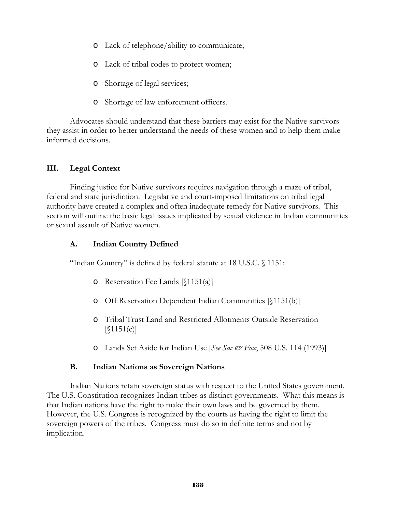- o Lack of telephone/ability to communicate;
- o Lack of tribal codes to protect women;
- o Shortage of legal services;
- o Shortage of law enforcement officers.

Advocates should understand that these barriers may exist for the Native survivors they assist in order to better understand the needs of these women and to help them make informed decisions.

## **III. Legal Context**

Finding justice for Native survivors requires navigation through a maze of tribal, federal and state jurisdiction. Legislative and court-imposed limitations on tribal legal authority have created a complex and often inadequate remedy for Native survivors. This section will outline the basic legal issues implicated by sexual violence in Indian communities or sexual assault of Native women.

## **A. Indian Country Defined**

"Indian Country" is defined by federal statute at 18 U.S.C. § 1151:

- $\circ$  Reservation Fee Lands [§1151(a)]
- o Off Reservation Dependent Indian Communities [§1151(b)]
- o Tribal Trust Land and Restricted Allotments Outside Reservation  $[$1151(c)]$
- o Lands Set Aside for Indian Use [*See Sac & Fox*, 508 U.S. 114 (1993)]

## **B. Indian Nations as Sovereign Nations**

Indian Nations retain sovereign status with respect to the United States government. The U.S. Constitution recognizes Indian tribes as distinct governments. What this means is that Indian nations have the right to make their own laws and be governed by them. However, the U.S. Congress is recognized by the courts as having the right to limit the sovereign powers of the tribes. Congress must do so in definite terms and not by implication.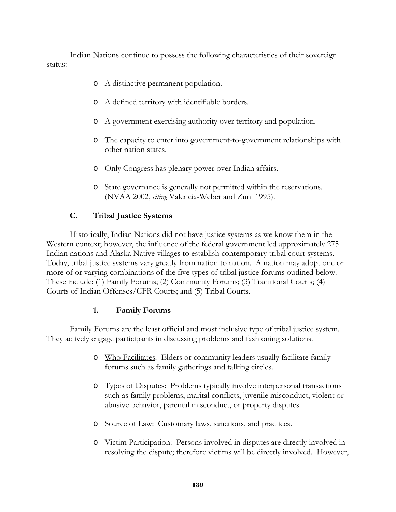Indian Nations continue to possess the following characteristics of their sovereign status:

- o A distinctive permanent population.
- o A defined territory with identifiable borders.
- o A government exercising authority over territory and population.
- o The capacity to enter into government-to-government relationships with other nation states.
- o Only Congress has plenary power over Indian affairs.
- o State governance is generally not permitted within the reservations. (NVAA 2002, *citing* Valencia-Weber and Zuni 1995).

#### **C. Tribal Justice Systems**

Historically, Indian Nations did not have justice systems as we know them in the Western context; however, the influence of the federal government led approximately 275 Indian nations and Alaska Native villages to establish contemporary tribal court systems. Today, tribal justice systems vary greatly from nation to nation. A nation may adopt one or more of or varying combinations of the five types of tribal justice forums outlined below. These include: (1) Family Forums; (2) Community Forums; (3) Traditional Courts; (4) Courts of Indian Offenses/CFR Courts; and (5) Tribal Courts.

#### **1. Family Forums**

Family Forums are the least official and most inclusive type of tribal justice system. They actively engage participants in discussing problems and fashioning solutions.

- o Who Facilitates: Elders or community leaders usually facilitate family forums such as family gatherings and talking circles.
- o Types of Disputes: Problems typically involve interpersonal transactions such as family problems, marital conflicts, juvenile misconduct, violent or abusive behavior, parental misconduct, or property disputes.
- o Source of Law: Customary laws, sanctions, and practices.
- o Victim Participation: Persons involved in disputes are directly involved in resolving the dispute; therefore victims will be directly involved. However,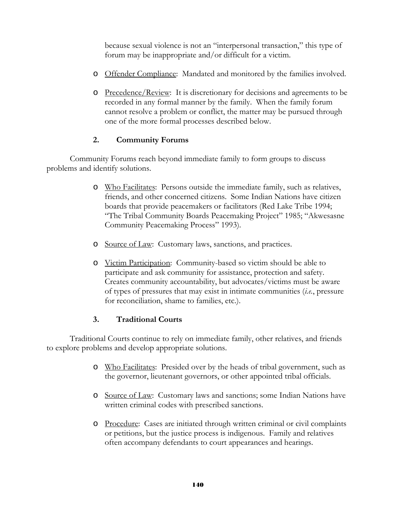because sexual violence is not an "interpersonal transaction," this type of forum may be inappropriate and/or difficult for a victim.

- o Offender Compliance: Mandated and monitored by the families involved.
- o Precedence/Review: It is discretionary for decisions and agreements to be recorded in any formal manner by the family. When the family forum cannot resolve a problem or conflict, the matter may be pursued through one of the more formal processes described below.

## **2. Community Forums**

Community Forums reach beyond immediate family to form groups to discuss problems and identify solutions.

- o Who Facilitates: Persons outside the immediate family, such as relatives, friends, and other concerned citizens. Some Indian Nations have citizen boards that provide peacemakers or facilitators (Red Lake Tribe 1994; "The Tribal Community Boards Peacemaking Project" 1985; "Akwesasne Community Peacemaking Process" 1993).
- o Source of Law: Customary laws, sanctions, and practices.
- o Victim Participation: Community-based so victim should be able to participate and ask community for assistance, protection and safety. Creates community accountability, but advocates/victims must be aware of types of pressures that may exist in intimate communities (*i.e.*, pressure for reconciliation, shame to families, etc.).

## **3. Traditional Courts**

Traditional Courts continue to rely on immediate family, other relatives, and friends to explore problems and develop appropriate solutions.

- o Who Facilitates: Presided over by the heads of tribal government, such as the governor, lieutenant governors, or other appointed tribal officials.
- o Source of Law: Customary laws and sanctions; some Indian Nations have written criminal codes with prescribed sanctions.
- o Procedure: Cases are initiated through written criminal or civil complaints or petitions, but the justice process is indigenous. Family and relatives often accompany defendants to court appearances and hearings.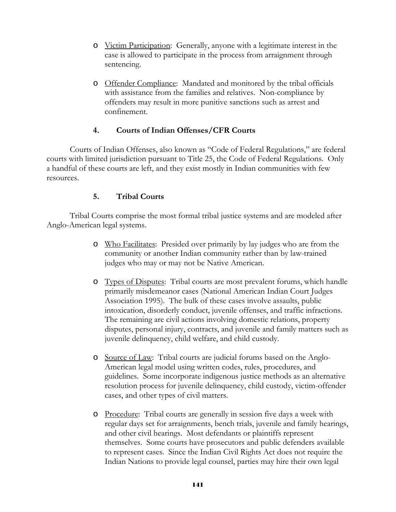- o Victim Participation: Generally, anyone with a legitimate interest in the case is allowed to participate in the process from arraignment through sentencing.
- o Offender Compliance: Mandated and monitored by the tribal officials with assistance from the families and relatives. Non-compliance by offenders may result in more punitive sanctions such as arrest and confinement.

## **4. Courts of Indian Offenses/CFR Courts**

Courts of Indian Offenses, also known as "Code of Federal Regulations," are federal courts with limited jurisdiction pursuant to Title 25, the Code of Federal Regulations. Only a handful of these courts are left, and they exist mostly in Indian communities with few resources.

## **5. Tribal Courts**

Tribal Courts comprise the most formal tribal justice systems and are modeled after Anglo-American legal systems.

- o Who Facilitates: Presided over primarily by lay judges who are from the community or another Indian community rather than by law-trained judges who may or may not be Native American.
- o Types of Disputes: Tribal courts are most prevalent forums, which handle primarily misdemeanor cases (National American Indian Court Judges Association 1995). The bulk of these cases involve assaults, public intoxication, disorderly conduct, juvenile offenses, and traffic infractions. The remaining are civil actions involving domestic relations, property disputes, personal injury, contracts, and juvenile and family matters such as juvenile delinquency, child welfare, and child custody.
- o Source of Law: Tribal courts are judicial forums based on the Anglo-American legal model using written codes, rules, procedures, and guidelines. Some incorporate indigenous justice methods as an alternative resolution process for juvenile delinquency, child custody, victim-offender cases, and other types of civil matters.
- o Procedure: Tribal courts are generally in session five days a week with regular days set for arraignments, bench trials, juvenile and family hearings, and other civil hearings. Most defendants or plaintiffs represent themselves. Some courts have prosecutors and public defenders available to represent cases. Since the Indian Civil Rights Act does not require the Indian Nations to provide legal counsel, parties may hire their own legal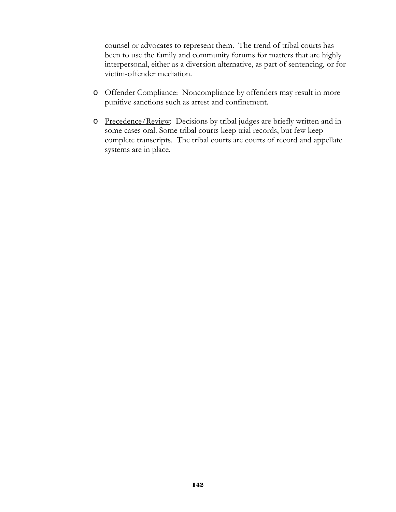counsel or advocates to represent them. The trend of tribal courts has been to use the family and community forums for matters that are highly interpersonal, either as a diversion alternative, as part of sentencing, or for victim-offender mediation.

- o Offender Compliance: Noncompliance by offenders may result in more punitive sanctions such as arrest and confinement.
- o Precedence/Review: Decisions by tribal judges are briefly written and in some cases oral. Some tribal courts keep trial records, but few keep complete transcripts. The tribal courts are courts of record and appellate systems are in place.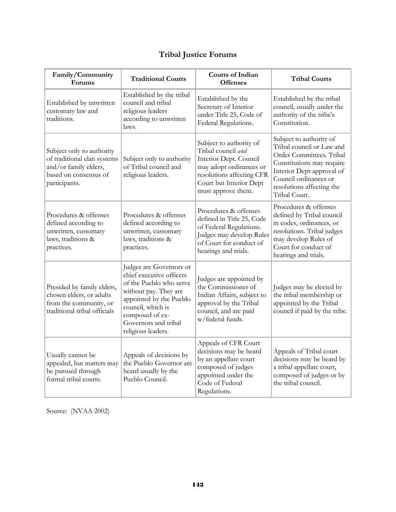| Family/Community<br>Forums                                                                                                  | <b>Traditional Courts</b>                                                                                                                                                                                                | <b>Courts of Indian</b><br><b>Offenses</b>                                                                                                                                       | <b>Tribal Courts</b>                                                                                                                                                                                              |
|-----------------------------------------------------------------------------------------------------------------------------|--------------------------------------------------------------------------------------------------------------------------------------------------------------------------------------------------------------------------|----------------------------------------------------------------------------------------------------------------------------------------------------------------------------------|-------------------------------------------------------------------------------------------------------------------------------------------------------------------------------------------------------------------|
| Established by unwritten<br>customary law and<br>traditions.                                                                | Established by the tribal<br>council and tribal<br>religious leaders<br>according to unwritten<br>laws.                                                                                                                  | Established by the<br>Secretary of Interior<br>under Title 25, Code of<br>Federal Regulations.                                                                                   | Established by the tribal<br>council, usually under the<br>authority of the tribe's<br>Constitution.                                                                                                              |
| Subject only to authority<br>of traditional clan systems<br>and/or family elders,<br>based on consensus of<br>participants. | Subject only to authority<br>of Tribal council and<br>religious leaders.                                                                                                                                                 | Subject to authority of<br>Tribal council and<br>Interior Dept. Council<br>may adopt ordinances or<br>resolutions affecting CFR<br>Court but Interior Dept<br>must approve them. | Subject to authority of<br>Tribal council or Law and<br>Order Committees. Tribal<br>Constitutions may require<br>Interior Dept approval of<br>Council ordinances or<br>resolutions affecting the<br>Tribal Court. |
| Procedures & offenses<br>defined according to<br>unwritten, customary<br>laws, traditions &<br>practices.                   | Procedures & offenses<br>defined according to<br>unwritten, customary<br>laws, traditions &<br>practices.                                                                                                                | Procedures & offenses<br>defined in Title 25, Code<br>of Federal Regulations.<br>Judges may develop Rules<br>of Court for conduct of<br>hearings and trials.                     | Procedures & offenses<br>defined by Tribal council<br>in codes, ordinances, or<br>resolutions. Tribal judges<br>may develop Rules of<br>Court for conduct of<br>hearings and trials.                              |
| Presided by family elders,<br>chosen elders, or adults<br>from the community, or<br>traditional tribal officials            | Judges are Governors or<br>chief executive officers<br>of the Pueblo who serve<br>without pay. They are<br>appointed by the Pueblo<br>council, which is<br>composed of ex-<br>Governors and tribal<br>religious leaders. | Judges are appointed by<br>the Commissioner of<br>Indian Affairs, subject to<br>approval by the Tribal<br>council, and are paid<br>w/federal funds.                              | Judges may be elected by<br>the tribal membership or<br>appointed by the Tribal<br>council if paid by the tribe.                                                                                                  |
| Usually cannot be<br>appealed, but matters may<br>be pursued through<br>formal tribal courts.                               | Appeals of decisions by<br>the Pueblo Governor are<br>heard usually by the<br>Pueblo Council.                                                                                                                            | Appeals of CFR Court<br>decisions may be heard<br>by an appellate court<br>composed of judges<br>appointed under the<br>Code of Federal<br>Regulations.                          | Appeals of Tribal court<br>decisions may be heard by<br>a tribal appellate court,<br>composed of judges or by<br>the tribal council.                                                                              |

# **Tribal Justice Forums**

Source: (NVAA 2002)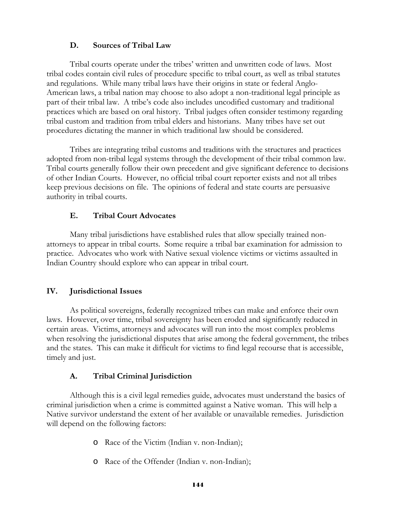#### **D. Sources of Tribal Law**

Tribal courts operate under the tribes' written and unwritten code of laws. Most tribal codes contain civil rules of procedure specific to tribal court, as well as tribal statutes and regulations. While many tribal laws have their origins in state or federal Anglo-American laws, a tribal nation may choose to also adopt a non-traditional legal principle as part of their tribal law. A tribe's code also includes uncodified customary and traditional practices which are based on oral history. Tribal judges often consider testimony regarding tribal custom and tradition from tribal elders and historians. Many tribes have set out procedures dictating the manner in which traditional law should be considered.

Tribes are integrating tribal customs and traditions with the structures and practices adopted from non-tribal legal systems through the development of their tribal common law. Tribal courts generally follow their own precedent and give significant deference to decisions of other Indian Courts. However, no official tribal court reporter exists and not all tribes keep previous decisions on file. The opinions of federal and state courts are persuasive authority in tribal courts.

## **E. Tribal Court Advocates**

 Many tribal jurisdictions have established rules that allow specially trained nonattorneys to appear in tribal courts. Some require a tribal bar examination for admission to practice. Advocates who work with Native sexual violence victims or victims assaulted in Indian Country should explore who can appear in tribal court.

## **IV. Jurisdictional Issues**

 As political sovereigns, federally recognized tribes can make and enforce their own laws. However, over time, tribal sovereignty has been eroded and significantly reduced in certain areas. Victims, attorneys and advocates will run into the most complex problems when resolving the jurisdictional disputes that arise among the federal government, the tribes and the states. This can make it difficult for victims to find legal recourse that is accessible, timely and just.

## **A. Tribal Criminal Jurisdiction**

Although this is a civil legal remedies guide, advocates must understand the basics of criminal jurisdiction when a crime is committed against a Native woman. This will help a Native survivor understand the extent of her available or unavailable remedies. Jurisdiction will depend on the following factors:

- o Race of the Victim (Indian v. non-Indian);
- o Race of the Offender (Indian v. non-Indian);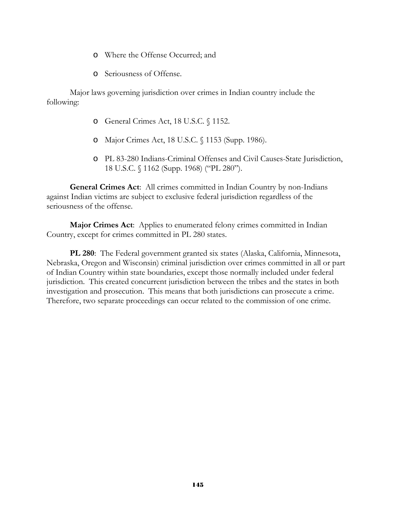- o Where the Offense Occurred; and
- o Seriousness of Offense.

Major laws governing jurisdiction over crimes in Indian country include the following:

- o General Crimes Act, 18 U.S.C. § 1152.
- o Major Crimes Act, 18 U.S.C. § 1153 (Supp. 1986).
- o PL 83-280 Indians-Criminal Offenses and Civil Causes-State Jurisdiction, 18 U.S.C. § 1162 (Supp. 1968) ("PL 280").

**General Crimes Act**: All crimes committed in Indian Country by non-Indians against Indian victims are subject to exclusive federal jurisdiction regardless of the seriousness of the offense.

**Major Crimes Act**: Applies to enumerated felony crimes committed in Indian Country, except for crimes committed in PL 280 states.

**PL 280**: The Federal government granted six states (Alaska, California, Minnesota, Nebraska, Oregon and Wisconsin) criminal jurisdiction over crimes committed in all or part of Indian Country within state boundaries, except those normally included under federal jurisdiction. This created concurrent jurisdiction between the tribes and the states in both investigation and prosecution. This means that both jurisdictions can prosecute a crime. Therefore, two separate proceedings can occur related to the commission of one crime.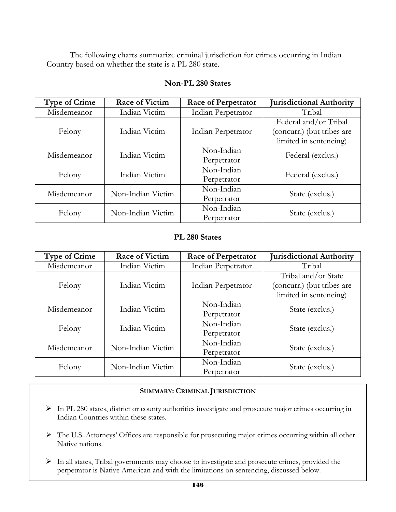The following charts summarize criminal jurisdiction for crimes occurring in Indian Country based on whether the state is a PL 280 state.

| <b>Type of Crime</b> | <b>Race of Victim</b> | <b>Race of Perpetrator</b> | <b>Jurisdictional Authority</b>                                               |
|----------------------|-----------------------|----------------------------|-------------------------------------------------------------------------------|
| Misdemeanor          | Indian Victim         | Indian Perpetrator         | Tribal                                                                        |
| Felony               | Indian Victim         | Indian Perpetrator         | Federal and/or Tribal<br>(concurr.) (but tribes are<br>limited in sentencing) |
| Misdemeanor          | Indian Victim         | Non-Indian<br>Perpetrator  | Federal (exclus.)                                                             |
| Felony               | Indian Victim         | Non-Indian<br>Perpetrator  | Federal (exclus.)                                                             |
| Misdemeanor          | Non-Indian Victim     | Non-Indian<br>Perpetrator  | State (exclus.)                                                               |
| Felony               | Non-Indian Victim     | Non-Indian<br>Perpetrator  | State (exclus.)                                                               |

## **Non-PL 280 States**

#### **PL 280 States**

| <b>Type of Crime</b> | <b>Race of Victim</b> | <b>Race of Perpetrator</b> | <b>Jurisdictional Authority</b> |
|----------------------|-----------------------|----------------------------|---------------------------------|
| Misdemeanor          | Indian Victim         | Indian Perpetrator         | Tribal                          |
|                      |                       |                            | Tribal and/or State             |
| Felony               | Indian Victim         | Indian Perpetrator         | (concurr.) (but tribes are      |
|                      |                       |                            | limited in sentencing)          |
| Misdemeanor          | Indian Victim         | Non-Indian                 | State (exclus.)                 |
|                      |                       | Perpetrator                |                                 |
|                      | Indian Victim         | Non-Indian                 |                                 |
| Felony               |                       | Perpetrator                | State (exclus.)                 |
| Misdemeanor          | Non-Indian Victim     | Non-Indian                 |                                 |
|                      |                       | Perpetrator                | State (exclus.)                 |
|                      | Non-Indian Victim     | Non-Indian                 |                                 |
| Felony               |                       | Perpetrator                | State (exclus.)                 |

#### **SUMMARY: CRIMINAL JURISDICTION**

- ¾ In PL 280 states, district or county authorities investigate and prosecute major crimes occurring in Indian Countries within these states.
- ¾ The U.S. Attorneys' Offices are responsible for prosecuting major crimes occurring within all other Native nations.
- ¾ In all states, Tribal governments may choose to investigate and prosecute crimes, provided the perpetrator is Native American and with the limitations on sentencing, discussed below.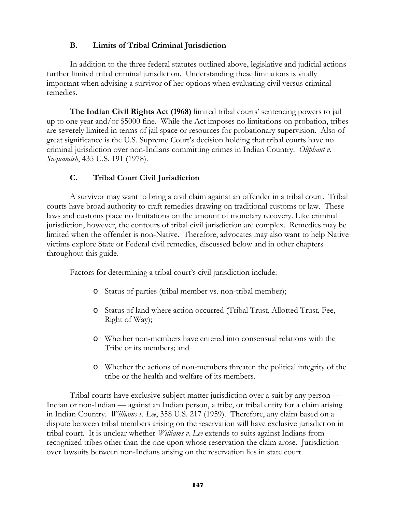## **B. Limits of Tribal Criminal Jurisdiction**

 In addition to the three federal statutes outlined above, legislative and judicial actions further limited tribal criminal jurisdiction. Understanding these limitations is vitally important when advising a survivor of her options when evaluating civil versus criminal remedies.

**The Indian Civil Rights Act (1968)** limited tribal courts' sentencing powers to jail up to one year and/or \$5000 fine. While the Act imposes no limitations on probation, tribes are severely limited in terms of jail space or resources for probationary supervision. Also of great significance is the U.S. Supreme Court's decision holding that tribal courts have no criminal jurisdiction over non-Indians committing crimes in Indian Country. *Oliphant v. Suquamish*, 435 U.S. 191 (1978).

# **C. Tribal Court Civil Jurisdiction**

 A survivor may want to bring a civil claim against an offender in a tribal court. Tribal courts have broad authority to craft remedies drawing on traditional customs or law. These laws and customs place no limitations on the amount of monetary recovery. Like criminal jurisdiction, however, the contours of tribal civil jurisdiction are complex. Remedies may be limited when the offender is non-Native. Therefore, advocates may also want to help Native victims explore State or Federal civil remedies, discussed below and in other chapters throughout this guide.

Factors for determining a tribal court's civil jurisdiction include:

- o Status of parties (tribal member vs. non-tribal member);
- o Status of land where action occurred (Tribal Trust, Allotted Trust, Fee, Right of Way);
- o Whether non-members have entered into consensual relations with the Tribe or its members; and
- o Whether the actions of non-members threaten the political integrity of the tribe or the health and welfare of its members.

Tribal courts have exclusive subject matter jurisdiction over a suit by any person — Indian or non-Indian — against an Indian person, a tribe, or tribal entity for a claim arising in Indian Country. *Williams v. Lee*, 358 U.S. 217 (1959). Therefore, any claim based on a dispute between tribal members arising on the reservation will have exclusive jurisdiction in tribal court. It is unclear whether *Williams v. Lee* extends to suits against Indians from recognized tribes other than the one upon whose reservation the claim arose. Jurisdiction over lawsuits between non-Indians arising on the reservation lies in state court.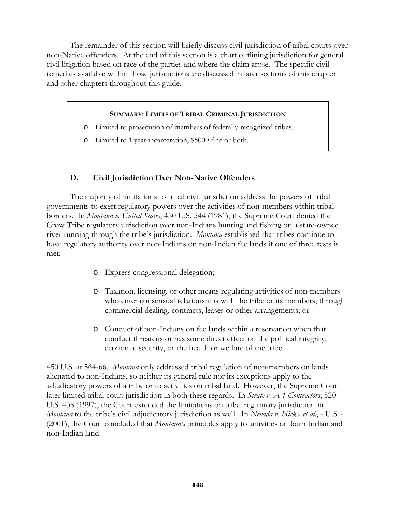The remainder of this section will briefly discuss civil jurisdiction of tribal courts over non-Native offenders. At the end of this section is a chart outlining jurisdiction for general civil litigation based on race of the parties and where the claim arose. The specific civil remedies available within those jurisdictions are discussed in later sections of this chapter and other chapters throughout this guide.

#### **SUMMARY: LIMITS OF TRIBAL CRIMINAL JURISDICTION**

- o Limited to prosecution of members of federally-recognized tribes.
- o Limited to 1 year incarceration, \$5000 fine or both.

## **D. Civil Jurisdiction Over Non-Native Offenders**

The majority of limitations to tribal civil jurisdiction address the powers of tribal governments to exert regulatory powers over the activities of non-members within tribal borders. In *Montana v. United States*, 450 U.S. 544 (1981), the Supreme Court denied the Crow Tribe regulatory jurisdiction over non-Indians hunting and fishing on a state-owned river running through the tribe's jurisdiction. *Montana* established that tribes continue to have regulatory authority over non-Indians on non-Indian fee lands if one of three tests is met:

- o Express congressional delegation;
- o Taxation, licensing, or other means regulating activities of non-members who enter consensual relationships with the tribe or its members, through commercial dealing, contracts, leases or other arrangements; or
- o Conduct of non-Indians on fee lands within a reservation when that conduct threatens or has some direct effect on the political integrity, economic security, or the health or welfare of the tribe.

450 U.S. at 564-66. *Montana* only addressed tribal regulation of non-members on lands alienated to non-Indians, so neither its general rule nor its exceptions apply to the adjudicatory powers of a tribe or to activities on tribal land. However, the Supreme Court later limited tribal court jurisdiction in both these regards. In *Strate v. A-1 Contractors*, 520 U.S. 438 (1997), the Court extended the limitations on tribal regulatory jurisdiction in *Montana* to the tribe's civil adjudicatory jurisdiction as well. In *Nevada v. Hicks, et al*., - U.S. - (2001), the Court concluded that *Montana's* principles apply to activities on both Indian and non-Indian land.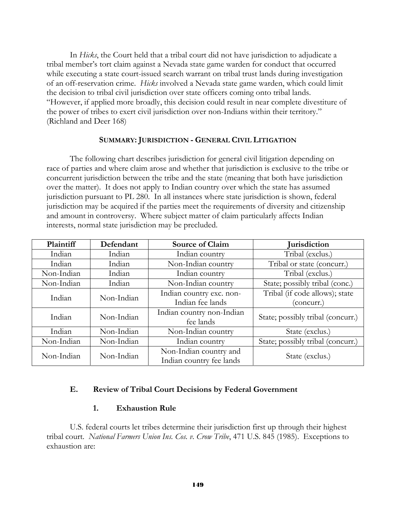In *Hicks*, the Court held that a tribal court did not have jurisdiction to adjudicate a tribal member's tort claim against a Nevada state game warden for conduct that occurred while executing a state court-issued search warrant on tribal trust lands during investigation of an off-reservation crime. *Hicks* involved a Nevada state game warden, which could limit the decision to tribal civil jurisdiction over state officers coming onto tribal lands. "However, if applied more broadly, this decision could result in near complete divestiture of the power of tribes to exert civil jurisdiction over non-Indians within their territory." (Richland and Deer 168)

#### **SUMMARY: JURISDICTION - GENERAL CIVIL LITIGATION**

The following chart describes jurisdiction for general civil litigation depending on race of parties and where claim arose and whether that jurisdiction is exclusive to the tribe or concurrent jurisdiction between the tribe and the state (meaning that both have jurisdiction over the matter). It does not apply to Indian country over which the state has assumed jurisdiction pursuant to PL 280. In all instances where state jurisdiction is shown, federal jurisdiction may be acquired if the parties meet the requirements of diversity and citizenship and amount in controversy. Where subject matter of claim particularly affects Indian interests, normal state jurisdiction may be precluded.

| Plaintiff  | Defendant  | <b>Source of Claim</b>                             | <b>Jurisdiction</b>                          |
|------------|------------|----------------------------------------------------|----------------------------------------------|
| Indian     | Indian     | Indian country                                     | Tribal (exclus.)                             |
| Indian     | Indian     | Non-Indian country<br>Tribal or state (concurr.)   |                                              |
| Non-Indian | Indian     | Indian country                                     | Tribal (exclus.)                             |
| Non-Indian | Indian     | Non-Indian country                                 | State; possibly tribal (conc.)               |
| Indian     | Non-Indian | Indian country exc. non-<br>Indian fee lands       | Tribal (if code allows); state<br>(concurr.) |
| Indian     | Non-Indian | Indian country non-Indian<br>fee lands             | State; possibly tribal (concurr.)            |
| Indian     | Non-Indian | Non-Indian country                                 | State (exclus.)                              |
| Non-Indian | Non-Indian | Indian country                                     | State; possibly tribal (concurr.)            |
| Non-Indian | Non-Indian | Non-Indian country and<br>Indian country fee lands | State (exclus.)                              |

#### **E. Review of Tribal Court Decisions by Federal Government**

#### **1. Exhaustion Rule**

U.S. federal courts let tribes determine their jurisdiction first up through their highest tribal court. *National Farmers Union Ins. Cos. v. Crow Tribe*, 471 U.S. 845 (1985). Exceptions to exhaustion are: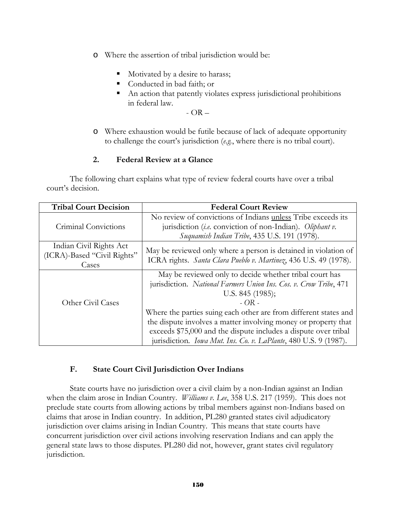- o Where the assertion of tribal jurisdiction would be:
	- Motivated by a desire to harass;
	- Conducted in bad faith; or
	- An action that patently violates express jurisdictional prohibitions in federal law.

 $-$  OR  $-$ 

o Where exhaustion would be futile because of lack of adequate opportunity to challenge the court's jurisdiction (*e.g.*, where there is no tribal court).

#### **2. Federal Review at a Glance**

The following chart explains what type of review federal courts have over a tribal court's decision.

| <b>Tribal Court Decision</b>                                    | <b>Federal Court Review</b>                                                                                                                                                                                                                                                                                                                                                                                                                        |  |  |
|-----------------------------------------------------------------|----------------------------------------------------------------------------------------------------------------------------------------------------------------------------------------------------------------------------------------------------------------------------------------------------------------------------------------------------------------------------------------------------------------------------------------------------|--|--|
| Criminal Convictions                                            | No review of convictions of Indians unless Tribe exceeds its                                                                                                                                                                                                                                                                                                                                                                                       |  |  |
|                                                                 | jurisdiction (i.e. conviction of non-Indian). Oliphant v.<br>Suquamish Indian Tribe, 435 U.S. 191 (1978).                                                                                                                                                                                                                                                                                                                                          |  |  |
| Indian Civil Rights Act<br>(ICRA)-Based "Civil Rights"<br>Cases | May be reviewed only where a person is detained in violation of<br>ICRA rights. Santa Clara Pueblo v. Martinez, 436 U.S. 49 (1978).                                                                                                                                                                                                                                                                                                                |  |  |
| Other Civil Cases                                               | May be reviewed only to decide whether tribal court has<br>jurisdiction. National Farmers Union Ins. Cos. v. Crow Tribe, 471<br>U.S. $845$ (1985);<br>$-OR -$<br>Where the parties suing each other are from different states and<br>the dispute involves a matter involving money or property that<br>exceeds \$75,000 and the dispute includes a dispute over tribal<br>jurisdiction. <i>Iowa Mut. Ins. Co. v. LaPlante</i> , 480 U.S. 9 (1987). |  |  |

#### **F. State Court Civil Jurisdiction Over Indians**

State courts have no jurisdiction over a civil claim by a non-Indian against an Indian when the claim arose in Indian Country. *Williams v. Lee*, 358 U.S. 217 (1959). This does not preclude state courts from allowing actions by tribal members against non-Indians based on claims that arose in Indian country. In addition, PL280 granted states civil adjudicatory jurisdiction over claims arising in Indian Country. This means that state courts have concurrent jurisdiction over civil actions involving reservation Indians and can apply the general state laws to those disputes. PL280 did not, however, grant states civil regulatory jurisdiction.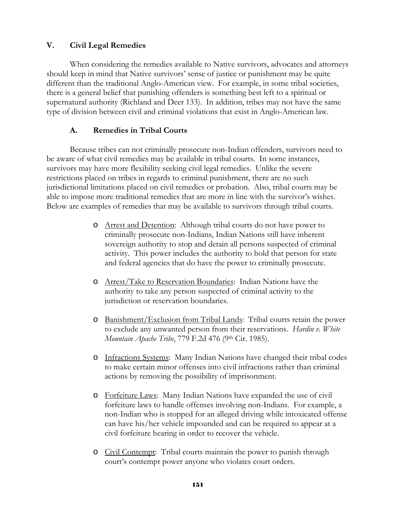#### **V. Civil Legal Remedies**

When considering the remedies available to Native survivors, advocates and attorneys should keep in mind that Native survivors' sense of justice or punishment may be quite different than the traditional Anglo-American view. For example, in some tribal societies, there is a general belief that punishing offenders is something best left to a spiritual or supernatural authority (Richland and Deer 133). In addition, tribes may not have the same type of division between civil and criminal violations that exist in Anglo-American law.

#### **A. Remedies in Tribal Courts**

Because tribes can not criminally prosecute non-Indian offenders, survivors need to be aware of what civil remedies may be available in tribal courts. In some instances, survivors may have more flexibility seeking civil legal remedies. Unlike the severe restrictions placed on tribes in regards to criminal punishment, there are no such jurisdictional limitations placed on civil remedies or probation. Also, tribal courts may be able to impose more traditional remedies that are more in line with the survivor's wishes. Below are examples of remedies that may be available to survivors through tribal courts.

- o Arrest and Detention: Although tribal courts do not have power to criminally prosecute non-Indians, Indian Nations still have inherent sovereign authority to stop and detain all persons suspected of criminal activity. This power includes the authority to hold that person for state and federal agencies that do have the power to criminally prosecute.
- o Arrest/Take to Reservation Boundaries: Indian Nations have the authority to take any person suspected of criminal activity to the jurisdiction or reservation boundaries.
- o Banishment/Exclusion from Tribal Lands: Tribal courts retain the power to exclude any unwanted person from their reservations. *Hardin v. White Mountain Apache Tribe*, 779 F.2d 476 (9th Cir. 1985).
- o Infractions Systems: Many Indian Nations have changed their tribal codes to make certain minor offenses into civil infractions rather than criminal actions by removing the possibility of imprisonment.
- o Forfeiture Laws: Many Indian Nations have expanded the use of civil forfeiture laws to handle offenses involving non-Indians. For example, a non-Indian who is stopped for an alleged driving while intoxicated offense can have his/her vehicle impounded and can be required to appear at a civil forfeiture hearing in order to recover the vehicle.
- o Civil Contempt: Tribal courts maintain the power to punish through court's contempt power anyone who violates court orders.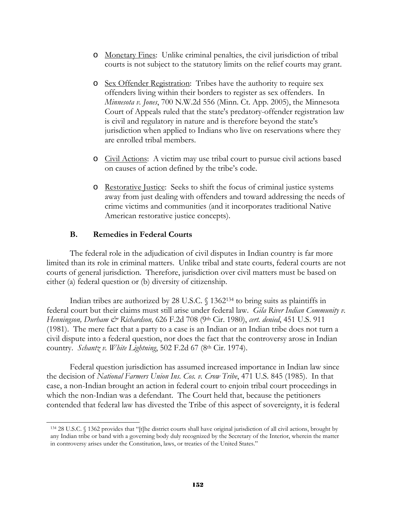- o Monetary Fines: Unlike criminal penalties, the civil jurisdiction of tribal courts is not subject to the statutory limits on the relief courts may grant.
- o Sex Offender Registration: Tribes have the authority to require sex offenders living within their borders to register as sex offenders. In *Minnesota v. Jones*, 700 N.W.2d 556 (Minn. Ct. App. 2005), the Minnesota Court of Appeals ruled that the state's predatory-offender registration law is civil and regulatory in nature and is therefore beyond the state's jurisdiction when applied to Indians who live on reservations where they are enrolled tribal members.
- o Civil Actions: A victim may use tribal court to pursue civil actions based on causes of action defined by the tribe's code.
- o Restorative Justice: Seeks to shift the focus of criminal justice systems away from just dealing with offenders and toward addressing the needs of crime victims and communities (and it incorporates traditional Native American restorative justice concepts).

#### **B. Remedies in Federal Courts**

 $\overline{a}$ 

The federal role in the adjudication of civil disputes in Indian country is far more limited than its role in criminal matters. Unlike tribal and state courts, federal courts are not courts of general jurisdiction. Therefore, jurisdiction over civil matters must be based on either (a) federal question or (b) diversity of citizenship.

Indian tribes are authorized by 28 U.S.C. § 1362<sup>134</sup> to bring suits as plaintiffs in federal court but their claims must still arise under federal law. *Gila River Indian Community v. Henningson, Durham & Richardson,* 626 F.2d 708 (9th Cir. 1980), *cert. denied*, 451 U.S. 911 (1981). The mere fact that a party to a case is an Indian or an Indian tribe does not turn a civil dispute into a federal question, nor does the fact that the controversy arose in Indian country. *Schantz v. White Lightning*, 502 F.2d 67 (8th Cir. 1974).

Federal question jurisdiction has assumed increased importance in Indian law since the decision of *National Farmers Union Ins. Cos. v. Crow Tribe*, 471 U.S. 845 (1985). In that case, a non-Indian brought an action in federal court to enjoin tribal court proceedings in which the non-Indian was a defendant. The Court held that, because the petitioners contended that federal law has divested the Tribe of this aspect of sovereignty, it is federal

<sup>134 28</sup> U.S.C. § 1362 provides that "[t]he district courts shall have original jurisdiction of all civil actions, brought by any Indian tribe or band with a governing body duly recognized by the Secretary of the Interior, wherein the matter in controversy arises under the Constitution, laws, or treaties of the United States."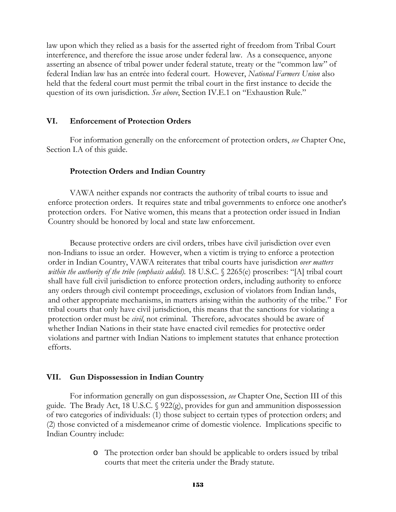law upon which they relied as a basis for the asserted right of freedom from Tribal Court interference, and therefore the issue arose under federal law. As a consequence, anyone asserting an absence of tribal power under federal statute, treaty or the "common law" of federal Indian law has an entrée into federal court. However, *National Farmers Union* also held that the federal court must permit the tribal court in the first instance to decide the question of its own jurisdiction. *See above*, Section IV.E.1 on "Exhaustion Rule."

#### **VI. Enforcement of Protection Orders**

 For information generally on the enforcement of protection orders, *see* Chapter One, Section I.A of this guide.

#### **Protection Orders and Indian Country**

VAWA neither expands nor contracts the authority of tribal courts to issue and enforce protection orders. It requires state and tribal governments to enforce one another's protection orders. For Native women, this means that a protection order issued in Indian Country should be honored by local and state law enforcement.

Because protective orders are civil orders, tribes have civil jurisdiction over even non-Indians to issue an order. However, when a victim is trying to enforce a protection order in Indian Country, VAWA reiterates that tribal courts have jurisdiction *over matters within the authority of the tribe (emphasis added).* 18 U.S.C. § 2265(e) proscribes: "[A] tribal court shall have full civil jurisdiction to enforce protection orders, including authority to enforce any orders through civil contempt proceedings, exclusion of violators from Indian lands, and other appropriate mechanisms, in matters arising within the authority of the tribe." For tribal courts that only have civil jurisdiction, this means that the sanctions for violating a protection order must be *civil*, not criminal. Therefore, advocates should be aware of whether Indian Nations in their state have enacted civil remedies for protective order violations and partner with Indian Nations to implement statutes that enhance protection efforts.

#### **VII. Gun Dispossession in Indian Country**

For information generally on gun dispossession, *see* Chapter One, Section III of this guide. The Brady Act, 18 U.S.C. § 922(g), provides for gun and ammunition dispossession of two categories of individuals: (1) those subject to certain types of protection orders; and (2) those convicted of a misdemeanor crime of domestic violence. Implications specific to Indian Country include:

> o The protection order ban should be applicable to orders issued by tribal courts that meet the criteria under the Brady statute.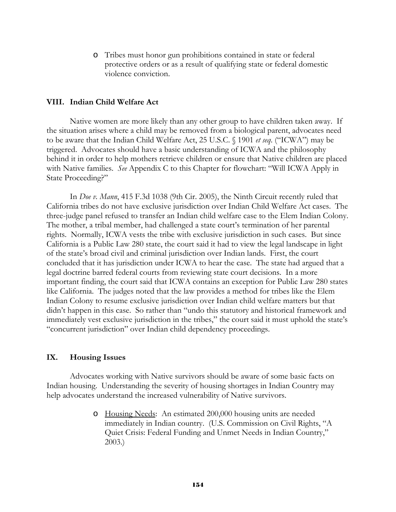o Tribes must honor gun prohibitions contained in state or federal protective orders or as a result of qualifying state or federal domestic violence conviction.

#### **VIII. Indian Child Welfare Act**

Native women are more likely than any other group to have children taken away. If the situation arises where a child may be removed from a biological parent, advocates need to be aware that the Indian Child Welfare Act, 25 U.S.C. § 1901 *et seq*. ("ICWA") may be triggered. Advocates should have a basic understanding of ICWA and the philosophy behind it in order to help mothers retrieve children or ensure that Native children are placed with Native families. *See* Appendix C to this Chapter for flowchart: "Will ICWA Apply in State Proceeding?"

 In *Doe v. Mann*, 415 F.3d 1038 (9th Cir. 2005), the Ninth Circuit recently ruled that California tribes do not have exclusive jurisdiction over Indian Child Welfare Act cases. The three-judge panel refused to transfer an Indian child welfare case to the Elem Indian Colony. The mother, a tribal member, had challenged a state court's termination of her parental rights. Normally, ICWA vests the tribe with exclusive jurisdiction in such cases. But since California is a Public Law 280 state, the court said it had to view the legal landscape in light of the state's broad civil and criminal jurisdiction over Indian lands. First, the court concluded that it has jurisdiction under ICWA to hear the case. The state had argued that a legal doctrine barred federal courts from reviewing state court decisions. In a more important finding, the court said that ICWA contains an exception for Public Law 280 states like California. The judges noted that the law provides a method for tribes like the Elem Indian Colony to resume exclusive jurisdiction over Indian child welfare matters but that didn't happen in this case. So rather than "undo this statutory and historical framework and immediately vest exclusive jurisdiction in the tribes," the court said it must uphold the state's "concurrent jurisdiction" over Indian child dependency proceedings.

#### **IX. Housing Issues**

Advocates working with Native survivors should be aware of some basic facts on Indian housing. Understanding the severity of housing shortages in Indian Country may help advocates understand the increased vulnerability of Native survivors.

> o Housing Needs: An estimated 200,000 housing units are needed immediately in Indian country. (U.S. Commission on Civil Rights, "A Quiet Crisis: Federal Funding and Unmet Needs in Indian Country," 2003.)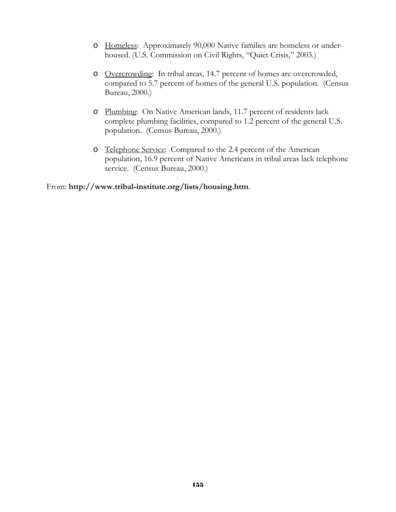- o Homeless: Approximately 90,000 Native families are homeless or underhoused. (U.S. Commission on Civil Rights, "Quiet Crisis," 2003.)
- o Overcrowding: In tribal areas, 14.7 percent of homes are overcrowded, compared to 5.7 percent of homes of the general U.S. population. (Census Bureau, 2000.)
- o Plumbing: On Native American lands, 11.7 percent of residents lack complete plumbing facilities, compared to 1.2 percent of the general U.S. population. (Census Bureau, 2000.)
- o Telephone Service: Compared to the 2.4 percent of the American population, 16.9 percent of Native Americans in tribal areas lack telephone service. (Census Bureau, 2000.)

From: **http://www.tribal-institute.org/lists/housing.htm**.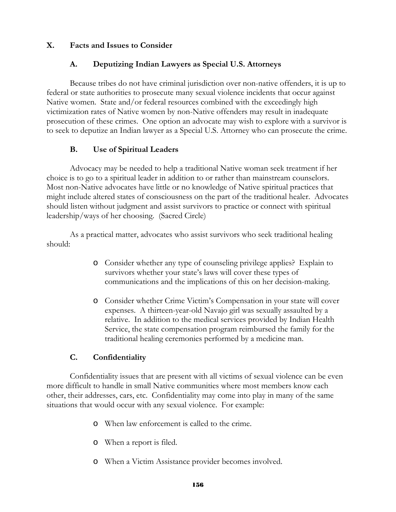#### **X. Facts and Issues to Consider**

#### **A. Deputizing Indian Lawyers as Special U.S. Attorneys**

Because tribes do not have criminal jurisdiction over non-native offenders, it is up to federal or state authorities to prosecute many sexual violence incidents that occur against Native women. State and/or federal resources combined with the exceedingly high victimization rates of Native women by non-Native offenders may result in inadequate prosecution of these crimes. One option an advocate may wish to explore with a survivor is to seek to deputize an Indian lawyer as a Special U.S. Attorney who can prosecute the crime.

#### **B. Use of Spiritual Leaders**

Advocacy may be needed to help a traditional Native woman seek treatment if her choice is to go to a spiritual leader in addition to or rather than mainstream counselors. Most non-Native advocates have little or no knowledge of Native spiritual practices that might include altered states of consciousness on the part of the traditional healer. Advocates should listen without judgment and assist survivors to practice or connect with spiritual leadership/ways of her choosing. (Sacred Circle)

As a practical matter, advocates who assist survivors who seek traditional healing should:

- o Consider whether any type of counseling privilege applies? Explain to survivors whether your state's laws will cover these types of communications and the implications of this on her decision-making.
- o Consider whether Crime Victim's Compensation in your state will cover expenses. A thirteen-year-old Navajo girl was sexually assaulted by a relative. In addition to the medical services provided by Indian Health Service, the state compensation program reimbursed the family for the traditional healing ceremonies performed by a medicine man.

#### **C. Confidentiality**

Confidentiality issues that are present with all victims of sexual violence can be even more difficult to handle in small Native communities where most members know each other, their addresses, cars, etc. Confidentiality may come into play in many of the same situations that would occur with any sexual violence. For example:

- o When law enforcement is called to the crime.
- o When a report is filed.
- o When a Victim Assistance provider becomes involved.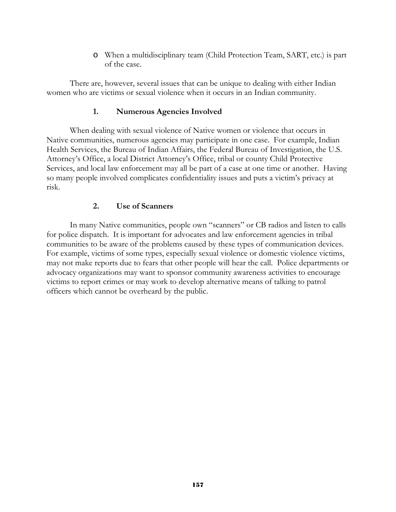o When a multidisciplinary team (Child Protection Team, SART, etc.) is part of the case.

There are, however, several issues that can be unique to dealing with either Indian women who are victims or sexual violence when it occurs in an Indian community.

#### **1. Numerous Agencies Involved**

When dealing with sexual violence of Native women or violence that occurs in Native communities, numerous agencies may participate in one case. For example, Indian Health Services, the Bureau of Indian Affairs, the Federal Bureau of Investigation, the U.S. Attorney's Office, a local District Attorney's Office, tribal or county Child Protective Services, and local law enforcement may all be part of a case at one time or another. Having so many people involved complicates confidentiality issues and puts a victim's privacy at risk.

#### **2. Use of Scanners**

In many Native communities, people own "scanners" or CB radios and listen to calls for police dispatch. It is important for advocates and law enforcement agencies in tribal communities to be aware of the problems caused by these types of communication devices. For example, victims of some types, especially sexual violence or domestic violence victims, may not make reports due to fears that other people will hear the call. Police departments or advocacy organizations may want to sponsor community awareness activities to encourage victims to report crimes or may work to develop alternative means of talking to patrol officers which cannot be overheard by the public.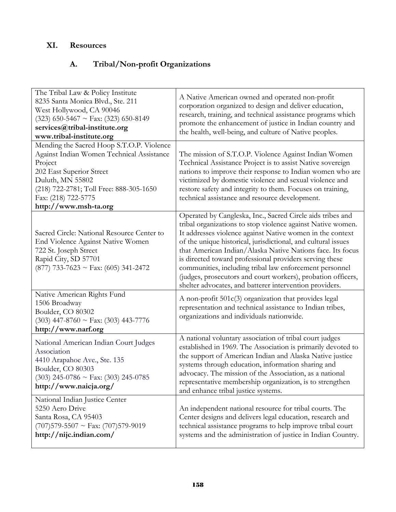# **XI. Resources**

# **A. Tribal/Non-profit Organizations**

| The Tribal Law & Policy Institute<br>8235 Santa Monica Blvd., Ste. 211<br>West Hollywood, CA 90046<br>$(323)$ 650-5467 ~ Fax: (323) 650-8149<br>services@tribal-institute.org<br>www.tribal-institute.org                                    | A Native American owned and operated non-profit<br>corporation organized to design and deliver education,<br>research, training, and technical assistance programs which<br>promote the enhancement of justice in Indian country and<br>the health, well-being, and culture of Native peoples.                                                                                                                                                                                                                                                                         |
|----------------------------------------------------------------------------------------------------------------------------------------------------------------------------------------------------------------------------------------------|------------------------------------------------------------------------------------------------------------------------------------------------------------------------------------------------------------------------------------------------------------------------------------------------------------------------------------------------------------------------------------------------------------------------------------------------------------------------------------------------------------------------------------------------------------------------|
| Mending the Sacred Hoop S.T.O.P. Violence<br>Against Indian Women Technical Assistance<br>Project<br>202 East Superior Street<br>Duluth, MN 55802<br>(218) 722-2781; Toll Free: 888-305-1650<br>Fax: (218) 722-5775<br>http://www.msh-ta.org | The mission of S.T.O.P. Violence Against Indian Women<br>Technical Assistance Project is to assist Native sovereign<br>nations to improve their response to Indian women who are<br>victimized by domestic violence and sexual violence and<br>restore safety and integrity to them. Focuses on training,<br>technical assistance and resource development.                                                                                                                                                                                                            |
| Sacred Circle: National Resource Center to<br>End Violence Against Native Women<br>722 St. Joseph Street<br>Rapid City, SD 57701<br>$(877)$ 733-7623 ~ Fax: (605) 341-2472                                                                   | Operated by Cangleska, Inc., Sacred Circle aids tribes and<br>tribal organizations to stop violence against Native women.<br>It addresses violence against Native women in the context<br>of the unique historical, jurisdictional, and cultural issues<br>that American Indian/Alaska Native Nations face. Its focus<br>is directed toward professional providers serving these<br>communities, including tribal law enforcement personnel<br>(judges, prosecutors and court workers), probation officers,<br>shelter advocates, and batterer intervention providers. |
| Native American Rights Fund<br>1506 Broadway<br>Boulder, CO 80302<br>$(303)$ 447-8760 ~ Fax: (303) 443-7776<br>http://www.narf.org                                                                                                           | A non-profit 501c(3) organization that provides legal<br>representation and technical assistance to Indian tribes,<br>organizations and individuals nationwide.                                                                                                                                                                                                                                                                                                                                                                                                        |
| National American Indian Court Judges<br>Association<br>4410 Arapahoe Ave., Ste. 135<br>Boulder, CO 80303<br>$(303)$ 245-0786 ~ Fax: (303) 245-0785<br>http://www.naicja.org/                                                                | A national voluntary association of tribal court judges<br>established in 1969. The Association is primarily devoted to<br>the support of American Indian and Alaska Native justice<br>systems through education, information sharing and<br>advocacy. The mission of the Association, as a national<br>representative membership organization, is to strengthen<br>and enhance tribal justice systems.                                                                                                                                                                |
| National Indian Justice Center<br>5250 Aero Drive<br>Santa Rosa, CA 95403<br>$(707)579 - 5507 \sim \text{Fax: } (707)579 - 9019$<br>http://nijc.indian.com/                                                                                  | An independent national resource for tribal courts. The<br>Center designs and delivers legal education, research and<br>technical assistance programs to help improve tribal court<br>systems and the administration of justice in Indian Country.                                                                                                                                                                                                                                                                                                                     |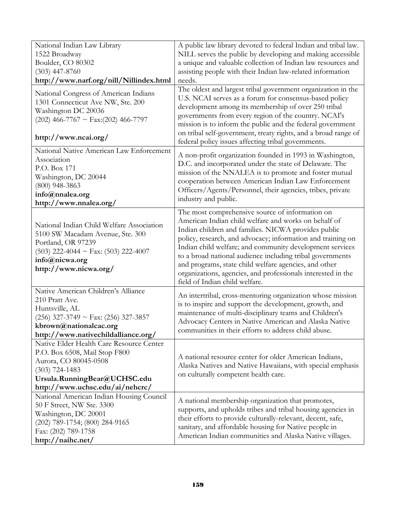| National Indian Law Library                               | A public law library devoted to federal Indian and tribal law.                                                         |
|-----------------------------------------------------------|------------------------------------------------------------------------------------------------------------------------|
| 1522 Broadway                                             | NILL serves the public by developing and making accessible                                                             |
| Boulder, CO 80302                                         | a unique and valuable collection of Indian law resources and                                                           |
| $(303)$ 447-8760                                          | assisting people with their Indian law-related information                                                             |
| http://www.narf.org/nill/Nillindex.html                   | needs.                                                                                                                 |
| National Congress of American Indians                     | The oldest and largest tribal government organization in the<br>U.S. NCAI serves as a forum for consensus-based policy |
| 1301 Connecticut Ave NW, Ste. 200                         | development among its membership of over 250 tribal                                                                    |
| Washington DC 20036                                       | governments from every region of the country. NCAI's                                                                   |
| $(202)$ 466-7767 ~ Fax: $(202)$ 466-7797                  | mission is to inform the public and the federal government                                                             |
|                                                           | on tribal self-government, treaty rights, and a broad range of                                                         |
| http://www.ncai.org/                                      | federal policy issues affecting tribal governments.                                                                    |
| National Native American Law Enforcement                  | A non-profit organization founded in 1993 in Washington,                                                               |
| Association                                               | D.C. and incorporated under the state of Delaware. The                                                                 |
| P.O. Box 171                                              | mission of the NNALEA is to promote and foster mutual                                                                  |
| Washington, DC 20044                                      | cooperation between American Indian Law Enforcement                                                                    |
| $(800)$ 948-3863                                          | Officers/Agents/Personnel, their agencies, tribes, private                                                             |
| info@nnalea.org<br>http://www.nnalea.org/                 | industry and public.                                                                                                   |
|                                                           | The most comprehensive source of information on                                                                        |
|                                                           | American Indian child welfare and works on behalf of                                                                   |
| National Indian Child Welfare Association                 | Indian children and families. NICWA provides public                                                                    |
| 5100 SW Macadam Avenue, Ste. 300                          | policy, research, and advocacy; information and training on                                                            |
| Portland, OR 97239                                        | Indian child welfare; and community development services                                                               |
| $(503)$ 222-4044 ~ Fax: $(503)$ 222-4007                  | to a broad national audience including tribal governments                                                              |
| info@nicwa.org                                            | and programs, state child welfare agencies, and other                                                                  |
| http://www.nicwa.org/                                     | organizations, agencies, and professionals interested in the                                                           |
|                                                           | field of Indian child welfare.                                                                                         |
| Native American Children's Alliance                       |                                                                                                                        |
| 210 Pratt Ave.                                            | An intertribal, cross-mentoring organization whose mission<br>is to inspire and support the development, growth, and   |
| Huntsville, AL                                            | maintenance of multi-disciplinary teams and Children's                                                                 |
| $(256)$ 327-3749 ~ Fax: $(256)$ 327-3857                  | Advocacy Centers in Native American and Alaska Native                                                                  |
| kbrown@nationalcac.org                                    | communities in their efforts to address child abuse.                                                                   |
| http://www.nativechildalliance.org/                       |                                                                                                                        |
| Native Elder Health Care Resource Center                  |                                                                                                                        |
| P.O. Box 6508, Mail Stop F800                             | A national resource center for older American Indians,                                                                 |
| Aurora, CO 80045-0508                                     | Alaska Natives and Native Hawaiians, with special emphasis                                                             |
| $(303)$ 724-1483                                          | on culturally competent health care.                                                                                   |
| Ursula.RunningBear@UCHSC.edu                              |                                                                                                                        |
| http://www.uchsc.edu/ai/nehcrc/                           |                                                                                                                        |
| National American Indian Housing Council                  | A national membership organization that promotes,                                                                      |
| 50 F Street, NW Ste. 3300                                 | supports, and upholds tribes and tribal housing agencies in                                                            |
| Washington, DC 20001                                      | their efforts to provide culturally-relevant, decent, safe,                                                            |
| $(202)$ 789-1754; $(800)$ 284-9165<br>Fax: (202) 789-1758 | sanitary, and affordable housing for Native people in                                                                  |
| http://naihc.net/                                         | American Indian communities and Alaska Native villages.                                                                |
|                                                           |                                                                                                                        |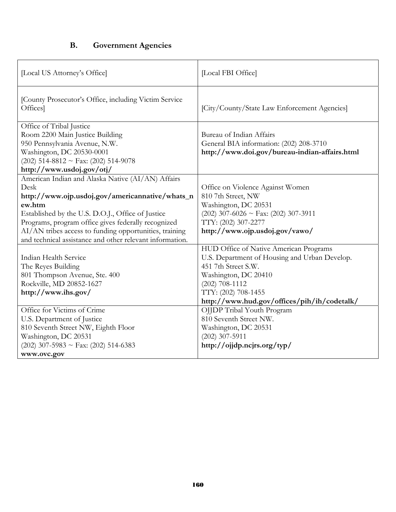## **B. Government Agencies**

| [Local US Attorney's Office]                                                                                                                                                                                                                                                                                                                             | [Local FBI Office]                                                                                                                                                                                                               |
|----------------------------------------------------------------------------------------------------------------------------------------------------------------------------------------------------------------------------------------------------------------------------------------------------------------------------------------------------------|----------------------------------------------------------------------------------------------------------------------------------------------------------------------------------------------------------------------------------|
| [County Prosecutor's Office, including Victim Service<br>Offices]                                                                                                                                                                                                                                                                                        | [City/County/State Law Enforcement Agencies]                                                                                                                                                                                     |
| Office of Tribal Justice<br>Room 2200 Main Justice Building<br>950 Pennsylvania Avenue, N.W.<br>Washington, DC 20530-0001<br>$(202)$ 514-8812 ~ Fax: $(202)$ 514-9078<br>http://www.usdoj.gov/otj/                                                                                                                                                       | Bureau of Indian Affairs<br>General BIA information: (202) 208-3710<br>http://www.doi.gov/bureau-indian-affairs.html                                                                                                             |
| American Indian and Alaska Native (AI/AN) Affairs<br>Desk<br>http://www.ojp.usdoj.gov/americannative/whats_n<br>ew.htm<br>Established by the U.S. D.O.J., Office of Justice<br>Programs, program office gives federally recognized<br>AI/AN tribes access to funding opportunities, training<br>and technical assistance and other relevant information. | Office on Violence Against Women<br>810 7th Street, NW<br>Washington, DC 20531<br>$(202)$ 307-6026 ~ Fax: $(202)$ 307-3911<br>TTY: (202) 307-2277<br>http://www.ojp.usdoj.gov/vawo/                                              |
| Indian Health Service<br>The Reyes Building<br>801 Thompson Avenue, Ste. 400<br>Rockville, MD 20852-1627<br>http://www.ihs.gov/                                                                                                                                                                                                                          | HUD Office of Native American Programs<br>U.S. Department of Housing and Urban Develop.<br>451 7th Street S.W.<br>Washington, DC 20410<br>$(202)$ 708-1112<br>TTY: (202) 708-1455<br>http://www.hud.gov/offices/pih/ih/codetalk/ |
| Office for Victims of Crime<br>U.S. Department of Justice<br>810 Seventh Street NW, Eighth Floor<br>Washington, DC 20531<br>$(202)$ 307-5983 ~ Fax: $(202)$ 514-6383<br>www.ovc.gov                                                                                                                                                                      | OJJDP Tribal Youth Program<br>810 Seventh Street NW.<br>Washington, DC 20531<br>$(202)$ 307-5911<br>http://ojjdp.ncjrs.org/typ/                                                                                                  |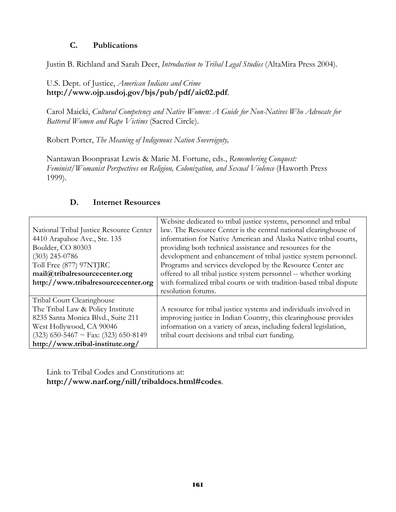#### **C. Publications**

Justin B. Richland and Sarah Deer, *Introduction to Tribal Legal Studies* (AltaMira Press 2004).

### U.S. Dept. of Justice, *American Indians and Crime* **http://www.ojp.usdoj.gov/bjs/pub/pdf/aic02.pdf**.

Carol Maicki, *Cultural Competency and Native Women: A Guide for Non-Natives Who Advocate for Battered Women and Rape Victims* (Sacred Circle).

Robert Porter, *The Meaning of Indigenous Nation Sovereignty,* 

Nantawan Boonprasat Lewis & Marie M. Fortune, eds., *Remembering Conquest: Feminist/Womanist Perspectives on Religion, Colonization, and Sexual Violence* (Haworth Press 1999).

## **D. Internet Resources**

|                                         | Website dedicated to tribal justice systems, personnel and tribal    |
|-----------------------------------------|----------------------------------------------------------------------|
| National Tribal Justice Resource Center | law. The Resource Center is the central national clearinghouse of    |
| 4410 Arapahoe Ave., Ste. 135            | information for Native American and Alaska Native tribal courts,     |
| Boulder, CO 80303                       | providing both technical assistance and resources for the            |
| $(303)$ 245-0786                        | development and enhancement of tribal justice system personnel.      |
| Toll Free (877) 97NTJRC                 | Programs and services developed by the Resource Center are           |
| mail@tribalresourcecenter.org           | offered to all tribal justice system personnel -- whether working    |
| http://www.tribalresourcecenter.org     | with formalized tribal courts or with tradition-based tribal dispute |
|                                         | resolution forums.                                                   |
| Tribal Court Clearinghouse              |                                                                      |
| The Tribal Law & Policy Institute       | A resource for tribal justice systems and individuals involved in    |
| 8235 Santa Monica Blvd., Suite 211      | improving justice in Indian Country, this clearinghouse provides     |
| West Hollywood, CA 90046                | information on a variety of areas, including federal legislation,    |
| $(323)$ 650-5467 ~ Fax: (323) 650-8149  | tribal court decisions and tribal curt funding.                      |
| http://www.tribal-institute.org/        |                                                                      |

Link to Tribal Codes and Constitutions at: **http://www.narf.org/nill/tribaldocs.html#codes**.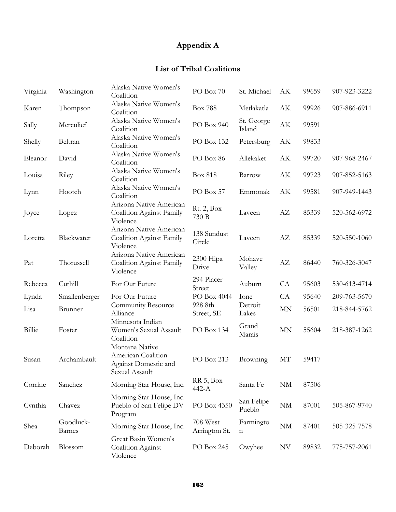# **Appendix A**

# **List of Tribal Coalitions**

| Virginia | Washington                 | Alaska Native Women's<br>Coalition                                             | $PO$ Box $70\,$           | St. Michael          | АK                     | 99659 | 907-923-3222 |
|----------|----------------------------|--------------------------------------------------------------------------------|---------------------------|----------------------|------------------------|-------|--------------|
| Karen    | Thompson                   | Alaska Native Women's<br>Coalition                                             | <b>Box 788</b>            | Metlakatla           | AK                     | 99926 | 907-886-6911 |
| Sally    | Merculief                  | Alaska Native Women's<br>Coalition                                             | PO Box 940                | St. George<br>Island | $\mathbf{A}\mathbf{K}$ | 99591 |              |
| Shelly   | Beltran                    | Alaska Native Women's<br>Coalition                                             | PO Box 132                | Petersburg           | АK                     | 99833 |              |
| Eleanor  | David                      | Alaska Native Women's<br>Coalition                                             | PO Box 86                 | Allekaket            | АK                     | 99720 | 907-968-2467 |
| Louisa   | Riley                      | Alaska Native Women's<br>Coalition                                             | <b>Box 818</b>            | Barrow               | АK                     | 99723 | 907-852-5163 |
| Lynn     | Hootch                     | Alaska Native Women's<br>Coalition                                             | PO Box 57                 | Emmonak              | АK                     | 99581 | 907-949-1443 |
| Joyce    | Lopez                      | Arizona Native American<br><b>Coalition Against Family</b><br>Violence         | Rt. 2, Box<br>730 B       | Laveen               | AΖ                     | 85339 | 520-562-6972 |
| Loretta  | Blackwater                 | Arizona Native American<br>Coalition Against Family<br>Violence                | 138 Sundust<br>Circle     | Laveen               | AZ                     | 85339 | 520-550-1060 |
| Pat      | Thorussell                 | Arizona Native American<br>Coalition Against Family<br>Violence                | 2300 Hipa<br>Drive        | Mohave<br>Valley     | AZ                     | 86440 | 760-326-3047 |
| Rebecca  | Cuthill                    | For Our Future                                                                 | 294 Placer<br>Street      | Auburn               | CA                     | 95603 | 530-613-4714 |
| Lynda    | Smallenberger              | For Our Future                                                                 | PO Box 4044               | Ione                 | CA                     | 95640 | 209-763-5670 |
| Lisa     | Brunner                    | Community Resource<br>Alliance                                                 | 928 8th<br>Street, SE     | Detroit<br>Lakes     | $\mbox{MN}$            | 56501 | 218-844-5762 |
| Billie   | Foster                     | Minnesota Indian<br>Women's Sexual Assault<br>Coalition                        | PO Box 134                | Grand<br>Marais      | <b>MN</b>              | 55604 | 218-387-1262 |
| Susan    | Archambault                | Montana Native<br>American Coalition<br>Against Domestic and<br>Sexual Assault | PO Box 213                | <b>Browning</b>      | MT                     | 59417 |              |
| Corrine  | Sanchez                    | Morning Star House, Inc.                                                       | RR 5, Box<br>$442-A$      | Santa Fe             | $\rm{NM}$              | 87506 |              |
| Cynthia  | Chavez                     | Morning Star House, Inc.<br>Pueblo of San Felipe DV<br>Program                 | PO Box 4350               | San Felipe<br>Pueblo | $\mathrm{NM}$          | 87001 | 505-867-9740 |
| Shea     | Goodluck-<br><b>Barnes</b> | Morning Star House, Inc.                                                       | 708 West<br>Arrington St. | Farmingto<br>n       | $\mathrm{NM}$          | 87401 | 505-325-7578 |
| Deborah  | Blossom                    | Great Basin Women's<br>Coalition Against<br>Violence                           | PO Box 245                | Owyhee               | NV                     | 89832 | 775-757-2061 |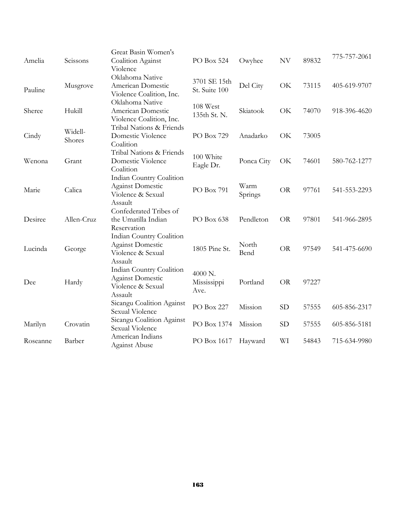| Amelia   | Scissons          | Great Basin Women's                                                                 |                                |                 | NV        | 89832 | 775-757-2061 |
|----------|-------------------|-------------------------------------------------------------------------------------|--------------------------------|-----------------|-----------|-------|--------------|
|          |                   | Coalition Against<br>Violence                                                       | PO Box 524                     | Owyhee          |           |       |              |
| Pauline  | Musgrove          | Oklahoma Native<br>American Domestic<br>Violence Coalition, Inc.                    | 3701 SE 15th<br>St. Suite 100  | Del City        | OK        | 73115 | 405-619-9707 |
| Sheree   | Hukill            | Oklahoma Native<br>American Domestic<br>Violence Coalition, Inc.                    | 108 West<br>135th St. N.       | Skiatook        | OK        | 74070 | 918-396-4620 |
| Cindy    | Widell-<br>Shores | Tribal Nations & Friends<br>Domestic Violence<br>Coalition                          | PO Box 729                     | Anadarko        | OK        | 73005 |              |
| Wenona   | Grant             | Tribal Nations & Friends<br>Domestic Violence<br>Coalition                          | 100 White<br>Eagle Dr.         | Ponca City      | OK        | 74601 | 580-762-1277 |
| Marie    | Calica            | Indian Country Coalition<br><b>Against Domestic</b><br>Violence & Sexual<br>Assault | PO Box 791                     | Warm<br>Springs | <b>OR</b> | 97761 | 541-553-2293 |
| Desiree  | Allen-Cruz        | Confederated Tribes of<br>the Umatilla Indian<br>Reservation                        | PO Box 638                     | Pendleton       | <b>OR</b> | 97801 | 541-966-2895 |
| Lucinda  | George            | Indian Country Coalition<br><b>Against Domestic</b><br>Violence & Sexual<br>Assault | 1805 Pine St.                  | North<br>Bend   | <b>OR</b> | 97549 | 541-475-6690 |
| Dee      | Hardy             | Indian Country Coalition<br><b>Against Domestic</b><br>Violence & Sexual<br>Assault | 4000 N.<br>Mississippi<br>Ave. | Portland        | <b>OR</b> | 97227 |              |
|          |                   | Sicangu Coalition Against<br>Sexual Violence                                        | PO Box 227                     | Mission         | <b>SD</b> | 57555 | 605-856-2317 |
| Marilyn  | Crovatin          | Sicangu Coalition Against<br>Sexual Violence                                        | PO Box 1374                    | Mission         | <b>SD</b> | 57555 | 605-856-5181 |
| Roseanne | Barber            | American Indians<br><b>Against Abuse</b>                                            | PO Box 1617                    | Hayward         | WI        | 54843 | 715-634-9980 |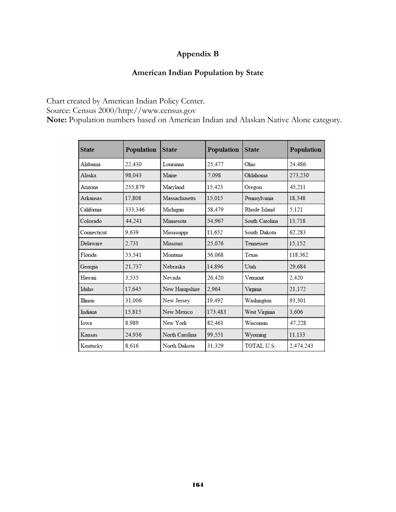# **Appendix B**

## **American Indian Population by State**

Chart created by American Indian Policy Center. Source: Census 2000/http://www.census.gov **Note:** Population numbers based on American Indian and Alaskan Native Alone category.

| <b>State</b> | Population | <b>State</b>   | Population | <b>State</b>   | Population |
|--------------|------------|----------------|------------|----------------|------------|
| Alabama      | 22.430     | Louisiana      | 25.477     | Ohio           | 24.486     |
| Alaska       | 98.043     | Maine          | 7.098      | Oklahoma       | 273,230    |
| Arizona      | 255.879    | Maryland       | 15.423     | Oregon         | 45.211     |
| Arkansas     | 17,808     | Massachusetts  | 15,015     | Pennsylvania   | 18,348     |
| California   | 333,346    | Michigan       | 58,479     | Rhode Island   | 5,121      |
| Colorado     | 44,241     | Minnesota      | 54.967     | South Carolina | 13,718     |
| Connecticut  | 9.639      | Mississippi    | 11.652     | South Dakota   | 62.283     |
| Delaware     | 2,731      | Missouri       | 25.076     | Tennessee      | 15,152     |
| Florida      | 53,541     | Montana        | 56.068     | Texas          | 118,362    |
| Georgia      | 21.737     | Nebraska       | 14.896     | Utah           | 29.684     |
| Hawaii       | 3.535      | Nevada         | 26,420     | Vermont        | 2,420      |
| Idaho        | 17,645     | New Hampshire  | 2.964      | Virginia       | 21,172     |
| Illinois     | 31,006     | New Jersey     | 19,492     | Washington     | 93,301     |
| Indiana      | 15,815     | New Mexico     | 173,483    | West Virginia  | 3,606      |
| Iowa         | 8.989      | New York       | 82.461     | Wisconsin      | 47,228     |
| Kansas       | 24.936     | North Carolina | 99.551     | Wyoming        | 11,133     |
| Kentucky     | 8.616      | North Dakota   | 31,329     | TOTAL U.S.     | 2,474,243  |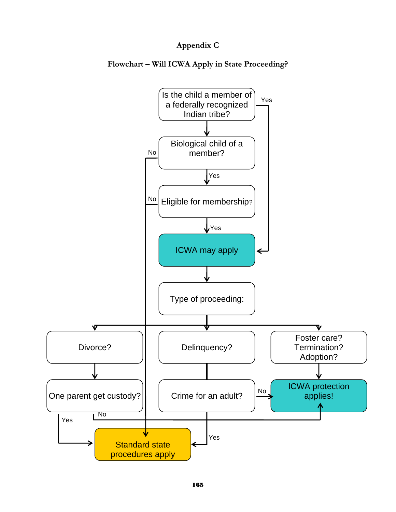# **Appendix C**

**Flowchart – Will ICWA Apply in State Proceeding?** 

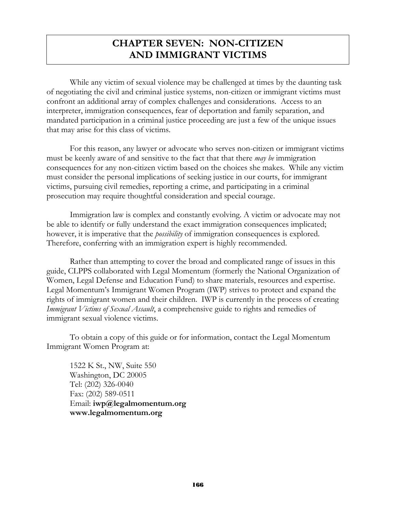# **CHAPTER SEVEN: NON-CITIZEN AND IMMIGRANT VICTIMS**

 While any victim of sexual violence may be challenged at times by the daunting task of negotiating the civil and criminal justice systems, non-citizen or immigrant victims must confront an additional array of complex challenges and considerations. Access to an interpreter, immigration consequences, fear of deportation and family separation, and mandated participation in a criminal justice proceeding are just a few of the unique issues that may arise for this class of victims.

For this reason, any lawyer or advocate who serves non-citizen or immigrant victims must be keenly aware of and sensitive to the fact that that there *may be* immigration consequences for any non-citizen victim based on the choices she makes. While any victim must consider the personal implications of seeking justice in our courts, for immigrant victims, pursuing civil remedies, reporting a crime, and participating in a criminal prosecution may require thoughtful consideration and special courage.

Immigration law is complex and constantly evolving. A victim or advocate may not be able to identify or fully understand the exact immigration consequences implicated; however, it is imperative that the *possibility* of immigration consequences is explored. Therefore, conferring with an immigration expert is highly recommended.

Rather than attempting to cover the broad and complicated range of issues in this guide, CLPPS collaborated with Legal Momentum (formerly the National Organization of Women, Legal Defense and Education Fund) to share materials, resources and expertise. Legal Momentum's Immigrant Women Program (IWP) strives to protect and expand the rights of immigrant women and their children. IWP is currently in the process of creating *Immigrant Victims of Sexual Assault*, a comprehensive guide to rights and remedies of immigrant sexual violence victims.

To obtain a copy of this guide or for information, contact the Legal Momentum Immigrant Women Program at:

1522 K St., NW, Suite 550 Washington, DC 20005 Tel: (202) 326-0040 Fax: (202) 589-0511 Email: **iwp@legalmomentum.org www.legalmomentum.org**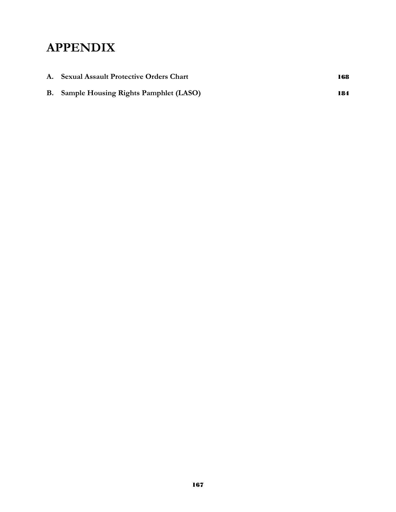# **APPENDIX**

| A. Sexual Assault Protective Orders Chart       | 168 |
|-------------------------------------------------|-----|
| <b>B.</b> Sample Housing Rights Pamphlet (LASO) | 184 |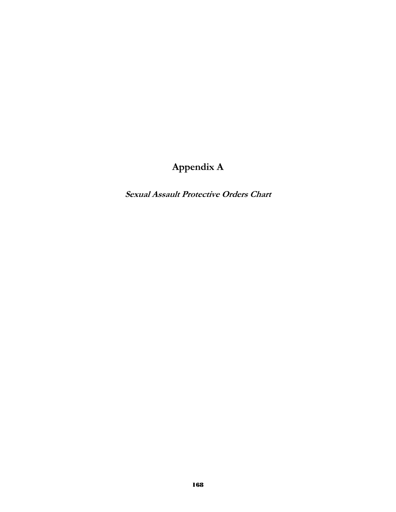# **Appendix A**

**Sexual Assault Protective Orders Chart**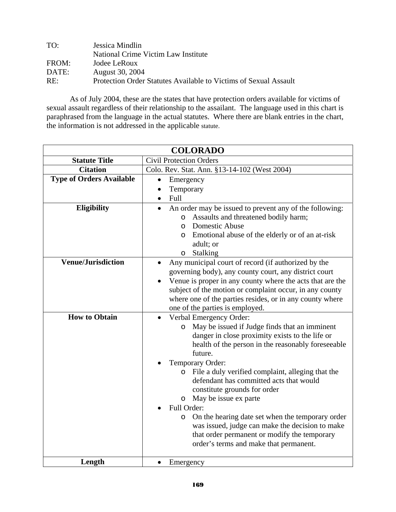| TO:   | Jessica Mindlin                                                  |
|-------|------------------------------------------------------------------|
|       | National Crime Victim Law Institute                              |
| FROM: | Jodee LeRoux                                                     |
| DATE: | <b>August</b> 30, 2004                                           |
| RE:   | Protection Order Statutes Available to Victims of Sexual Assault |

 As of July 2004, these are the states that have protection orders available for victims of sexual assault regardless of their relationship to the assailant. The language used in this chart is paraphrased from the language in the actual statutes. Where there are blank entries in the chart, the information is not addressed in the applicable statute.

|                                 | <b>COLORADO</b>                                                                                                                                                                                                                                                                                                                                                                                                                                                                                                                                                                                                                           |  |  |
|---------------------------------|-------------------------------------------------------------------------------------------------------------------------------------------------------------------------------------------------------------------------------------------------------------------------------------------------------------------------------------------------------------------------------------------------------------------------------------------------------------------------------------------------------------------------------------------------------------------------------------------------------------------------------------------|--|--|
| <b>Statute Title</b>            | <b>Civil Protection Orders</b>                                                                                                                                                                                                                                                                                                                                                                                                                                                                                                                                                                                                            |  |  |
| <b>Citation</b>                 | Colo. Rev. Stat. Ann. §13-14-102 (West 2004)                                                                                                                                                                                                                                                                                                                                                                                                                                                                                                                                                                                              |  |  |
| <b>Type of Orders Available</b> | Emergency<br>$\bullet$<br>Temporary<br>$\bullet$<br>Full<br>$\bullet$                                                                                                                                                                                                                                                                                                                                                                                                                                                                                                                                                                     |  |  |
| Eligibility                     | An order may be issued to prevent any of the following:<br>$\bullet$<br>Assaults and threatened bodily harm;<br>$\circ$<br>Domestic Abuse<br>$\Omega$<br>Emotional abuse of the elderly or of an at-risk<br>$\circ$<br>adult; or<br><b>Stalking</b><br>$\circ$                                                                                                                                                                                                                                                                                                                                                                            |  |  |
| <b>Venue/Jurisdiction</b>       | Any municipal court of record (if authorized by the<br>$\bullet$<br>governing body), any county court, any district court<br>Venue is proper in any county where the acts that are the<br>subject of the motion or complaint occur, in any county<br>where one of the parties resides, or in any county where<br>one of the parties is employed.                                                                                                                                                                                                                                                                                          |  |  |
| <b>How to Obtain</b>            | Verbal Emergency Order:<br>$\bullet$<br>May be issued if Judge finds that an imminent<br>$\circ$<br>danger in close proximity exists to the life or<br>health of the person in the reasonably foreseeable<br>future.<br>Temporary Order:<br>o File a duly verified complaint, alleging that the<br>defendant has committed acts that would<br>constitute grounds for order<br>May be issue ex parte<br>$\circ$<br>Full Order:<br>On the hearing date set when the temporary order<br>$\circ$<br>was issued, judge can make the decision to make<br>that order permanent or modify the temporary<br>order's terms and make that permanent. |  |  |
| Length                          | Emergency                                                                                                                                                                                                                                                                                                                                                                                                                                                                                                                                                                                                                                 |  |  |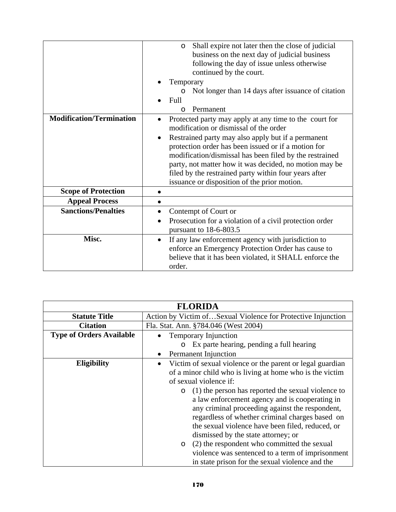| Shall expire not later then the close of judicial<br>$\circ$    |
|-----------------------------------------------------------------|
| business on the next day of judicial business                   |
| following the day of issue unless otherwise                     |
| continued by the court.                                         |
| Temporary                                                       |
| Not longer than 14 days after issuance of citation<br>$\circ$   |
| Full                                                            |
| Permanent<br>$\Omega$                                           |
| Protected party may apply at any time to the court for          |
| modification or dismissal of the order                          |
| Restrained party may also apply but if a permanent<br>$\bullet$ |
| protection order has been issued or if a motion for             |
| modification/dismissal has been filed by the restrained         |
| party, not matter how it was decided, no motion may be          |
| filed by the restrained party within four years after           |
| issuance or disposition of the prior motion.                    |
|                                                                 |
|                                                                 |
| Contempt of Court or                                            |
| Prosecution for a violation of a civil protection order         |
| pursuant to 18-6-803.5                                          |
| If any law enforcement agency with jurisdiction to<br>$\bullet$ |
| enforce an Emergency Protection Order has cause to              |
| believe that it has been violated, it SHALL enforce the         |
| order.                                                          |
|                                                                 |

| <b>FLORIDA</b>                  |                                                                                                                                                                                                                                                                                                                                                                                                                                                                                                                                                                                                                                                |
|---------------------------------|------------------------------------------------------------------------------------------------------------------------------------------------------------------------------------------------------------------------------------------------------------------------------------------------------------------------------------------------------------------------------------------------------------------------------------------------------------------------------------------------------------------------------------------------------------------------------------------------------------------------------------------------|
| <b>Statute Title</b>            | Action by Victim ofSexual Violence for Protective Injunction                                                                                                                                                                                                                                                                                                                                                                                                                                                                                                                                                                                   |
| <b>Citation</b>                 | Fla. Stat. Ann. §784.046 (West 2004)                                                                                                                                                                                                                                                                                                                                                                                                                                                                                                                                                                                                           |
| <b>Type of Orders Available</b> | <b>Temporary Injunction</b>                                                                                                                                                                                                                                                                                                                                                                                                                                                                                                                                                                                                                    |
|                                 | Ex parte hearing, pending a full hearing<br>$\circ$                                                                                                                                                                                                                                                                                                                                                                                                                                                                                                                                                                                            |
|                                 | <b>Permanent Injunction</b>                                                                                                                                                                                                                                                                                                                                                                                                                                                                                                                                                                                                                    |
| <b>Eligibility</b>              | Victim of sexual violence or the parent or legal guardian<br>$\bullet$<br>of a minor child who is living at home who is the victim<br>of sexual violence if:<br>$\circ$ (1) the person has reported the sexual violence to<br>a law enforcement agency and is cooperating in<br>any criminal proceeding against the respondent,<br>regardless of whether criminal charges based on<br>the sexual violence have been filed, reduced, or<br>dismissed by the state attorney; or<br>(2) the respondent who committed the sexual<br>$\circ$<br>violence was sentenced to a term of imprisonment<br>in state prison for the sexual violence and the |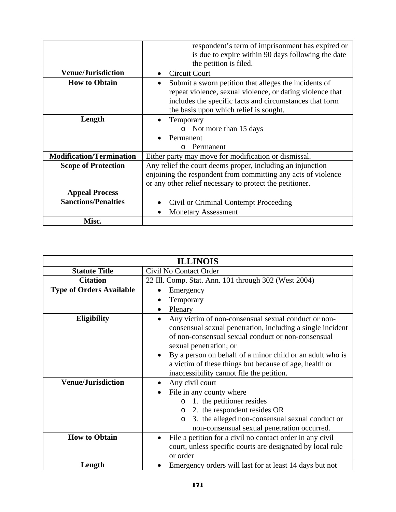|                                 | respondent's term of imprisonment has expired or<br>is due to expire within 90 days following the date |
|---------------------------------|--------------------------------------------------------------------------------------------------------|
| <b>Venue/Jurisdiction</b>       | the petition is filed.<br>Circuit Court                                                                |
| <b>How to Obtain</b>            |                                                                                                        |
|                                 | Submit a sworn petition that alleges the incidents of<br>٠                                             |
|                                 | repeat violence, sexual violence, or dating violence that                                              |
|                                 | includes the specific facts and circumstances that form                                                |
|                                 | the basis upon which relief is sought.                                                                 |
| Length                          | Temporary                                                                                              |
|                                 | $\circ$ Not more than 15 days                                                                          |
|                                 | Permanent                                                                                              |
|                                 | Permanent<br>$\cap$                                                                                    |
| <b>Modification/Termination</b> | Either party may move for modification or dismissal.                                                   |
| <b>Scope of Protection</b>      | Any relief the court deems proper, including an injunction                                             |
|                                 | enjoining the respondent from committing any acts of violence                                          |
|                                 | or any other relief necessary to protect the petitioner.                                               |
| <b>Appeal Process</b>           |                                                                                                        |
| <b>Sanctions/Penalties</b>      | Civil or Criminal Contempt Proceeding                                                                  |
|                                 | <b>Monetary Assessment</b>                                                                             |
| Misc.                           |                                                                                                        |

| <b>ILLINOIS</b>                 |                                                                                                                                                                                                                                                                                                                                                                       |
|---------------------------------|-----------------------------------------------------------------------------------------------------------------------------------------------------------------------------------------------------------------------------------------------------------------------------------------------------------------------------------------------------------------------|
| <b>Statute Title</b>            | Civil No Contact Order                                                                                                                                                                                                                                                                                                                                                |
| <b>Citation</b>                 | 22 Ill. Comp. Stat. Ann. 101 through 302 (West 2004)                                                                                                                                                                                                                                                                                                                  |
| <b>Type of Orders Available</b> | Emergency<br>Temporary<br>Plenary                                                                                                                                                                                                                                                                                                                                     |
| <b>Eligibility</b>              | Any victim of non-consensual sexual conduct or non-<br>consensual sexual penetration, including a single incident<br>of non-consensual sexual conduct or non-consensual<br>sexual penetration; or<br>By a person on behalf of a minor child or an adult who is<br>a victim of these things but because of age, health or<br>inaccessibility cannot file the petition. |
| <b>Venue/Jurisdiction</b>       | Any civil court<br>File in any county where<br>1. the petitioner resides<br>$\circ$<br>2. the respondent resides OR<br>$\circ$<br>3. the alleged non-consensual sexual conduct or<br>$\circ$<br>non-consensual sexual penetration occurred.                                                                                                                           |
| <b>How to Obtain</b>            | File a petition for a civil no contact order in any civil<br>court, unless specific courts are designated by local rule<br>or order                                                                                                                                                                                                                                   |
| Length                          | Emergency orders will last for at least 14 days but not                                                                                                                                                                                                                                                                                                               |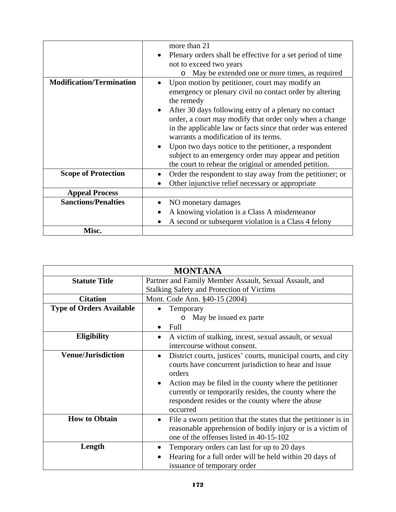|                                 | more than 21                                                                                                                                                                                                             |
|---------------------------------|--------------------------------------------------------------------------------------------------------------------------------------------------------------------------------------------------------------------------|
|                                 | Plenary orders shall be effective for a set period of time                                                                                                                                                               |
|                                 | not to exceed two years                                                                                                                                                                                                  |
|                                 | May be extended one or more times, as required                                                                                                                                                                           |
| <b>Modification/Termination</b> | Upon motion by petitioner, court may modify an                                                                                                                                                                           |
|                                 | emergency or plenary civil no contact order by altering<br>the remedy                                                                                                                                                    |
|                                 | After 30 days following entry of a plenary no contact<br>order, a court may modify that order only when a change<br>in the applicable law or facts since that order was entered<br>warrants a modification of its terms. |
|                                 | Upon two days notice to the petitioner, a respondent<br>subject to an emergency order may appear and petition<br>the court to rehear the original or amended petition.                                                   |
| <b>Scope of Protection</b>      | Order the respondent to stay away from the petitioner; or                                                                                                                                                                |
|                                 | Other injunctive relief necessary or appropriate                                                                                                                                                                         |
| <b>Appeal Process</b>           |                                                                                                                                                                                                                          |
| <b>Sanctions/Penalties</b>      | NO monetary damages                                                                                                                                                                                                      |
|                                 | A knowing violation is a Class A misdemeanor                                                                                                                                                                             |
|                                 | A second or subsequent violation is a Class 4 felony                                                                                                                                                                     |
| Misc.                           |                                                                                                                                                                                                                          |

| <b>MONTANA</b>                  |                                                                                                                                                                                                                                                                                                                                   |
|---------------------------------|-----------------------------------------------------------------------------------------------------------------------------------------------------------------------------------------------------------------------------------------------------------------------------------------------------------------------------------|
| <b>Statute Title</b>            | Partner and Family Member Assault, Sexual Assault, and                                                                                                                                                                                                                                                                            |
|                                 | <b>Stalking Safety and Protection of Victims</b>                                                                                                                                                                                                                                                                                  |
| <b>Citation</b>                 | Mont. Code Ann. §40-15 (2004)                                                                                                                                                                                                                                                                                                     |
| <b>Type of Orders Available</b> | Temporary                                                                                                                                                                                                                                                                                                                         |
|                                 | May be issued ex parte<br>$\circ$                                                                                                                                                                                                                                                                                                 |
|                                 | Full                                                                                                                                                                                                                                                                                                                              |
| <b>Eligibility</b>              | A victim of stalking, incest, sexual assault, or sexual<br>$\bullet$                                                                                                                                                                                                                                                              |
|                                 | intercourse without consent.                                                                                                                                                                                                                                                                                                      |
| <b>Venue/Jurisdiction</b>       | District courts, justices' courts, municipal courts, and city<br>$\bullet$<br>courts have concurrent jurisdiction to hear and issue<br>orders<br>Action may be filed in the county where the petitioner<br>currently or temporarily resides, the county where the<br>respondent resides or the county where the abuse<br>occurred |
| <b>How to Obtain</b>            | File a sworn petition that the states that the petitioner is in<br>$\bullet$<br>reasonable apprehension of bodily injury or is a victim of<br>one of the offenses listed in 40-15-102                                                                                                                                             |
| Length                          | Temporary orders can last for up to 20 days<br>Hearing for a full order will be held within 20 days of<br>issuance of temporary order                                                                                                                                                                                             |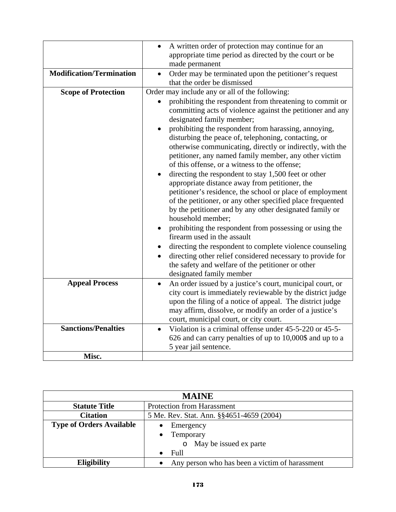|                                 | A written order of protection may continue for an<br>appropriate time period as directed by the court or be                                                                                                                                                                                                                                                                                                                                |
|---------------------------------|--------------------------------------------------------------------------------------------------------------------------------------------------------------------------------------------------------------------------------------------------------------------------------------------------------------------------------------------------------------------------------------------------------------------------------------------|
|                                 | made permanent                                                                                                                                                                                                                                                                                                                                                                                                                             |
| <b>Modification/Termination</b> | Order may be terminated upon the petitioner's request<br>that the order be dismissed                                                                                                                                                                                                                                                                                                                                                       |
| <b>Scope of Protection</b>      | Order may include any or all of the following:                                                                                                                                                                                                                                                                                                                                                                                             |
|                                 | prohibiting the respondent from threatening to commit or<br>committing acts of violence against the petitioner and any<br>designated family member;<br>prohibiting the respondent from harassing, annoying,<br>disturbing the peace of, telephoning, contacting, or<br>otherwise communicating, directly or indirectly, with the<br>petitioner, any named family member, any other victim<br>of this offense, or a witness to the offense; |
|                                 | directing the respondent to stay 1,500 feet or other<br>$\bullet$<br>appropriate distance away from petitioner, the<br>petitioner's residence, the school or place of employment<br>of the petitioner, or any other specified place frequented<br>by the petitioner and by any other designated family or<br>household member;                                                                                                             |
|                                 | prohibiting the respondent from possessing or using the<br>firearm used in the assault                                                                                                                                                                                                                                                                                                                                                     |
|                                 | directing the respondent to complete violence counseling<br>directing other relief considered necessary to provide for<br>the safety and welfare of the petitioner or other<br>designated family member                                                                                                                                                                                                                                    |
| <b>Appeal Process</b>           | An order issued by a justice's court, municipal court, or<br>$\bullet$<br>city court is immediately reviewable by the district judge<br>upon the filing of a notice of appeal. The district judge<br>may affirm, dissolve, or modify an order of a justice's<br>court, municipal court, or city court.                                                                                                                                     |
| <b>Sanctions/Penalties</b>      | Violation is a criminal offense under 45-5-220 or 45-5-<br>626 and can carry penalties of up to 10,000\$ and up to a<br>5 year jail sentence.                                                                                                                                                                                                                                                                                              |
| Misc.                           |                                                                                                                                                                                                                                                                                                                                                                                                                                            |

| <b>MAINE</b>                    |                                                |
|---------------------------------|------------------------------------------------|
| <b>Statute Title</b>            | <b>Protection from Harassment</b>              |
| <b>Citation</b>                 | 5 Me. Rev. Stat. Ann. §§4651-4659 (2004)       |
| <b>Type of Orders Available</b> | Emergency                                      |
|                                 | Temporary<br>$\bullet$                         |
|                                 | May be issued ex parte                         |
|                                 | Full<br>$\bullet$                              |
| <b>Eligibility</b>              | Any person who has been a victim of harassment |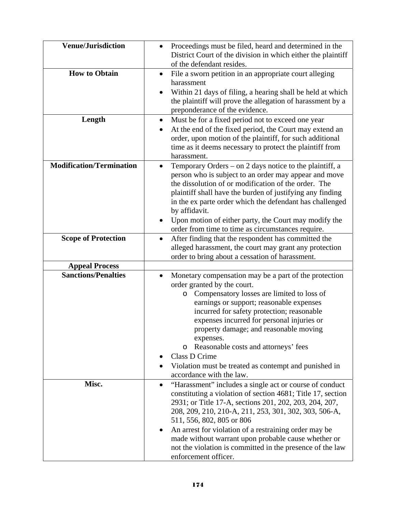| <b>Venue/Jurisdiction</b>       | Proceedings must be filed, heard and determined in the<br>$\bullet$<br>District Court of the division in which either the plaintiff<br>of the defendant resides.                                                                                                                                                                                                                                                                                                                              |
|---------------------------------|-----------------------------------------------------------------------------------------------------------------------------------------------------------------------------------------------------------------------------------------------------------------------------------------------------------------------------------------------------------------------------------------------------------------------------------------------------------------------------------------------|
| <b>How to Obtain</b>            | File a sworn petition in an appropriate court alleging<br>٠<br>harassment<br>Within 21 days of filing, a hearing shall be held at which<br>the plaintiff will prove the allegation of harassment by a<br>preponderance of the evidence.                                                                                                                                                                                                                                                       |
| Length                          | Must be for a fixed period not to exceed one year<br>$\bullet$<br>At the end of the fixed period, the Court may extend an<br>order, upon motion of the plaintiff, for such additional<br>time as it deems necessary to protect the plaintiff from<br>harassment.                                                                                                                                                                                                                              |
| <b>Modification/Termination</b> | Temporary Orders – on 2 days notice to the plaintiff, a<br>$\bullet$<br>person who is subject to an order may appear and move<br>the dissolution of or modification of the order. The<br>plaintiff shall have the burden of justifying any finding<br>in the ex parte order which the defendant has challenged<br>by affidavit.<br>Upon motion of either party, the Court may modify the<br>$\bullet$<br>order from time to time as circumstances require.                                    |
| <b>Scope of Protection</b>      | After finding that the respondent has committed the<br>$\bullet$<br>alleged harassment, the court may grant any protection<br>order to bring about a cessation of harassment.                                                                                                                                                                                                                                                                                                                 |
| <b>Appeal Process</b>           |                                                                                                                                                                                                                                                                                                                                                                                                                                                                                               |
| <b>Sanctions/Penalties</b>      | Monetary compensation may be a part of the protection<br>order granted by the court.<br>o Compensatory losses are limited to loss of<br>earnings or support; reasonable expenses<br>incurred for safety protection; reasonable<br>expenses incurred for personal injuries or<br>property damage; and reasonable moving<br>expenses.<br>Reasonable costs and attorneys' fees<br>O<br>Class D Crime<br>Violation must be treated as contempt and punished in<br>accordance with the law.        |
| Misc.                           | "Harassment" includes a single act or course of conduct<br>$\bullet$<br>constituting a violation of section 4681; Title 17, section<br>2931; or Title 17-A, sections 201, 202, 203, 204, 207,<br>208, 209, 210, 210-A, 211, 253, 301, 302, 303, 506-A,<br>511, 556, 802, 805 or 806<br>An arrest for violation of a restraining order may be<br>٠<br>made without warrant upon probable cause whether or<br>not the violation is committed in the presence of the law<br>enforcement officer. |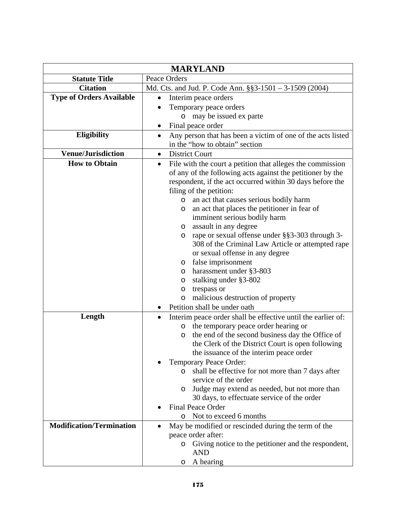|                                 | <b>MARYLAND</b>                                                                                                                                                                                                                                                                                                                                                                                                                                                                                                                                                                                                                                                                                                                                          |  |
|---------------------------------|----------------------------------------------------------------------------------------------------------------------------------------------------------------------------------------------------------------------------------------------------------------------------------------------------------------------------------------------------------------------------------------------------------------------------------------------------------------------------------------------------------------------------------------------------------------------------------------------------------------------------------------------------------------------------------------------------------------------------------------------------------|--|
| <b>Statute Title</b>            | Peace Orders                                                                                                                                                                                                                                                                                                                                                                                                                                                                                                                                                                                                                                                                                                                                             |  |
| <b>Citation</b>                 | Md. Cts. and Jud. P. Code Ann. §§3-1501 - 3-1509 (2004)                                                                                                                                                                                                                                                                                                                                                                                                                                                                                                                                                                                                                                                                                                  |  |
| <b>Type of Orders Available</b> | Interim peace orders<br>$\bullet$                                                                                                                                                                                                                                                                                                                                                                                                                                                                                                                                                                                                                                                                                                                        |  |
|                                 | Temporary peace orders                                                                                                                                                                                                                                                                                                                                                                                                                                                                                                                                                                                                                                                                                                                                   |  |
|                                 | may be issued ex parte<br>$\circ$                                                                                                                                                                                                                                                                                                                                                                                                                                                                                                                                                                                                                                                                                                                        |  |
|                                 | Final peace order                                                                                                                                                                                                                                                                                                                                                                                                                                                                                                                                                                                                                                                                                                                                        |  |
| <b>Eligibility</b>              | Any person that has been a victim of one of the acts listed                                                                                                                                                                                                                                                                                                                                                                                                                                                                                                                                                                                                                                                                                              |  |
|                                 | in the "how to obtain" section                                                                                                                                                                                                                                                                                                                                                                                                                                                                                                                                                                                                                                                                                                                           |  |
| <b>Venue/Jurisdiction</b>       | <b>District Court</b><br>$\bullet$                                                                                                                                                                                                                                                                                                                                                                                                                                                                                                                                                                                                                                                                                                                       |  |
| <b>How to Obtain</b>            | File with the court a petition that alleges the commission<br>$\bullet$<br>of any of the following acts against the petitioner by the<br>respondent, if the act occurred within 30 days before the<br>filing of the petition:<br>an act that causes serious bodily harm<br>$\circ$<br>an act that places the petitioner in fear of<br>O<br>imminent serious bodily harm<br>assault in any degree<br>$\circ$<br>rape or sexual offense under §§3-303 through 3-<br>O<br>308 of the Criminal Law Article or attempted rape<br>or sexual offense in any degree<br>false imprisonment<br>$\circ$<br>harassment under §3-803<br>O<br>stalking under §3-802<br>O<br>trespass or<br>O<br>malicious destruction of property<br>O<br>Petition shall be under oath |  |
| Length                          | Interim peace order shall be effective until the earlier of:<br>$\bullet$<br>the temporary peace order hearing or<br>$\circ$<br>the end of the second business day the Office of<br>$\circ$<br>the Clerk of the District Court is open following                                                                                                                                                                                                                                                                                                                                                                                                                                                                                                         |  |
|                                 | the issuance of the interim peace order<br>Temporary Peace Order:<br>shall be effective for not more than 7 days after<br>$\circ$<br>service of the order<br>Judge may extend as needed, but not more than<br>$\circ$<br>30 days, to effectuate service of the order<br><b>Final Peace Order</b>                                                                                                                                                                                                                                                                                                                                                                                                                                                         |  |
|                                 | Not to exceed 6 months<br>O                                                                                                                                                                                                                                                                                                                                                                                                                                                                                                                                                                                                                                                                                                                              |  |
| <b>Modification/Termination</b> | May be modified or rescinded during the term of the<br>peace order after:<br>Giving notice to the petitioner and the respondent,<br>$\circ$<br><b>AND</b><br>A hearing<br>O                                                                                                                                                                                                                                                                                                                                                                                                                                                                                                                                                                              |  |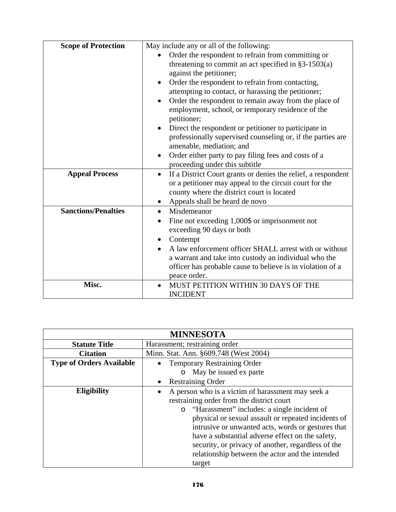| <b>Scope of Protection</b> | May include any or all of the following:                                   |
|----------------------------|----------------------------------------------------------------------------|
|                            | Order the respondent to refrain from committing or                         |
|                            | threatening to commit an act specified in $§3-1503(a)$                     |
|                            | against the petitioner;                                                    |
|                            | Order the respondent to refrain from contacting,<br>$\bullet$              |
|                            | attempting to contact, or harassing the petitioner;                        |
|                            | Order the respondent to remain away from the place of                      |
|                            | employment, school, or temporary residence of the<br>petitioner;           |
|                            | Direct the respondent or petitioner to participate in<br>$\bullet$         |
|                            | professionally supervised counseling or, if the parties are                |
|                            | amenable, mediation; and                                                   |
|                            | Order either party to pay filing fees and costs of a<br>$\bullet$          |
|                            | proceeding under this subtitle                                             |
| <b>Appeal Process</b>      | If a District Court grants or denies the relief, a respondent<br>$\bullet$ |
|                            | or a petitioner may appeal to the circuit court for the                    |
|                            | county where the district court is located                                 |
|                            | Appeals shall be heard de novo                                             |
| <b>Sanctions/Penalties</b> | Misdemeanor<br>$\bullet$                                                   |
|                            | Fine not exceeding 1,000\$ or imprisonment not<br>$\bullet$                |
|                            | exceeding 90 days or both                                                  |
|                            | Contempt<br>$\bullet$                                                      |
|                            | A law enforcement officer SHALL arrest with or without                     |
|                            | a warrant and take into custody an individual who the                      |
|                            | officer has probable cause to believe is in violation of a                 |
|                            | peace order.                                                               |
| Misc.                      | MUST PETITION WITHIN 30 DAYS OF THE                                        |
|                            | <b>INCIDENT</b>                                                            |

| <b>MINNESOTA</b>                |                                                                                                                                                                                                                                                                                                                                                                                                                                     |
|---------------------------------|-------------------------------------------------------------------------------------------------------------------------------------------------------------------------------------------------------------------------------------------------------------------------------------------------------------------------------------------------------------------------------------------------------------------------------------|
| <b>Statute Title</b>            | Harassment; restraining order                                                                                                                                                                                                                                                                                                                                                                                                       |
| <b>Citation</b>                 | Minn. Stat. Ann. §609.748 (West 2004)                                                                                                                                                                                                                                                                                                                                                                                               |
| <b>Type of Orders Available</b> | <b>Temporary Restraining Order</b>                                                                                                                                                                                                                                                                                                                                                                                                  |
|                                 | May be issued ex parte<br>$\circ$                                                                                                                                                                                                                                                                                                                                                                                                   |
|                                 | <b>Restraining Order</b>                                                                                                                                                                                                                                                                                                                                                                                                            |
| <b>Eligibility</b>              | A person who is a victim of harassment may seek a<br>restraining order from the district court<br>o "Harassment" includes: a single incident of<br>physical or sexual assault or repeated incidents of<br>intrusive or unwanted acts, words or gestures that<br>have a substantial adverse effect on the safety,<br>security, or privacy of another, regardless of the<br>relationship between the actor and the intended<br>target |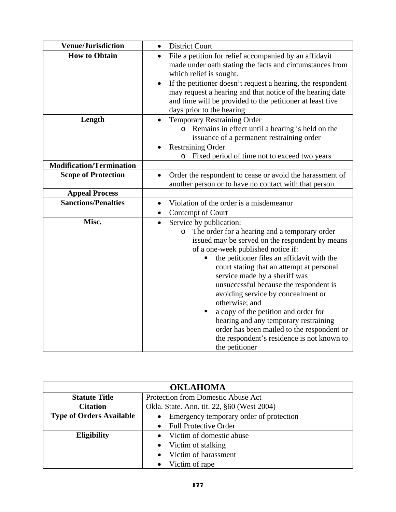| <b>Venue/Jurisdiction</b>       | <b>District Court</b><br>$\bullet$                                                                                                                                                                                                                                                                                                                                                                                                                                                                                                                                                                                               |
|---------------------------------|----------------------------------------------------------------------------------------------------------------------------------------------------------------------------------------------------------------------------------------------------------------------------------------------------------------------------------------------------------------------------------------------------------------------------------------------------------------------------------------------------------------------------------------------------------------------------------------------------------------------------------|
| <b>How to Obtain</b>            | File a petition for relief accompanied by an affidavit<br>$\bullet$<br>made under oath stating the facts and circumstances from<br>which relief is sought.<br>If the petitioner doesn't request a hearing, the respondent<br>may request a hearing and that notice of the hearing date<br>and time will be provided to the petitioner at least five<br>days prior to the hearing                                                                                                                                                                                                                                                 |
| Length                          | Temporary Restraining Order<br>$\bullet$<br>Remains in effect until a hearing is held on the<br>$\circ$<br>issuance of a permanent restraining order<br><b>Restraining Order</b><br>Fixed period of time not to exceed two years<br>O                                                                                                                                                                                                                                                                                                                                                                                            |
| <b>Modification/Termination</b> |                                                                                                                                                                                                                                                                                                                                                                                                                                                                                                                                                                                                                                  |
| <b>Scope of Protection</b>      | Order the respondent to cease or avoid the harassment of<br>$\bullet$<br>another person or to have no contact with that person                                                                                                                                                                                                                                                                                                                                                                                                                                                                                                   |
| <b>Appeal Process</b>           |                                                                                                                                                                                                                                                                                                                                                                                                                                                                                                                                                                                                                                  |
| <b>Sanctions/Penalties</b>      | Violation of the order is a misdemeanor<br>$\bullet$<br>Contempt of Court<br>$\bullet$                                                                                                                                                                                                                                                                                                                                                                                                                                                                                                                                           |
| Misc.                           | Service by publication:<br>$\bullet$<br>The order for a hearing and a temporary order<br>$\circ$<br>issued may be served on the respondent by means<br>of a one-week published notice if:<br>the petitioner files an affidavit with the<br>Ξ<br>court stating that an attempt at personal<br>service made by a sheriff was<br>unsuccessful because the respondent is<br>avoiding service by concealment or<br>otherwise; and<br>a copy of the petition and order for<br>٠<br>hearing and any temporary restraining<br>order has been mailed to the respondent or<br>the respondent's residence is not known to<br>the petitioner |

| <b>OKLAHOMA</b>                 |                                            |
|---------------------------------|--------------------------------------------|
| <b>Statute Title</b>            | Protection from Domestic Abuse Act         |
| <b>Citation</b>                 | Okla. State. Ann. tit. 22, §60 (West 2004) |
| <b>Type of Orders Available</b> | Emergency temporary order of protection    |
|                                 | <b>Full Protective Order</b>               |
| <b>Eligibility</b>              | Victim of domestic abuse                   |
|                                 | Victim of stalking                         |
|                                 | Victim of harassment                       |
|                                 | Victim of rape                             |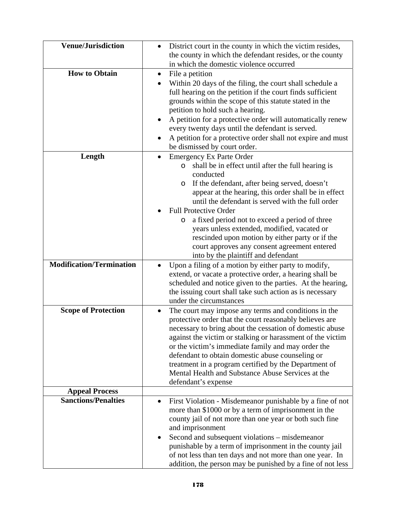| <b>Venue/Jurisdiction</b>       | District court in the county in which the victim resides,<br>the county in which the defendant resides, or the county                                                                                                                                                                                                                                                                                                                                                                                                                                            |
|---------------------------------|------------------------------------------------------------------------------------------------------------------------------------------------------------------------------------------------------------------------------------------------------------------------------------------------------------------------------------------------------------------------------------------------------------------------------------------------------------------------------------------------------------------------------------------------------------------|
|                                 | in which the domestic violence occurred                                                                                                                                                                                                                                                                                                                                                                                                                                                                                                                          |
| <b>How to Obtain</b>            | File a petition<br>$\bullet$<br>Within 20 days of the filing, the court shall schedule a<br>full hearing on the petition if the court finds sufficient<br>grounds within the scope of this statute stated in the<br>petition to hold such a hearing.<br>A petition for a protective order will automatically renew<br>$\bullet$                                                                                                                                                                                                                                  |
|                                 | every twenty days until the defendant is served.<br>A petition for a protective order shall not expire and must<br>٠<br>be dismissed by court order.                                                                                                                                                                                                                                                                                                                                                                                                             |
| Length                          | <b>Emergency Ex Parte Order</b><br>shall be in effect until after the full hearing is<br>$\circ$<br>conducted<br>If the defendant, after being served, doesn't<br>O<br>appear at the hearing, this order shall be in effect<br>until the defendant is served with the full order<br><b>Full Protective Order</b><br>a fixed period not to exceed a period of three<br>O<br>years unless extended, modified, vacated or<br>rescinded upon motion by either party or if the<br>court approves any consent agreement entered<br>into by the plaintiff and defendant |
| <b>Modification/Termination</b> | Upon a filing of a motion by either party to modify,<br>$\bullet$<br>extend, or vacate a protective order, a hearing shall be<br>scheduled and notice given to the parties. At the hearing,<br>the issuing court shall take such action as is necessary<br>under the circumstances                                                                                                                                                                                                                                                                               |
| <b>Scope of Protection</b>      | The court may impose any terms and conditions in the<br>$\bullet$<br>protective order that the court reasonably believes are<br>necessary to bring about the cessation of domestic abuse<br>against the victim or stalking or harassment of the victim<br>or the victim's immediate family and may order the<br>defendant to obtain domestic abuse counseling or<br>treatment in a program certified by the Department of<br>Mental Health and Substance Abuse Services at the<br>defendant's expense                                                            |
| <b>Appeal Process</b>           |                                                                                                                                                                                                                                                                                                                                                                                                                                                                                                                                                                  |
| <b>Sanctions/Penalties</b>      | First Violation - Misdemeanor punishable by a fine of not<br>more than \$1000 or by a term of imprisonment in the<br>county jail of not more than one year or both such fine<br>and imprisonment<br>Second and subsequent violations - misdemeanor<br>٠<br>punishable by a term of imprisonment in the county jail<br>of not less than ten days and not more than one year. In<br>addition, the person may be punished by a fine of not less                                                                                                                     |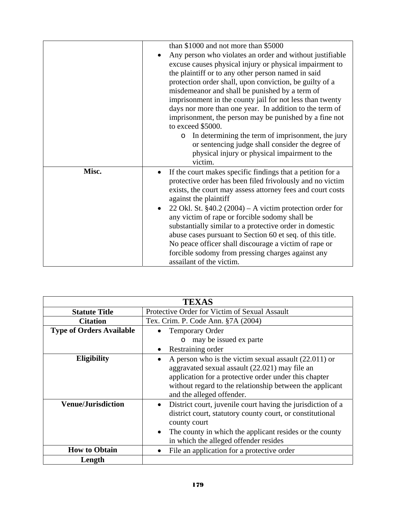|       | than \$1000 and not more than \$5000<br>Any person who violates an order and without justifiable<br>excuse causes physical injury or physical impairment to<br>the plaintiff or to any other person named in said<br>protection order shall, upon conviction, be guilty of a<br>misdemeanor and shall be punished by a term of<br>imprisonment in the county jail for not less than twenty<br>days nor more than one year. In addition to the term of<br>imprisonment, the person may be punished by a fine not<br>to exceed \$5000.<br>In determining the term of imprisonment, the jury<br>$\circ$<br>or sentencing judge shall consider the degree of<br>physical injury or physical impairment to the<br>victim. |
|-------|----------------------------------------------------------------------------------------------------------------------------------------------------------------------------------------------------------------------------------------------------------------------------------------------------------------------------------------------------------------------------------------------------------------------------------------------------------------------------------------------------------------------------------------------------------------------------------------------------------------------------------------------------------------------------------------------------------------------|
| Misc. | If the court makes specific findings that a petition for a<br>$\bullet$<br>protective order has been filed frivolously and no victim<br>exists, the court may assess attorney fees and court costs<br>against the plaintiff<br>22 Okl. St. $§40.2 (2004) - A$ victim protection order for<br>$\bullet$<br>any victim of rape or forcible sodomy shall be<br>substantially similar to a protective order in domestic<br>abuse cases pursuant to Section 60 et seq. of this title.<br>No peace officer shall discourage a victim of rape or<br>forcible sodomy from pressing charges against any<br>assailant of the victim.                                                                                           |

| <b>TEXAS</b>                    |                                                                                                                                                                                                                                                                        |
|---------------------------------|------------------------------------------------------------------------------------------------------------------------------------------------------------------------------------------------------------------------------------------------------------------------|
| <b>Statute Title</b>            | Protective Order for Victim of Sexual Assault                                                                                                                                                                                                                          |
| <b>Citation</b>                 | Tex. Crim. P. Code Ann. §7A (2004)                                                                                                                                                                                                                                     |
| <b>Type of Orders Available</b> | <b>Temporary Order</b>                                                                                                                                                                                                                                                 |
|                                 | may be issued ex parte<br>$\circ$                                                                                                                                                                                                                                      |
|                                 | Restraining order                                                                                                                                                                                                                                                      |
| <b>Eligibility</b>              | A person who is the victim sexual assault $(22.011)$ or<br>aggravated sexual assault (22.021) may file an<br>application for a protective order under this chapter<br>without regard to the relationship between the applicant<br>and the alleged offender.            |
| <b>Venue/Jurisdiction</b>       | District court, juvenile court having the jurisdiction of a<br>$\bullet$<br>district court, statutory county court, or constitutional<br>county court<br>The county in which the applicant resides or the county<br>$\bullet$<br>in which the alleged offender resides |
| <b>How to Obtain</b>            | File an application for a protective order<br>$\bullet$                                                                                                                                                                                                                |
| Length                          |                                                                                                                                                                                                                                                                        |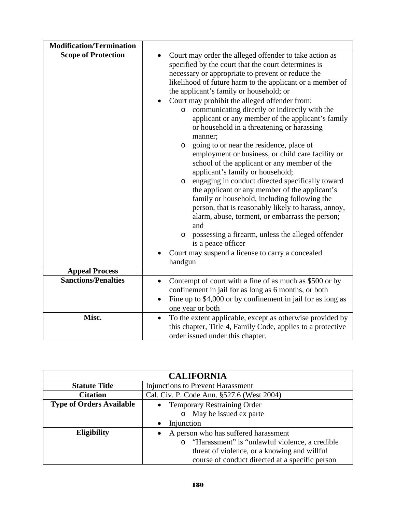| <b>Modification/Termination</b> |                                                                                                                                                                                                                                                                                                                                                                                                                                                                                                                                                                                                                                                                                                                                                                                                                                                                                                                                                                                                                                                                                                                                  |
|---------------------------------|----------------------------------------------------------------------------------------------------------------------------------------------------------------------------------------------------------------------------------------------------------------------------------------------------------------------------------------------------------------------------------------------------------------------------------------------------------------------------------------------------------------------------------------------------------------------------------------------------------------------------------------------------------------------------------------------------------------------------------------------------------------------------------------------------------------------------------------------------------------------------------------------------------------------------------------------------------------------------------------------------------------------------------------------------------------------------------------------------------------------------------|
| <b>Scope of Protection</b>      | Court may order the alleged offender to take action as<br>specified by the court that the court determines is<br>necessary or appropriate to prevent or reduce the<br>likelihood of future harm to the applicant or a member of<br>the applicant's family or household; or<br>Court may prohibit the alleged offender from:<br>communicating directly or indirectly with the<br>$\circ$<br>applicant or any member of the applicant's family<br>or household in a threatening or harassing<br>manner;<br>going to or near the residence, place of<br>$\circ$<br>employment or business, or child care facility or<br>school of the applicant or any member of the<br>applicant's family or household;<br>engaging in conduct directed specifically toward<br>O<br>the applicant or any member of the applicant's<br>family or household, including following the<br>person, that is reasonably likely to harass, annoy,<br>alarm, abuse, torment, or embarrass the person;<br>and<br>possessing a firearm, unless the alleged offender<br>O<br>is a peace officer<br>Court may suspend a license to carry a concealed<br>handgun |
| <b>Appeal Process</b>           |                                                                                                                                                                                                                                                                                                                                                                                                                                                                                                                                                                                                                                                                                                                                                                                                                                                                                                                                                                                                                                                                                                                                  |
| <b>Sanctions/Penalties</b>      | Contempt of court with a fine of as much as \$500 or by<br>$\bullet$<br>confinement in jail for as long as 6 months, or both<br>Fine up to \$4,000 or by confinement in jail for as long as<br>one year or both                                                                                                                                                                                                                                                                                                                                                                                                                                                                                                                                                                                                                                                                                                                                                                                                                                                                                                                  |
| Misc.                           | To the extent applicable, except as otherwise provided by<br>$\bullet$<br>this chapter, Title 4, Family Code, applies to a protective<br>order issued under this chapter.                                                                                                                                                                                                                                                                                                                                                                                                                                                                                                                                                                                                                                                                                                                                                                                                                                                                                                                                                        |

| <b>CALIFORNIA</b>               |                                                  |
|---------------------------------|--------------------------------------------------|
| <b>Statute Title</b>            | <b>Injunctions to Prevent Harassment</b>         |
| <b>Citation</b>                 | Cal. Civ. P. Code Ann. §527.6 (West 2004)        |
| <b>Type of Orders Available</b> | <b>Temporary Restraining Order</b>               |
|                                 | o May be issued ex parte                         |
|                                 | Injunction                                       |
| Eligibility                     | A person who has suffered harassment             |
|                                 | o "Harassment" is "unlawful violence, a credible |
|                                 | threat of violence, or a knowing and willful     |
|                                 | course of conduct directed at a specific person  |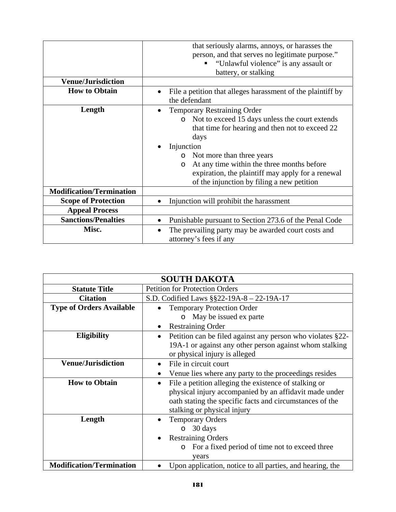|                                 | that seriously alarms, annoys, or harasses the<br>person, and that serves no legitimate purpose."<br>"Unlawful violence" is any assault or<br>п                                                                                                                                                                                                                              |
|---------------------------------|------------------------------------------------------------------------------------------------------------------------------------------------------------------------------------------------------------------------------------------------------------------------------------------------------------------------------------------------------------------------------|
|                                 | battery, or stalking                                                                                                                                                                                                                                                                                                                                                         |
| <b>Venue/Jurisdiction</b>       |                                                                                                                                                                                                                                                                                                                                                                              |
| <b>How to Obtain</b>            | File a petition that alleges harassment of the plaintiff by<br>the defendant                                                                                                                                                                                                                                                                                                 |
| Length                          | <b>Temporary Restraining Order</b><br>Not to exceed 15 days unless the court extends<br>$\circ$<br>that time for hearing and then not to exceed 22<br>days<br>Injunction<br>Not more than three years<br>$\circ$<br>At any time within the three months before<br>$\circ$<br>expiration, the plaintiff may apply for a renewal<br>of the injunction by filing a new petition |
| <b>Modification/Termination</b> |                                                                                                                                                                                                                                                                                                                                                                              |
| <b>Scope of Protection</b>      | Injunction will prohibit the harassment                                                                                                                                                                                                                                                                                                                                      |
| <b>Appeal Process</b>           |                                                                                                                                                                                                                                                                                                                                                                              |
| <b>Sanctions/Penalties</b>      | Punishable pursuant to Section 273.6 of the Penal Code                                                                                                                                                                                                                                                                                                                       |
| Misc.                           | The prevailing party may be awarded court costs and<br>٠<br>attorney's fees if any                                                                                                                                                                                                                                                                                           |

|                                 | <b>SOUTH DAKOTA</b>                                                                                                                                                                                                     |
|---------------------------------|-------------------------------------------------------------------------------------------------------------------------------------------------------------------------------------------------------------------------|
| <b>Statute Title</b>            | <b>Petition for Protection Orders</b>                                                                                                                                                                                   |
| <b>Citation</b>                 | S.D. Codified Laws $\S$ §22-19A-8 – 22-19A-17                                                                                                                                                                           |
| <b>Type of Orders Available</b> | <b>Temporary Protection Order</b>                                                                                                                                                                                       |
|                                 | May be issued ex parte<br>$\circ$                                                                                                                                                                                       |
|                                 | <b>Restraining Order</b>                                                                                                                                                                                                |
| <b>Eligibility</b>              | Petition can be filed against any person who violates §22-<br>$\bullet$<br>19A-1 or against any other person against whom stalking<br>or physical injury is alleged                                                     |
| <b>Venue/Jurisdiction</b>       | File in circuit court<br>Venue lies where any party to the proceedings resides                                                                                                                                          |
| <b>How to Obtain</b>            | File a petition alleging the existence of stalking or<br>$\bullet$<br>physical injury accompanied by an affidavit made under<br>oath stating the specific facts and circumstances of the<br>stalking or physical injury |
| Length                          | <b>Temporary Orders</b><br>30 days<br>$\Omega$<br><b>Restraining Orders</b><br>For a fixed period of time not to exceed three<br>$\circ$<br>years                                                                       |
| <b>Modification/Termination</b> | Upon application, notice to all parties, and hearing, the                                                                                                                                                               |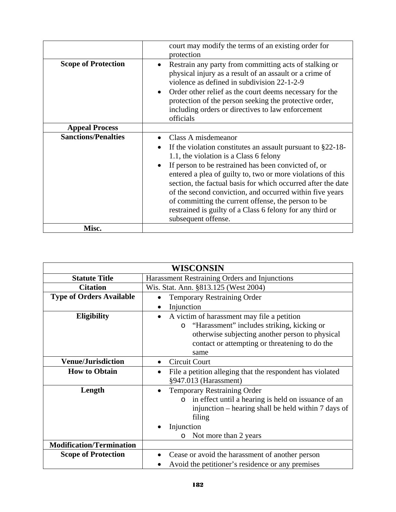|                            | court may modify the terms of an existing order for<br>protection                                                                                                                                                                                                                                                                                                                                                                                                                                                              |
|----------------------------|--------------------------------------------------------------------------------------------------------------------------------------------------------------------------------------------------------------------------------------------------------------------------------------------------------------------------------------------------------------------------------------------------------------------------------------------------------------------------------------------------------------------------------|
| <b>Scope of Protection</b> | Restrain any party from committing acts of stalking or<br>physical injury as a result of an assault or a crime of<br>violence as defined in subdivision 22-1-2-9<br>Order other relief as the court deems necessary for the<br>protection of the person seeking the protective order,<br>including orders or directives to law enforcement<br>officials                                                                                                                                                                        |
| <b>Appeal Process</b>      |                                                                                                                                                                                                                                                                                                                                                                                                                                                                                                                                |
| <b>Sanctions/Penalties</b> | Class A misdemeanor<br>If the violation constitutes an assault pursuant to $\S22-18$ -<br>1.1, the violation is a Class 6 felony<br>If person to be restrained has been convicted of, or<br>entered a plea of guilty to, two or more violations of this<br>section, the factual basis for which occurred after the date<br>of the second conviction, and occurred within five years<br>of committing the current offense, the person to be<br>restrained is guilty of a Class 6 felony for any third or<br>subsequent offense. |
| Misc.                      |                                                                                                                                                                                                                                                                                                                                                                                                                                                                                                                                |

|                                 | WISCONSIN                                                                                                                                                                                                                            |
|---------------------------------|--------------------------------------------------------------------------------------------------------------------------------------------------------------------------------------------------------------------------------------|
| <b>Statute Title</b>            | Harassment Restraining Orders and Injunctions                                                                                                                                                                                        |
| <b>Citation</b>                 | Wis. Stat. Ann. §813.125 (West 2004)                                                                                                                                                                                                 |
| <b>Type of Orders Available</b> | <b>Temporary Restraining Order</b>                                                                                                                                                                                                   |
|                                 | Injunction                                                                                                                                                                                                                           |
| <b>Eligibility</b>              | A victim of harassment may file a petition<br>"Harassment" includes striking, kicking or<br>$\circ$<br>otherwise subjecting another person to physical<br>contact or attempting or threatening to do the<br>same                     |
| <b>Venue/Jurisdiction</b>       | <b>Circuit Court</b>                                                                                                                                                                                                                 |
| <b>How to Obtain</b>            | File a petition alleging that the respondent has violated<br>§947.013 (Harassment)                                                                                                                                                   |
| Length                          | <b>Temporary Restraining Order</b><br>$\bullet$<br>in effect until a hearing is held on issuance of an<br>$\circ$<br>injunction – hearing shall be held within 7 days of<br>filing<br>Injunction<br>Not more than 2 years<br>$\circ$ |
| <b>Modification/Termination</b> |                                                                                                                                                                                                                                      |
| <b>Scope of Protection</b>      | Cease or avoid the harassment of another person<br>Avoid the petitioner's residence or any premises                                                                                                                                  |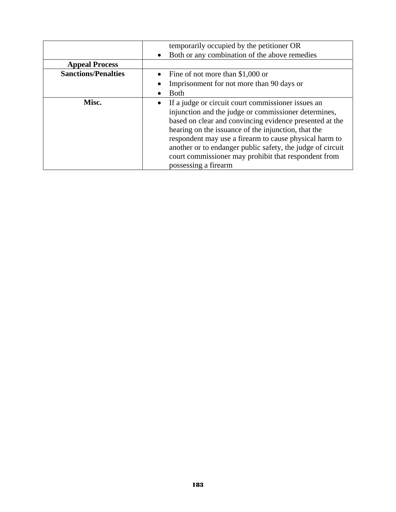|                            | temporarily occupied by the petitioner OR                                                                                                                                                                                                                                                                                                                                                                                            |
|----------------------------|--------------------------------------------------------------------------------------------------------------------------------------------------------------------------------------------------------------------------------------------------------------------------------------------------------------------------------------------------------------------------------------------------------------------------------------|
|                            | Both or any combination of the above remedies                                                                                                                                                                                                                                                                                                                                                                                        |
| <b>Appeal Process</b>      |                                                                                                                                                                                                                                                                                                                                                                                                                                      |
| <b>Sanctions/Penalties</b> | Fine of not more than $$1,000$ or                                                                                                                                                                                                                                                                                                                                                                                                    |
|                            | Imprisonment for not more than 90 days or                                                                                                                                                                                                                                                                                                                                                                                            |
|                            | Both                                                                                                                                                                                                                                                                                                                                                                                                                                 |
| Misc.                      | If a judge or circuit court commissioner issues an<br>injunction and the judge or commissioner determines,<br>based on clear and convincing evidence presented at the<br>hearing on the issuance of the injunction, that the<br>respondent may use a firearm to cause physical harm to<br>another or to endanger public safety, the judge of circuit<br>court commissioner may prohibit that respondent from<br>possessing a firearm |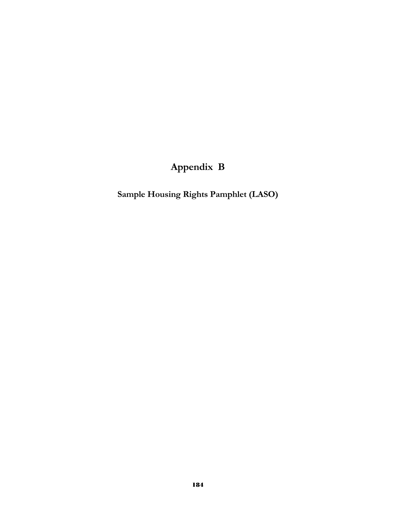#### **Appendix B**

**Sample Housing Rights Pamphlet (LASO)**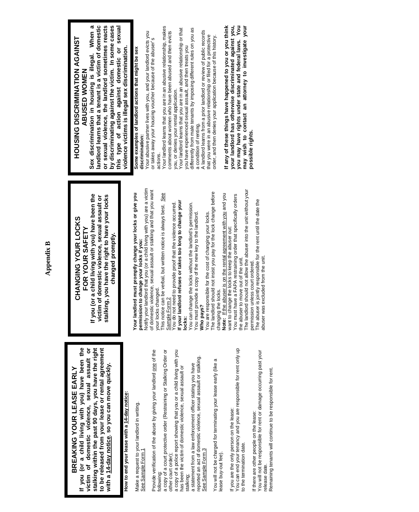**If you (or a child living with you) have been the victim of domestic violence, sexual assault or stalking within the past 90 days, you have the right to be released from your lease or rental agreement**  If you (or a child living with you) have been the victim of domestic violence, sexual assault or stalking within the past 90 days, you have the right to be released from your lease or rental agreement **with a 14-day notice**, **so you can move quickly.**  with a 14-day notice, so you can move quickly. **BREAKING YOUR LEASE EARLY**  BREAKING YOUR LEASE EARLY

**How to end your lease with a 14-day notice:**  How to end your lease with a 14-day notice

Make a request to your landlord in writing. Make a request to your landlord in writing. See Sample Form 1 See Sample Form

Provide verification of the abuse by giving your landlord one of the Provide verification of the abuse by giving your landlord one of the

a copy of a court protective order (Restraining or Stalking Order or following:<br>a copy of a court protective order (Restraining or Stalking Order or other court order); other court order);

a copy of a police report showing that you or a child living with you a copy of a police report showing that you or a child living with you has been the victim of domestic violence, sexual assault or has been the victim of domestic violence, sexual assault or stalking;

reported an act of domestic violence, sexual assault or stalking. reported an act of domestic violence, sexual assault or stalking. a statement from a law enforcement officer stating you have a statement from a law enforcement officer stating you have See Sample Form 3 See Sample Form 3

You will not be charged for terminating your lease early (like a You will not be charged for terminating your lease early (like a lease buy-out fee). lease buy-out fee)

You can end your tenancy and you are responsible for rent only up If you are the only person on the lease:<br>You can end your tenancy and you are responsible for rent only up If you are the only person on the lease: to the termination date. to the termination date.

You will not be responsible for rent or damage occurring past your You will not be responsible for rent or damage occurring past your Remaining tenants will continue to be responsible for rent. Remaining tenants will continue to be responsible for rent If there are other people on the lease: If there are other people on the lease: release date. release date.

**If you (or a child living with you) have been the**  If you (or a child living with you) have been the stalking, you have the right to have your locks **stalking, you have the right to have your locks victim of domestic violence, sexual assault or**  victim of domestic violence, sexual assault or **CHANGING YOUR LOCKS**  CHANGING YOUR LOCKS **FOR YOUR SAFETY**  FOR YOUR SAFETY changed promptly. **changed promptly.**

Notify your landlord that you (or a child living with you) are a victim Notify your landlord that you (or a child living with you) are a victim **Your landlord must promptly change your locks or give you**  Your landlord must promptly change your locks or give you **permission to change your locks if you:**  permission to change your locks if you:

of domestic violence, sexual assault or stalking and that you want of domestic violence, sexual assault or stalking and that you want your locks changed. your locks changed.

This notice can be verbal, but written notice is always best. See This notice can be verbal, but written notice is always best. See Sample Form 2

You do not need to provide proof that the violence occurred. **If your landlord refuses or takes too long to change your**  <u>Sample Form 2</u><br>You do not need to provide proof that the violence occurred.<br>If your landlord refuses or takes too long to change your<br>locks:

You can change the locks without the landlord's permission. You can change the locks without the landlord's permission. You must provide a copy of the new key to the landlord. You must provide a copy of the new key to the landlord

You are responsible for the cost of changing your locks.<br>The landlord should not insist you pay for the lock change before The landlord should not insist you pay for the lock change before You are responsible for the cost of changing your locks. **Who pays?**  Who pays?

**Note:** If the abuser is on the rental agreement with you and you Note: If the abuser is on the rental agreement with you and you changing the locks. changing the locks.

You must have a FAPA restraining order that specifically orders You must have a FAPA restraining order that specifically orders want to change the locks to keep the abuser out: want to change the locks to keep the abuser out:

The landlord should not allow the abuser into the unit without your The landlord should not allow the abuser into the unit without your the abuser to move out of the unit. the abuser to move out of the unit.

permission unless court ordered. permission unless court ordered.

The abuser is jointly responsible for the rent until the date the The abuser is jointly responsible for the rent until the date the abuser was excluded from the unit. abuser was excluded from the unit.

## **HOUSING DISCRIMINATION AGAINST**  HOUSING DISCRIMINATION AGAINST **ABUSED WOMEN**  ABUSED WOMEN

**Sex discrimination in housing is illegal. When a landlord learns that a tenant is a victim of domestic or sexual violence, the landlord sometimes reacts**  by discriminating against the victim. In some cases **by discriminating against the victim. In some cases this type of action against domestic or sexual**  landlord learns that a tenant is a victim of domestic or sexual violence, the landlord sometimes reacts this type of action against domestic or sexual Sex discrimination in housing is illegal. When violence victims is illegal sex discrimination. **violence victims is illegal sex discrimination.** 

# **Some examples of landlord actions that might be sex**  Some examples of landlord actions that might be sex

Your abusive partner lives with you, and your landlord evicts you Your abusive partner lives with you, and your landlord evicts you or takes away your housing voucher because of the abuser's or takes away your housing voucher because of the abuser's **discrimination:**  discrimination:

Your landlord learns that you are in an abusive relationship, makes actions.<br>Your landlord learns that you are in an abusive relationship, makes comments about women who have been abused and then evicts comments about women who have been abused and then evicts you, or denies your rental application. you, or denies your rental application.

Your landlord learns that you are in an abusive relationship or that Your landlord learns that you are in an abusive relationship or that you have experienced sexual assault, and then treats you you have experienced sexual assault, and then treats you

differently from male tenants by imposing different rules on you as differently from male tenants by imposing different rules on you as a condition of renting. a condition of renting.

A landlord learns from a prior landlord or review of public records A landlord learns from a prior landlord or review of public records that you were in an abusive relationship or filed for a protective that you were in an abusive relationship or filed for a protective order, and then denies your application because of this history. order, and then denies your application because of this history.

**If any of these things have happened to you or you think your landlord has otherwise discriminated against you, you may have rights under state and federal laws. You may wish to contact an attorney to investigate your**  If any of these things have happened to you or you think you may have rights under state and federal laws. You may wish to contact an attorney to investigate your your landlord has otherwise discriminated against you **possible rights.** possible rights.

### **Appendix B Appendix B**